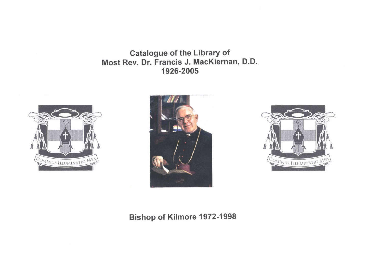Catalogue of the Library of Most Rev. Dr. Francis J. MacKiernan, D.D. 1926-2005







Bishop of Kilmore 1972-1998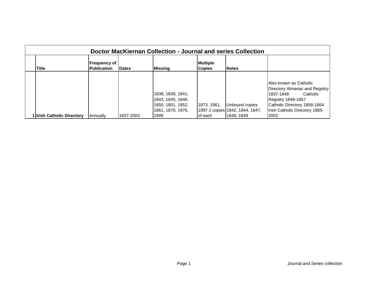| Doctor MacKiernan Collection - Journal and series Collection |                                           |               |                   |                                  |                                 |                                |  |  |  |
|--------------------------------------------------------------|-------------------------------------------|---------------|-------------------|----------------------------------|---------------------------------|--------------------------------|--|--|--|
| Title                                                        | <b>Frequency of</b><br><b>Publication</b> | <b>IDates</b> | Missing           | <b>Multiple</b><br><b>Copies</b> | <b>Notes</b>                    |                                |  |  |  |
|                                                              |                                           |               |                   |                                  |                                 |                                |  |  |  |
|                                                              |                                           |               |                   |                                  |                                 | Also known as Catholic         |  |  |  |
|                                                              |                                           |               |                   |                                  |                                 | Directory Almanac and Registry |  |  |  |
|                                                              |                                           |               | 1838, 1839, 1841, |                                  |                                 | Catholic<br>1837-1848          |  |  |  |
|                                                              |                                           |               | 1843, 1845, 1846, |                                  |                                 | <b>Registry 1849-1857</b>      |  |  |  |
|                                                              |                                           |               | 1850, 1851, 1852, | 1873, 1961,                      | Unbound copies                  | Catholic Directory 1858-1864   |  |  |  |
|                                                              |                                           |               | 1861, 1870, 1976, |                                  | 1997 2 copies 1842, 1844, 1847, | Irish Catholic Directory 1865- |  |  |  |
| 1 Irish Catholic Directory                                   | Annually                                  | 1837-2003     | 1999              | of each                          | 1848, 1849                      | 2003                           |  |  |  |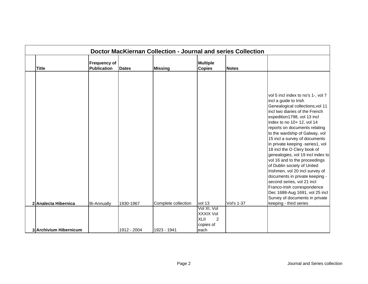| Doctor MacKiernan Collection - Journal and series Collection |                                           |              |                     |                                             |                   |                                                                                                                                                                                                                                                                                                                                                                                                                                                                                                                                                                                                                                                                                                            |  |  |  |
|--------------------------------------------------------------|-------------------------------------------|--------------|---------------------|---------------------------------------------|-------------------|------------------------------------------------------------------------------------------------------------------------------------------------------------------------------------------------------------------------------------------------------------------------------------------------------------------------------------------------------------------------------------------------------------------------------------------------------------------------------------------------------------------------------------------------------------------------------------------------------------------------------------------------------------------------------------------------------------|--|--|--|
| <b>Title</b>                                                 | <b>Frequency of</b><br><b>Publication</b> | <b>Dates</b> | <b>Missing</b>      | <b>Multiple</b><br><b>Copies</b>            | <b>Notes</b>      |                                                                                                                                                                                                                                                                                                                                                                                                                                                                                                                                                                                                                                                                                                            |  |  |  |
| 2 Analecta Hibernica                                         | <b>Bi-Annually</b>                        | 1930-1967    | Complete collection | vol 13<br>Vol XI, Vol                       | <b>Vol's 1-37</b> | vol 5 incl index to no's 1-, vol 7<br>incl a guide to Irish<br>Genealogical collections, vol 11<br>incl two diaries of the French<br>expedition1798, vol 13 incl<br>index to no 10+ 12, vol 14<br>reports on documents relating<br>to the wardship of Galway, vol<br>15 incl a survey of documents<br>in private keeping -series1, vol<br>18 incl the O Clery book of<br>genealogies, vol 19 incl index to<br>vol 16 and to the proceedings<br>of Dublin society of United<br>Irishmen, vol 20 incl survey of<br>documents in private keeping -<br>second series, vol 21 incl<br>Franco-Irish correspondence<br>Dec 1688-Aug 1691, vol 25 incl<br>Survey of documents in private<br>keeping - third series |  |  |  |
| 3 Archivium Hibernicum                                       |                                           | 1912 - 2004  | 1923 - 1941         | XXXIX Vol<br>XLII<br>2<br>copies of<br>each |                   |                                                                                                                                                                                                                                                                                                                                                                                                                                                                                                                                                                                                                                                                                                            |  |  |  |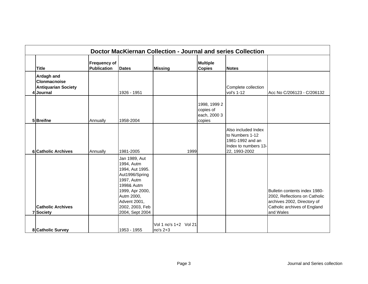| Doctor MacKiernan Collection - Journal and series Collection                        |                                    |                                                                                                                                                                                     |                                     |                                                     |                                                                                                     |                                                                                                                                            |  |  |  |
|-------------------------------------------------------------------------------------|------------------------------------|-------------------------------------------------------------------------------------------------------------------------------------------------------------------------------------|-------------------------------------|-----------------------------------------------------|-----------------------------------------------------------------------------------------------------|--------------------------------------------------------------------------------------------------------------------------------------------|--|--|--|
| <b>Title</b>                                                                        | <b>Frequency of</b><br>Publication | <b>Dates</b>                                                                                                                                                                        | <b>Missing</b>                      | <b>Multiple</b><br><b>Copies</b>                    | <b>Notes</b>                                                                                        |                                                                                                                                            |  |  |  |
| <b>Ardagh and</b><br><b>Clonmacnoise</b><br><b>Antiquarian Society</b><br>4 Journal |                                    | 1926 - 1951                                                                                                                                                                         |                                     |                                                     | Complete collection<br>vol's 1-12                                                                   | Acc No C/206123 - C/206132                                                                                                                 |  |  |  |
| 5 Breifne                                                                           | Annually                           | 1958-2004                                                                                                                                                                           |                                     | 1998, 1999 2<br>copies of<br>each, 2000 3<br>copies |                                                                                                     |                                                                                                                                            |  |  |  |
| <b>6</b> Catholic Archives                                                          | Annually                           | 1981-2005                                                                                                                                                                           | 1999                                |                                                     | Also included Index<br>to Numbers 1-12<br>1981-1992 and an<br>Index to numbers 13-<br>22, 1993-2002 |                                                                                                                                            |  |  |  |
| <b>Catholic Archives</b><br>7 Society                                               |                                    | Jan 1989, Aut<br>1994, Autm<br>1994, Aut 1995.<br>Aut1996/Spring<br>1997, Autm<br>1998& Autm<br>1999, Apr 2000,<br>Autm 2000,<br>Advent 2001,<br>2002, 2003, Feb<br>2004, Sept 2004 |                                     |                                                     |                                                                                                     | Bulletin contents index 1980-<br>2002, Reflections on Catholic<br>archives 2002, Directory of<br>Catholic archives of England<br>and Wales |  |  |  |
| 8 Catholic Survey                                                                   |                                    | 1953 - 1955                                                                                                                                                                         | Vol 1 no's 1+2 Vol 21<br>$no's 2+3$ |                                                     |                                                                                                     |                                                                                                                                            |  |  |  |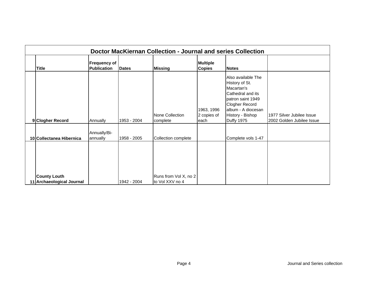| Doctor MacKiernan Collection - Journal and series Collection |                                           |              |                                          |                                   |                                                                                                                                                                               |                                                        |  |  |  |
|--------------------------------------------------------------|-------------------------------------------|--------------|------------------------------------------|-----------------------------------|-------------------------------------------------------------------------------------------------------------------------------------------------------------------------------|--------------------------------------------------------|--|--|--|
| <b>Title</b>                                                 | <b>Frequency of</b><br><b>Publication</b> | <b>Dates</b> | <b>Missing</b>                           | <b>Multiple</b><br><b>Copies</b>  | <b>Notes</b>                                                                                                                                                                  |                                                        |  |  |  |
| 9 Clogher Record                                             | Annually                                  | 1953 - 2004  | None Collection<br>complete              | 1963, 1996<br>2 copies of<br>each | Also available The<br>History of St.<br>Macartan's<br>Cathedral and its<br>patron saint 1949<br><b>Clogher Record</b><br>album - A diocesan<br>History - Bishop<br>Duffy 1975 | 1977 Silver Jubilee Issue<br>2002 Golden Jubilee Issue |  |  |  |
| 10 Collectanea Hibernica                                     | Annually/Bi-<br>annually                  | 1958 - 2005  | Collection complete                      |                                   | Complete vols 1-47                                                                                                                                                            |                                                        |  |  |  |
| <b>County Louth</b><br>11 Archaeological Journal             |                                           | 1942 - 2004  | Runs from Vol X, no 2<br>to Vol XXV no 4 |                                   |                                                                                                                                                                               |                                                        |  |  |  |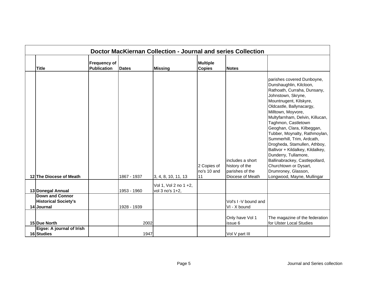|                                                                     |                                           |              | Doctor MacKiernan Collection - Journal and series Collection |                                  |                                                                           |                                                                                                                                                                                                                                                                                                                                                                                                                                                                                                                                                           |
|---------------------------------------------------------------------|-------------------------------------------|--------------|--------------------------------------------------------------|----------------------------------|---------------------------------------------------------------------------|-----------------------------------------------------------------------------------------------------------------------------------------------------------------------------------------------------------------------------------------------------------------------------------------------------------------------------------------------------------------------------------------------------------------------------------------------------------------------------------------------------------------------------------------------------------|
| <b>Title</b>                                                        | <b>Frequency of</b><br><b>Publication</b> | <b>Dates</b> | <b>Missing</b>                                               | <b>Multiple</b><br><b>Copies</b> | <b>Notes</b>                                                              |                                                                                                                                                                                                                                                                                                                                                                                                                                                                                                                                                           |
| 12 The Diocese of Meath                                             |                                           | 1867 - 1937  | 3, 4, 8, 10, 11, 13                                          | 2 Copies of<br>no's 10 and<br>11 | includes a short<br>history of the<br>parishes of the<br>Diocese of Meath | parishes covered Dunboyne,<br>Dunshaughlin, Kilcloon,<br>Rathoath, Curraha, Dunsany,<br>Johnstown, Skryne,<br>Mountnugent, Kilskyre,<br>Oldcastle, Ballynacargy,<br>Milltown, Moyvore,<br>Multyfarnham, Delvin, Killucan,<br>Taghmon, Castletown<br>Geoghan, Clara, Kilbeggan,<br>Tubber, Moynalty, Rathmoylan,<br>Summerhill, Trim, Ardcath,<br>Drogheda, Stamullen, Athboy,<br>Ballivor + Kildalkey, Kildalkey,<br>Dunderry, Tullamore,<br>Ballinabrackey, Castlepollard,<br>Churchtown or Dysart,<br>Drumroney, Glasson,<br>Longwood, Mayne, Mullingar |
| 13 Donegal Annual                                                   |                                           | 1953 - 1960  | Vol 1, Vol 2 no 1 +2,<br>vol 3 no's 1+2,                     |                                  |                                                                           |                                                                                                                                                                                                                                                                                                                                                                                                                                                                                                                                                           |
| <b>Down and Connor</b><br><b>Historical Society's</b><br>14 Journal |                                           | 1928 - 1939  |                                                              |                                  | Vol's I -V bound and<br>VI - X bound                                      |                                                                                                                                                                                                                                                                                                                                                                                                                                                                                                                                                           |
| 15 Due North                                                        |                                           | 2002         |                                                              |                                  | Only have Vol 1<br>issue 6                                                | The magazine of the federation<br>for Ulster Local Studies                                                                                                                                                                                                                                                                                                                                                                                                                                                                                                |
| Eigse: A journal of Irish<br>16 Studies                             |                                           | 1947         |                                                              |                                  | Vol V part III                                                            |                                                                                                                                                                                                                                                                                                                                                                                                                                                                                                                                                           |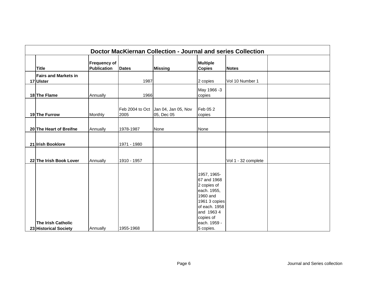| Doctor MacKiernan Collection - Journal and series Collection |                                           |              |                                                   |                                                                                                                                   |                     |  |  |  |  |
|--------------------------------------------------------------|-------------------------------------------|--------------|---------------------------------------------------|-----------------------------------------------------------------------------------------------------------------------------------|---------------------|--|--|--|--|
| <b>Title</b>                                                 | <b>Frequency of</b><br><b>Publication</b> | <b>Dates</b> | <b>Missing</b>                                    | <b>Multiple</b><br><b>Copies</b>                                                                                                  | <b>Notes</b>        |  |  |  |  |
| <b>Fairs and Markets in</b><br>17 Ulster                     |                                           | 1987         |                                                   | 2 copies                                                                                                                          | Vol 10 Number 1     |  |  |  |  |
| 18 The Flame                                                 | Annually                                  | 1966         |                                                   | May 1966 -3<br>copies                                                                                                             |                     |  |  |  |  |
| 19 The Furrow                                                | Monthly                                   | 2005         | Feb 2004 to Oct Jan 04, Jan 05, Nov<br>05, Dec 05 | Feb 05 2<br>copies                                                                                                                |                     |  |  |  |  |
| 20 The Heart of Breifne                                      | Annually                                  | 1978-1987    | None                                              | None                                                                                                                              |                     |  |  |  |  |
| 21 Irish Booklore                                            |                                           | 1971 - 1980  |                                                   |                                                                                                                                   |                     |  |  |  |  |
| 22 The Irish Book Lover                                      | Annually                                  | 1910 - 1957  |                                                   |                                                                                                                                   | Vol 1 - 32 complete |  |  |  |  |
|                                                              |                                           |              |                                                   | 1957, 1965-<br>67 and 1968<br>2 copies of<br>each. 1955,<br>1960 and<br>1961 3 copies<br>of each. 1958<br>and 1963 4<br>copies of |                     |  |  |  |  |
| <b>The Irish Catholic</b><br>23 Historical Society           | Annually                                  | 1955-1968    |                                                   | each. 1959 -<br>5 copies.                                                                                                         |                     |  |  |  |  |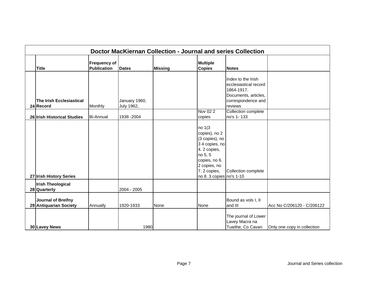| Doctor MacKiernan Collection - Journal and series Collection |                                           |                             |                |                                                                                                                                                                    |                                                                                                                    |                             |  |  |  |
|--------------------------------------------------------------|-------------------------------------------|-----------------------------|----------------|--------------------------------------------------------------------------------------------------------------------------------------------------------------------|--------------------------------------------------------------------------------------------------------------------|-----------------------------|--|--|--|
| <b>Title</b>                                                 | <b>Frequency of</b><br><b>Publication</b> | <b>Dates</b>                | <b>Missing</b> | <b>Multiple</b><br><b>Copies</b>                                                                                                                                   | <b>Notes</b>                                                                                                       |                             |  |  |  |
| The Irish Ecclesiastical<br>24 Record                        | Monthly                                   | January 1960,<br>July 1962, |                |                                                                                                                                                                    | Index to the Irish<br>ecclesiastical record<br>1864-1917.<br>Documents, articles,<br>correspondence and<br>reviews |                             |  |  |  |
| 26 Irish Historical Studies                                  | <b>Bi-Annual</b>                          | 1938 - 2004                 |                | Nov 02 2<br>copies                                                                                                                                                 | Collection complete<br>no's 1-133                                                                                  |                             |  |  |  |
| 27 Irish History Series                                      |                                           |                             |                | no 1(3<br>copies), no 2<br>(3 copies), no<br>3 4 copies, no<br>4.2 copies,<br>no 5, 5<br>copies, no 6.<br>2 copies, no<br>7. 2 copies,<br>no 8. 3 copies no's 1-10 | Collection complete                                                                                                |                             |  |  |  |
| <b>Irish Theological</b><br>28 Quarterly                     |                                           | 2004 - 2005                 |                |                                                                                                                                                                    |                                                                                                                    |                             |  |  |  |
| <b>Journal of Breifny</b><br>29 Antiquarian Society          | Annually                                  | 1920-1933                   | None           | None                                                                                                                                                               | Bound as vols I, II<br>and III                                                                                     | Acc No C/206120 - C/206122  |  |  |  |
| 30 Lavey News                                                |                                           | 1980                        |                |                                                                                                                                                                    | The journal of Lower<br>Lavey Macra na<br>Tuaithe, Co Cavan                                                        | Only one copy in collection |  |  |  |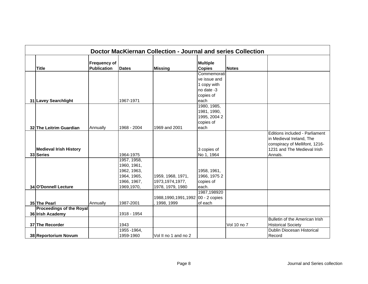|                                 |                                           |              | Doctor MacKiernan Collection - Journal and series Collection |                                  |              |                                |
|---------------------------------|-------------------------------------------|--------------|--------------------------------------------------------------|----------------------------------|--------------|--------------------------------|
| <b>Title</b>                    | <b>Frequency of</b><br><b>Publication</b> | <b>Dates</b> | <b>Missing</b>                                               | <b>Multiple</b><br><b>Copies</b> | <b>Notes</b> |                                |
|                                 |                                           |              |                                                              | Commemorati                      |              |                                |
|                                 |                                           |              |                                                              | ve issue and                     |              |                                |
|                                 |                                           |              |                                                              | 1 copy with                      |              |                                |
|                                 |                                           |              |                                                              | no date -3                       |              |                                |
|                                 |                                           |              |                                                              | copies of                        |              |                                |
| 31 Lavey Searchlight            |                                           | 1967-1971    |                                                              | each                             |              |                                |
|                                 |                                           |              |                                                              | 1980, 1985,                      |              |                                |
|                                 |                                           |              |                                                              | 1981, 1990,                      |              |                                |
|                                 |                                           |              |                                                              | 1995, 2004 2                     |              |                                |
|                                 |                                           |              |                                                              | copies of                        |              |                                |
| 32 The Leitrim Guardian         | Annually                                  | 1968 - 2004  | 1969 and 2001                                                | each                             |              |                                |
|                                 |                                           |              |                                                              |                                  |              | Editions included - Parliament |
|                                 |                                           |              |                                                              |                                  |              | in Medieval Ireland, The       |
|                                 |                                           |              |                                                              |                                  |              | conspiracy of Mellifont, 1216- |
| <b>Medieval Irish History</b>   |                                           |              |                                                              | 3 copies of                      |              | 1231 and The Medieval Irish    |
| 33 Series                       |                                           | 1964-1975    |                                                              | No 1, 1964                       |              | Annals.                        |
|                                 |                                           | 1957, 1958,  |                                                              |                                  |              |                                |
|                                 |                                           | 1960, 1961,  |                                                              |                                  |              |                                |
|                                 |                                           | 1962, 1963,  |                                                              | 1958, 1961,                      |              |                                |
|                                 |                                           | 1964, 1965,  | 1959, 1968, 1971,                                            | 1966, 1975 2                     |              |                                |
|                                 |                                           | 1966, 1967,  | 1973,1974,1977,                                              | copies of                        |              |                                |
| 34 O'Donnell Lecture            |                                           | 1969,1970,   | 1978, 1979, 1980                                             | each.                            |              |                                |
|                                 |                                           |              |                                                              | 1987,198920                      |              |                                |
|                                 |                                           |              | 1988,1990,1991,1992 00 - 2 copies                            |                                  |              |                                |
| 35 The Pearl                    | Annually                                  | 1987-2001    | 1998, 1999                                                   | of each                          |              |                                |
| <b>Proceedings of the Royal</b> |                                           |              |                                                              |                                  |              |                                |
| 36 Irish Academy                |                                           | 1918 - 1954  |                                                              |                                  |              |                                |
|                                 |                                           |              |                                                              |                                  |              | Bulletin of the American Irish |
| 37 The Recorder                 |                                           | 1943         |                                                              |                                  | Vol 10 no 7  | <b>Historical Society</b>      |
|                                 |                                           | 1955 - 1964, |                                                              |                                  |              | Dublin Diocesan Historical     |
| 38 Reportorium Novum            |                                           | 1959-1960    | Vol II no 1 and no 2                                         |                                  |              | Record                         |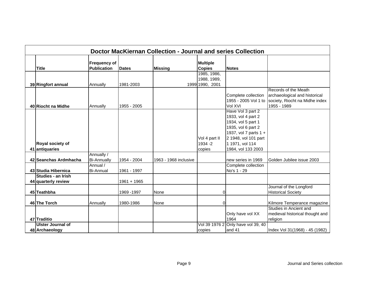| <b>Doctor MacKiernan Collection - Journal and series Collection</b> |                                    |               |                       |                                  |                                                                                                              |                                                                                                        |  |  |  |
|---------------------------------------------------------------------|------------------------------------|---------------|-----------------------|----------------------------------|--------------------------------------------------------------------------------------------------------------|--------------------------------------------------------------------------------------------------------|--|--|--|
| <b>Title</b>                                                        | Frequency of<br><b>Publication</b> | <b>Dates</b>  | <b>Missing</b>        | <b>Multiple</b><br><b>Copies</b> | <b>Notes</b>                                                                                                 |                                                                                                        |  |  |  |
|                                                                     |                                    |               |                       | 1985, 1986,                      |                                                                                                              |                                                                                                        |  |  |  |
|                                                                     |                                    |               |                       | 1988, 1989,                      |                                                                                                              |                                                                                                        |  |  |  |
| 39 Ringfort annual                                                  | Annually                           | 1981-2003     |                       | 1999 1990, 2001                  |                                                                                                              |                                                                                                        |  |  |  |
| 40 Riocht na Midhe                                                  | Annually                           | 1955 - 2005   |                       |                                  | Complete collection<br>1955 - 2005 Vol 1 to<br>Vol XVI                                                       | Records of the Meath<br>archaeological and historical<br>society, Riocht na Midhe index<br>1955 - 1989 |  |  |  |
|                                                                     |                                    |               |                       |                                  | Have Vol 3 part 2<br>1933, vol 4 part 2<br>1934, vol 5 part 1<br>1935, vol 6 part 2<br>1937, vol 7 parts 1 + |                                                                                                        |  |  |  |
|                                                                     |                                    |               |                       | Vol 4 part II                    | 2 1948, vol 101 part                                                                                         |                                                                                                        |  |  |  |
| Royal society of                                                    |                                    |               |                       | 1934 - 2                         | 1 1971, vol 114                                                                                              |                                                                                                        |  |  |  |
| 41 antiquaries                                                      | Annually /                         |               |                       | copies                           | 1984, vol 133 2003                                                                                           |                                                                                                        |  |  |  |
| 42 Seanchas Ardmhacha                                               | <b>Bi-Annually</b>                 | 1954 - 2004   | 1963 - 1968 inclusive |                                  | new series in 1969                                                                                           | Golden Jubilee issue 2003                                                                              |  |  |  |
| 43 Studia Hibernica                                                 | Annual /<br><b>Bi-Annual</b>       | 1961 - 1997   |                       |                                  | Complete collection<br>No's 1 - 29                                                                           |                                                                                                        |  |  |  |
| Studies - an Irish<br>44 quarterly review                           |                                    | $1961 + 1965$ |                       |                                  |                                                                                                              |                                                                                                        |  |  |  |
| 45 Teathbha                                                         |                                    | 1969 - 1997   | None                  | $\Omega$                         |                                                                                                              | Journal of the Longford<br><b>Historical Society</b>                                                   |  |  |  |
| 46 The Torch                                                        | Annually                           | 1980-1986     | None                  | $\Omega$                         |                                                                                                              | Kilmore Temperance magazine                                                                            |  |  |  |
| 47 Traditio                                                         |                                    |               |                       |                                  | Only have vol XX<br>1964                                                                                     | Studies in Ancient and<br>medieval historical thought and<br>religion                                  |  |  |  |
| <b>Ulster Journal of</b>                                            |                                    |               |                       | Vol 39 1976 2                    | Only have vol 39, 40                                                                                         |                                                                                                        |  |  |  |
| 48 Archaeology                                                      |                                    |               |                       | copies                           | and 41                                                                                                       | Index Vol 31(1968) - 45 (1982)                                                                         |  |  |  |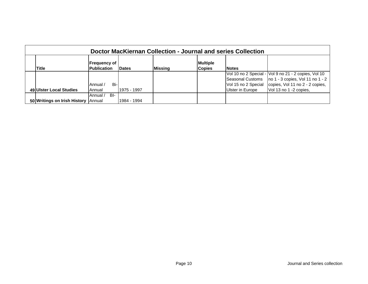| Doctor MacKiernan Collection - Journal and series Collection |                                           |              |                |                                  |                  |                                                                                                            |  |  |  |
|--------------------------------------------------------------|-------------------------------------------|--------------|----------------|----------------------------------|------------------|------------------------------------------------------------------------------------------------------------|--|--|--|
| <b>Title</b>                                                 | <b>Frequency of</b><br><b>Publication</b> | <b>Dates</b> | <b>Missing</b> | <b>Multiple</b><br><b>Copies</b> | <b>Notes</b>     |                                                                                                            |  |  |  |
|                                                              |                                           |              |                |                                  |                  | Vol 10 no 2 Special - Vol 9 no 21 - 2 copies, Vol 10                                                       |  |  |  |
|                                                              | Bi-l<br>Annual /                          |              |                |                                  |                  | Seasonal Customs   no 1 - 3 copies, Vol 11 no 1 - 2<br>Vol 15 no 2 Special copies, Vol 11 no 2 - 2 copies, |  |  |  |
| 49 Ulster Local Studies                                      | Annual                                    | 1975 - 1997  |                |                                  | Ulster in Europe | Vol 13 no 1 -2 copies,                                                                                     |  |  |  |
|                                                              | BI-<br>Annual /                           |              |                |                                  |                  |                                                                                                            |  |  |  |
| 50 Writings on Irish History Annual                          |                                           | 1984 - 1994  |                |                                  |                  |                                                                                                            |  |  |  |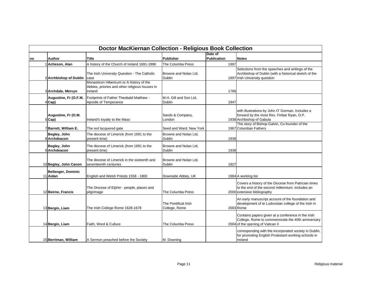|    |                                       | <b>Doctor MacKiernan Collection - Religious Book Collection</b>                                  |                                        |                        |                                                                                                                                              |
|----|---------------------------------------|--------------------------------------------------------------------------------------------------|----------------------------------------|------------------------|----------------------------------------------------------------------------------------------------------------------------------------------|
| no | Author                                | Title                                                                                            | <b>Publisher</b>                       | Date of<br>Publication | <b>Notes</b>                                                                                                                                 |
|    | Acheson, Alan                         | A history of the Church of Ireland 1691-1996                                                     | The Columba Press                      | 1997                   |                                                                                                                                              |
|    | 2 Archbishop of Dublin                | The Irish University Question - The Catholic<br>case<br>Monasticon Hibericum or A history of the | Browne and Nolan Ltd,<br><b>Dublin</b> |                        | Selections from the speeches and writings of the<br>Archbishop of Dublin (with a historical sketch of the<br>1897 Irish University question  |
|    | 3 Archdale, Mervyn                    | Abbies, priories and other religious houses in<br>Ireland                                        |                                        | 1786                   |                                                                                                                                              |
|    | Augustine, Fr (O.F.M.<br>4 Cap)       | Footprints of Father Theobald Matthew -<br>Apostle of Temperance                                 | M.H. Gill and Son Ltd.<br>Dublin       | 1947                   |                                                                                                                                              |
|    | Augustine, Fr (O.M.<br>5 Cap)         | Ireland's loyalty to the Mass                                                                    | Sands & Company,<br>London             |                        | with illustrations by John O' Gorman. Includes a<br>forward by the most Rev. Finbar Ryan, O.P.<br>1938 Archbishop of Gabula                  |
|    | 7 Barrett, William E.                 | The red lacquered gate                                                                           | Seed and Ward: New York                |                        | The story of Bishop Galvin, Co-founder of the<br>1967 Columban Fathers                                                                       |
|    | Begley, John<br>8 Archdeacon          | The diocese of Limerick (from 1691 to the<br>present time)                                       | Browne and Nolan Ltd,<br>Dublin        | 1938                   |                                                                                                                                              |
|    | Begley, John<br>9lArchdeacon          | The diocese of Limerick (from 1691 to the<br>present time)                                       | Browne and Nolan Ltd.<br>Dublin        | 1938                   |                                                                                                                                              |
|    | 10 Begley, John Canon                 | The diocese of Limerick in the sixteenth and<br>seventeenth centuries                            | Browne and Nolan Ltd.<br><b>Dublin</b> | 1927                   |                                                                                                                                              |
|    | <b>Bellenger, Dominic</b><br>11 Aidan | English and Welsh Priests 1558 - 1800                                                            | Downside Abbey, UK                     |                        | 1984 A working list                                                                                                                          |
|    | 12 Beirne, Francis                    | The Diocese of Elphin - people, places and<br>pilgrimage                                         | The Columba Press                      |                        | Covers a history of the Diocese from Patrician times<br>to the end of the second millennium. Includes an<br>2000 extensive bibliography      |
|    | 13 Bergin, Liam                       | The Irish College Rome 1628-1678                                                                 | The Pontifical Irish<br>College, Rome  |                        | An early manuscript account of the foundation and<br>development of te Ludovisian college of the Irish in<br>2003 Rome                       |
|    | 14 Bergin, Liam                       | Fatih, Word & Culture                                                                            | The Columba Press                      |                        | Contains papers given at a conference in the Irish<br>College, Rome to commemorate the 40th anniversary<br>2004 of the opening of Vatican II |
|    | 15 Berriman, William                  | A Sermon preached before the Society                                                             | M. Downing                             |                        | corresponding with the incorporated society in Dublin,<br>for promoting English Protestant working-schools in<br>Ireland                     |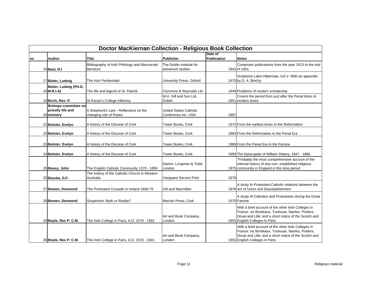|    |                                                                 | <b>Doctor MacKiernan Collection - Religious Book Collection</b>   |                                               |                        |                                                                                                                                                                                                     |
|----|-----------------------------------------------------------------|-------------------------------------------------------------------|-----------------------------------------------|------------------------|-----------------------------------------------------------------------------------------------------------------------------------------------------------------------------------------------------|
| no | Author                                                          | Title                                                             | <b>Publisher</b>                              | Date of<br>Publication | <b>Notes</b>                                                                                                                                                                                        |
|    | 16 Best, R.I                                                    | Bibliography of Irish Philology and Manuscript<br>literature      | The Dublin institute for<br>advanced studies  |                        | Comprises publications from the year 1913 to the end<br>1942 of 1941.                                                                                                                               |
|    | 17 Bieler, Ludwig                                               | The Irish Penitentials                                            | University Press, Oxford                      |                        | Scriptores Latini Hiberniae, Vol V. With an appendix<br>1975 by D. A. Binchy                                                                                                                        |
|    | Bieler, Ludwig (PH.D,<br>18 M.R.I.A)                            | The life and legend of St. Patrick                                | Clonmore & Reynolds Ltd                       |                        | 1949 Problems of modern scholarship                                                                                                                                                                 |
|    | 19 Birch, Rev. P.                                               | St Kieran's College Kilkenny                                      | M.H. Gill and Son Ltd,<br><b>Dublin</b>       |                        | Covers the period from just after the Penal times to<br>1951 modern times                                                                                                                           |
|    | <b>Bishops committee on</b><br>priestly life and<br>20 ministry | A Shepherd's care - Reflections on the<br>changing role of Pastor | United States Catholic<br>Conference Inc. USA | 1987                   |                                                                                                                                                                                                     |
|    | 21 Bolster, Evelyn                                              | A history of the Diocese of Cork                                  | Tower Books, Cork                             |                        | 1972 From the earliest times to the Reformation                                                                                                                                                     |
|    | 22 Bolster, Evelyn                                              | A history of the Diocese of Cork                                  | Tower Books, Cork                             |                        | 1982 From the Reformation to the Penal Era                                                                                                                                                          |
|    | 23 Bolster, Evelyn                                              | A history of the Diocese of Cork                                  | Tower Books, Cork                             |                        | 1989 From the Penal Era to the Famine                                                                                                                                                               |
|    | 24 Bolster, Evelyn                                              | A history of the Diocese of Cork                                  | Tower Books, Cork                             |                        | 1993 The Episcopate of William Delany, 1847 - 1886                                                                                                                                                  |
|    | 25 Bossy, John                                                  | The English Catholic Community 1570 - 1850                        | Darton, Longman & Todd,<br>London             |                        | 'Probably the most comprehensive account of the<br>internal history of any non-established religious<br>1975 community in England in this time period                                               |
|    | 26 Bourke, D.F.                                                 | The history of the Catholic Church in Western<br>Australia        | Vanguard Service Print                        | 1979                   |                                                                                                                                                                                                     |
|    | 27 Bowen, Desmond                                               | The Protestant Crusade in Ireland 1800-70                         | Gill and Macmillan                            |                        | A study fo Protestant-Catholic relations between the<br>1978 Act of Union and Disestablishment                                                                                                      |
|    | 28 Bowen, Desmond                                               | Souperism: Myth or Reality?                                       | Mercier Press, Cork                           |                        | A study of Catholics and Protestants during the Great<br>1970 Famine                                                                                                                                |
|    | 29 Boyle, Rev P. C.M.                                           | The Irish College in Paris, A.D. 1578 - 1901                      | Art and Book Company,<br>London               |                        | With a brief account of the other Irish Colleges in<br>France: viz Bordeaux, Toulouse, Nantes, Poitiers,<br>Douai and Lille; and a short notice of the Scotch and<br>1901 English Colleges in Paris |
|    | 30 Boyle, Rev P. C.M.                                           | The Irish College in Paris, A.D. 1578 - 1901                      | Art and Book Company,<br>London               |                        | With a brief account of the other Irish Colleges in<br>France: viz Bordeaux, Toulouse, Nantes, Poitiers,<br>Douai and Lille; and a short notice of the Scotch and<br>1901 English Colleges in Paris |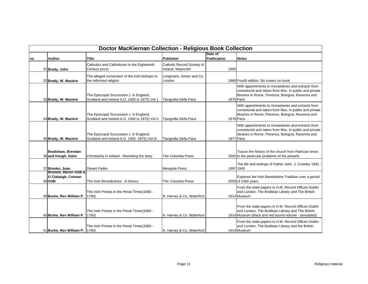|    | <b>Doctor MacKiernan Collection - Religious Book Collection</b> |                                                                                           |                                                 |                        |                                                                                                                                                                                  |  |  |  |
|----|-----------------------------------------------------------------|-------------------------------------------------------------------------------------------|-------------------------------------------------|------------------------|----------------------------------------------------------------------------------------------------------------------------------------------------------------------------------|--|--|--|
| no | <b>Author</b>                                                   | <b>Title</b>                                                                              | <b>Publisher</b>                                | Date of<br>Publication | <b>Notes</b>                                                                                                                                                                     |  |  |  |
|    | 31 Brady, John                                                  | Catholics and Catholicism in the Eighteenth<br>Century press                              | Catholic Record Society of<br>Ireland, Maynooth | 1965                   |                                                                                                                                                                                  |  |  |  |
|    | 32 Brady, W. Maziere                                            | The alleged conversion of the Irish bishops to<br>the reformed religion                   | Longmans, Green and Co,<br>London               |                        | 1866 Fourth edition. No covers on book                                                                                                                                           |  |  |  |
|    | 33 Brady, W. Maziere                                            | The Episcopal Succession (- in England,<br>Scotland and Ireland A.D. 1400 to 1875) Vol 1  | Tipografia Della Pace                           |                        | With appointments to monasteries and extracts from<br>consistorial acts taken from Mss. In public and private<br>libraries in Rome, Florence, Bologna, Ravenna and<br>1876 Paris |  |  |  |
|    | 34 Brady, W. Maziere                                            | The Episcopal Succession (- in England,<br>Scotland and Ireland A.D. 1400 to 1875) Vol II | Tipografia Della Pace                           |                        | With appointments to monasteries and extracts from<br>consistorial acts taken from Mss. In public and private<br>libraries in Rome, Florence, Bologna, Ravenna and<br>1876 Paris |  |  |  |
|    | 35 Brady, W. Maziere                                            | The Episcopal Succession (- in England,<br>Scotland and Ireland A.D. 1400 -1875) Vol III  | Tipografia Della Pace                           |                        | With appointments to monasteries and extracts from<br>consistorial acts taken from Mss. In public and private<br>libraries in Rome, Florence, Bologna, Ravenna and<br>1877 Paris |  |  |  |
|    | Bradshaw, Brendan<br>36 and Keogh, Daire                        | Christianity in Ireland - Revisiting the story                                            | The Columba Press                               |                        | Traces the history of the church from Patrician times<br>2002 to the particular problems of the present                                                                          |  |  |  |
|    | 37 Brooks, Joan                                                 | <b>Desert Padre</b>                                                                       | <b>Mesquite Press</b>                           |                        | The life and writings of Father John. J. Crowley 1891 -<br>1997 1940                                                                                                             |  |  |  |
|    | Browne, Martin OSB &<br>O Clabaigh, Colman<br>38 OSB            | The Irish Benedictines - A history                                                        | The Columba Press                               |                        | Explores the Irish Benedictine Tradition over a period<br>2005 of 1400 years                                                                                                     |  |  |  |
|    | 39 Burke, Rev William P.                                        | The Irish Priests in the Penal Times(1660 -<br>1760)                                      | N. Harvey & Co, Waterford                       |                        | From the state papers in H.M. Record Offices Dublin<br>and London, The Bodleian Library and The British<br>1914 Museum                                                           |  |  |  |
|    | 40 Burke, Rev William P.                                        | The Irish Priests in the Penal Times(1660 -<br>1760)                                      | N. Harvey & Co, Waterford                       |                        | From the state papers in H.M. Record Offices Dublin<br>and London, The Bodleian Library and The British<br>1914 Museum (black and red bound volume - annotated)                  |  |  |  |
|    | 41 Burke, Rev William P.                                        | The Irish Priests in the Penal Times(1660 -<br>1760)                                      | N. Harvey & Co, Waterford                       |                        | From the state papers in H.M. Record Offices Dublin<br>and London, The Bodleian Library and the British<br>1914 Museum                                                           |  |  |  |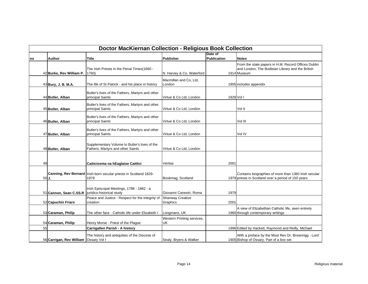|    | <b>Doctor MacKiernan Collection - Religious Book Collection</b> |                                                                                    |                                     |             |                                                                                                                        |  |  |  |
|----|-----------------------------------------------------------------|------------------------------------------------------------------------------------|-------------------------------------|-------------|------------------------------------------------------------------------------------------------------------------------|--|--|--|
|    |                                                                 |                                                                                    |                                     | Date of     |                                                                                                                        |  |  |  |
| no | <b>Author</b>                                                   | Title                                                                              | Publisher                           | Publication | <b>Notes</b>                                                                                                           |  |  |  |
|    | 42 Burke, Rev William P.                                        | The Irish Priests in the Penal Times(1660 -<br>1760)                               | N. Harvey & Co, Waterford           |             | From the state papers in H.M. Record Offices Dublin<br>and London, The Bodleian Library and the British<br>1914 Museum |  |  |  |
|    | 43 Bury, J. B. M.A.                                             | The life of St Patrick - and his place in history                                  | Macmillan and Co, Ltd,<br>London    |             | 1905 includes appendix                                                                                                 |  |  |  |
|    | 44 Butler, Alban                                                | Butler's lives of the Fathers, Martyrs and other<br>principal Saints               | Virtue & Co Ltd. London             | 1928 Vol I  |                                                                                                                        |  |  |  |
|    | 45 Butler, Alban                                                | Butler's lives of the Fathers, Martyrs and other<br>principal Saints               | Virtue & Co Ltd, London             |             | Vol II                                                                                                                 |  |  |  |
|    | 46 Butler, Alban                                                | Butler's lives of the Fathers, Martyrs and other<br>principal Saints               | Virtue & Co Ltd, London             |             | Vol III                                                                                                                |  |  |  |
|    | 47 Butler, Alban                                                | Butler's lives of the Fathers, Martyrs and other<br>principal Saints               | Virtue & Co Ltd, London             |             | Vol IV                                                                                                                 |  |  |  |
|    | 48 Butler, Alban                                                | Supplementary Volume to Butler's lives of the<br>Fathers, Martyrs and other Saints | Virtue & Co Ltd, London             |             |                                                                                                                        |  |  |  |
| 49 |                                                                 | Caiticiosma na hEaglaise Caitlicí                                                  | Veritas                             | 2001        |                                                                                                                        |  |  |  |
|    | 50J.                                                            | Canning, Rev Bernard   Irish-born secular priests in Scotland 1829-<br>1979        | Bookmag, Scotland                   |             | Contains biographies of more than 1360 Irish secular<br>1979 priests in Scotland over a period of 150 years            |  |  |  |
|    | 51 Cannon, Sean C.SS.R                                          | Irish Episcopal Meetings, 1788 - 1882 - a<br>juridico-historical study             | Giovanni Canestri, Roma             | 1979        |                                                                                                                        |  |  |  |
|    | 52 Capuchin Friars                                              | Peace and Justice - Respect for the integrity of<br>creation                       | <b>Shanway Creative</b><br>Graphics | 2001        |                                                                                                                        |  |  |  |
|    | 53 Caraman, Philip                                              | The other face - Catholic life under Elizabeth I                                   | Longmans, UK                        |             | A view of Elizabethan Catholic life, seen entirely<br>1960 through contemporary writings                               |  |  |  |
|    | 54 Caraman, Philip                                              | Henry Morse - Priest of the Plague                                                 | Western Printing services,<br>UK    |             |                                                                                                                        |  |  |  |
| 55 |                                                                 | Carrigallen Parish - A history                                                     |                                     |             | 1996 Edited by Hackett, Raymond and Reilly, Michael                                                                    |  |  |  |
|    | 56 Carrigan, Rev William                                        | The history and antiquities of the Diocese of<br>Ossary Vol I                      | Sealy, Bryers & Walker              |             | With a preface by the Most Rev Dr. Brownrigg - Lord<br>1905 Bishop of Ossary. Part of a box set                        |  |  |  |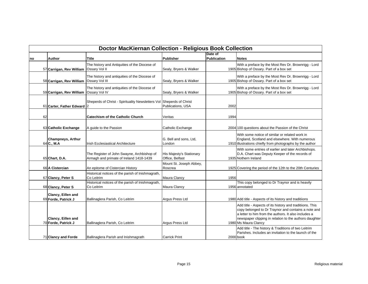|    | <b>Doctor MacKiernan Collection - Religious Book Collection</b> |                                                                                       |                                             |                        |                                                                                                                                                                                                                                                           |  |  |  |
|----|-----------------------------------------------------------------|---------------------------------------------------------------------------------------|---------------------------------------------|------------------------|-----------------------------------------------------------------------------------------------------------------------------------------------------------------------------------------------------------------------------------------------------------|--|--|--|
| no | <b>Author</b>                                                   | <b>Title</b>                                                                          | <b>Publisher</b>                            | Date of<br>Publication | <b>Notes</b>                                                                                                                                                                                                                                              |  |  |  |
|    | 57 Carrigan, Rev William                                        | The history and Antiquities of the Diocese of<br>Ossary Vol II                        | Sealy, Bryers & Walker                      |                        | With a preface by the Most Rev Dr. Brownrigg - Lord<br>1905 Bishop of Ossary. Part of a box set                                                                                                                                                           |  |  |  |
|    | 58 Carrigan, Rev William                                        | The history and antiquities of the Diocese of<br>Ossary Vol III                       | Sealy, Bryers & Walker                      |                        | With a preface by the Most Rev Dr. Brownrigg - Lord<br>1905 Bishop of Ossary. Part of a box set                                                                                                                                                           |  |  |  |
|    | 59 Carrigan, Rev William                                        | The history and antiquities of the Diocese of<br>Ossary Vol IV                        | Sealy, Bryers & Walker                      |                        | With a preface by the Most Rev Dr. Brownrigg - Lord<br>1905 Bishop of Ossary. Part of a box set                                                                                                                                                           |  |  |  |
|    | 61 Carter, Father Edward 2                                      | Sheperds of Christ - Spirituality Newsletters Vol Sheperds of Christ                  | Publications, USA                           | 2002                   |                                                                                                                                                                                                                                                           |  |  |  |
| 62 |                                                                 | <b>Catechism of the Catholic Church</b>                                               | Veritas                                     | 1994                   |                                                                                                                                                                                                                                                           |  |  |  |
|    | 63 Catholic Exchange                                            | A guide to the Passion                                                                | Catholic Exchange                           |                        | 2004 100 questions about the Passion of the Christ                                                                                                                                                                                                        |  |  |  |
|    | <b>Champneys, Arthur</b><br>64 C., M.A                          | <b>Irish Ecclesiastical Architecture</b>                                              | G. Bell and sons, Ltd,<br>London            |                        | With some notice of similar or related work in<br>England, Scotland and elsewhere. With numerous<br>1910 illustrations chiefly from photographs by the author                                                                                             |  |  |  |
|    | 65 Chart, D.A.                                                  | The Register of John Swayne, Archbishop of<br>Armagh and primate of Ireland 1418-1439 | His Majesty's Stationary<br>Office, Belfast |                        | With some entries of earlier and later Archbishops.<br>D.A. Chart was Deputy Keeper of the records of<br>1935 Nothern Ireland                                                                                                                             |  |  |  |
|    | 66 A Cistercian                                                 | An epitome of Cistercian History                                                      | Mount St. Joseph Abbey,<br>Roscrea          |                        | 1925 Covering the period of the 12th to the 20th Centuries                                                                                                                                                                                                |  |  |  |
|    | 67 Clancy, Peter S                                              | Historical notices of the parish of Inishmagrath,<br>Co Leitrim                       | Maura Clancy                                | 1956                   |                                                                                                                                                                                                                                                           |  |  |  |
|    | 68 Clancy, Peter S                                              | Historical notices of the parish of Inishmagrath,<br>Co Leitrim                       | Maura Clancy                                |                        | This copy belonged to Dr Traynor and is heavily<br>1956 annotated                                                                                                                                                                                         |  |  |  |
|    | Clancy, Eillen and<br>69 Forde, Patrick J                       | Ballinaglera Parish, Co Leitrim                                                       | Argus Press Ltd                             |                        | 1980 Add title - Aspects of its history and traditiions                                                                                                                                                                                                   |  |  |  |
|    | Clancy, Eillen and<br>70 Forde, Patrick J                       | Ballinaglera Parish, Co Leitrim                                                       | Argus Press Ltd                             |                        | Add title - Aspects of its history and traditiions. This<br>copy belonged to Dr Traynor and contains a note and<br>a letter to him from the authors. It also includes a<br>newspaper clipping in relation to the authors daughter<br>1980 Ms Maura Clancy |  |  |  |
|    | 71 Clancy and Forde                                             | Ballinaglera Parish and Inishmagrath                                                  | <b>Carrick Print</b>                        |                        | Add title - The history & Traditions of two Leitrim<br>Parishes. Includes an invitation to the launch of the<br>2000 book                                                                                                                                 |  |  |  |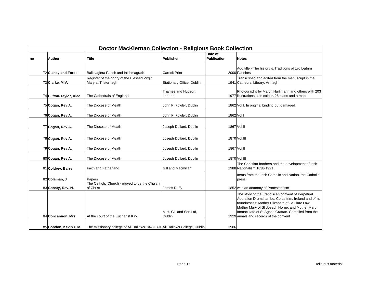|    | <b>Doctor MacKiernan Collection - Religious Book Collection</b> |                                                                            |                                  |                               |                                                                                                                                                                                                                                                                                                              |  |  |
|----|-----------------------------------------------------------------|----------------------------------------------------------------------------|----------------------------------|-------------------------------|--------------------------------------------------------------------------------------------------------------------------------------------------------------------------------------------------------------------------------------------------------------------------------------------------------------|--|--|
| no | Author                                                          | Title                                                                      | <b>Publisher</b>                 | Date of<br><b>Publication</b> | <b>Notes</b>                                                                                                                                                                                                                                                                                                 |  |  |
|    | 72 Clancy and Forde                                             | Ballinaglera Parish and Inishmagrath                                       | <b>Carrick Print</b>             |                               | Add title - The history & Traditions of two Leitrim<br>2000 Parishes                                                                                                                                                                                                                                         |  |  |
|    | 73 Clarke, M.V.                                                 | Register of the priory of the Blessed Virgin<br>Mary at Tristernagh        | Stationary Office, Dublin        |                               | Transcribed and edited from the manuscript in the<br>1941 Cathedral Library, Armagh                                                                                                                                                                                                                          |  |  |
|    | 74 Clifton-Taylor, Alec                                         | The Cathedrals of England                                                  | Thames and Hudson,<br>London     |                               | Photographs by Martin Hurlimann and others with 203<br>1977 illustrations, 4 in colour, 26 plans and a map                                                                                                                                                                                                   |  |  |
|    | 75 Cogan, Rev A.                                                | The Diocese of Meath                                                       | John F. Fowler, Dublin           |                               | 1862 Vol I, In original binding but damaged                                                                                                                                                                                                                                                                  |  |  |
|    | 76 Cogan, Rev A.                                                | The Diocese of Meath                                                       | John F. Fowler, Dublin           |                               | 1862 Vol I                                                                                                                                                                                                                                                                                                   |  |  |
|    | 77 Cogan, Rev A.                                                | The Diocese of Meath                                                       | Joseph Dollard, Dubiln           |                               | 1867 Vol II                                                                                                                                                                                                                                                                                                  |  |  |
|    | 78 Cogan, Rev A.                                                | The Diocese of Meath                                                       | Joseph Dollard, Dubiln           |                               | 1870 Vol III                                                                                                                                                                                                                                                                                                 |  |  |
|    | 79 Cogan, Rev A.                                                | The Diocese of Meath                                                       | Joseph Dollard, Dubiln           |                               | 1867 Vol II                                                                                                                                                                                                                                                                                                  |  |  |
|    | 80 Cogan, Rev A.                                                | The Diocese of Meath                                                       | Joseph Dollard, Dubiln           |                               | 1870 Vol III                                                                                                                                                                                                                                                                                                 |  |  |
|    | 81 Coldrey, Barry                                               | <b>Faith and Fatherland</b>                                                | Gill and Macmillan               |                               | The Christian brothers and the development of Irish<br>1988 Nationalism 1838-1921                                                                                                                                                                                                                            |  |  |
|    | 82 Coleman, J                                                   | Papers                                                                     |                                  |                               | Items from the Irish Catholic and Nation, the Catholic<br>press                                                                                                                                                                                                                                              |  |  |
|    | 83 Conaty, Rev. N.                                              | The Catholic Church - proved to be the Church<br>of Christ                 | James Duffy                      |                               | 1852 with an anatomy of Protestantism                                                                                                                                                                                                                                                                        |  |  |
|    | 84 Concannon, Mrs                                               | At the court of the Eucharist King                                         | M.H. Gill and Son Ltd,<br>Dublin |                               | The story of the Franciscan convent of Perpetual<br>Adoration Drumshambo, Co Leitrim, Ireland and of its<br>foundresses: Mother Elizabeth of St Clare Law,<br>Mother Mary of St Joseph Horne, and Mother Mary<br>Immaculate of St Agnes Grattan. Compiled from the<br>1929 annals and records of the convent |  |  |
|    | 85 Condon, Kevin C.M.                                           | The missionary college of All Hallows1842-1891 All Hallows College, Dublin |                                  | 1986                          |                                                                                                                                                                                                                                                                                                              |  |  |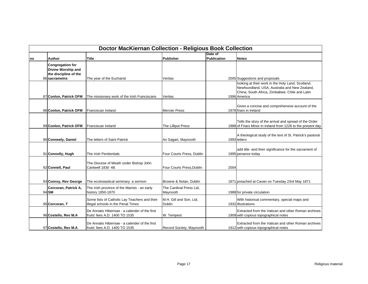|    | <b>Doctor MacKiernan Collection - Religious Book Collection</b>        |                                                                                     |                                          |                    |                                                                                                                                                                      |  |  |
|----|------------------------------------------------------------------------|-------------------------------------------------------------------------------------|------------------------------------------|--------------------|----------------------------------------------------------------------------------------------------------------------------------------------------------------------|--|--|
|    |                                                                        |                                                                                     |                                          | Date of            |                                                                                                                                                                      |  |  |
| no | <b>Author</b>                                                          | <b>Title</b>                                                                        | Publisher                                | <b>Publication</b> | <b>Notes</b>                                                                                                                                                         |  |  |
|    | <b>Congregation for</b><br>Divine Worship and<br>the discipline of the |                                                                                     |                                          |                    |                                                                                                                                                                      |  |  |
|    | 86 sacrametns                                                          | The year of the Eucharist                                                           | Veritas                                  |                    | 2005 Suggestions and proposals                                                                                                                                       |  |  |
|    | 87 Conlon, Patrick OFM                                                 | The missionary work of the Irish Franciscans                                        | Veritas                                  |                    | looking at their work in the Holy Land, Scotland,<br>Newfoundland, USA, Australia and New Zealand,<br>China, South Africa, Zimbabwe, Chile and Latin<br>1996 America |  |  |
|    | 88 Conlon, Patrick OFM                                                 | Franciscan Ireland                                                                  | <b>Mercier Press</b>                     |                    | Gives a concise and comprehensive account of the<br>1978 friars in Ireland                                                                                           |  |  |
|    | 89 Conlon, Patrick OFM                                                 | Franciscan Ireland                                                                  | The Lilliput Press                       |                    | Tells the story of the arrival and spread of the Order<br>1988 of Friars Minor in Ireland from 1226 to the present day                                               |  |  |
|    | 90 Conneely, Daniel                                                    | The letters of Saint Patrick                                                        | An Sagart, Maynooth                      |                    | A theological study of the text of St. Patrick's pastoral<br>1993 letters                                                                                            |  |  |
|    | 91 Connolly, Hugh                                                      | The Irish Penitentials                                                              | Four Courts Press, Dublin                |                    | add title - and their significance for the sacrament of<br>1995 penance today                                                                                        |  |  |
|    | 92 Connell, Paul                                                       | The Diocese of Meath under Bishop John<br>Cantwell 1830 -66                         | Four Courts Press, Dublin                | 2004               |                                                                                                                                                                      |  |  |
|    | 93 Conroy, Rev George                                                  | The ecclesiastical seminary: a sermon                                               | Browne & Nolan, Dublin                   |                    | 1871 preached at Cavan on Tuesday 23rd May 1871                                                                                                                      |  |  |
|    | Corcoran, Patrick A,<br>94 SM                                          | The Irish province of the Marists - an early<br>history 1850-1870                   | The Cardinal Press Ltd,<br>Maynooth      |                    | 1988 for private circulation                                                                                                                                         |  |  |
|    | 95 Corcoran, T                                                         | Some lists of Catholic Lay Teachers and their<br>illegal schools in the Penal Times | M.H. Gill and Son, Ltd,<br><b>Dublin</b> |                    | With historical commentary, special maps and<br>1932 illustrations                                                                                                   |  |  |
|    | 96 Costello, Rev M.A                                                   | De Annatis Hiberniae - a calender of the first<br>fruits' fees A.D. 1400 TO 1535    | W. Tempest                               |                    | Extracted from the Vatican and other Roman archives<br>1909 with copious topographical notes                                                                         |  |  |
|    | 97 Costello, Rev M.A.                                                  | De Annatis Hiberniae - a calender of the first<br>fruits' fees A.D. 1400 TO 1535    | Record Society, Maynooth                 |                    | Extracted from the Vatican and other Roman archives<br>1912 with copious topographical notes                                                                         |  |  |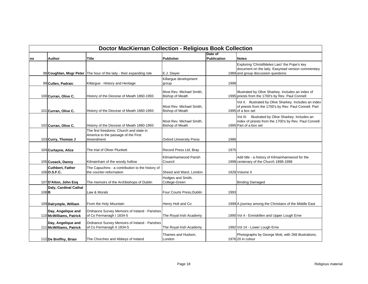|           | <b>Doctor MacKiernan Collection - Religious Book Collection</b> |                                                                                             |                                                    |                        |                                                                                                                                              |  |  |
|-----------|-----------------------------------------------------------------|---------------------------------------------------------------------------------------------|----------------------------------------------------|------------------------|----------------------------------------------------------------------------------------------------------------------------------------------|--|--|
| no        | <b>Author</b>                                                   | <b>Title</b>                                                                                | <b>Publisher</b>                                   | Date of<br>Publication | <b>Notes</b>                                                                                                                                 |  |  |
|           | 98 Coughlan, Msgr Peter                                         | The hour of the laity - their expanding role                                                | E.J. Dwyer                                         |                        | Exploring 'Christifideles Laici' the Pope's key<br>document on the laity. Easyread version commentary<br>1989 and group discussion questions |  |  |
|           | 99 Cullen, Padraic                                              | Killargue - History and Heritage                                                            | Killargue development<br>group                     | 1998                   |                                                                                                                                              |  |  |
|           | 100 Curran, Olive C.                                            | History of the Diocese of Meath 1860-1993                                                   | Most Rev. Michael Smith,<br><b>Bishop of Meath</b> |                        | Illustrated by Olive Sharkey. Includes an index of<br>1995 priests from the 1700's by Rev. Paul Connell                                      |  |  |
|           | 101 Curran, Olive C.                                            | History of the Diocese of Meath 1860-1993                                                   | Most Rev. Michael Smith.<br><b>Bishop of Meath</b> |                        | Vol II. Illustrated by Olive Sharkey. Includes an index<br>of priests from the 1700's by Rev. Paul Connell. Part<br>1995 of a box set        |  |  |
|           | 102 Curran, Olive C.                                            | History of the Diocese of Meath 1860-1993                                                   | Most Rev. Michael Smith,<br><b>Bishop of Meath</b> |                        | Vol III. Illustrated by Olive Sharkey. Includes an<br>index of priests from the 1700's by Rev. Paul Connell.<br>1995 Part of a box set       |  |  |
|           | 103 Curry, Thomas J                                             | The first freedoms: Church and state in<br>America to the passage of the First<br>Amendment | <b>Oxford University Press</b>                     | 1986                   |                                                                                                                                              |  |  |
|           | 104 Curtayne, Alice                                             | The trial of Oliver Plunkett                                                                | Record Press Ltd, Bray                             | 1975                   |                                                                                                                                              |  |  |
|           | 105 Cusack, Danny                                               | Kilmainham of the woody hollow                                                              | Kilmainhamwood Parish<br>Council                   |                        | Add title - a history of Kilmainhamwood for the<br>1998 centenary of the Church 1898-1998                                                    |  |  |
|           | <b>Cuthbert, Father</b><br>106 0.S.F.C.                         | The Capuchins - a contribution to the history of<br>the counter-reformation                 | Sheed and Ward, London                             |                        | 1928 Volume II                                                                                                                               |  |  |
|           | 107 D'Alton, John Esq                                           | The memoirs of the Archbishops of Dublin                                                    | Hodges and Smith,<br>College-Green                 |                        | <b>Binding Damaged</b>                                                                                                                       |  |  |
| $108$ $B$ | Daly, Cardinal Cathal                                           | Law & Morals                                                                                | Four Courts Press, Dublin                          | 1993                   |                                                                                                                                              |  |  |
|           | 109 Dalrymple, William                                          | From the Holy Mountain                                                                      | Henry Holt and Co                                  |                        | 1999 A journey among the Christians of the Middle East                                                                                       |  |  |
|           | Day, Angelique and<br>110 McWilliams, Patrick                   | Ordnance Survey Memoirs of Ireland - Parishes<br>of Co Fermanagh I 1834-5                   | The Royal Irish Academy                            |                        | 1990 Vol 4 - Enniskillen and Upper Lough Erne                                                                                                |  |  |
|           | Day, Angelique and<br>111 McWilliams, Patrick                   | Ordnance Survey Memoirs of Ireland - Parishes<br>of Co Fermanagh II 1834-5                  | The Royal Irish Academy                            |                        | 1992 Vol 14 - Lower Lough Erne                                                                                                               |  |  |
|           | 112 De Breffny, Brian                                           | The Churches and Abbeys of Ireland                                                          | Thames and Hudson,<br>London                       |                        | Photographs by George Mott, with 268 illustrations,<br>1976 20 in colour                                                                     |  |  |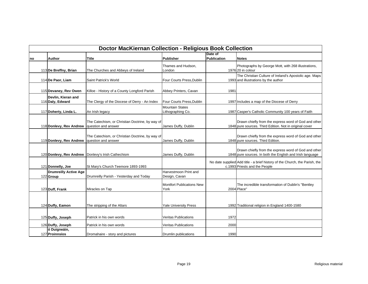|    | <b>Doctor MacKiernan Collection - Religious Book Collection</b> |                                                                        |                                             |                        |                                                                                                                   |  |  |  |
|----|-----------------------------------------------------------------|------------------------------------------------------------------------|---------------------------------------------|------------------------|-------------------------------------------------------------------------------------------------------------------|--|--|--|
| no | <b>Author</b>                                                   | Title                                                                  | Publisher                                   | Date of<br>Publication | <b>Notes</b>                                                                                                      |  |  |  |
|    | 113 De Breffny, Brian                                           | The Churches and Abbeys of Ireland                                     | Thames and Hudson,<br>London                |                        | Photographs by George Mott, with 268 illustrations,<br>1976 20 in colour                                          |  |  |  |
|    | 114 De Paor, Liam                                               | Saint Patrick's World                                                  | Four Courts Press, Dublin                   |                        | The Christian Culture of Ireland's Apostolic age. Maps<br>1993 and illustrations by the author                    |  |  |  |
|    | 115 Devaney, Rev Owen                                           | Killoe - History of a County Longford Parish                           | Abbey Printers, Cavan                       | 1981                   |                                                                                                                   |  |  |  |
|    | Devlin, Kieran and<br>116 Daly, Edward                          | The Clergy of the Diocese of Derry - An Index                          | Four Courts Press, Dublin                   |                        | 1997 Includes a map of the Diocese of Derry                                                                       |  |  |  |
|    | 117 Doherty, Linda L.                                           | An Irish legacy                                                        | <b>Mountain States</b><br>Lithographing Co. |                        | 1987 Casper's Catholic Community 100 years of Faith                                                               |  |  |  |
|    | 118 Donlevy, Rev Andrew                                         | The Catechism, or Christian Doctrine, by way of<br>question and answer | James Duffy, Dublin                         |                        | Drawn chiefly from the express word of God and other<br>1848 pure sources. Third Edition. Not in original cover   |  |  |  |
|    | 119 Donlevy, Rev Andrew                                         | The Catechism, or Christian Doctrine, by way of<br>question and answer | James Duffy, Dublin                         |                        | Drawn chiefly from the express word of God and other<br>1848 pure sources. Third Edition.                         |  |  |  |
|    | 120 Donlevy, Rev Andrew                                         | Donlevy's Irish Cathechism                                             | James Duffy, Dublin                         |                        | Drawn chiefly from the express word of God and other<br>1848 pure sources. In both the English and Irish language |  |  |  |
|    | 121 Donnelly, Joe                                               | St Mary's Church Teemore 1893-1993                                     |                                             |                        | No date supplied Add title - a brief history of the Church, the Parish, the<br>c.1993 Priests and the People      |  |  |  |
|    | <b>Drumreilly Active Age</b><br>122 Group                       | Drumreilly Parish - Yesterday and Today                                | Harvestmoon Print and<br>Design, Cavan      |                        |                                                                                                                   |  |  |  |
|    | 123 Duff, Frank                                                 | Miracles on Tap                                                        | <b>Montfort Publications New</b><br>York    |                        | The incredible transformation of Dublin's "Bentley<br>2004 Place"                                                 |  |  |  |
|    | 124 Duffy, Eamon                                                | The stripping of the Altars                                            | <b>Yale University Press</b>                |                        | 1992 Traditional religion in England 1400-1580                                                                    |  |  |  |
|    | 125 Duffy, Joseph                                               | Patrick in his own words                                               | <b>Veritas Publications</b>                 | 1972                   |                                                                                                                   |  |  |  |
|    | 126 Duffy, Joseph                                               | Patrick in his own words                                               | <b>Veritas Publications</b>                 | 2000                   |                                                                                                                   |  |  |  |
|    | ó Duigneáin,<br>127 Proinnsíos                                  | Dromahaire - story and pictures                                        | Drumlin publications                        | 1990                   |                                                                                                                   |  |  |  |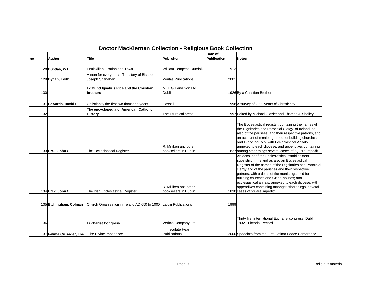|     | <b>Doctor MacKiernan Collection - Religious Book Collection</b> |                                                                  |                                                                                                  |                               |                                                                                                                                                                                                                                                                                                                                                                                                                                                                                                                                                                                                                                                                                                                                                                                                                                                                  |  |  |
|-----|-----------------------------------------------------------------|------------------------------------------------------------------|--------------------------------------------------------------------------------------------------|-------------------------------|------------------------------------------------------------------------------------------------------------------------------------------------------------------------------------------------------------------------------------------------------------------------------------------------------------------------------------------------------------------------------------------------------------------------------------------------------------------------------------------------------------------------------------------------------------------------------------------------------------------------------------------------------------------------------------------------------------------------------------------------------------------------------------------------------------------------------------------------------------------|--|--|
| no  | <b>Author</b>                                                   | Title                                                            | Publisher                                                                                        | Date of<br><b>Publication</b> | <b>Notes</b>                                                                                                                                                                                                                                                                                                                                                                                                                                                                                                                                                                                                                                                                                                                                                                                                                                                     |  |  |
|     | 128 Dundas, W.H.                                                | Enniskillen - Parish and Town                                    | William Tempest, Dundalk                                                                         | 1913                          |                                                                                                                                                                                                                                                                                                                                                                                                                                                                                                                                                                                                                                                                                                                                                                                                                                                                  |  |  |
|     | 129 Dynan, Edith                                                | A man for everybody - The story of Bishop<br>Joseph Shanahan     | <b>Veritas Publications</b>                                                                      | 2001                          |                                                                                                                                                                                                                                                                                                                                                                                                                                                                                                                                                                                                                                                                                                                                                                                                                                                                  |  |  |
| 130 |                                                                 | <b>Edmund Ignatius Rice and the Christian</b><br><b>brothers</b> | M.H. Gill and Son Ltd,<br><b>Dublin</b>                                                          |                               | 1926 By a Christian Brother                                                                                                                                                                                                                                                                                                                                                                                                                                                                                                                                                                                                                                                                                                                                                                                                                                      |  |  |
|     | 131 Edwards, David L                                            | Christianity the first two thousand years                        | Cassell                                                                                          |                               | 1998 A survey of 2000 years of Christianity                                                                                                                                                                                                                                                                                                                                                                                                                                                                                                                                                                                                                                                                                                                                                                                                                      |  |  |
| 132 |                                                                 | The encyclopedia of American Catholic<br><b>History</b>          | The Liturgical press                                                                             |                               | 1997 Edited by Michael Glazier and Thomas J. Shelley                                                                                                                                                                                                                                                                                                                                                                                                                                                                                                                                                                                                                                                                                                                                                                                                             |  |  |
|     | 133 Erck, John C.<br>134 Erck, John C.                          | The Ecclesiastical Register<br>The Irish Ecclesiastical Register | R. Milliken and other<br>booksellers in Dublin<br>R. Milliken and other<br>booksellers in Dublin |                               | The Ecclesiastical register, containing the names of<br>the Dignitaries and Parochial Clergy, of Ireland; as<br>also of the parishes, and their respective patrons, and<br>an account of monies granted for building churches<br>and Glebe-houses, with Ecclesiastical Annals<br>annexed to each diocese, and appendixes containing<br>1827 among other things several cases of "Quare Impedit"<br>An account of the Ecclesiastical establishment<br>subsisting in Ireland as also an Ecclesiastical<br>Register of the names of the Dignitaries and Parochial<br>clergy and of the parishes and their respective<br>patrons; with a detail of the monies granted for<br>building churches and Glebe-houses; and<br>ecclesiastical annals, annexed to each diocese, with<br>appendixes containing amongst other things, several<br>1830 cases of "quare impedit" |  |  |
|     | 135 Etchingham, Colman                                          | Church Organisation in Ireland AD 650 to 1000                    | Laigin Publications                                                                              | 1999                          |                                                                                                                                                                                                                                                                                                                                                                                                                                                                                                                                                                                                                                                                                                                                                                                                                                                                  |  |  |
| 136 |                                                                 | <b>Eucharist Congress</b>                                        | Veritas Company Ltd                                                                              |                               | Thirty first international Eucharist congress, Dublin<br>1932 - Pictorial Record                                                                                                                                                                                                                                                                                                                                                                                                                                                                                                                                                                                                                                                                                                                                                                                 |  |  |
|     |                                                                 | 137 Fatima Crusader, The   "The Divine Impatience"               | Immaculate Heart<br><b>Publications</b>                                                          |                               | 2000 Speeches from the First Fatima Peace Conference                                                                                                                                                                                                                                                                                                                                                                                                                                                                                                                                                                                                                                                                                                                                                                                                             |  |  |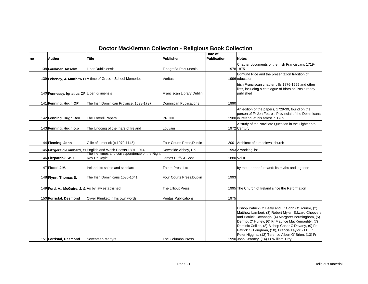|    | <b>Doctor MacKiernan Collection - Religious Book Collection</b> |                                                                 |                               |                        |                                                                                                                                                                                                                                                                                                                                                                                                                                      |  |  |  |
|----|-----------------------------------------------------------------|-----------------------------------------------------------------|-------------------------------|------------------------|--------------------------------------------------------------------------------------------------------------------------------------------------------------------------------------------------------------------------------------------------------------------------------------------------------------------------------------------------------------------------------------------------------------------------------------|--|--|--|
| no | Author                                                          | <b>Title</b>                                                    | Publisher                     | Date of<br>Publication | <b>Notes</b>                                                                                                                                                                                                                                                                                                                                                                                                                         |  |  |  |
|    | 138 Faulkner, Anselm                                            | Liber Dubliniensis                                              | Tipografia Porziuncola        |                        | Chapter documents of the Irish Franciscans 1719-<br>1978 1875                                                                                                                                                                                                                                                                                                                                                                        |  |  |  |
|    |                                                                 | 139 Feheney, J. Matthew FIA time of Grace - School Memories     | Veritas                       |                        | Edmund Rice and the presentation tradition of<br>1996 education                                                                                                                                                                                                                                                                                                                                                                      |  |  |  |
|    | 140 Fennessy, Ignatius OFI Liber Killiniensis                   |                                                                 | Franciscan Library Dublin     |                        | Irish Franciscan chapter bills 1876-1999 and other<br>lists, including a catalogue of friars on lists already<br>published                                                                                                                                                                                                                                                                                                           |  |  |  |
|    | 141 Fenning, Hugh OP                                            | The Irish Dominican Province, 1698-1797                         | <b>Dominican Publications</b> | 1990                   |                                                                                                                                                                                                                                                                                                                                                                                                                                      |  |  |  |
|    | 142 Fenning, Hugh Rev                                           | The Fottrell Papers                                             | <b>PRONI</b>                  |                        | An edition of the papers, 1729-39, found on the<br>person of Fr Joh Fottrell, Provincial of the Dominicans<br>1980 in Ireland, at his arrest in 1739                                                                                                                                                                                                                                                                                 |  |  |  |
|    | 143 Fenning, Hugh o.p                                           | The Undoing of the friars of Ireland                            | Louvain                       |                        | A study of the Novitiate Question in the Eighteenth<br>1972 Century                                                                                                                                                                                                                                                                                                                                                                  |  |  |  |
|    | 144 Fleming, John                                               | Gille of Limerick (c.1070-1145)                                 | Four Courts Press. Dublin     |                        | 2001 Architect of a medieval church                                                                                                                                                                                                                                                                                                                                                                                                  |  |  |  |
|    |                                                                 | 145 Fitzgerald-Lombard, CI English and Wesh Priests 1801-1914   | Downside Abbey, UK            |                        | 1993 A working list                                                                                                                                                                                                                                                                                                                                                                                                                  |  |  |  |
|    | 146 Fitzpatrick, W.J                                            | The life, times and correspondence of the Right<br>Rev Dr Doyle | James Duffy & Sons            |                        | 1880 Vol II                                                                                                                                                                                                                                                                                                                                                                                                                          |  |  |  |
|    | 147 Flood, J.M.                                                 | Ireland: its saints and scholars                                | <b>Talbot Press Ltd</b>       |                        | by the author of Ireland: its myths and legends                                                                                                                                                                                                                                                                                                                                                                                      |  |  |  |
|    | 148 Flynn, Thomas S.                                            | The Irish Dominicans 1536-1641                                  | Four Courts Press, Dublin     | 1993                   |                                                                                                                                                                                                                                                                                                                                                                                                                                      |  |  |  |
|    | 149 Ford, A., McGuire, J. & As by law established               |                                                                 | The Lilliput Press            |                        | 1995 The Church of Ireland since the Reformation                                                                                                                                                                                                                                                                                                                                                                                     |  |  |  |
|    | 150 Forristal, Desmond                                          | Oliver Plunkett in his own words                                | <b>Veritas Publications</b>   | 1975                   |                                                                                                                                                                                                                                                                                                                                                                                                                                      |  |  |  |
|    | 151 Forristal, Desmond                                          | Seventeen Martyrs                                               | The Columba Press             |                        | Bishop Patrick O' Healy and Fr Conn O' Rourke, (2)<br>Matthew Lambert, (3) Robert Myler, Edward Cheevers<br>and Patrick Cavanagh, (4) Margaret Bermingham, (5)<br>Dermot O' Hurley, (6) Fr Maurice MacKenraghty, (7)<br>Dominic Collins, (8) Bishop Conor O'Devany, (9) Fr<br>Patrick O' Loughran, (10), Francis Taylor, (11) Fr<br>Peter Higgins, (12) Terence Albert O' Brien, (13) Fr<br>1990 John Kearney, (14) Fr William Tirry |  |  |  |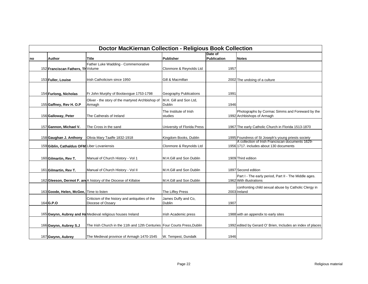|    | <b>Doctor MacKiernan Collection - Religious Book Collection</b> |                                                                           |                             |             |                                                                                             |  |  |  |
|----|-----------------------------------------------------------------|---------------------------------------------------------------------------|-----------------------------|-------------|---------------------------------------------------------------------------------------------|--|--|--|
|    |                                                                 |                                                                           |                             | Date of     |                                                                                             |  |  |  |
| no | <b>Author</b>                                                   | <b>Title</b>                                                              | Publisher                   | Publication | <b>Notes</b>                                                                                |  |  |  |
|    |                                                                 | Father Luke Wadding - Commemorative                                       |                             |             |                                                                                             |  |  |  |
|    | 152 Franciscan Fathers, Th Volume                               |                                                                           | Clonmore & Reynolds Ltd     | 1957        |                                                                                             |  |  |  |
|    | 153 Fuller, Louise                                              | Irish Catholicism since 1950                                              | Gill & Macmillan            |             | 2002 The undoing of a culture                                                               |  |  |  |
|    |                                                                 |                                                                           |                             |             |                                                                                             |  |  |  |
|    | 154 Furlong, Nicholas                                           | Fr John Murphy of Boolavogue 1753-1798                                    | Geography Publications      | 1991        |                                                                                             |  |  |  |
|    |                                                                 | Oliver - the story of the martyred Archbishop of                          | M.H. Gill and Son Ltd,      |             |                                                                                             |  |  |  |
|    | 155 Gaffney, Rev H. O.P                                         | Armagh                                                                    | <b>Dublin</b>               | 1946        |                                                                                             |  |  |  |
|    |                                                                 |                                                                           | The Institute of Irish      |             | Photographs by Cormac Simms and Foreward by the                                             |  |  |  |
|    | 156 Galloway, Peter                                             | The Catherals of Ireland                                                  | studies                     |             | 1992 Archbishops of Armagh                                                                  |  |  |  |
|    |                                                                 |                                                                           |                             |             |                                                                                             |  |  |  |
|    | 157 Gannon, Michael V.                                          | The Cross in the sand                                                     | University of Florida Press |             | 1967 The early Catholic Church in Florida 1513-1870                                         |  |  |  |
|    |                                                                 |                                                                           |                             |             |                                                                                             |  |  |  |
|    | 158 Gaughan J. Anthony                                          | Olivia Mary Taaffe 1832-1918                                              | Kingdom Books, Dublin       |             | 1995 Foundress of St Joseph's young priests society                                         |  |  |  |
|    |                                                                 |                                                                           |                             |             | A collection of Irish Franciscan documents 1629-<br>1956 1717. includes about 130 documents |  |  |  |
|    | 159 Giblin, Cathaldus OFM Liber Lovaniensis                     |                                                                           | Clonmore & Reynolds Ltd     |             |                                                                                             |  |  |  |
|    |                                                                 |                                                                           |                             |             |                                                                                             |  |  |  |
|    | 160 Gilmartin, Rev T.                                           | Manual of Church History - Vol 1                                          | M.H.Gill and Son Dublin     |             | 1909 Third edition                                                                          |  |  |  |
|    |                                                                 |                                                                           |                             |             |                                                                                             |  |  |  |
|    | 161 Gilmartin, Rev T.                                           | Manual of Church History - Vol II                                         | M.H.Gill and Son Dublin     |             | 1897 Second edition                                                                         |  |  |  |
|    |                                                                 |                                                                           |                             |             | Part I - The early period, Part II - The Middle ages.                                       |  |  |  |
|    |                                                                 | 162 Gleeson, Dermot F. an A history of the Diocese of Killaloe            | M.H.Gill and Son Dublin     |             | 1962 With illustrations                                                                     |  |  |  |
|    |                                                                 |                                                                           |                             |             | confronting child sexual abuse by Catholic Clergy in                                        |  |  |  |
|    | 163 Goode, Helen, McGee, Time to listen                         |                                                                           | The Liffey Press            |             | 2003 Ireland                                                                                |  |  |  |
|    |                                                                 | Criticism of the history and antiquities of the                           | James Duffy and Co,         |             |                                                                                             |  |  |  |
|    | 164 G.P.O                                                       | Diocese of Ossary                                                         | <b>Dublin</b>               | 1907        |                                                                                             |  |  |  |
|    |                                                                 |                                                                           |                             |             |                                                                                             |  |  |  |
|    |                                                                 | 165 Gwynn, Aubrey and Ha Medieval religious houses Ireland                | Irish Academic press        |             | 1988 with an appendix to early sites                                                        |  |  |  |
|    |                                                                 |                                                                           |                             |             |                                                                                             |  |  |  |
|    | 166 Gwynn, Aubrey S.J                                           | The Irish Church in the 11th and 12th Centuries Four Courts Press, Dublin |                             |             | 1992 edited by Gerard O' Brien, Includes an index of places                                 |  |  |  |
|    |                                                                 |                                                                           |                             |             |                                                                                             |  |  |  |
|    | 167 Gwynn, Aubrey                                               | The Medieval province of Armagh 1470-1545                                 | W. Tempest, Dundalk         | 1946        |                                                                                             |  |  |  |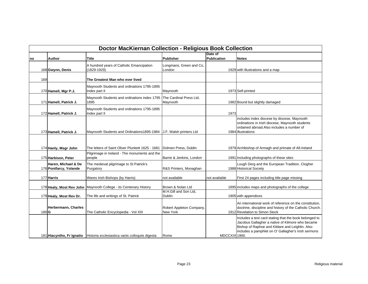|       | <b>Doctor MacKiernan Collection - Religious Book Collection</b> |                                                                              |                                      |                        |                                                                                                                                                                                                                      |  |  |  |
|-------|-----------------------------------------------------------------|------------------------------------------------------------------------------|--------------------------------------|------------------------|----------------------------------------------------------------------------------------------------------------------------------------------------------------------------------------------------------------------|--|--|--|
| no    | Author                                                          | Title                                                                        | Publisher                            | Date of<br>Publication | <b>Notes</b>                                                                                                                                                                                                         |  |  |  |
|       | 168 Gwynn, Denis                                                | A hundred years of Catholic Emancipation<br>(1829-1929)                      | Longmans, Green and Co,<br>London    |                        | 1929 with illustrations and a map                                                                                                                                                                                    |  |  |  |
| 169   |                                                                 | The Greatest Man who ever lived                                              |                                      |                        |                                                                                                                                                                                                                      |  |  |  |
|       | 170 Hamell, Mgr P.J.                                            | Maynooth Students and ordinations 1795-1895<br>Index part II                 | Maynooth                             |                        | 1973 Self-printed                                                                                                                                                                                                    |  |  |  |
|       | 171 Hamell, Patrick J.                                          | Maynooth Students and ordinations index 1795 The Cardinal Press Ltd,<br>1895 | Maynooth                             |                        | 1982 Bound but slightly damaged                                                                                                                                                                                      |  |  |  |
|       | 172 Hamell, Patrick J.                                          | Maynooth Students and ordinations 1795-1895<br>Index part II                 |                                      | 1973                   |                                                                                                                                                                                                                      |  |  |  |
|       | 173 Hamell, Patrick J.                                          | Maynooth Students and Ordinations1895-1984 J.F. Walsh printers Ltd           |                                      |                        | includes index diocese by diocese, Maynooth<br>ordinations in Irish diocese, Maynooth students<br>ordained abroad. Also includes a number of<br>1984 illustrations                                                   |  |  |  |
|       | 174 Hanly, Msgr John                                            | The letters of Saint Oliver Plunkett 1625 - 1681                             | Dolmen Press, Dublin                 |                        | 1979 Archbishop of Armagh and primate of All-Ireland                                                                                                                                                                 |  |  |  |
|       | 175 Harbison, Peter                                             | Pilgrimage in Ireland - The monuments and the<br>people                      | Barrie & Jenkins, London             |                        | 1991 Including photographs of these sites                                                                                                                                                                            |  |  |  |
|       | Haren, Michael & De<br>176 Pontfarcy, Yolande                   | The medieval pilgrimage to St Patrick's<br>Purgatory                         | R&S Printers, Monaghan               |                        | Lough Derg and the European Tradition. Clogher<br>1988 Historical Society                                                                                                                                            |  |  |  |
|       | 177 Harris                                                      | Wares Irish Bishops (by Harris)                                              | not available                        | not available          | First 24 pages including title page missing                                                                                                                                                                          |  |  |  |
|       |                                                                 | 178 Healy, Most Rev John   Maynooth College - its Centenary History          | Brown & Nolan Ltd                    |                        | 1895 includes maps and photographs of the college                                                                                                                                                                    |  |  |  |
|       | 179 Healy, Most Rev Dr.                                         | The life and writings of St. Patrick                                         | M.H.Gill and Son Ltd,<br>Dublin      |                        | 1905 with appendices                                                                                                                                                                                                 |  |  |  |
| 180 G | Herbermann, Charles                                             | The Catholic Encyclopedia - Vol XIII                                         | Robert Appleton Company,<br>New York |                        | An international work of reference on the constitution,<br>doctrine, discipline and history of the Catholic Church.<br>1912 Revelation to Simon Stock                                                                |  |  |  |
|       |                                                                 | 181 Hiacyntho, Fr Ignatio   Historia ecclesiastica variis colloquiis digesta | Rome                                 | MDCCXIX 1900.          | Includes a text card stating that the book belonged to<br>Jacobus Gallagher a native of Kilmore who became<br>Bishop of Raphoe and Kildare and Leighlin. Also<br>includes a pamphlet on O' Gallagher's Irish sermons |  |  |  |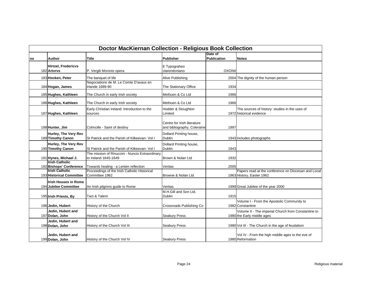|    | <b>Doctor MacKiernan Collection - Religious Book Collection</b> |                                                                         |                                                            |                        |                                                                                   |  |  |  |
|----|-----------------------------------------------------------------|-------------------------------------------------------------------------|------------------------------------------------------------|------------------------|-----------------------------------------------------------------------------------|--|--|--|
| no | Author                                                          | <b>Title</b>                                                            | <b>Publisher</b>                                           | Date of<br>Publication | <b>Notes</b>                                                                      |  |  |  |
|    | Hirtzel, Fredericvs<br>182 Artvrvs                              | P. Vergili Moronis opera                                                | E Typograheo<br>clarendoniano                              | <b>OXONII</b>          |                                                                                   |  |  |  |
|    | 183 Hocken, Peter                                               | The banquet of life                                                     | Alive Publishing                                           |                        | 2004 The dignity of the human person                                              |  |  |  |
|    | 184 Hogan, James                                                | Negociations de M. Le Comte D'avaux en<br><b>Irlande 1689-90</b>        | The Stationary Office                                      | 1934                   |                                                                                   |  |  |  |
|    | 185 Hughes, Kathleen                                            | The Church in early Irish society                                       | Methuen & Co Ltd                                           | 1966                   |                                                                                   |  |  |  |
|    | 186 Hughes, Kathleen                                            | The Church in early Irish society                                       | Methuen & Co Ltd                                           | 1966                   |                                                                                   |  |  |  |
|    | 187 Hughes, Kathleen                                            | Early Christian Ireland: Introduction to the<br>sources                 | Hodder & Stoughton<br>Limited                              |                        | The sources of history: studies in the uses of<br>1972 historical evidence        |  |  |  |
|    | 188 Hunter, Jim                                                 | Colmcille - Saint of destiny                                            | Centre for Irish literature<br>and bibliography, Coleraine | 1997                   |                                                                                   |  |  |  |
|    | Hurley, The Very Rev<br>189 Timothy Canon                       | St Patrick and the Parish of Kilkeevan- Vol I                           | Dollard Printing house,<br><b>Dublin</b>                   |                        | 1943 includes photographs                                                         |  |  |  |
|    | Hurley, The Very Rev<br>190 Timothy Canon                       | St Patrick and the Parish of Kilkeevan- Vol I                           | Dollard Printing house,<br><b>Dublin</b>                   | 1943                   |                                                                                   |  |  |  |
|    | 191 Hynes, Michael J.                                           | The mission of Rinuccini - Nuncio Extraordinary<br>to Ireland 1645-1649 | Brown & Nolan Ltd                                          | 1932                   |                                                                                   |  |  |  |
|    | <b>Ilrish Catholic</b><br>192 Bishops' Conference               | Towards healing - a Lenten reflection                                   | Veritas                                                    | 2005                   |                                                                                   |  |  |  |
|    | <b>Irish Catholic</b><br>193 Historical Committee               | Proceedings of the Irish Catholic Historical<br>Committee 1962          | Browne & Nolan Ltd                                         |                        | Papers read at the conference on Diocesan and Local<br>1963 History, Easter 1962  |  |  |  |
|    | <b>Irish Houses in Rome</b><br>194 Jubilee Committee            | An Irish pilgrims guide to Rome                                         | Veritas                                                    |                        | 1999 Great Jubilee of the year 2000                                               |  |  |  |
|    | 195 Irish Priests, By                                           | Tact & Talent                                                           | M.H.Gill and Son Ltd.<br>Dublin                            | 1915                   |                                                                                   |  |  |  |
|    | 196 Jedin, Hubert                                               | History of the Church                                                   | Crossroads Publishing Co                                   |                        | Volume I - From the Apostolic Community to<br>1982 Constantine                    |  |  |  |
|    | Jedin, Hubert and<br>197 Dolan, John                            | History of the Church Vol II                                            | <b>Seabury Press</b>                                       |                        | Volume II - The imperial Church from Constantine to<br>1980 the Early middle ages |  |  |  |
|    | Jedin, Hubert and<br>198 Dolan, John                            | History of the Church Vol III                                           | Seabury Press                                              |                        | 1980 Vol III - The Church in the age of feudalism                                 |  |  |  |
|    | Jedin, Hubert and<br>199 Dolan, John                            | History of the Church Vol IV                                            | <b>Seabury Press</b>                                       |                        | Vol IV - From the high middle ages to the eve of<br>1980 Reformation              |  |  |  |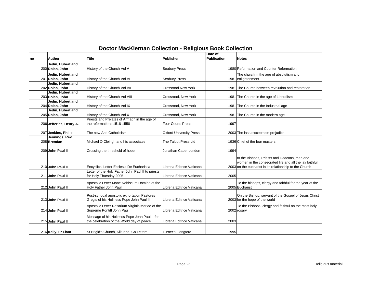| <b>Doctor MacKiernan Collection - Religious Book Collection</b> |                                      |                                                                                            |                                |                        |                                                                                                                                                                   |  |
|-----------------------------------------------------------------|--------------------------------------|--------------------------------------------------------------------------------------------|--------------------------------|------------------------|-------------------------------------------------------------------------------------------------------------------------------------------------------------------|--|
| no                                                              | Author                               | <b>Title</b>                                                                               | Publisher                      | Date of<br>Publication | <b>Notes</b>                                                                                                                                                      |  |
|                                                                 | Jedin, Hubert and                    |                                                                                            |                                |                        |                                                                                                                                                                   |  |
|                                                                 | 200 Dolan, John                      | History of the Church Vol V                                                                | <b>Seabury Press</b>           |                        | 1980 Reformation and Counter Reformation                                                                                                                          |  |
|                                                                 | Jedin, Hubert and                    |                                                                                            |                                |                        | The church in the age of absolutism and                                                                                                                           |  |
|                                                                 | 201 Dolan, John                      | History of the Church Vol VI                                                               | <b>Seabury Press</b>           |                        | 1981 enlightenment                                                                                                                                                |  |
|                                                                 | Jedin. Hubert and                    |                                                                                            |                                |                        |                                                                                                                                                                   |  |
|                                                                 | 202 Dolan, John                      | History of the Church Vol VII                                                              | Crossroad New York             |                        | 1981 The Church between revolution and restoration                                                                                                                |  |
|                                                                 | Jedin, Hubert and<br>203 Dolan, John |                                                                                            | Crossroad, New York            |                        |                                                                                                                                                                   |  |
|                                                                 | Jedin, Hubert and                    | History of the Church Vol VIII                                                             |                                |                        | 1981 The Church in the age of Liberalism                                                                                                                          |  |
|                                                                 | 204 Dolan, John                      | History of the Church Vol IX                                                               | Crossroad, New York            |                        | 1981 The Church in the Industrial age                                                                                                                             |  |
|                                                                 | Jedin, Hubert and                    |                                                                                            |                                |                        |                                                                                                                                                                   |  |
|                                                                 | 205 Dolan, John                      | History of the Church Vol X                                                                | Crossroad, New York            |                        | 1981 The Church in the modern age                                                                                                                                 |  |
|                                                                 |                                      | Priests and Prelates of Armagh in the age of                                               |                                |                        |                                                                                                                                                                   |  |
|                                                                 | 206 Jefferies, Henry A.              | the reformations 1518-1558                                                                 | <b>Four Courts Press</b>       | 1997                   |                                                                                                                                                                   |  |
|                                                                 | 207 Jenkins, Philip                  | The new Anti-Catholicism                                                                   | <b>Oxford University Press</b> |                        | 2003 The last accceptable prejudice                                                                                                                               |  |
|                                                                 | Jennings, Rev                        |                                                                                            |                                |                        |                                                                                                                                                                   |  |
|                                                                 | 208 Brendan                          | Michael O Cleirigh and his associates                                                      | The Talbot Press Ltd           |                        | 1936 Chief of the four masters                                                                                                                                    |  |
|                                                                 | 209 John Paul II                     | Crossing the threshold of hope                                                             | Jonathan Cape, London          | 1994                   |                                                                                                                                                                   |  |
|                                                                 | 210 John Paul II                     | Encyclical Letter Ecclesia De Eucharistia                                                  | Libreria Editrice Vaticana     |                        | to the Bishops, Priests and Deacons, men and<br>women in the consecrated life and all the lay faithful<br>2003 on the eucharist in its relationship to the Church |  |
|                                                                 |                                      | Letter of the Holy Father John Paul II to priests                                          |                                |                        |                                                                                                                                                                   |  |
|                                                                 | 211 John Paul II                     | for Holy Thursday 2005                                                                     | Libreria Editrice Vaticana     | 2005                   |                                                                                                                                                                   |  |
|                                                                 | 212 John Paul II                     | Apostolic Letter Mane Nobiscum Domine of the<br>Holy Father John Paul II                   | Libreria Editrice Vaticana     |                        | To the bishops, clergy and faithful for the year of the<br>2005 Eucharist                                                                                         |  |
|                                                                 | 213 John Paul II                     | Post-synodal apostolic exhortation Pastores<br>Gregis of his Holiness Pope John Paul II    | Libreria Editrice Vaticana     |                        | On the Bishop, servant of the Gospel of Jesus Christ<br>2003 for the hope of the world                                                                            |  |
|                                                                 | 214 John Paul II                     | Apostolic Letter Rosarium Virginis Mariae of the<br>Supreme Pontiff John Paul II           | Libreria Editrice Vaticana     |                        | To the Bishops, clergy and faithful on the most holy<br>2002 rosary                                                                                               |  |
|                                                                 | 215 John Paul II                     | Message of his Holiness Pope John Paul II for<br>the celebration of the World day of peace | Libreria Editrice Vaticana     | 2003                   |                                                                                                                                                                   |  |
|                                                                 | 216 Kelly, Fr Liam                   | St Brigid's Church, Kiltubrid, Co Leitrim                                                  | Turner's, Longford             | 1995                   |                                                                                                                                                                   |  |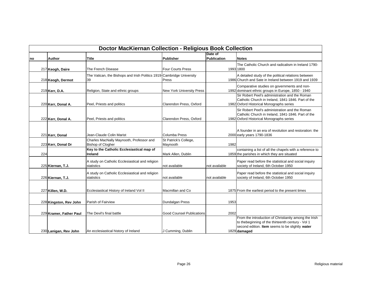| <b>Doctor MacKiernan Collection - Religious Book Collection</b> |                         |                                                                             |                                   |                               |                                                                                                                                                                               |  |
|-----------------------------------------------------------------|-------------------------|-----------------------------------------------------------------------------|-----------------------------------|-------------------------------|-------------------------------------------------------------------------------------------------------------------------------------------------------------------------------|--|
| no                                                              | Author                  | <b>Title</b>                                                                | Publisher                         | Date of<br><b>Publication</b> | <b>Notes</b>                                                                                                                                                                  |  |
|                                                                 | 217 Keogh, Daire        | The French Disease                                                          | <b>Four Courts Press</b>          |                               | The Catholic Church and radicalism in Ireland 1790-<br>1993 1800                                                                                                              |  |
|                                                                 | 218 Keogh, Dermot       | The Vatican, the Bishops and Irish Politics 1919-Cambridge University<br>39 | Press                             |                               | A detailed study of the political relations between<br>1986 Church and Sate in Ireland between 1919 and 1939                                                                  |  |
|                                                                 | 219 Kerr, D.A.          | Religion, State and ethnic groups                                           | <b>New York University Press</b>  |                               | Comparative studies on governments and non-<br>1992 dominant ethnic groups in Europe, 1850 - 1940                                                                             |  |
|                                                                 | 220 Kerr, Donal A.      | Peel, Priests and politics                                                  | Clarendon Press, Oxford           |                               | Sir Robert Peel's administration and the Roman<br>Catholic Church in Ireland, 1841-1846. Part of the<br>1982 Oxford Historical Monographs series                              |  |
|                                                                 | 222 Kerr, Donal A.      | Peel, Priests and politics                                                  | Clarendon Press, Oxford           |                               | Sir Robert Peel's administration and the Roman<br>Catholic Church in Ireland, 1841-1846. Part of the<br>1982 Oxford Historical Monographs series                              |  |
|                                                                 | 221 Kerr, Donal         | Jean-Claude Colin Marist                                                    | Columba Press                     |                               | A founder in an era of revolution and restoration: the<br>2000 early years 1790-1836                                                                                          |  |
|                                                                 | 223 Kerr, Donal Dr      | Charles MacNally Maynooth, Professor and<br><b>Bishop of Clogher</b>        | St Patrick's College,<br>Maynooth | 1982                          |                                                                                                                                                                               |  |
| 224                                                             |                         | Key to the Catholic Ecclesiastical map of<br>Ireland                        | Mark Allen, Dublin                |                               | containing a list of all the chapels with a reference to<br>1859 the parishes in which they are situated                                                                      |  |
|                                                                 | 225 Kiernan, T.J.       | A study on Catholic Ecclesiastical and religion<br>statistics               | not available                     | not available                 | Paper read before the statistical and social inquiry<br>society of Ireland, 6th October 1950                                                                                  |  |
|                                                                 | 226 Kiernan, T.J.       | A study on Catholic Ecclesiastical and religion<br>statistics               | not available                     | not available                 | Paper read before the statistical and social inquiry<br>society of Ireland, 6th October 1950                                                                                  |  |
|                                                                 | 227 Killen, W.D.        | Ecclesiastical History of Ireland Vol II                                    | Macmillan and Co                  |                               | 1875 From the earliest period to the present times                                                                                                                            |  |
|                                                                 | 228 Kingston, Rev John  | Parish of Fairview                                                          | Dundalgan Press                   | 1953                          |                                                                                                                                                                               |  |
|                                                                 | 229 Kramer, Father Paul | The Devil's final battle                                                    | <b>Good Counsel Publications</b>  | 2002                          |                                                                                                                                                                               |  |
|                                                                 | 230 Lanigan, Rev John   | An ecclesiastical history of Ireland                                        | J Cumming, Dublin                 |                               | From the introduction of Christianity among the Irish<br>to thebeginning of the thirteenth century - Vol 1<br>second edition. Item seems to be slightly water<br>1829 damaged |  |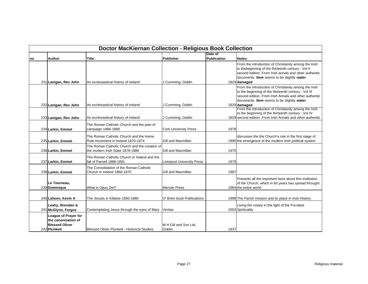|     | <b>Doctor MacKiernan Collection - Religious Book Collection</b>                      |                                                                                   |                                        |                               |                                                                                                                                                                                                                                      |  |  |
|-----|--------------------------------------------------------------------------------------|-----------------------------------------------------------------------------------|----------------------------------------|-------------------------------|--------------------------------------------------------------------------------------------------------------------------------------------------------------------------------------------------------------------------------------|--|--|
| Ino | <b>Author</b>                                                                        | <b>Title</b>                                                                      | <b>Publisher</b>                       | Date of<br><b>Publication</b> | <b>Notes</b>                                                                                                                                                                                                                         |  |  |
|     | 231 Lanigan, Rev John                                                                | An ecclesiastical history of Ireland                                              | J Cumming, Dublin                      |                               | From the introduction of Christianity among the Irish<br>to thebeginning of the thirteenth century - Vol II<br>second edition. From Irish annals and other authentic<br>documents. Item seems to be slightly water<br>1829 damaged   |  |  |
|     | 232 Lanigan, Rev John                                                                | An ecclesiastical history of Ireland                                              | J Cumming, Dublin                      |                               | From the introduction of Christianity among the Irish<br>to the beginning of the thirteenth century - Vol III<br>second edition. From Irish Annals and other authentic<br>documents. Item seems to be slightly water<br>1829 damaged |  |  |
|     | 233 Lanigan, Rev John                                                                | An ecclesiastical history of Ireland                                              | J Cumming, Dublin                      |                               | From the introduction of Christianity among the Irish<br>to the beginning of the thirteenth century - Vol IV<br>1829 second edition. From Irish Annals and other authentic                                                           |  |  |
|     | 234 Larkin, Emmet                                                                    | The Roman Catholic Church and the plan of<br>campaign 1886-1888                   | <b>Cork University Press</b>           | 1978                          |                                                                                                                                                                                                                                      |  |  |
|     | 235 Larkin, Emmet                                                                    | The Roman Catholic Church and the Home<br>Rule movement in Ireland 1870-1874      | Gill and Macmillan                     |                               | discusses the the Church's role in the first stage of<br>1990 the emergence of the modern Irish political system                                                                                                                     |  |  |
|     | 236 Larkin, Emmet                                                                    | The Roman Catholic Church and the creation of<br>the modern Irish State 1878-1886 | Gill and Macmillan                     | 1975                          |                                                                                                                                                                                                                                      |  |  |
|     | 237 Larkin, Emmet                                                                    | The Roman Catholic Church in Ireland and the<br>fall of Parnell 1888-1891         | <b>Liverpool University Press</b>      | 1979                          |                                                                                                                                                                                                                                      |  |  |
|     | 238 Larkin, Emmet                                                                    | The Consolidation of the Roman Catholic<br>Church in Ireland 1860-1870            | Gill and Macmillan                     | 1987                          |                                                                                                                                                                                                                                      |  |  |
|     | Le Tourneau,<br>239 Dominique                                                        | What is Opus Dei?                                                                 | <b>Mercier Press</b>                   |                               | Presents all the important facts about this institution<br>of the Church, which in 60 years has spread throught<br>1984 the entire world                                                                                             |  |  |
|     | 240 Laheen. Kevin A                                                                  | The Jesuits in Killaloe 1850-1880                                                 | O' Brien book Publications             |                               | 1998 The Parish mission and its place in Irish History                                                                                                                                                                               |  |  |
|     | Leahy, Brendan &<br>241 McGlynn, Fergus                                              | Contemplating Jesus through the eyes of Mary                                      | Veritas                                |                               | Living the rosary in the light of the Focolare<br>2003 Spirituality                                                                                                                                                                  |  |  |
|     | League of Prayer for<br>the canonisation of<br><b>Blessed Oliver</b><br>242 Plunkett | Blessed Oliver Plunkett - Historical Studies                                      | M.H.Gill and Son Ltd.<br><b>Dublin</b> | 1937                          |                                                                                                                                                                                                                                      |  |  |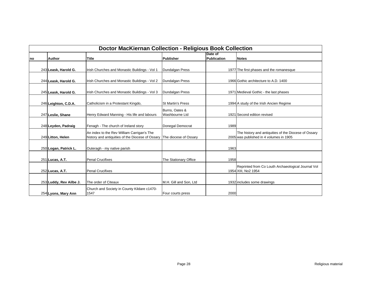| <b>Doctor MacKiernan Collection - Religious Book Collection</b> |                         |                                                                                                |                                  |                               |                                                                                                 |  |
|-----------------------------------------------------------------|-------------------------|------------------------------------------------------------------------------------------------|----------------------------------|-------------------------------|-------------------------------------------------------------------------------------------------|--|
| Ino                                                             | <b>Author</b>           | Title                                                                                          | <b>Publisher</b>                 | Date of<br><b>Publication</b> | <b>Notes</b>                                                                                    |  |
|                                                                 | 243 Leask, Harold G.    | Irish Churches and Monastic Buildings - Vol 1                                                  | <b>Dundalgan Press</b>           |                               | 1977 The first phases and the romanesque                                                        |  |
|                                                                 | 244 Leask, Harold G.    | Irish Churches and Monastic Buildings - Vol 2                                                  | Dundalgan Press                  |                               | 1966 Gothic architecture to A.D. 1400                                                           |  |
|                                                                 | 245 Leask, Harold G.    | Irish Churches and Monastic Buildings - Vol 3                                                  | Dundalgan Press                  |                               | 1971 Medieval Gothic - the last phases                                                          |  |
|                                                                 | 246 Leighton, C.D.A.    | Catholicism in a Protestant Kingdo,                                                            | <b>St Martin's Press</b>         |                               | 1994 A study of the Irish Ancien Regime                                                         |  |
|                                                                 | 247 Leslie, Shane       | Henry Edward Manning - His life and labours                                                    | Burns, Oates &<br>Washbourne Ltd |                               | 1921 Second edition revised                                                                     |  |
|                                                                 | 248 Leyden, Padraig     | Fenagh - The church of Ireland story                                                           | Donegal Democrat                 | 1989                          |                                                                                                 |  |
|                                                                 | 249 Litton, Helen       | An index to the Rev William Carrigan's The<br>history and antiquities of the Diocese of Ossary | The diocese of Ossary            |                               | The history and antiquities of the Diocese of Ossary<br>2005 was published in 4 volumes in 1905 |  |
|                                                                 | 250 Logan, Patrick L.   | Outeragh - my native parish                                                                    |                                  | 1963                          |                                                                                                 |  |
|                                                                 | 251 Lucas, A.T.         | <b>Penal Crucifixes</b>                                                                        | The Stationary Office            | 1958                          |                                                                                                 |  |
|                                                                 | 252 Lucas, A.T.         | <b>Penal Crucifixes</b>                                                                        |                                  |                               | Reprinted from Co Louth Archaeological Journal Vol<br>1954 XIII, No2 1954                       |  |
|                                                                 | 253 Luddy, Rev Ailbe J. | The order of Citeaux                                                                           | M.H. Gill and Son, Ltd           |                               | 1932 includes some drawings                                                                     |  |
|                                                                 | 254 Lyons, Mary Ann     | Church and Society in County Kildare c1470-<br>1547                                            | Four courts press                | 2000                          |                                                                                                 |  |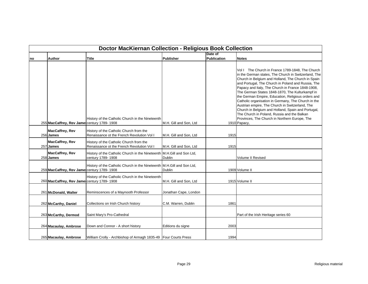|    | <b>Doctor MacKiernan Collection - Religious Book Collection</b> |                                                                                             |                        |                        |                                                                                                                                                                                                                                                                                                                                                                                                                                                                                                                                                                                                                                                                    |  |  |
|----|-----------------------------------------------------------------|---------------------------------------------------------------------------------------------|------------------------|------------------------|--------------------------------------------------------------------------------------------------------------------------------------------------------------------------------------------------------------------------------------------------------------------------------------------------------------------------------------------------------------------------------------------------------------------------------------------------------------------------------------------------------------------------------------------------------------------------------------------------------------------------------------------------------------------|--|--|
| no | <b>Author</b>                                                   | <b>Title</b>                                                                                | Publisher              | Date of<br>Publication | <b>Notes</b>                                                                                                                                                                                                                                                                                                                                                                                                                                                                                                                                                                                                                                                       |  |  |
|    | 255 MacCaffrey, Rev James century 1789-1908                     | History of the Catholic Church in the Nineteenth                                            | M.H. Gill and Son, Ltd |                        | Vol I The Church in France 1789-1848, The Church<br>in the German states, The Church in Switzerland, The<br>Church in Belgium and Holland, The Church in Spain<br>and Portugal, The Church in Poland and Russia, The<br>Papacy and Italy, The Church in France 1848-1908,<br>The German States 1848-1870, The Kulturkampf in<br>the German Empire, Education, Religious orders and<br>Catholic organisation in Germany, The Church in the<br>Austrian empire, The Church in Switzerland, The<br>Church in Belgium and Holland, Spain and Portugal,<br>The Church in Poland, Russia and the Balkan<br>Provinces, The Church in Northern Europe, The<br>1910 Papacy, |  |  |
|    | <b>MacCaffrey, Rev</b><br>256 James                             | History of the Catholic Church from the<br>Renaissance ot the French Revolution Vol I       | M.H. Gill and Son, Ltd | 1915                   |                                                                                                                                                                                                                                                                                                                                                                                                                                                                                                                                                                                                                                                                    |  |  |
|    | <b>MacCaffrey, Rev</b><br>257 James                             | History of the Catholic Church from the<br>Renaissance ot the French Revolution Vol I       | M.H. Gill and Son, Ltd | 1915                   |                                                                                                                                                                                                                                                                                                                                                                                                                                                                                                                                                                                                                                                                    |  |  |
|    | <b>MacCaffrey, Rev</b><br>258 James                             | History of the Catholic Church in the Nineteenth M.H.Gill and Son Ltd,<br>century 1789-1908 | Dublin                 |                        | <b>Volume II Revised</b>                                                                                                                                                                                                                                                                                                                                                                                                                                                                                                                                                                                                                                           |  |  |
|    | 259 MacCaffrey, Rev James century 1789-1908                     | History of the Catholic Church in the Nineteenth M.H.Gill and Son Ltd,                      | <b>Dublin</b>          |                        | 1909 Volume II                                                                                                                                                                                                                                                                                                                                                                                                                                                                                                                                                                                                                                                     |  |  |
|    | 260 MacCaffrey, Rev James century 1789-1908                     | History of the Catholic Church in the Nineteenth                                            | M.H. Gill and Son, Ltd |                        | 1915 Volume II                                                                                                                                                                                                                                                                                                                                                                                                                                                                                                                                                                                                                                                     |  |  |
|    | 261 McDonald, Walter                                            | Reminscences of a Maynooth Professor                                                        | Jonathan Cape, London  |                        |                                                                                                                                                                                                                                                                                                                                                                                                                                                                                                                                                                                                                                                                    |  |  |
|    | 262 McCarthy, Daniel                                            | Collections on Irish Church history                                                         | C.M. Warren, Dublin    | 1861                   |                                                                                                                                                                                                                                                                                                                                                                                                                                                                                                                                                                                                                                                                    |  |  |
|    | 263 McCarthy, Dermod                                            | Saint Mary's Pro-Cathedral                                                                  |                        |                        | Part of the Irish Heritage series 60                                                                                                                                                                                                                                                                                                                                                                                                                                                                                                                                                                                                                               |  |  |
|    | 264 Macaulay, Ambrose                                           | Down and Connor - A short history                                                           | Editions du signe      | 2003                   |                                                                                                                                                                                                                                                                                                                                                                                                                                                                                                                                                                                                                                                                    |  |  |
|    | 265 Macaulay, Ambrose                                           | William Crolly - Archbishop of Armagh 1835-49 Four Courts Press                             |                        | 1994                   |                                                                                                                                                                                                                                                                                                                                                                                                                                                                                                                                                                                                                                                                    |  |  |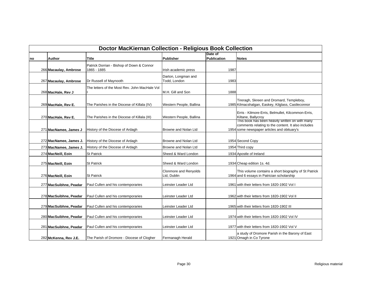| Doctor MacKiernan Collection - Religious Book Collection |                        |                                                          |                                      |                        |                                                                                                                                                      |  |  |
|----------------------------------------------------------|------------------------|----------------------------------------------------------|--------------------------------------|------------------------|------------------------------------------------------------------------------------------------------------------------------------------------------|--|--|
| no                                                       | <b>Author</b>          | <b>Title</b>                                             | <b>Publisher</b>                     | Date of<br>Publication | <b>Notes</b>                                                                                                                                         |  |  |
|                                                          | 266 Macaulay, Ambrose  | Patrick Dorrian - Bishop of Down & Connor<br>1865 - 1885 | Irish academic press                 | 1987                   |                                                                                                                                                      |  |  |
|                                                          | 267 Macaulay, Ambrose  | Dr Russell of Maynooth                                   | Darton, Longman and<br>Todd, London  | 1983                   |                                                                                                                                                      |  |  |
|                                                          | 268 MacHale, Rev J     | The letters of the Most Rev. John MacHale Vol            | M.H. Gill and Son                    | 1888                   |                                                                                                                                                      |  |  |
|                                                          | 269 MacHale, Rev E.    | The Parishes in the Diocese of Killala (IV)              | Western People, Ballina              |                        | Tireragh, Skreen and Dromard, Templeboy,<br>1985 Kilmacshalgan, Easkey, Kilglass, Castleconnor                                                       |  |  |
|                                                          | 270 MacHale, Rev E.    | The Parishes in the Diocese of Killala (III)             | Western People, Ballina              |                        | Erris - Kilmore-Erris, Belmullet, Kilcommon-Erris,<br>Kiltane, Ballycroy                                                                             |  |  |
|                                                          | 271 MacNamee, James J  | History of the Diocese of Ardagh                         | Browne and Nolan Ltd                 |                        | This book has been heavily written on with many<br>comments relating to the content. It also includes<br>1954 some newspaper articles and obituary's |  |  |
|                                                          | 272 MacNamee, James J. | History of the Diocese of Ardagh                         | Browne and Nolan Ltd                 |                        | 1954 Second Copy                                                                                                                                     |  |  |
|                                                          | 273 MacNamee, James J. | History of the Diocese of Ardagh                         | Browne and Nolan Ltd                 |                        | 1954 Third copy                                                                                                                                      |  |  |
|                                                          | 274 MacNeill, Eoin     | <b>St Patrick</b>                                        | Sheed & Ward London                  |                        | 1934 Apostle of Ireland                                                                                                                              |  |  |
|                                                          | 275 MacNeill, Eoin     | <b>St Patrick</b>                                        | Sheed & Ward London                  |                        | 1934 Cheap edition 1s. 4d.                                                                                                                           |  |  |
|                                                          | 276 MacNeill, Eoin     | <b>St Patrick</b>                                        | Clonmore and Renyolds<br>Ltd, Dublin |                        | This volume contains a short biography of St Patrick<br>1964 and 6 essays in Patrician scholarship                                                   |  |  |
|                                                          | 277 MacSuibhne, Peadar | Paul Cullen and his contemporaries                       | Leinster Leader Ltd                  |                        | 1961 with their letters from 1820-1902 Vol I                                                                                                         |  |  |
|                                                          | 278 MacSuibhne, Peadar | Paul Cullen and his contemporaries                       | Leinster Leader Ltd                  |                        | 1962 with their letters from 1820-1902 Vol II                                                                                                        |  |  |
|                                                          | 279 MacSuibhne, Peadar | Paul Cullen and his contemporaries                       | Leinster Leader Ltd                  |                        | 1965 with their letters from 1820-1902 III                                                                                                           |  |  |
|                                                          | 280 MacSuibhne, Peadar | Paul Cullen and his contemporaries                       | Leinster Leader Ltd                  |                        | 1974 with their letters from 1820-1902 Vol IV                                                                                                        |  |  |
|                                                          | 281 MacSuibhne, Peadar | Paul Cullen and his contemporaries                       | Leinster Leader Ltd                  |                        | 1977 with their letters from 1820-1902 Vol V                                                                                                         |  |  |
|                                                          | 282 McKenna, Rev J.E.  | The Parish of Dromore - Diocese of Clogher               | Fermanagh Herald                     |                        | a study of Dromore Parish in the Barony of East<br>1921 Omagh in Co Tyrone                                                                           |  |  |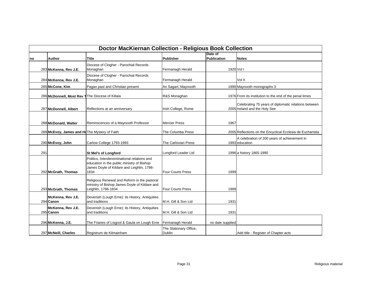|     | <b>Doctor MacKiernan Collection - Religious Book Collection</b> |                                                                                                                                                 |                                         |                        |                                                                                       |  |  |
|-----|-----------------------------------------------------------------|-------------------------------------------------------------------------------------------------------------------------------------------------|-----------------------------------------|------------------------|---------------------------------------------------------------------------------------|--|--|
| no  | Author                                                          | <b>Title</b>                                                                                                                                    | Publisher                               | Date of<br>Publication | <b>Notes</b>                                                                          |  |  |
|     | 283 McKenna, Rev J.E.                                           | Diocese of Clogher - Parochial Records<br>Monaghan                                                                                              | Fermanagh Herald                        | 1920 Vol I             |                                                                                       |  |  |
|     | 284 McKenna, Rev J.E.                                           | Diocese of Clogher - Parochial Records<br>Monaghan                                                                                              | Fermanagh Herald                        |                        | Vol II                                                                                |  |  |
|     | 285 McCone, Kim                                                 | Pagan past and Christian present                                                                                                                | An Sagart, Maynooth                     |                        | 1990 Maynooth monographs 3                                                            |  |  |
|     | 286 McDonnell, Most Rev T The Diocese of Killala                |                                                                                                                                                 | R&S Monaghan                            |                        | 1976 From its institution to the end of the penal times                               |  |  |
|     | 287 McDonnell, Albert                                           | Reflections at an anniversary                                                                                                                   | Irish College, Rome                     |                        | Celebrating 75 years of diplomatic relations between<br>2005 Ireland and the Holy See |  |  |
|     | 288 McDonald, Walter                                            | Reminscences of a Maynooth Professor                                                                                                            | <b>Mercier Press</b>                    | 1967                   |                                                                                       |  |  |
|     | 289 McEvoy, James and Ho The Mystery of Faith                   |                                                                                                                                                 | The Columba Press                       |                        | 2005 Reflections on the Encyclical Ecclesia de Eucharistia                            |  |  |
|     | 290 McEvoy, John                                                | Carlow College 1793-1993                                                                                                                        | The Carlovian Press                     |                        | A celebration of 200 years of achievement in<br>1993 education                        |  |  |
| 291 |                                                                 | <b>St Mel's of Longford</b>                                                                                                                     | Longford Leader Ltd                     |                        | 1996 a history 1865-1990                                                              |  |  |
|     | 292 McGrath, Thomas                                             | Politics. Interdenominational relations and<br>education in the public ministry of Bishop<br>James Doyle of Kildare and Leighlin, 1786-<br>1834 | <b>Four Courts Press</b>                | 1999                   |                                                                                       |  |  |
|     | 293 McGrath, Thomas                                             | Religious Renewal and Reform in the pastoral<br>ministry of Bishop James Doyle of Kildare and<br>Leighlin, 1786-1834                            | <b>Four Courts Press</b>                | 1999                   |                                                                                       |  |  |
|     | McKenna, Rev J.E.<br>294 Canon                                  | Devenish (Lough Erne): its History, Antiquities<br>and traditions                                                                               | M.H. Gill & Son Ltd                     | 1931                   |                                                                                       |  |  |
|     | McKenna, Rev J.E.<br>295 Canon                                  | Devenish (Lough Erne): its History, Antiquities<br>and traditions                                                                               | M.H. Gill & Son Ltd                     | 1931                   |                                                                                       |  |  |
|     | 296 McKenna, J.E.                                               | The Friaries of Lisgool & Gaula on Lough Erne                                                                                                   | Fermanagh Herald                        | no date supplied       |                                                                                       |  |  |
|     | 297 McNeill, Charles                                            | Registrum de Kilmainham                                                                                                                         | The Stationary Office,<br><b>Dublin</b> |                        | Add title - Register of Chapter acts                                                  |  |  |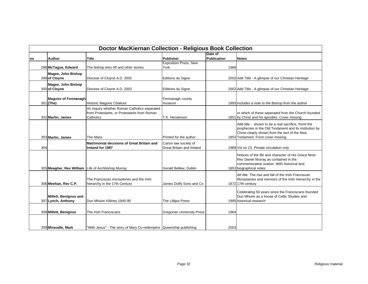|     | <b>Doctor MacKiernan Collection - Religious Book Collection</b> |                                                                                                          |                                                          |                        |                                                                                                                                                                                                       |  |  |
|-----|-----------------------------------------------------------------|----------------------------------------------------------------------------------------------------------|----------------------------------------------------------|------------------------|-------------------------------------------------------------------------------------------------------------------------------------------------------------------------------------------------------|--|--|
| no  | <b>Author</b>                                                   | <b>Title</b>                                                                                             | Publisher                                                | Date of<br>Publication | <b>Notes</b>                                                                                                                                                                                          |  |  |
|     | 298 McTague, Edward                                             | The bishop tees off and other stories                                                                    | <b>Exposition Press, New</b><br>York                     | 1968                   |                                                                                                                                                                                                       |  |  |
|     | Magee, John Bishop<br>299 of Cloyne                             | Diocese of Cloyne A.D. 2002                                                                              | Editions du Signe                                        |                        | 2002 Add Title - A glimpse of our Christian Heritage                                                                                                                                                  |  |  |
|     | Magee, John Bishop<br>300 of Cloyne                             | Diocese of Cloyne A.D. 2002                                                                              | Editions du Signe                                        |                        | 2002 Add Title - A glimpse of our Christian Heritage                                                                                                                                                  |  |  |
|     | <b>Maguire of Fermanagh</b><br>301 (The)                        | <b>Historic Maguire Chalices</b>                                                                         | Fermanagh county<br>museum                               |                        | 1993 Includes a note to the Bishop from the author                                                                                                                                                    |  |  |
|     | 302 Martin, James                                               | An inquiry whether Roman Catholics separated<br>from Protestants, or Protestants from Roman<br>Catholics | T.K. Henderson                                           |                        | or which of these seperated from the Church founded<br>1851 by Christ and his apostles. Cover missing                                                                                                 |  |  |
|     | 303 Martin, James                                               | The Mass                                                                                                 | Printed for the author                                   |                        | Add title - shown to be a real sacrifice, fromt the<br>prophecies in the Old Testament and its institution by<br>Christ clearly shown from the text of the New<br>1853 Testament. Front cover missing |  |  |
| 304 |                                                                 | <b>Matrimonial decisions of Great Britain and</b><br>Ireland for 1987                                    | Canon law society of<br><b>Great Britain and Ireland</b> |                        | 1989 Vol no 23. Private circulation only                                                                                                                                                              |  |  |
|     | 305 Meagher, Rev William                                        | Life of Archbishop Murray                                                                                | Gerald Bellew, Dublin                                    |                        | Notices of the life and character of His Grace Most<br>Rev Daniel Murray as contained in the<br>commemorative oration. With historical and<br>1853 biographical notes                                 |  |  |
|     | 306 Meehan, Rev C.P.                                            | The Franciscan monasteries and the Irish<br>hierarchy in the 17th Century                                | James Duffy Sons and Co                                  |                        | Alt title: The rise and fall of the Irish Franciscan<br>Monasteries and memoirs of the Irish Hierarchy in the<br>1872 17th century                                                                    |  |  |
|     | Millett, Benignus and<br>307 Lynch, Anthony                     | Dun Mhuire Killiney 1945-95                                                                              | The Lilliput Press                                       |                        | Celebrating 50 years since the Franciscans founded<br>Dun Mhuire as a house of Celtic Studies and<br>1995 historical research                                                                         |  |  |
|     | 308 Millett, Benignus                                           | The Irish Franciscans                                                                                    | <b>Gregorian University Press</b>                        | 1964                   |                                                                                                                                                                                                       |  |  |
|     | 309 Miravalle, Mark                                             | "With Jesus" - The story of Mary Co-redemptrix Queenship publishing                                      |                                                          | 2003                   |                                                                                                                                                                                                       |  |  |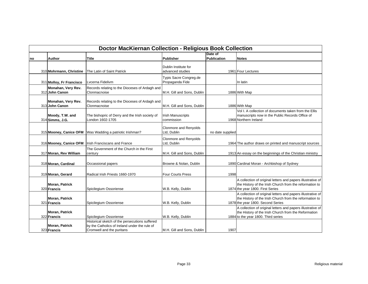|    | <b>Doctor MacKiernan Collection - Religious Book Collection</b> |                                                                                                                              |                                             |                               |                                                                                                                                                             |  |  |  |
|----|-----------------------------------------------------------------|------------------------------------------------------------------------------------------------------------------------------|---------------------------------------------|-------------------------------|-------------------------------------------------------------------------------------------------------------------------------------------------------------|--|--|--|
| no | <b>Author</b>                                                   | Title                                                                                                                        | <b>Publisher</b>                            | Date of<br><b>Publication</b> | <b>Notes</b>                                                                                                                                                |  |  |  |
|    | 310 Mohrmann, Christine                                         | The Latin of Saint Patrick                                                                                                   | Dublin Institute for<br>advanced studies    |                               | 1961 Four Lectures                                                                                                                                          |  |  |  |
|    | 311 Molloy, Fr Francisco                                        | Lvcerna Fidelivm                                                                                                             | Typis Sacre Congreg.de<br>Propaganda Fide   |                               | In latin                                                                                                                                                    |  |  |  |
|    | Monahan, Very Rev.<br>312 John Canon                            | Records relating to the Dioceses of Ardagh and<br>Clonmacnoise                                                               | M.H. Gill and Sons, Dublin                  |                               | 1886 With Map                                                                                                                                               |  |  |  |
|    | Monahan, Very Rev.<br>313 John Canon                            | Records relating to the Dioceses of Ardagh and<br>Clonmacnoise                                                               | M.H. Gill and Sons, Dublin                  |                               | 1886 With Map                                                                                                                                               |  |  |  |
|    | Moody, T.W. and<br>314 Simms, J.G.                              | The bishopric of Derry and the Irish society of<br>London 1602-1705                                                          | <b>Irish Manuscripts</b><br>commission      |                               | Vol I. A collection of documents taken from the Ellis<br>manuscripts now in the Public Records Office of<br>1968 Northern Ireland                           |  |  |  |
|    | 315 Mooney, Canice OFM                                          | Was Wadding a patriotic Irishman?                                                                                            | Clonmore and Renyolds<br>Ltd, Dublin        | no date supplied              |                                                                                                                                                             |  |  |  |
|    | 316 Mooney, Canice OFM                                          | <b>Irish Franciscans and France</b>                                                                                          | <b>Clonmore and Renyolds</b><br>Ltd, Dublin |                               | 1964 The author draws on printed and manuscript sources                                                                                                     |  |  |  |
|    | 317 Moran, Rev William                                          | The Government of the Church in the First<br>century                                                                         | M.H. Gill and Sons, Dublin                  |                               | 1913 An essay on the beginnings of the Christian ministry                                                                                                   |  |  |  |
|    | 318 Moran, Cardinal                                             | Occassional papers                                                                                                           | Browne & Nolan, Dublin                      |                               | 1890 Cardinal Moran - Archbishop of Sydney                                                                                                                  |  |  |  |
|    | 319 Moran, Gerard                                               | Radical Irish Priests 1660-1970                                                                                              | <b>Four Courts Press</b>                    | 1998                          |                                                                                                                                                             |  |  |  |
|    | Moran, Patrick<br>320 Francis                                   | Spicilegium Ossoriense                                                                                                       | W.B. Kelly, Dublin                          |                               | A collection of original letters and papers illustrative of<br>the History of the Irish Church from the reformation to<br>1874 the year 1800. First Series  |  |  |  |
|    | <b>Moran, Patrick</b><br>321 Francis                            | Spicilegium Ossoriense                                                                                                       | W.B. Kelly, Dublin                          |                               | A collection of original letters and papers illustrative of<br>the History of the Irish Church from the reformation to<br>1878 the year 1800. Second Series |  |  |  |
|    | <b>Moran, Patrick</b><br>322 Francis                            | Spicilegium Ossoriense                                                                                                       | W.B. Kelly, Dublin                          |                               | A collection of original letters and papers illustrative of<br>the History of the Irish Church from the Reformation<br>1884 to the year 1800. Third series  |  |  |  |
|    | <b>Moran, Patrick</b><br>323 Francis                            | Historical sketch of the persecutions suffered<br>by the Catholics of Ireland under the rule of<br>Cromwell and the puritans | M.H. Gill and Sons, Dublin                  | 1907                          |                                                                                                                                                             |  |  |  |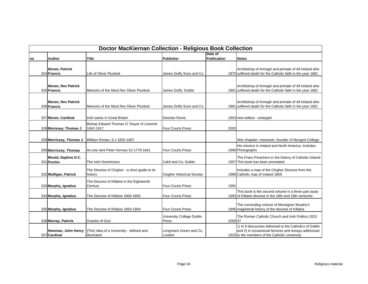|    | <b>Doctor MacKiernan Collection - Religious Book Collection</b> |                                                          |                                    |                        |                                                                                                                                                                  |  |  |
|----|-----------------------------------------------------------------|----------------------------------------------------------|------------------------------------|------------------------|------------------------------------------------------------------------------------------------------------------------------------------------------------------|--|--|
| no | <b>Author</b>                                                   | <b>Title</b>                                             | Publisher                          | Date of<br>Publication | <b>Notes</b>                                                                                                                                                     |  |  |
|    | Moran, Patrick<br>324 Francis                                   | <b>Life of Oliver Plunkett</b>                           | James Duffy Sons and Co            |                        | Archbishop of Armagh and primate of All Ireland who<br>1870 suffered death for the Catholic faith in the year 1681                                               |  |  |
|    | <b>Moran, Rev Patrick</b><br>325 Francis                        | Memoirs of the Most Rev Oliver Plunkett                  | James Duffy, Dublin                |                        | Archbishop of Armagh and primate of All Ireland who<br>1861 suffered death for the Catholic faith in the year 1681                                               |  |  |
|    | <b>Moran, Rev Patrick</b><br>326 Francis                        | Memoirs of the Most Rev Oliver Plunkett                  | James Duffy Sons and Co            |                        | Archbishop of Armagh and primate of All Ireland who<br>1861 suffered death for the Catholic faith in the year 1681                                               |  |  |
|    | 327 Moran, Cardinal                                             | Irish saints in Great Britain                            | Desclee Rome                       |                        | 1903 new edition - enlarged                                                                                                                                      |  |  |
|    | 328 Morissey, Thomas J                                          | Bishop Edward Thomas O' Dwyer of Limerick<br>1842-1917   | <b>Four Courts Press</b>           | 2003                   |                                                                                                                                                                  |  |  |
|    | 329 Morrissey, Thomas J                                         | William Ronan, S.J 1825-1907                             |                                    |                        | War chaplain, missioner, founder of Mungret College                                                                                                              |  |  |
|    | 330 Morrissey, Thomas                                           | As one sent Peter Kenney SJ 1779-1841                    | <b>Four Courts Press</b>           |                        | His mission in Ireland and North America. Includes<br>1996 Photographs                                                                                           |  |  |
|    | Mould, Daphne D.C.<br>331 Pochin                                | The Irish Dominicans                                     | Cahil and Co, Dublin               |                        | The Friars Preachers in the history of Catholic Ireland.<br>1957 This book has been annotated.                                                                   |  |  |
|    | 332 Mulligan, Patrick                                           | The Diocese of Clogher - a short guide to its<br>history | <b>Clogher Historical Society</b>  |                        | includes a map of the Clogher Diocese from the<br>1986 Catholic map of Ireland 1859                                                                              |  |  |
|    | 333 Murphy, Ignatius                                            | The Diocese of Killaloe in the Eighteenth<br>Century     | <b>Four Courts Press</b>           | 1991                   |                                                                                                                                                                  |  |  |
|    | 334 Murphy, Ignatius                                            | The Diocese of Killaloe 1800-1850                        | <b>Four Courts Press</b>           |                        | This book is the second volume in a three part study<br>1992 of Killaloe diocese in the 18th and 19th centuries                                                  |  |  |
|    | 335 Murphy, Ignatius                                            | The Diocese of Killaloe 1850-1904                        | <b>Four Courts Press</b>           |                        | The concluding volume of Monsignor Murphy's<br>1995 magisterial history of the diocese of Killaloe                                                               |  |  |
|    | 336 Murray, Patrick                                             | Oracles of God                                           | University College Dublin<br>Press | 2000 37                | The Roman Catholic Church and Irish Politics 1922-                                                                                                               |  |  |
|    | Newman, John Henry<br>337 Cardinal                              | (The) Idea of a University - defined and<br>illustrated  | Longmans Green and Co,<br>London   |                        | 1) in 9 discourses delivered to the Catholics of Dublin<br>and 2) in occassional lectures and essays addressed<br>1925 to the members of the Catholic University |  |  |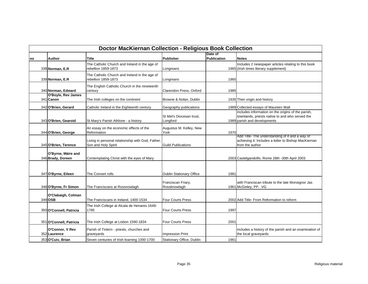|     | <b>Doctor MacKiernan Collection - Religious Book Collection</b> |                                                                          |                                      |                               |                                                                                                                                       |  |  |
|-----|-----------------------------------------------------------------|--------------------------------------------------------------------------|--------------------------------------|-------------------------------|---------------------------------------------------------------------------------------------------------------------------------------|--|--|
| Ino | Author                                                          | Title                                                                    | Publisher                            | Date of<br><b>Publication</b> | <b>Notes</b>                                                                                                                          |  |  |
|     | 338 Norman, E.R                                                 | The Catholic Church and Ireland in the age of<br>rebellion 1859-1873     | Longmans                             |                               | Includes 2 newspaper articles relating to this book<br>1965 (Irish times literary supplement)                                         |  |  |
|     | 339 Norman, E.R.                                                | The Catholic Church and Ireland in the age of<br>rebellion 1859-1873     | Longmans                             | 1965                          |                                                                                                                                       |  |  |
|     | 340 Norman, Edward                                              | The English Catholic Church in the nineteenth<br>century                 | Clarendon Press, Oxford              | 1985                          |                                                                                                                                       |  |  |
|     | <b>O'Boyle, Rev James</b><br>341 Canon                          | The Irish colleges on the continent                                      | Browne & Nolan, Dublin               |                               | 1935 Their origin and history                                                                                                         |  |  |
|     | 342 O'Brien, Gerard                                             | Catholic Ireland in the Eighteenth century                               | Geography publications               |                               | 1989 Collected essays of Maureen Wall                                                                                                 |  |  |
|     | 343 O'Brien, Gearoid                                            | St Mary's Parish Athlone - a history                                     | St Mel's Diocesan trust,<br>Longford |                               | includes information on the origins of the parish,<br>townlands, priests native to and who served the<br>1989 parish and developments |  |  |
|     | 344 O'Brien, George                                             | An essay on the economic effects of the<br>Reformation                   | Augustus M. Kelley, New<br>York      | 1970                          |                                                                                                                                       |  |  |
|     | 345 O'Brien, Terence                                            | Living in personal relationship with God, Father,<br>Son and Holy Spirit | <b>Guild Publications</b>            |                               | Add Title- The understanding of it and a way of<br>achieving it. Includes a letter to Bishop MacKiernan<br>from the author            |  |  |
|     | O'Byrne, Máire and<br>346 Brady, Doreen                         | Contemplating Christ with the eyes of Mary                               |                                      |                               | 2003 Castelgandolfo, Rome 28th -30th April 2003                                                                                       |  |  |
|     | 347 O'Byrne, Eileen                                             | The Convert rolls                                                        | <b>Dublin Stationary Office</b>      | 1981                          |                                                                                                                                       |  |  |
|     | 348 O'Byrne, Fr Simon                                           | The Franciscans at Rossnowlagh                                           | Franciscan Friary,<br>Rossknowlagh   |                               | with Franciscan tribute to the late Monsignor Jas<br>1961 McGinley, PP. VG                                                            |  |  |
|     | O'Clabaigh, Colman<br>349 OSB                                   | The Franciscans in Ireland, 1400-1534                                    | <b>Four Courts Press</b>             |                               | 2002 Add Title- From Reformation to reform                                                                                            |  |  |
|     | 350 O'Connell, Patricia                                         | The Irish College at Alcala de Henares 1649-<br>1785                     | <b>Four Courts Press</b>             | 1997                          |                                                                                                                                       |  |  |
|     | 351 O'Connell, Patricia                                         | The Irish College at Lisbon 1590-1834                                    | <b>Four Courts Press</b>             | 2001                          |                                                                                                                                       |  |  |
|     | O'Connor, V Rev<br>352 Laurence                                 | Parish of Tintern - priests, churches and<br>graveyards                  | <b>Impression Print</b>              |                               | includes a history of the parish and an examination of<br>the local graveyards                                                        |  |  |
|     | 353 O'Cuiv, Brian                                               | Seven centuries of Irish learning 1000-1700                              | Stationary Office, Dublin            | 1961                          |                                                                                                                                       |  |  |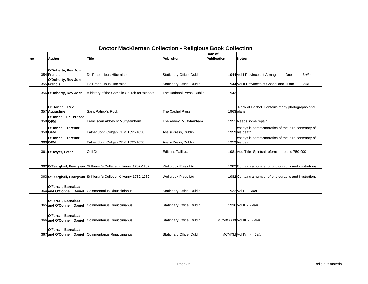|    | <b>Doctor MacKiernan Collection - Religious Book Collection</b> |                                                                        |                            |                               |                                                                     |  |  |  |  |
|----|-----------------------------------------------------------------|------------------------------------------------------------------------|----------------------------|-------------------------------|---------------------------------------------------------------------|--|--|--|--|
| no | Author                                                          | <b>Title</b>                                                           | Publisher                  | Date of<br><b>Publication</b> | <b>Notes</b>                                                        |  |  |  |  |
|    |                                                                 |                                                                        |                            |                               |                                                                     |  |  |  |  |
|    | O'Doherty, Rev John                                             |                                                                        |                            |                               |                                                                     |  |  |  |  |
|    | 354 Francis                                                     | De Praesulibus Hiberniae                                               | Stationary Office, Dublin  |                               | 1944 Vol I Provinces of Armagh and Dublin - Latin                   |  |  |  |  |
|    | O'Doherty, Rev John<br>355 Francis                              | De Praesulibus Hiberniae                                               | Stationary Office, Dublin  |                               | 1944 Vol II Provinces of Cashel and Tuam<br>- Latin                 |  |  |  |  |
|    |                                                                 | 356 O'Doherty, Rev John F A history of the Catholic Church for schools | The National Press, Dublin | 1943                          |                                                                     |  |  |  |  |
|    |                                                                 |                                                                        |                            |                               |                                                                     |  |  |  |  |
|    | O' Donnell, Rev<br>357 Augustine                                | Saint Patrick's Rock                                                   | The Cashel Press           |                               | Rock of Cashel. Contains many photographs and<br>1963 plans         |  |  |  |  |
|    | O'Donnell, Fr Terence                                           |                                                                        |                            |                               |                                                                     |  |  |  |  |
|    | 358 OFM                                                         | Franciscan Abbey of Multyfarnham                                       | The Abbey, Multyfarnham    |                               | 1951 Needs some repair                                              |  |  |  |  |
|    | O'Donnell, Terence<br>359 OFM                                   | Father John Colgan OFM 1592-1658                                       | Assisi Press, Dublin       |                               | essays in commemoration of the third centenary of<br>1959 his death |  |  |  |  |
|    | O'Donnell, Terence                                              |                                                                        |                            |                               | essays in commemoration of the third centenary of                   |  |  |  |  |
|    | 360 OFM                                                         | Father John Colgan OFM 1592-1658                                       | Assisi Press, Dublin       |                               | 1959 his death                                                      |  |  |  |  |
|    | 361 O'Dwyer, Peter                                              | Celi De                                                                | <b>Editions Tailliura</b>  |                               | 1981 Add Title- Spiritual reform in Ireland 750-900                 |  |  |  |  |
|    |                                                                 |                                                                        |                            |                               |                                                                     |  |  |  |  |
|    |                                                                 | 362 O'Fearghail, Fearghus St Kieran's College, Kilkenny 1782-1982      | <b>Wellbrook Press Ltd</b> |                               | 1982 Contains a number of photographs and illustrations             |  |  |  |  |
|    |                                                                 | 363 O'Fearghail, Fearghus St Kieran's College, Kilkenny 1782-1982      | <b>Wellbrook Press Ltd</b> |                               | 1982 Contains a number of photographs and illustrations             |  |  |  |  |
|    | O'Ferrall, Barnabas                                             |                                                                        |                            |                               |                                                                     |  |  |  |  |
|    | 364 and O'Connell, Daniel                                       | Commentarius Rinuccinianus                                             | Stationary Office, Dublin  |                               | 1932 Vol I - Latin                                                  |  |  |  |  |
|    | O'Ferrall, Barnabas                                             |                                                                        |                            |                               |                                                                     |  |  |  |  |
|    | 365 and O'Connell, Daniel                                       | Commentarius Rinuccinianus                                             | Stationary Office, Dublin  |                               | 1936 Vol II - Latin                                                 |  |  |  |  |
|    | O'Ferrall, Barnabas                                             |                                                                        |                            |                               |                                                                     |  |  |  |  |
|    | 366 and O'Connell, Daniel                                       | Commentarius Rinuccinianus                                             | Stationary Office, Dublin  |                               | MCMXXXIX Vol III - Latin                                            |  |  |  |  |
|    | O'Ferrall, Barnabas                                             |                                                                        |                            |                               |                                                                     |  |  |  |  |
|    |                                                                 | 367 and O'Connell, Daniel Commentarius Rinuccinianus                   | Stationary Office, Dublin  |                               | MCMXLI Vol IV - Latin                                               |  |  |  |  |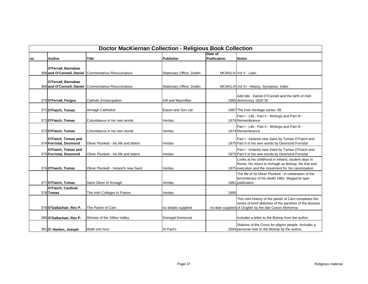|    | <b>Doctor MacKiernan Collection - Religious Book Collection</b> |                                        |                           |                    |                                                         |  |  |  |
|----|-----------------------------------------------------------------|----------------------------------------|---------------------------|--------------------|---------------------------------------------------------|--|--|--|
|    |                                                                 |                                        |                           | Date of            |                                                         |  |  |  |
| no | Author                                                          | <b>Title</b>                           | Publisher                 | <b>Publication</b> | <b>Notes</b>                                            |  |  |  |
|    |                                                                 |                                        |                           |                    |                                                         |  |  |  |
|    | O'Ferrall, Barnabas                                             |                                        |                           |                    |                                                         |  |  |  |
|    | 368 and O'Connell, Daniel                                       | Commentarius Rinuccinianus             | Stationary Office, Dublin |                    | MCMXLIV Vol V - Latin                                   |  |  |  |
|    |                                                                 |                                        |                           |                    |                                                         |  |  |  |
|    | O'Ferrall, Barnabas                                             |                                        |                           |                    |                                                         |  |  |  |
|    | 369 and O'Connell, Daniel                                       | Commentarius Rinuccinianus             | Stationary Office, Dublin |                    | MCMXLIX Vol VI - History, Synopses, Index               |  |  |  |
|    |                                                                 |                                        |                           |                    |                                                         |  |  |  |
|    |                                                                 |                                        |                           |                    | Add title - Daniel O'Connell and the birth of Irish     |  |  |  |
|    | 370 O'Ferrall, Fergus                                           | <b>Catholic Emancipation</b>           | Gill and Macmillan        |                    | 1985 democracy 1820-30                                  |  |  |  |
|    |                                                                 |                                        |                           |                    |                                                         |  |  |  |
|    | 371 O'Fiaich, Tomas                                             | Armagh Cathedral                       | Eason and Son Ltd         |                    | 1987 The Irish Heritage series: 58                      |  |  |  |
|    |                                                                 |                                        |                           |                    | Part I - Life, Part II - Writings and Part III -        |  |  |  |
|    | 372 O'Fiaich, Tomas                                             | Columbanus in his own words            | Veritas                   |                    | 1974 Remembrance                                        |  |  |  |
|    |                                                                 |                                        |                           |                    | Part I - Life, Part II - Writings and Part III -        |  |  |  |
|    | 373 O'Fiaich, Tomas                                             | Columbanus in his own words            | Veritas                   |                    | 1974 Remembrance                                        |  |  |  |
|    |                                                                 |                                        |                           |                    |                                                         |  |  |  |
|    | O'Fiaich, Tomas and                                             |                                        |                           |                    | Part I - Irelands new Saint by Tomas O'Fiaich and       |  |  |  |
|    | 374 Forristal, Desmond                                          | Oliver Plunkett - his life and letters | Veritas                   |                    | 1975 Part II In his own words by Desmond Forristal      |  |  |  |
|    | O'Fiaich, Tomas and                                             |                                        |                           |                    | Part I - Irelands new Saint by Tomas O'Fiaich and       |  |  |  |
|    | 375 Forristal, Desmond                                          | Oliver Plunkett - his life and letters | Veritas                   |                    | 1975 Part II In his own words by Desmond Forristal      |  |  |  |
|    |                                                                 |                                        |                           |                    | Looks at his childhood in Ireland, student days in      |  |  |  |
|    |                                                                 |                                        |                           |                    | Rome, his return to Armagh as Bishop, his trial and     |  |  |  |
|    | 376 O'Fiaich, Tomas                                             | Oliver Plunkett - Ireland's new Saint  | Veritas                   |                    | 1975 execution and the movement for his canonisation    |  |  |  |
|    |                                                                 |                                        |                           |                    | The life of St. Oliver Plunkett - in celebration of the |  |  |  |
|    |                                                                 |                                        |                           |                    | tercentenary of his death 1981. Magazine type           |  |  |  |
|    | 377 O'Fiaich, Tomas                                             | Saint Oliver of Armagh                 | Veritas                   |                    | 1981 publication                                        |  |  |  |
|    | O'Fiaich, Cardinal                                              |                                        |                           |                    |                                                         |  |  |  |
|    | 378 Tomas                                                       | The Irish Colleges in France           | Veritas                   | 1990               |                                                         |  |  |  |
|    |                                                                 |                                        |                           |                    | This mini-history of the parish of Carn completes the   |  |  |  |
|    |                                                                 |                                        |                           |                    | series of brief sketches of the parishes of the diocese |  |  |  |
|    | 379 O'Gallachair, Rev P.                                        | The Parish of Carn                     | no details supplied       |                    | no date supplied of Clogher by the late Canon McKenna   |  |  |  |
|    |                                                                 |                                        |                           |                    |                                                         |  |  |  |
|    | 380 O'Gallachair, Rev P.                                        | Shrines of the Sillies Valley          | Donegal Democrat          |                    | Includes a letter to the Bishop from the author         |  |  |  |
|    |                                                                 |                                        |                           |                    |                                                         |  |  |  |
|    |                                                                 |                                        |                           |                    | Stations of the Cross for pilgrim people. Includes a    |  |  |  |
|    | 381 O' Hanlon, Joseph                                           | Walk one hour                          | St Paul's                 |                    | 2004 personal note to the Bishop by the author.         |  |  |  |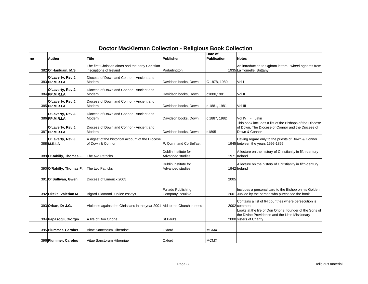|    | <b>Doctor MacKiernan Collection - Religious Book Collection</b> |                                                                               |                                              |                        |                                                                                                                                       |  |  |  |
|----|-----------------------------------------------------------------|-------------------------------------------------------------------------------|----------------------------------------------|------------------------|---------------------------------------------------------------------------------------------------------------------------------------|--|--|--|
| no | Author                                                          | Title                                                                         | Publisher                                    | Date of<br>Publication | <b>Notes</b>                                                                                                                          |  |  |  |
|    | 382 O' Hanluain, M.S.                                           | The first Christian altars and the early Christian<br>inscriptions of Ireland | Portarlington                                |                        | An introduction to Ogham letters - wheel oghams from<br>1935 La Tourelle, Brittany                                                    |  |  |  |
|    | O'Laverty, Rev J.<br>383 PP.M.R.I.A                             | Diocese of Down and Connor - Ancient and<br>Modern                            | Davidson books, Down                         | C 1878, 1980           | Vol I                                                                                                                                 |  |  |  |
|    | O'Laverty, Rev J.<br>384 PP.M.R.I.A                             | Diocese of Down and Connor - Ancient and<br>Modern                            | Davidson books, Down                         | c1880,1981             | Vol II                                                                                                                                |  |  |  |
|    | O'Laverty, Rev J.<br>385 PP.M.R.I.A                             | Diocese of Down and Connor - Ancient and<br>Modern                            | Davidson books, Down                         | c 1881, 1981           | Vol III                                                                                                                               |  |  |  |
|    | O'Laverty, Rev J.<br>386 PP.M.R.I.A                             | Diocese of Down and Connor - Ancient and<br>Modern                            | Davidson books, Down                         | c 1887, 1982           | Vol IV - Latin                                                                                                                        |  |  |  |
|    | O'Laverty, Rev J.<br>387 PP.M.R.I.A                             | Diocese of Down and Connor - Ancient and<br>Modern                            | Davidson books, Down                         | c1895                  | This book includes a list of the Bishops of the Diocese<br>of Down, The Diocese of Connor and the Diocese of<br>Down & Connor         |  |  |  |
|    | O'Laverty, Rev J.<br>388 M.R.I.A                                | A digest of the historical account of the Diocese<br>of Down & Connor         | P. Quinn and Co Belfast                      |                        | Having regard only to the priests of Down & Connor<br>1945 between the years 1595-1895                                                |  |  |  |
|    | 389 O'Rahilly, Thomas F.                                        | The two Patricks                                                              | Dublin Institute for<br>Advanced studies     |                        | A lecture on the history of Christianity in fifth-century<br>1971 Ireland                                                             |  |  |  |
|    | 390 O'Rahilly, Thomas F.                                        | The two Patricks                                                              | Dublin Institute for<br>Advanced studies     |                        | A lecture on the history of Christianity in fifth-century<br>1942 Ireland                                                             |  |  |  |
|    | 391 O' Sullivan, Gwen                                           | Diocese of Limerick 2005                                                      |                                              | 2005                   |                                                                                                                                       |  |  |  |
|    | 392 Okeke, Valerian M                                           | Bigard Diamond Jubilee essays                                                 | <b>Fulladu Publishing</b><br>Company, Nsukka |                        | Includes a personal card to the Bishop on his Golden<br>2001 Jubilee by the person who purchased the book                             |  |  |  |
|    | 393 Orban, Dr J.G.                                              | Violence against the Christians in the year 2001 Aid to the Church in need    |                                              |                        | Contains a list of 64 countries where persecution is<br>2002 common                                                                   |  |  |  |
|    | 394 Papasogli, Giorgio                                          | A life of Don Orione                                                          | St Paul's                                    |                        | Looks at the life of Don Orione, founder of the Sons of<br>the Divine Providence and the Little Missionary<br>2000 sisters of Charity |  |  |  |
|    | 395 Plummer. Carolus                                            | Vitae Sanctorum Hiberniae                                                     | Oxford                                       | <b>MCMX</b>            |                                                                                                                                       |  |  |  |
|    | 396 Plummer. Carolus                                            | Vitae Sanctorum Hiberniae                                                     | Oxford                                       | <b>MCMX</b>            |                                                                                                                                       |  |  |  |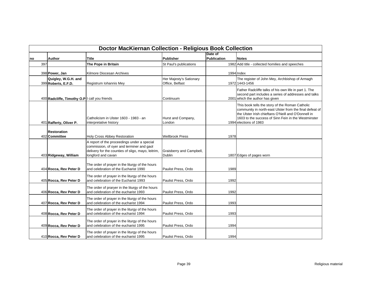|     | <b>Doctor MacKiernan Collection - Religious Book Collection</b> |                                                                                                                                                                      |                                            |                        |                                                                                                                                                                                                                                                    |  |  |  |  |
|-----|-----------------------------------------------------------------|----------------------------------------------------------------------------------------------------------------------------------------------------------------------|--------------------------------------------|------------------------|----------------------------------------------------------------------------------------------------------------------------------------------------------------------------------------------------------------------------------------------------|--|--|--|--|
| no  | <b>Author</b>                                                   | <b>Title</b>                                                                                                                                                         | <b>Publisher</b>                           | Date of<br>Publication | <b>Notes</b>                                                                                                                                                                                                                                       |  |  |  |  |
| 397 |                                                                 | The Pope in Britain                                                                                                                                                  | St Paul's publications                     |                        | 1982 Add title - collected homilies and speeches                                                                                                                                                                                                   |  |  |  |  |
|     | 398 Power, Jan                                                  | Kilmore Diocesan Archives                                                                                                                                            |                                            |                        | 1994 Index                                                                                                                                                                                                                                         |  |  |  |  |
|     | Quigley, W.G.H. and<br>399 Roberts, E.F.D.                      | Registrum Iohannis Mey                                                                                                                                               | Her Majesty's Sationary<br>Office, Belfast |                        | The register of John Mey, Archbishop of Armagh<br>1972 1443-1456                                                                                                                                                                                   |  |  |  |  |
|     | 400 Radcliffe, Timothy O.P I call you friends                   |                                                                                                                                                                      | Continuum                                  |                        | Father Radcliffe talks of his own life in part 1. The<br>second part includes a series of addresses and talks<br>2001 which the author has given                                                                                                   |  |  |  |  |
|     | 401 Rafferty, Oliver P.                                         | Catholicism in Ulster 1603 - 1983 - an<br>interpretative history                                                                                                     | Hurst and Company,<br>London               |                        | This book tells the story of the Roman Catholic<br>community in north-east Ulster from the final defeat of<br>the Ulster Irish chieftans O'Neill and O'Donnell in<br>1603 to the success of Sinn Fein in the Westminster<br>1994 elections of 1983 |  |  |  |  |
|     | <b>Restoration</b><br>402 Committee                             | Holy Cross Abbey Restoration                                                                                                                                         | <b>Wellbrook Press</b>                     | 1978                   |                                                                                                                                                                                                                                                    |  |  |  |  |
|     | 403 Ridgeway, William                                           | A report of the proceedings under a special<br>commission, of oyer and terminer and gaol<br>delivery for the counties of sligo, mayo, leitrim,<br>longford and cavan | Graisberry and Campbell,<br><b>Dublin</b>  |                        | 1807 Edges of pages worn                                                                                                                                                                                                                           |  |  |  |  |
|     | 404 Rocca, Rev Peter D                                          | The order of prayer in the liturgy of the hours<br>and celebration of the Eucharist 1990                                                                             | Paulist Press, Ordo                        | 1989                   |                                                                                                                                                                                                                                                    |  |  |  |  |
|     | 405 Rocca, Rev Peter D                                          | The order of prayer in the liturgy of the hours<br>and celebration of the Eucharist 1993                                                                             | Paulist Press, Ordo                        | 1992                   |                                                                                                                                                                                                                                                    |  |  |  |  |
|     | 406 Rocca, Rev Peter D                                          | The order of praryer in the liturgy of the hours<br>and celebration of the eucharist 1993                                                                            | Paulist Press, Ordo                        | 1992                   |                                                                                                                                                                                                                                                    |  |  |  |  |
|     | 407 Rocca, Rev Peter D                                          | The order of prayer in the liturgy of the hours<br>and celebration of the eucharist 1994                                                                             | Paulist Press, Ordo                        | 1993                   |                                                                                                                                                                                                                                                    |  |  |  |  |
|     | 408 Rocca, Rev Peter D                                          | The order of prayer in the liturgy of the hours<br>and celebration of the eucharist 1994                                                                             | Paulist Press, Ordo                        | 1993                   |                                                                                                                                                                                                                                                    |  |  |  |  |
|     | 409 Rocca, Rev Peter D                                          | The order of prayer in the liturgy of the hours<br>and celebration of the eucharist 1995                                                                             | Paulist Press, Ordo                        | 1994                   |                                                                                                                                                                                                                                                    |  |  |  |  |
|     | 410 Rocca, Rev Peter D                                          | The order of prayer in the liturgy of the hours<br>and celebration of the eucharist 1995                                                                             | Paulist Press, Ordo                        | 1994                   |                                                                                                                                                                                                                                                    |  |  |  |  |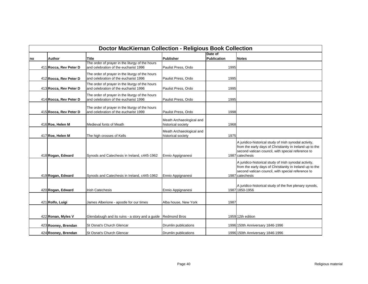|    | <b>Doctor MacKiernan Collection - Religious Book Collection</b> |                                                                                          |                                                |                               |                                                                                                                                                                                            |  |  |  |
|----|-----------------------------------------------------------------|------------------------------------------------------------------------------------------|------------------------------------------------|-------------------------------|--------------------------------------------------------------------------------------------------------------------------------------------------------------------------------------------|--|--|--|
| no | <b>Author</b>                                                   | Title                                                                                    | Publisher                                      | Date of<br><b>Publication</b> | <b>Notes</b>                                                                                                                                                                               |  |  |  |
|    | 411 Rocca, Rev Peter D                                          | The order of prayer in the liturgy of the hours<br>and celebration of the eucharist 1996 | Paulist Press, Ordo                            | 1995                          |                                                                                                                                                                                            |  |  |  |
|    | 412 Rocca, Rev Peter D                                          | The order of prayer in the liturgy of the hours<br>and celebration of the eucharist 1996 | Paulist Press, Ordo                            | 1995                          |                                                                                                                                                                                            |  |  |  |
|    | 413 Rocca, Rev Peter D                                          | The order of prayer in the liturgy of the hours<br>and celebration of the eucharist 1996 | Paulist Press, Ordo                            | 1995                          |                                                                                                                                                                                            |  |  |  |
|    | 414 Rocca, Rev Peter D                                          | The order of prayer in the liturgy of the hours<br>and celebration of the eucharist 1996 | Paulist Press, Ordo                            | 1995                          |                                                                                                                                                                                            |  |  |  |
|    | 415 Rocca, Rev Peter D                                          | The order of prayer in the liturgy of the hours<br>and celebration of the eucharist 1999 | Paulist Press, Ordo                            | 1998                          |                                                                                                                                                                                            |  |  |  |
|    | 416 Roe, Helen M                                                | Medieval fonts of Meath                                                                  | Meath Archaeological and<br>historical society | 1968                          |                                                                                                                                                                                            |  |  |  |
|    | 417 Roe, Helen M                                                | The high crosses of Kells                                                                | Meath Archaeological and<br>historical society | 1975                          |                                                                                                                                                                                            |  |  |  |
|    | 418 Rogan, Edward                                               | Synods and Catechesis in Ireland, c445-1962                                              | Ennio Appignanesi                              |                               | A juridico-historical study of Irish synodal activity,<br>from the early days of Christianity in Ireland up to the<br>second vatican council, with special reference to<br>1987 catechesis |  |  |  |
|    | 419 Rogan, Edward                                               | Synods and Catechesis in Ireland, c445-1962                                              | Ennio Appignanesi                              |                               | A juridico-historical study of Irish synodal activity,<br>from the early days of Christianity in Ireland up to the<br>second vatican council, with special reference to<br>1987 catechesis |  |  |  |
|    | 420 Rogan, Edward                                               | <b>Irish Catechesis</b>                                                                  | Ennio Appignanesi                              |                               | A juridico-historical study of the five plenary synods,<br>1987 1850-1956                                                                                                                  |  |  |  |
|    | 421 Rolfo, Luigi                                                | James Alberione - apostle for our times                                                  | Alba house, New York                           | 1987                          |                                                                                                                                                                                            |  |  |  |
|    |                                                                 |                                                                                          |                                                |                               |                                                                                                                                                                                            |  |  |  |
|    | 422 Ronan, Myles V                                              | Glendalough and its ruins - a story and a guide Redmond Bros                             |                                                |                               | 1959 12th edition                                                                                                                                                                          |  |  |  |
|    | 423 Rooney, Brendan                                             | St Osnat's Church Glencar                                                                | Drumlin publications                           |                               | 1996 150th Anniversary 1846-1996                                                                                                                                                           |  |  |  |
|    | 424 Rooney, Brendan                                             | St Osnat's Church Glencar                                                                | Drumlin publications                           |                               | 1996 150th Anniversary 1846-1996                                                                                                                                                           |  |  |  |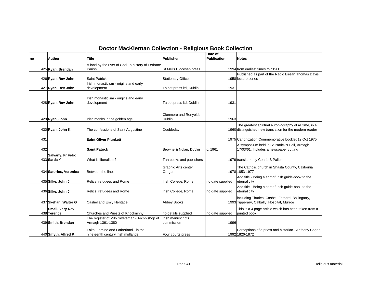|     | <b>Doctor MacKiernan Collection - Religious Book Collection</b> |                                                                            |                                  |                               |                                                                                                                    |  |  |  |
|-----|-----------------------------------------------------------------|----------------------------------------------------------------------------|----------------------------------|-------------------------------|--------------------------------------------------------------------------------------------------------------------|--|--|--|
| Ino | Author                                                          | Title                                                                      | <b>Publisher</b>                 | Date of<br><b>Publication</b> | <b>Notes</b>                                                                                                       |  |  |  |
|     | 425 Ryan, Brendan                                               | A land by the river of God - a history of Ferbane<br>Parish                | St Mel's Diocesan press          |                               | 1994 from earliest times to c1900                                                                                  |  |  |  |
|     | 426 Ryan, Rev John                                              | <b>Saint Patrick</b>                                                       | <b>Stationary Office</b>         |                               | Published as part of the Radio Eirean Thomas Davis<br>1958 lecture series                                          |  |  |  |
|     | 427 Ryan, Rev John                                              | Irish monasticism - origins and early<br>development                       | Talbot press Itd, Dublin         | 1931                          |                                                                                                                    |  |  |  |
|     | 428 Ryan, Rev John                                              | Irish monasticism - origins and early<br>development                       | Talbot press Itd, Dublin         | 1931                          |                                                                                                                    |  |  |  |
|     | 429 Ryan, John                                                  | Irish monks in the golden age                                              | Clonmore and Renyolds,<br>Dublin | 1963                          |                                                                                                                    |  |  |  |
|     | 430 Ryan, John K                                                | The confessions of Saint Augustine                                         | Doubleday                        |                               | The greatest spiritual autobiography of all time, in a<br>1960 distinguished new translation for the modern reader |  |  |  |
| 431 |                                                                 | <b>Saint Oliver Plunkett</b>                                               |                                  |                               | 1975 Canonization Commemorative booklet 12 Oct 1975                                                                |  |  |  |
| 432 |                                                                 | <b>Saint Patrick</b>                                                       | Browne & Nolan, Dublin           | c. 1961                       | A symposium held in St Patrick's Hall, Armagh<br>17/03/61. Includes a newspaper cutting                            |  |  |  |
|     | Salvany, Fr Felix<br>433 Sarda Y                                | What is liberalism?                                                        | Tan books and publishers         |                               | 1979 translated by Conde B Pallen                                                                                  |  |  |  |
|     | 434 Satorius, Veronica                                          | Between the lines                                                          | Graphic Arts center<br>Oregan    |                               | The Catholic church in Shasta County, California<br>1978 1853-1977                                                 |  |  |  |
|     | 435 Silke, John J                                               | Relics, refugees and Rome                                                  | Irish College, Rome              | no date supplied              | Add title - Being a sort of Irish guide-book to the<br>eternal city                                                |  |  |  |
|     | 436 Silke, John J                                               | Relics, refugees and Rome                                                  | Irish College, Rome              | no date supplied              | Add title - Being a sort of Irish guide-book to the<br>eternal city                                                |  |  |  |
|     | 437 Skehan, Walter G                                            | Cashel and Emly Heritage                                                   | <b>Abbey Books</b>               |                               | including Thurles, Cashel, Fethard, Ballingarry,<br>1993 Tipperary, Calbally, Hospital, Murroe                     |  |  |  |
|     | Small, Very Rev<br>438 Terence                                  | Churches and Priests of Knockninny                                         | no details supplied              | no date supplied              | This is a 4 page article which has been taken from a<br>printed book.                                              |  |  |  |
|     | 439 Smith, Brendan                                              | The register of Milo Sweteman - Archbishop of<br>Armagh 1361-1380          | Irish manuscripts<br>commission  | 1996                          |                                                                                                                    |  |  |  |
|     | 440 Smyth, Alfred P                                             | Faith, Famine and Fatherland - in the<br>nineteenth century Irish midlands | Four courts press                |                               | Perceptions of a priest and historian - Anthony Cogan<br>1992 1826-1872                                            |  |  |  |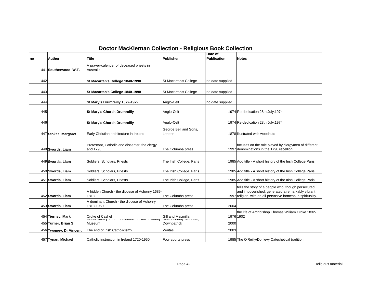|     | <b>Doctor MacKiernan Collection - Religious Book Collection</b> |                                                               |                                                      |                  |                                                                                                                                                                       |  |  |  |
|-----|-----------------------------------------------------------------|---------------------------------------------------------------|------------------------------------------------------|------------------|-----------------------------------------------------------------------------------------------------------------------------------------------------------------------|--|--|--|
|     |                                                                 |                                                               |                                                      | Date of          |                                                                                                                                                                       |  |  |  |
| no  | <b>Author</b>                                                   | Title                                                         | Publisher                                            | Publication      | <b>Notes</b>                                                                                                                                                          |  |  |  |
|     | 441 Southerwood, W.T.                                           | A prayer-calender of deceased priests in<br>Australia         |                                                      |                  |                                                                                                                                                                       |  |  |  |
|     |                                                                 |                                                               |                                                      |                  |                                                                                                                                                                       |  |  |  |
| 442 |                                                                 | St Macartan's College 1840-1990                               | St Macartan's College                                | no date supplied |                                                                                                                                                                       |  |  |  |
| 443 |                                                                 | St Macartan's College 1840-1990                               | St Macartan's College                                | no date supplied |                                                                                                                                                                       |  |  |  |
| 444 |                                                                 | St Mary's Drumreilly 1872-1972                                | Anglo-Celt                                           | no date supplied |                                                                                                                                                                       |  |  |  |
| 445 |                                                                 | <b>St Mary's Church Drumreilly</b>                            | Anglo-Celt                                           |                  | 1974 Re-dedication 28th July, 1974                                                                                                                                    |  |  |  |
|     |                                                                 |                                                               |                                                      |                  |                                                                                                                                                                       |  |  |  |
| 446 |                                                                 | <b>St Mary's Church Drumreilly</b>                            | Anglo-Celt                                           |                  | 1974 Re-dedication 28th July, 1974                                                                                                                                    |  |  |  |
|     | 447 Stokes, Margaret                                            | Early Christian architecture in Ireland                       | George Bell and Sons,<br>London                      |                  | 1878 illustrated with woodcuts                                                                                                                                        |  |  |  |
|     | 448 Swords, Liam                                                | Protestant, Catholic and dissenter: the clergy<br>and 1798    | The Columba press                                    |                  | focuses on the role played by clergymen of different<br>1997 denominations in the 1798 rebellion                                                                      |  |  |  |
|     | 449 Swords, Liam                                                | Soldiers, Scholars, Priests                                   | The Irish College, Paris                             |                  | 1985 Add title - A short history of the Irish College Paris                                                                                                           |  |  |  |
|     |                                                                 |                                                               |                                                      |                  |                                                                                                                                                                       |  |  |  |
|     | 450 Swords, Liam                                                | Soldiers, Scholars, Priests                                   | The Irish College, Paris                             |                  | 1985 Add title - A short history of the Irish College Paris                                                                                                           |  |  |  |
|     | 451 Swords, Liam                                                | Soldiers, Scholars, Priests                                   | The Irish College, Paris                             |                  | 1985 Add title - A short history of the Irish College Paris                                                                                                           |  |  |  |
|     | 452 Swords, Liam                                                | A hidden Church - the diocese of Achonry 1689-<br>1818        | The Columba press                                    |                  | tells the story of a people who, though persecuted<br>and impoverished, generated a remarkably vibrant<br>1997 religion, with an all-pervasive homespun spirituality. |  |  |  |
|     |                                                                 | A dominant Church - the diocese of Achonry                    |                                                      |                  |                                                                                                                                                                       |  |  |  |
|     | 453 Swords, Liam                                                | 1818-1960                                                     | The Columba press                                    | 2004             |                                                                                                                                                                       |  |  |  |
|     | 454 Tierney, Mark                                               | Croke of Cashel                                               | Gill and Macmillan<br><del>Down County Museum,</del> |                  | the life of Archbishop Thomas William Croke 1832-<br>1976 1902                                                                                                        |  |  |  |
|     | 455 Turner, Brian S                                             | <del>טטשטט וואטט וואסטאס די טטטש פאזוויס וואט</del><br>Museum | Downpatrick                                          | 2000             |                                                                                                                                                                       |  |  |  |
|     | 456 Twomey, Dr Vincent                                          | The end of Irish Catholicism?                                 | Veritas                                              | 2003             |                                                                                                                                                                       |  |  |  |
|     | 457 Tynan, Michael                                              | Catholic instruction in Ireland 1720-1950                     | Four courts press                                    |                  | 1985 The O'Reilly/Donlevy Catechetical tradition                                                                                                                      |  |  |  |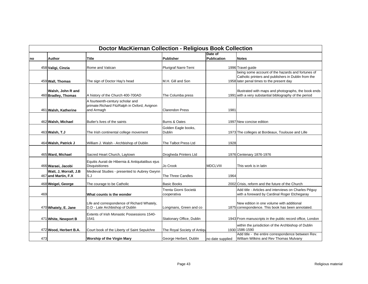|     | <b>Doctor MacKiernan Collection - Religious Book Collection</b> |                                                                                                  |                                      |                        |                                                                                                                                                       |  |  |  |
|-----|-----------------------------------------------------------------|--------------------------------------------------------------------------------------------------|--------------------------------------|------------------------|-------------------------------------------------------------------------------------------------------------------------------------------------------|--|--|--|
| no  | Author                                                          | Title                                                                                            | <b>Publisher</b>                     | Date of<br>Publication | <b>Notes</b>                                                                                                                                          |  |  |  |
|     | 458 Valigi, Cinzia                                              | Rome and Vatican                                                                                 | Plurigraf Narni-Terni                |                        | 1996 Travel quide                                                                                                                                     |  |  |  |
|     | 459 Wall, Thomas                                                | The sign of Doctor Hay's head                                                                    | M.H. Gill and Son                    |                        | being some account of the hazards and fortunes of<br>Catholic printers and publishers in Dublin from the<br>1958 later penal times to the present day |  |  |  |
|     | Walsh, John R and<br>460 Bradley, Thomas                        | A history of the Church 400-700AD                                                                | The Columba press                    |                        | Illustrated with maps and photographs, the book ends<br>1991 with a very substantial bibliography of the period                                       |  |  |  |
|     | 461 Walsh, Katherine                                            | A fourteenth-century scholar and<br>primate: Richard Fitz Ralph in Oxford, Avignon<br>and Armagh | <b>Clarendon Press</b>               | 1981                   |                                                                                                                                                       |  |  |  |
|     | 462 Walsh, Michael                                              | Butler's lives of the saints                                                                     | Burns & Oates                        |                        | 1997 New concise edition                                                                                                                              |  |  |  |
|     | 463 Walsh, T.J                                                  | The Irish continental college movement                                                           | Golden Eagle books,<br><b>Dublin</b> |                        | 1973 The colleges at Bordeaux, Toulouse and Lille                                                                                                     |  |  |  |
|     | 464 Walsh, Patrick J                                            | William J. Walsh - Archbishop of Dublin                                                          | The Talbot Press Ltd                 | 1928                   |                                                                                                                                                       |  |  |  |
|     | 465 Ward, Michael                                               | Sacred Heart Church, Laytown                                                                     | Drogheda Printers Ltd                |                        | 1976 Centenary 1876-1976                                                                                                                              |  |  |  |
|     | 466 Waraei, Jacobi                                              | Equitis Aurati de Hibernia & Antiquitatibus ejus<br><b>Disquisitiones</b>                        | Jo Crook                             | <b>MDCLVIII</b>        | This work is in latin                                                                                                                                 |  |  |  |
|     | Watt, J, Morrall, J.B<br>467 and Martin, F.X                    | Medieval Studies - presented to Aubrey Gwynn<br>S.J                                              | The Three Candles                    | 1964                   |                                                                                                                                                       |  |  |  |
|     | 468 Weigel, George                                              | The courage to be Catholic                                                                       | <b>Basic Books</b>                   |                        | 2002 Crisis, reform and the future of the Church                                                                                                      |  |  |  |
| 469 |                                                                 | What counts is the wonder                                                                        | Trenta Giorni Societá<br>cooperativa |                        | Add title - Articles and interviews on Charles Péguy<br>with a foreward by Cardinal Roger Etchegaray                                                  |  |  |  |
|     | 470 Whately, E. Jane                                            | Life and correspondence of Richard Whately,<br>D.D - Late Archbishop of Dublin                   | Longmans, Green and co               |                        | New edition in one volume with additional<br>1875 correspondence. This book has been annotated.                                                       |  |  |  |
|     | 471 White, Newport B                                            | Extents of Irish Monastic Possessions 1540-<br>1541                                              | Stationary Office, Dublin            |                        | 1943 From manuscripts in the public record office, London                                                                                             |  |  |  |
|     | 472 Wood, Herbert B.A.                                          | Court book of the Liberty of Saint Sepulchre                                                     | The Royal Society of Antiqu          |                        | within the jurisdiction of the Archbishop of Dublin<br>1930 1586-1590                                                                                 |  |  |  |
| 473 |                                                                 | <b>Worship of the Virgin Mary</b>                                                                | George Herbert, Dublin               | no date supplied       | Add title - the entire correspondence between Rev.<br>William Wilkins and Rev Thomas Mulvany                                                          |  |  |  |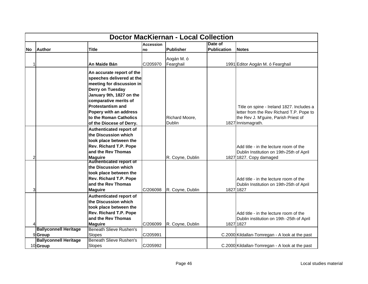|                | <b>Doctor MacKiernan - Local Collection</b> |                                                                                                                                                                                                                    |                  |                  |                    |                                                                                                  |  |
|----------------|---------------------------------------------|--------------------------------------------------------------------------------------------------------------------------------------------------------------------------------------------------------------------|------------------|------------------|--------------------|--------------------------------------------------------------------------------------------------|--|
|                |                                             |                                                                                                                                                                                                                    | <b>Accession</b> |                  | Date of            |                                                                                                  |  |
| lNo.           | <b>Author</b>                               | <b>Title</b>                                                                                                                                                                                                       | no               | Publisher        | <b>Publication</b> | <b>Notes</b>                                                                                     |  |
|                |                                             |                                                                                                                                                                                                                    |                  | Aogán M. ó       |                    |                                                                                                  |  |
| 1              |                                             | An Maide Bán                                                                                                                                                                                                       | C/205970         | Fearghail        |                    | 1991 Editor Aogán M. ó Fearghail                                                                 |  |
|                |                                             | An accurate report of the<br>speeches delivered at the<br>meeting for discussion in<br>Derry on Tuesday<br>January 9th, 1827 on the<br>comparative merits of<br><b>Protestantism and</b><br>Popery with an address |                  |                  |                    | Title on spine - Ireland 1827. Includes a<br>letter from the Rev Richard T.P. Pope to            |  |
|                |                                             | to the Roman Catholics                                                                                                                                                                                             |                  | Richard Moore,   |                    | the Rev J. M'guire, Parish Priest of                                                             |  |
|                |                                             | of the Diocese of Derry.                                                                                                                                                                                           |                  | <b>Dublin</b>    |                    | 1827 Innismagrath.                                                                               |  |
|                |                                             | Authenticated report of<br>the Discussion which<br>took place between the<br>Rev. Richard T.P. Pope<br>and the Rev Thomas                                                                                          |                  |                  |                    | Add title - in the lecture room of the<br>Dublin Institution on 19th-25th of April               |  |
| $\overline{c}$ |                                             | <b>Maguire</b>                                                                                                                                                                                                     |                  | R. Coyne, Dublin |                    | 1827 1827. Copy damaged                                                                          |  |
| 3              |                                             | <b>Authenticated report of</b><br>the Discussion which<br>took place between the<br>Rev. Richard T.P. Pope<br>and the Rev Thomas<br><b>Maguire</b>                                                                 | C/206098         | R. Coyne, Dublin |                    | Add title - in the lecture room of the<br>Dublin Institution on 19th-25th of April<br>1827 1827  |  |
| 4              |                                             | Authenticated report of<br>the Discussion which<br>took place between the<br>Rev. Richard T.P. Pope<br>and the Rev Thomas<br><b>Maguire</b>                                                                        | C/206099         | R. Coyne, Dublin |                    | Add title - in the lecture room of the<br>Dublin institution on 19th -25th of April<br>1827 1827 |  |
|                | <b>Ballyconnell Heritage</b>                | <b>Beneath Slieve Rushen's</b>                                                                                                                                                                                     |                  |                  |                    |                                                                                                  |  |
|                | 9Group                                      | Slopes                                                                                                                                                                                                             | C/205991         |                  |                    | C.2000 Kildallan-Tomregan - A look at the past                                                   |  |
|                | <b>Ballyconnell Heritage</b><br>10 Group    | <b>Beneath Slieve Rushen's</b><br>Slopes                                                                                                                                                                           | C/205992         |                  |                    | C.2000 Kildallan-Tomregan - A look at the past                                                   |  |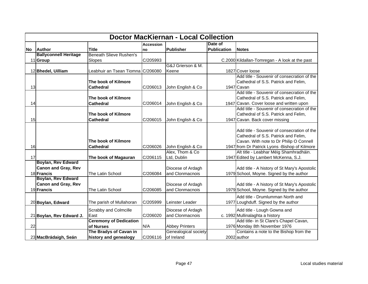|           | <b>Doctor MacKiernan - Local Collection</b> |                                   |                  |                       |                    |                                                |  |
|-----------|---------------------------------------------|-----------------------------------|------------------|-----------------------|--------------------|------------------------------------------------|--|
|           |                                             |                                   | <b>Accession</b> |                       | Date of            |                                                |  |
| <b>No</b> | <b>Author</b>                               | <b>Title</b>                      | no               | <b>Publisher</b>      | <b>Publication</b> | <b>Notes</b>                                   |  |
|           | <b>Ballyconnell Heritage</b>                | <b>Beneath Slieve Rushen's</b>    |                  |                       |                    |                                                |  |
|           | 11 Group                                    | Slopes                            | C/205993         |                       |                    | C.2000 Kildallan-Tomregan - A look at the past |  |
|           |                                             |                                   |                  | G&J Grierson & M.     |                    |                                                |  |
|           | 12 Bhedel, Uilliam                          | Leabhuir an Tsean Tiomna C/206080 |                  | Keene                 |                    | 1827 Cover loose                               |  |
|           |                                             |                                   |                  |                       |                    | Add title - Souvenir of consecration of the    |  |
|           |                                             | The book of Kilmore               |                  |                       |                    | Cathedral of S.S. Patrick and Felim,           |  |
| 13        |                                             | <b>Cathedral</b>                  | C/206013         | John English & Co     |                    | 1947 Cavan                                     |  |
|           |                                             |                                   |                  |                       |                    | Add title - Souvenir of consecration of the    |  |
|           |                                             | The book of Kilmore               |                  |                       |                    | Cathedral of S.S. Patrick and Felim,           |  |
| 14        |                                             | <b>Cathedral</b>                  | C/206014         | John English & Co     |                    | 1947 Cavan. Cover loose and written upon       |  |
|           |                                             |                                   |                  |                       |                    | Add title - Souvenir of consecration of the    |  |
|           |                                             | The book of Kilmore               |                  |                       |                    | Cathedral of S.S. Patrick and Felim,           |  |
| 15        |                                             | <b>Cathedral</b>                  | C/206015         | John English & Co     |                    | 1947 Cavan. Back cover missing                 |  |
|           |                                             |                                   |                  |                       |                    |                                                |  |
|           |                                             |                                   |                  |                       |                    | Add title - Souvenir of consecration of the    |  |
|           |                                             |                                   |                  |                       |                    | Cathedral of S.S. Patrick and Felim,           |  |
|           |                                             | The book of Kilmore               |                  |                       |                    | Cavan. With note to Dr Philip O Connell        |  |
| 16        |                                             | <b>Cathedral</b>                  | C/206026         | John English & Co     |                    | 1947 from Dr Patrick Lyons - Bishop of Kilmore |  |
|           |                                             |                                   |                  | Alex, Thom & Co       |                    | Alt title - Leabhar Méig Shamhradháin.         |  |
| 17        |                                             | The book of Magauran              | C/206115         | Ltd, Dublin           |                    | 1947 Edited by Lambert McKenna, S.J.           |  |
|           | <b>Boylan, Rev Edward</b>                   |                                   |                  |                       |                    |                                                |  |
|           | <b>Canon and Gray, Rev</b>                  |                                   |                  | Diocese of Ardagh     |                    | Add title - A history of St Mary's Apostolic   |  |
|           | 18 Francis                                  | The Latin School                  | C/206084         | and Clonmacnois       |                    | 1979 School, Moyne. Signed by the author       |  |
|           | Boylan, Rev Edward                          |                                   |                  |                       |                    |                                                |  |
|           | <b>Canon and Gray, Rev</b>                  |                                   |                  | Diocese of Ardagh     |                    | Add title - A history of St Mary's Apostolic   |  |
|           | 19 Francis                                  | The Latin School                  | C/206085         | and Clonmacnois       |                    | 1979 School, Moyne. Signed by the author       |  |
|           |                                             |                                   |                  |                       |                    | Add title - Drumlumman North and               |  |
|           | 20 Boylan, Edward                           | The parish of Mullahoran          | C/205999         | Leinster Leader       |                    | 1977 Loughduff. Signed by the author           |  |
|           |                                             | Scrabby and Colmcille             |                  | Diocese of Ardagh     |                    | Add title - Lough Gowna and                    |  |
|           | 21 Boylan, Rev Edward J.                    | East                              | C/206020         | and Clonmacnois       |                    | c. 1992 Mullinalaghta a history                |  |
|           |                                             | <b>Ceremony of Dedication</b>     |                  |                       |                    | Add title- in St Clare's Chapel Cavan,         |  |
| 22        |                                             | of Nurses                         | N/A              | <b>Abbey Printers</b> |                    | 1976 Monday 8th November 1976                  |  |
|           |                                             | The Bradys of Cavan in            |                  | Genealogical society  |                    | Contains a note to the Bishop from the         |  |
|           | 23 MacBrádaigh, Seán                        | history and genealogy             | C/206116         | of Ireland            |                    | 2002 author                                    |  |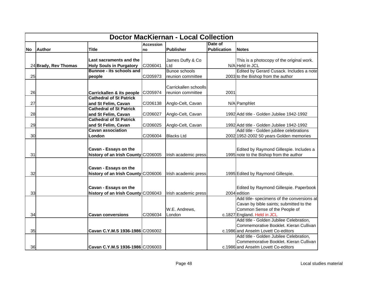|       | <b>Doctor MacKiernan - Local Collection</b> |                                     |                  |                       |                    |                                            |  |  |
|-------|---------------------------------------------|-------------------------------------|------------------|-----------------------|--------------------|--------------------------------------------|--|--|
|       |                                             |                                     | <b>Accession</b> |                       | Date of            |                                            |  |  |
| lNo l | <b>Author</b>                               | <b>Title</b>                        | <b>Ino</b>       | Publisher             | <b>Publication</b> | <b>Notes</b>                               |  |  |
|       |                                             |                                     |                  |                       |                    |                                            |  |  |
|       |                                             | Last sacraments and the             |                  | James Duffy & Co      |                    | This is a photocopy of the original work.  |  |  |
|       | 24 Brady, Rev Thomas                        | <b>Holy Souls in Purgatory</b>      | C/206041         | Ltd                   |                    | N/A Held in JCL                            |  |  |
|       |                                             | <b>Bunnoe - its schools and</b>     |                  | <b>Bunoe schools</b>  |                    | Edited by Gerard Cusack. Includes a note   |  |  |
| 25    |                                             | people                              | C/205973         | reunion committee     |                    | 2003 to the Bishop from the author         |  |  |
|       |                                             |                                     |                  |                       |                    |                                            |  |  |
|       |                                             |                                     |                  | Carrickallen schoolls |                    |                                            |  |  |
| 26    |                                             | Carrickallen & its people C/205974  |                  | reunion committee     | 2001               |                                            |  |  |
|       |                                             | <b>Cathedral of St Patrick</b>      |                  |                       |                    |                                            |  |  |
| 27    |                                             | and St Felim, Cavan                 | C/206138         | Anglo-Celt, Cavan     |                    | N/A Pamphlet                               |  |  |
|       |                                             | <b>Cathedral of St Patrick</b>      |                  |                       |                    |                                            |  |  |
| 28    |                                             | and St Felim, Cavan                 | C/206027         | Anglo-Celt, Cavan     |                    | 1992 Add title - Golden Jubilee 1942-1992  |  |  |
|       |                                             | <b>Cathedral of St Patrick</b>      |                  |                       |                    |                                            |  |  |
| 29    |                                             | and St Felim, Cavan                 | C/206025         | Anglo-Celt, Cavan     |                    | 1992 Add title - Golden Jubilee 1942-1992  |  |  |
|       |                                             | <b>Cavan association</b>            |                  |                       |                    | Add title - Golden jubilee celebrations    |  |  |
| 30    |                                             | London                              | C/206004         | <b>Blacks Ltd</b>     |                    | 2002 1952-2002 50 years Golden memories    |  |  |
|       |                                             |                                     |                  |                       |                    |                                            |  |  |
|       |                                             | Cavan - Essays on the               |                  |                       |                    | Edited by Raymond Gillespie. Includes a    |  |  |
| 31    |                                             | history of an Irish County C/206005 |                  | Irish academic press  |                    | 1995 note to the Bishop from the author    |  |  |
|       |                                             |                                     |                  |                       |                    |                                            |  |  |
|       |                                             |                                     |                  |                       |                    |                                            |  |  |
|       |                                             | Cavan - Essays on the               |                  |                       |                    |                                            |  |  |
| 32    |                                             | history of an Irish County C/206006 |                  | Irish academic press  |                    | 1995 Edited by Raymond Gillespie.          |  |  |
|       |                                             |                                     |                  |                       |                    |                                            |  |  |
|       |                                             | Cavan - Essays on the               |                  |                       |                    | Edited by Raymond Gillespie. Paperbook     |  |  |
| 33    |                                             | history of an Irish County C/206043 |                  | Irish academic press  |                    | 2004 edition                               |  |  |
|       |                                             |                                     |                  |                       |                    | Add title- specimens of the conversions at |  |  |
|       |                                             |                                     |                  |                       |                    | Cavan by bible saints; submitted to the    |  |  |
|       |                                             |                                     |                  | W.E. Andrews,         |                    | Common Sense of the People of              |  |  |
| 34    |                                             | <b>Cavan conversions</b>            | C/206034         | London                |                    | c.1827 England. Held in JCL                |  |  |
|       |                                             |                                     |                  |                       |                    | Add title - Golden Jubilee Celebration,    |  |  |
|       |                                             |                                     |                  |                       |                    | Commemorative Booklet. Kieran Cullivan     |  |  |
| 35    |                                             | Cavan C.Y.M.S 1936-1986 C/206002    |                  |                       |                    | c.1986 and Anselm Lovett Co-editors        |  |  |
|       |                                             |                                     |                  |                       |                    | Add title - Golden Jubilee Celebration,    |  |  |
|       |                                             |                                     |                  |                       |                    | Commemorative Booklet. Kieran Cullivan     |  |  |
| 36    |                                             | Cavan C.Y.M.S 1936-1986 C/206003    |                  |                       |                    | c.1986 and Anselm Lovett Co-editors        |  |  |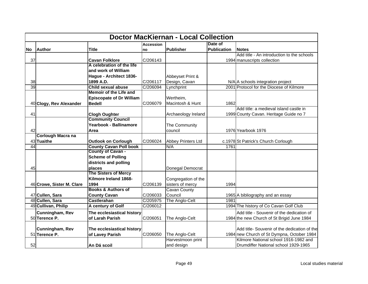|           | <b>Doctor MacKiernan - Local Collection</b> |                                 |                  |                           |                    |                                              |  |
|-----------|---------------------------------------------|---------------------------------|------------------|---------------------------|--------------------|----------------------------------------------|--|
|           |                                             |                                 | <b>Accession</b> |                           | Date of            |                                              |  |
| <b>No</b> | <b>Author</b>                               | <b>Title</b>                    | no               | Publisher                 | <b>Publication</b> | <b>Notes</b>                                 |  |
|           |                                             |                                 |                  |                           |                    | Add title - An introduction to the schools   |  |
| 37        |                                             | <b>Cavan Folklore</b>           | C/206143         |                           |                    | 1994 manuscripts collection                  |  |
|           |                                             | A celebration of the life       |                  |                           |                    |                                              |  |
|           |                                             | and work of William             |                  |                           |                    |                                              |  |
|           |                                             | Hague - Architect 1836-         |                  | Abbeyset Print &          |                    |                                              |  |
| 38        |                                             | 1899 A.D.                       | C/206117         | Design, Cavan             |                    | N/A A schools integration project            |  |
| 39        |                                             | <b>Child sexual abuse</b>       | C/206094         | Lynchprint                |                    | 2001 Protocol for the Diocese of Kilmore     |  |
|           |                                             | <b>Memoir of the Life and</b>   |                  |                           |                    |                                              |  |
|           |                                             | <b>Episcopate of Dr William</b> |                  | Wertheim,                 |                    |                                              |  |
|           | 40 Clogy, Rev Alexander                     | <b>Bedell</b>                   | C/206079         | Macintosh & Hunt          | 1862               |                                              |  |
|           |                                             |                                 |                  |                           |                    | Add title: a medieval island castle in       |  |
| 41        |                                             | <b>Clogh Oughter</b>            |                  | Archaeology Ireland       |                    | 1999 County Cavan. Heritage Guide no 7       |  |
|           |                                             | <b>Community Council</b>        |                  |                           |                    |                                              |  |
|           |                                             | Yearbook - Ballinamore          |                  | The Community             |                    |                                              |  |
| 42        |                                             | Area                            |                  | council                   |                    | 1976 Yearbook 1976                           |  |
|           | <b>Corlough Macra na</b>                    |                                 |                  |                           |                    |                                              |  |
|           | 43 Tuaithe                                  | <b>Outlook on Corlough</b>      | C/206024         | <b>Abbey Printers Ltd</b> |                    | c.1978 St Patrick's Church Corlough          |  |
| 44        |                                             | <b>County Cavan Poll book</b>   |                  | N/A                       | 1761               |                                              |  |
|           |                                             | County of Cavan -               |                  |                           |                    |                                              |  |
|           |                                             | <b>Scheme of Polling</b>        |                  |                           |                    |                                              |  |
|           |                                             | districts and polling           |                  |                           |                    |                                              |  |
| 45        |                                             | places                          |                  | Donegal Democrat          |                    |                                              |  |
|           |                                             | <b>The Sisters of Mercy</b>     |                  |                           |                    |                                              |  |
|           |                                             | Kilmore Ireland 1868-           |                  | Congregation of the       |                    |                                              |  |
|           | 46 Crowe, Sister M. Clare                   | 1994                            | C/206139         | sisters of mercy          | 1994               |                                              |  |
|           |                                             | <b>Books &amp; Authors of</b>   |                  | <b>Cavan County</b>       |                    |                                              |  |
|           | 47 Cullen, Sara                             | <b>County Cavan</b>             | C/206033         | Council                   |                    | 1965 A bibliography and an essay             |  |
|           | 48 Cullen, Sara                             | <b>Castlerahan</b>              | C/205975         | The Anglo-Celt            | 1981               |                                              |  |
|           | 49 Cullivan, Philip                         | A century of Golf               | C/206012         |                           |                    | 1994 The history of Co Cavan Golf Club       |  |
|           | Cunningham, Rev                             | The ecclesiastical history      |                  |                           |                    | Add title - Souvenir of the dedication of    |  |
|           | 50 Terence P.                               | of Larah Parish                 | C/206051         | The Anglo-Celt            |                    | 1984 the new Church of St Brigid June 1984   |  |
|           |                                             |                                 |                  |                           |                    |                                              |  |
|           | Cunningham, Rev                             | The ecclesiastical history      |                  |                           |                    | Add title- Souvenir of the dedication of the |  |
|           | 51 Terence P.                               | of Lavey Parish                 | C/206050         | The Anglo-Celt            |                    | 1984 new Church of St Dympna, October 1984   |  |
|           |                                             |                                 |                  | Harvestmoon print         |                    | Kilmore National school 1916-1982 and        |  |
| 52        |                                             | An Dá scoil                     |                  | and design                |                    | Drumdiffer National school 1929-1965         |  |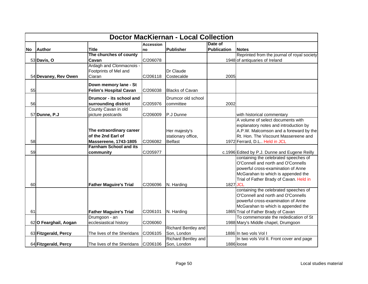|    | <b>Doctor MacKiernan - Local Collection</b> |                                                               |                  |                                      |                    |                                               |  |  |  |
|----|---------------------------------------------|---------------------------------------------------------------|------------------|--------------------------------------|--------------------|-----------------------------------------------|--|--|--|
|    |                                             |                                                               | <b>Accession</b> |                                      | Date of            |                                               |  |  |  |
| No | <b>Author</b>                               | <b>Title</b>                                                  | Ino              | Publisher                            | <b>Publication</b> | <b>Notes</b>                                  |  |  |  |
|    |                                             | The churches of county                                        |                  |                                      |                    | Reprinted from the journal of royal society   |  |  |  |
|    | 53 Davis, O                                 | Cavan                                                         | C/206078         |                                      |                    | 1948 of antiquaries of Ireland                |  |  |  |
|    |                                             | Ardagh and Clonmacnois -                                      |                  |                                      |                    |                                               |  |  |  |
|    |                                             | Footprints of Mel and                                         |                  | Dr Claude                            |                    |                                               |  |  |  |
|    | 54 Devaney, Rev Owen                        | Ciaran                                                        | C/206118         | Costecalde                           | 2005               |                                               |  |  |  |
|    |                                             | Down memory lane - St                                         |                  |                                      |                    |                                               |  |  |  |
| 55 |                                             | <b>Felim's Hospital Cavan</b>                                 | C/206038         | <b>Blacks of Cavan</b>               |                    |                                               |  |  |  |
|    |                                             |                                                               |                  |                                      |                    |                                               |  |  |  |
|    |                                             | Drumcor - its school and                                      |                  | Drumcor old school                   |                    |                                               |  |  |  |
| 56 |                                             | surrounding district                                          | C/205976         | committee                            | 2002               |                                               |  |  |  |
|    |                                             | County Cavan in old                                           |                  |                                      |                    |                                               |  |  |  |
|    | 57 Dunne, P.J                               | picture postcards                                             | C/206009         | P.J Dunne                            |                    | with historical commentary                    |  |  |  |
|    |                                             |                                                               |                  |                                      |                    | A volume of select documents with             |  |  |  |
|    |                                             |                                                               |                  |                                      |                    | explanatory notes and introduction by         |  |  |  |
|    |                                             | The extraordinary career<br>of the 2nd Earl of                |                  | Her majesty's                        |                    | A.P.W. Malcomson and a foreward by the        |  |  |  |
|    |                                             |                                                               |                  | stationary office,<br><b>Belfast</b> |                    | Rt. Hon. The Viscount Massereene and          |  |  |  |
| 58 |                                             | <b>Massereene, 1743-1805</b><br><b>Farnham School and its</b> | C/206082         |                                      |                    | 1972 Ferrard, D.L Held in JCL                 |  |  |  |
| 59 |                                             | community                                                     | C/205977         |                                      |                    | c.1996 Edited by P.J. Dunne and Eugene Reilly |  |  |  |
|    |                                             |                                                               |                  |                                      |                    | containing the celebrated speeches of         |  |  |  |
|    |                                             |                                                               |                  |                                      |                    | O'Connell and north and O'Connells            |  |  |  |
|    |                                             |                                                               |                  |                                      |                    | powerful cross-examination of Anne            |  |  |  |
|    |                                             |                                                               |                  |                                      |                    | McGarahan to which is appended the            |  |  |  |
|    |                                             |                                                               |                  |                                      |                    | Trial of Father Brady of Cavan. Held in       |  |  |  |
| 60 |                                             | <b>Father Maguire's Trial</b>                                 | C/206096         | N. Harding                           | 1827 JCL           |                                               |  |  |  |
|    |                                             |                                                               |                  |                                      |                    | containing the celebrated speeches of         |  |  |  |
|    |                                             |                                                               |                  |                                      |                    | O'Connell and north and O'Connells            |  |  |  |
|    |                                             |                                                               |                  |                                      |                    | powerful cross-examination of Anne            |  |  |  |
|    |                                             |                                                               |                  |                                      |                    | McGarahan to which is appended the            |  |  |  |
| 61 |                                             | <b>Father Maguire's Trial</b>                                 | C/206101         | N. Harding                           |                    | 1865 Trial of Father Brady of Cavan           |  |  |  |
|    |                                             | Drumgoon - an                                                 |                  |                                      |                    | To commemorate the rededication of St         |  |  |  |
|    | 62 O Fearghail, Aogan                       | ecclesiastical history                                        | C/206060         |                                      |                    | 1988 Mary's Middle chapel, Drumgoon           |  |  |  |
|    |                                             |                                                               |                  | <b>Richard Bentley and</b>           |                    |                                               |  |  |  |
|    | 63 Fitzgerald, Percy                        | The lives of the Sheridans                                    | C/206105         | Son, London                          |                    | 1886 In two vols Vol I                        |  |  |  |
|    |                                             |                                                               |                  | <b>Richard Bentley and</b>           |                    | In two vols Vol II. Front cover and page      |  |  |  |
|    | 64 Fitzgerald, Percy                        | The lives of the Sheridans   C/206106                         |                  | Son, London                          |                    | 1886 loose                                    |  |  |  |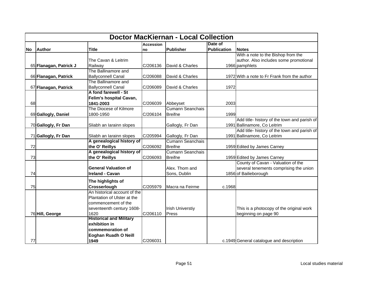|       | <b>Doctor MacKiernan - Local Collection</b> |                                |                  |                         |                    |                                              |  |  |  |
|-------|---------------------------------------------|--------------------------------|------------------|-------------------------|--------------------|----------------------------------------------|--|--|--|
|       |                                             |                                | <b>Accession</b> |                         | Date of            |                                              |  |  |  |
| lNo l | <b>Author</b>                               | <b>Title</b>                   | <b>no</b>        | <b>Publisher</b>        | <b>Publication</b> | <b>Notes</b>                                 |  |  |  |
|       |                                             |                                |                  |                         |                    | With a note to the Bishop from the           |  |  |  |
|       |                                             | The Cavan & Leitrim            |                  |                         |                    | author. Also includes some promotional       |  |  |  |
|       | 65 Flanagan, Patrick J                      | Railway                        | C/206136         | David & Charles         |                    | 1966 pamphlets                               |  |  |  |
|       |                                             | The Ballinamore and            |                  |                         |                    |                                              |  |  |  |
|       | 66 Flanagan, Patrick                        | <b>Ballyconnell Canal</b>      | C/206088         | David & Charles         |                    | 1972 With a note to Fr Frank from the author |  |  |  |
|       |                                             | The Ballinamore and            |                  |                         |                    |                                              |  |  |  |
|       | 67 Flanagan, Patrick                        | <b>Ballyconnell Canal</b>      | C/206089         | David & Charles         | 1972               |                                              |  |  |  |
|       |                                             | A fond farewell - St           |                  |                         |                    |                                              |  |  |  |
|       |                                             | Felim's hospital Cavan,        |                  |                         |                    |                                              |  |  |  |
| 68    |                                             | 1841-2003                      | C/206039         | Abbeyset                | 2003               |                                              |  |  |  |
|       |                                             | The Diocese of Kilmore         |                  | <b>Cumann Seanchais</b> |                    |                                              |  |  |  |
|       | 69 Gallogly, Daniel                         | 1800-1950                      | C/206104         | <b>Breifne</b>          | 1999               |                                              |  |  |  |
|       |                                             |                                |                  |                         |                    | Add title- history of the town and parish of |  |  |  |
|       | 70 Gallogly, Fr Dan                         | Sliabh an Iarainn slopes       |                  | Gallogly, Fr Dan        |                    | 1991 Ballinamore, Co Leitrim                 |  |  |  |
|       |                                             |                                |                  |                         |                    | Add title- history of the town and parish of |  |  |  |
|       | 71 Gallogly, Fr Dan                         | Sliabh an Iarainn slopes       | C/205994         | Gallogly, Fr Dan        |                    | 1991 Ballinamore, Co Leitrim                 |  |  |  |
|       |                                             | A genealogical history of      |                  | <b>Cumann Seanchais</b> |                    |                                              |  |  |  |
| 72    |                                             | the O' Reillys                 | C/206092         | <b>Breifne</b>          |                    | 1959 Edited by James Carney                  |  |  |  |
|       |                                             | A genealogical history of      |                  | <b>Cumann Seanchais</b> |                    |                                              |  |  |  |
| 73    |                                             | the O' Reillys                 | C/206093         | <b>Breifne</b>          |                    | 1959 Edited by James Carney                  |  |  |  |
|       |                                             |                                |                  |                         |                    | County of Cavan - Valuation of the           |  |  |  |
|       |                                             | <b>General Valuation of</b>    |                  | Alex. Thom and          |                    | several tenements comprising the union       |  |  |  |
| 74    |                                             | <b>Ireland - Cavan</b>         |                  | Sons, Dublin            |                    | 1856 of Bailieborough                        |  |  |  |
|       |                                             | The highlights of              |                  |                         |                    |                                              |  |  |  |
| 75    |                                             | Crosserlough                   | C/205979         | Macra na Feirme         | c.1968             |                                              |  |  |  |
|       |                                             | An historical account of the   |                  |                         |                    |                                              |  |  |  |
|       |                                             | Plantation of Ulster at the    |                  |                         |                    |                                              |  |  |  |
|       |                                             | commencement of the            |                  |                         |                    |                                              |  |  |  |
|       |                                             | seventeenth century 1608-      |                  | <b>Irish Universtiy</b> |                    | This is a photocopy of the original work     |  |  |  |
|       | 76 Hill, George                             | 1620                           | C/206110         | Press                   |                    | beginning on page 90                         |  |  |  |
|       |                                             | <b>Historical and Military</b> |                  |                         |                    |                                              |  |  |  |
|       |                                             | exhibition in                  |                  |                         |                    |                                              |  |  |  |
|       |                                             | commemoration of               |                  |                         |                    |                                              |  |  |  |
|       |                                             | Eoghan Ruadh O Neill           |                  |                         |                    |                                              |  |  |  |
| 77    |                                             | 1949                           | C/206031         |                         |                    | c.1949 General catalogue and description     |  |  |  |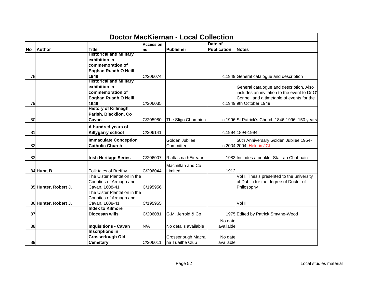|           |                      |                                           |                  | <b>Doctor MacKiernan - Local Collection</b> |                    |                                                 |
|-----------|----------------------|-------------------------------------------|------------------|---------------------------------------------|--------------------|-------------------------------------------------|
|           |                      |                                           | <b>Accession</b> |                                             | Date of            |                                                 |
| <b>No</b> | Author               | <b>Title</b>                              | Ino              | <b>Publisher</b>                            | <b>Publication</b> | <b>Notes</b>                                    |
|           |                      | <b>Historical and Military</b>            |                  |                                             |                    |                                                 |
|           |                      | exhibition in                             |                  |                                             |                    |                                                 |
|           |                      | commemoration of                          |                  |                                             |                    |                                                 |
|           |                      | Eoghan Ruadh O Neill                      |                  |                                             |                    |                                                 |
| 78        |                      | 1949                                      | C/206074         |                                             |                    | c.1949 General catalogue and description        |
|           |                      | <b>Historical and Military</b>            |                  |                                             |                    |                                                 |
|           |                      | exhibition in                             |                  |                                             |                    | General catalogue and description. Also         |
|           |                      | commemoration of                          |                  |                                             |                    | includes an invitation to the event to Dr O'    |
|           |                      | Eoghan Ruadh O Neill                      |                  |                                             |                    | Connell and a timetable of events for the       |
| 79        |                      | 1949                                      | C/206035         |                                             |                    | c.1949 9th October 1949                         |
|           |                      | <b>History of Killinagh</b>               |                  |                                             |                    |                                                 |
|           |                      | Parish, Blacklion, Co                     |                  |                                             |                    |                                                 |
| 80        |                      | Cavan                                     | C/205980         | The Sligo Champion                          |                    | c.1996 St Patrick's Church 1846-1996, 150 years |
|           |                      | A hundred years of                        |                  |                                             |                    |                                                 |
| 81        |                      | Killygarry school                         | C/206141         |                                             |                    | c.1994 1894-1994                                |
|           |                      | <b>Immaculate Conception</b>              |                  | Golden Jubilee                              |                    | 50th Anniversary Golden Jubilee 1954-           |
| 82        |                      | <b>Catholic Church</b>                    |                  | Committee                                   |                    | c.2004 2004. Held in JCL                        |
|           |                      |                                           |                  |                                             |                    |                                                 |
| 83        |                      | <b>Irish Heritage Series</b>              | C/206007         | Rialtas na hEireann                         |                    | 1983 Includes a booklet Stair an Chabhain       |
|           |                      |                                           |                  |                                             |                    |                                                 |
|           |                      |                                           |                  | Macmillan and Co                            |                    |                                                 |
|           | 84 Hunt, B.          | Folk tales of Breffny                     | C/206044         | Limited                                     | 1912               |                                                 |
|           |                      | The Ulster Plantation in the              |                  |                                             |                    | Vol I. Thesis presented to the university       |
|           |                      | Counties of Armagh and                    |                  |                                             |                    | of Dublin for the degree of Doctor of           |
|           | 85 Hunter, Robert J. | Cavan, 1608-41                            | C/195956         |                                             |                    | Philosophy                                      |
|           |                      | The Ulster Plantation in the              |                  |                                             |                    |                                                 |
|           |                      | Counties of Armagh and                    |                  |                                             |                    | Vol II                                          |
|           | 86 Hunter, Robert J. | Cavan, 1608-41<br><b>Index to Kilmore</b> | C/195955         |                                             |                    |                                                 |
| 87        |                      | <b>Diocesan wills</b>                     | C/206081         | G.M. Jerrold & Co                           |                    |                                                 |
|           |                      |                                           |                  |                                             |                    | 1975 Edited by Patrick Smythe-Wood              |
|           |                      |                                           |                  |                                             | No date            |                                                 |
| 88        |                      | <b>Inquisitions - Cavan</b>               | N/A              | No details available                        | available          |                                                 |
|           |                      | <b>Inscriptions in</b>                    |                  |                                             |                    |                                                 |
|           |                      | <b>Crosserlough Old</b>                   |                  | Crosserlough Macra                          | No date            |                                                 |
| 89        |                      | <b>Cemetary</b>                           | C/206011         | na Tuaithe Club                             | available          |                                                 |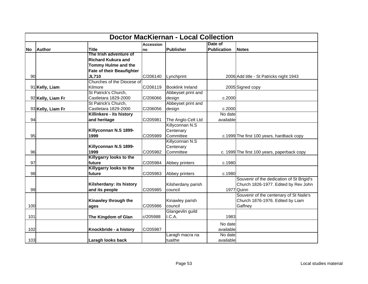|       | <b>Doctor MacKiernan - Local Collection</b> |                                  |                  |                         |                    |                                             |  |  |  |
|-------|---------------------------------------------|----------------------------------|------------------|-------------------------|--------------------|---------------------------------------------|--|--|--|
|       |                                             |                                  | <b>Accession</b> |                         | Date of            |                                             |  |  |  |
| lNo l | <b>Author</b>                               | <b>Title</b>                     | Ino              | Publisher               | <b>Publication</b> | <b>Notes</b>                                |  |  |  |
|       |                                             | The Irish adventure of           |                  |                         |                    |                                             |  |  |  |
|       |                                             | <b>Richard Kukura and</b>        |                  |                         |                    |                                             |  |  |  |
|       |                                             | Tommy Hulme and the              |                  |                         |                    |                                             |  |  |  |
|       |                                             | <b>Fate of their Beaufighter</b> |                  |                         |                    |                                             |  |  |  |
| 90    |                                             | <b>JL710</b>                     | C/206140         | Lynchprint              |                    | 2006 Add title - St Patricks night 1943     |  |  |  |
|       |                                             | Churches of the Diocese of       |                  |                         |                    |                                             |  |  |  |
|       | 91 Kelly, Liam                              | Kilmore                          | C/206119         | <b>Booklink Ireland</b> |                    | 2005 Signed copy                            |  |  |  |
|       |                                             | St Patrick's Church,             |                  | Abbeyset print and      |                    |                                             |  |  |  |
|       | 92 Kelly, Liam Fr                           | Castletara 1829-2000             | C/206066         | design                  | c.2000             |                                             |  |  |  |
|       |                                             | St Patrick's Church,             |                  | Abbeyset print and      |                    |                                             |  |  |  |
|       | 93 Kelly, Liam Fr                           | Castletara 1829-2000             | C/206056         | design                  | c.2000             |                                             |  |  |  |
|       |                                             | Killinkere - its history         |                  |                         | No date            |                                             |  |  |  |
| 94    |                                             | and heritage                     | C/205981         | The Anglo-Celt Ltd      | available          |                                             |  |  |  |
|       |                                             |                                  |                  | Killyconnan N.S         |                    |                                             |  |  |  |
|       |                                             | Killyconnan N.S 1899-            |                  | Centenary               |                    |                                             |  |  |  |
| 95    |                                             | 1999                             | C/205989         | Committee               |                    | c.1999 The first 100 years, hardback copy   |  |  |  |
|       |                                             |                                  |                  | Killyconnan N.S         |                    |                                             |  |  |  |
|       |                                             | Killyconnan N.S 1899-            |                  | Centenary               |                    |                                             |  |  |  |
| 96    |                                             | 1999                             | C/205982         | Committee               |                    | c. 1999 The first 100 years, paperback copy |  |  |  |
|       |                                             | Killygarry looks to the          |                  |                         |                    |                                             |  |  |  |
| 97    |                                             | future                           | C/205984         | Abbey printers          | c.1980             |                                             |  |  |  |
|       |                                             | Killygarry looks to the          |                  |                         |                    |                                             |  |  |  |
| 98    |                                             | future                           | C/205983         | Abbey printers          | c.1980             |                                             |  |  |  |
|       |                                             |                                  |                  |                         |                    | Souvenir of the dedication of St Brigid's   |  |  |  |
|       |                                             | Kilsherdany: its history         |                  | Kilsherdany parish      |                    | Church 1826-1977. Edited by Rev John        |  |  |  |
| 99    |                                             | and its people                   | C/205985         | council                 |                    | 1977 Quinn                                  |  |  |  |
|       |                                             |                                  |                  |                         |                    | Souvenir of the centenary of St Naile's     |  |  |  |
|       |                                             | Kinawley through the             |                  | Kinawley parish         |                    | Church 1876-1976. Edited by Liam            |  |  |  |
| 100   |                                             | ages                             | C/205986         | council                 |                    | Gaffney                                     |  |  |  |
|       |                                             |                                  |                  | Glangevlin guild        |                    |                                             |  |  |  |
| 101   |                                             | The Kingdom of Glan              | c/205988         | I.C.A.                  | 1983               |                                             |  |  |  |
|       |                                             |                                  |                  |                         | No date            |                                             |  |  |  |
| 102   |                                             | Knockbride - a history           | C/205987         |                         | available          |                                             |  |  |  |
|       |                                             |                                  |                  | Laragh macra na         | No date            |                                             |  |  |  |
| 103   |                                             | Laragh looks back                |                  | tuaithe                 | available          |                                             |  |  |  |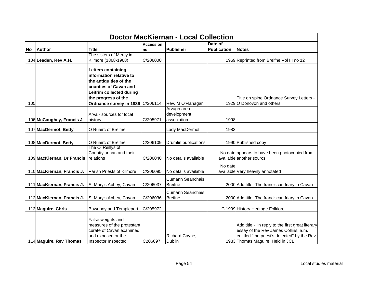|           | <b>Doctor MacKiernan - Local Collection</b> |                                                                                                                                                     |                  |                                           |                    |                                                                                                                                                                             |  |  |  |
|-----------|---------------------------------------------|-----------------------------------------------------------------------------------------------------------------------------------------------------|------------------|-------------------------------------------|--------------------|-----------------------------------------------------------------------------------------------------------------------------------------------------------------------------|--|--|--|
|           |                                             |                                                                                                                                                     | <b>Accession</b> |                                           | Date of            |                                                                                                                                                                             |  |  |  |
| <b>No</b> | Author                                      | <b>Title</b>                                                                                                                                        | no               | <b>Publisher</b>                          | <b>Publication</b> | <b>Notes</b>                                                                                                                                                                |  |  |  |
|           |                                             | The sisters of Mercy in                                                                                                                             |                  |                                           |                    |                                                                                                                                                                             |  |  |  |
|           | 104 Leaden, Rev A.H.                        | Kilmore (1868-1968)                                                                                                                                 | C/206000         |                                           |                    | 1969 Reprinted from Breifne Vol III no 12                                                                                                                                   |  |  |  |
|           |                                             | Letters containing<br>information relative to<br>the antiquities of the<br>counties of Cavan and<br>Leitrim collected during<br>the progress of the |                  |                                           |                    | Title on spine Ordnance Survey Letters -                                                                                                                                    |  |  |  |
| 105       |                                             | Ordnance survey in 1836 C/206114                                                                                                                    |                  | Rev. M O'Flanagan                         |                    | 1929 O Donovon and others                                                                                                                                                   |  |  |  |
|           | 106 McCaughey, Francis J                    | Arva - sources for local<br>history                                                                                                                 | C/205971         | Arvagh area<br>development<br>association | 1998               |                                                                                                                                                                             |  |  |  |
|           | 107 MacDermot, Betty                        | O Ruairc of Breifne                                                                                                                                 |                  | Lady MacDermot                            | 1983               |                                                                                                                                                                             |  |  |  |
|           | 108 MacDermot, Betty                        | O Ruairc of Breifne                                                                                                                                 | C/206109         | Drumlin publications                      |                    | 1990 Published copy                                                                                                                                                         |  |  |  |
|           | 109 MacKiernan, Dr Francis                  | The O' Reillys of<br>Corlattylannan and their<br>relations                                                                                          | C/206040         | No details available                      |                    | No date appears to have been photocopied from<br>available another sourcs                                                                                                   |  |  |  |
|           | 110 MacKiernan, Francis J.                  | Parish Priests of Kilmore                                                                                                                           | C/206095         | No details available                      | No date            | available Very heavily annotated                                                                                                                                            |  |  |  |
|           | 111 MacKiernan, Francis J.                  | St Mary's Abbey, Cavan                                                                                                                              | C/206037         | <b>Cumann Seanchais</b><br><b>Breifne</b> |                    | 2000 Add title - The franciscan friary in Cavan                                                                                                                             |  |  |  |
|           | 112 MacKiernan, Francis J.                  | St Mary's Abbey, Cavan                                                                                                                              | C/206036         | Cumann Seanchais<br><b>Breifne</b>        |                    | 2000 Add title - The franciscan friary in Cavan                                                                                                                             |  |  |  |
|           | 113 Maguire, Chris                          | Bawnboy and Templeport                                                                                                                              | C/205972         |                                           |                    | C.1999 History Heritage Folklore                                                                                                                                            |  |  |  |
|           | 114 Maguire, Rev Thomas                     | False weights and<br>measures of the protestant<br>curate of Cavan examined<br>and exposed or the<br>Inspector Inspected                            | C206097          | Richard Coyne,<br>Dublin                  |                    | Add title - in reply to the first great literary<br>essay of the Rev James Collins, a.m.<br>entitled "the priest's detected" by the Rev<br>1933 Thomas Maguire. Held in JCL |  |  |  |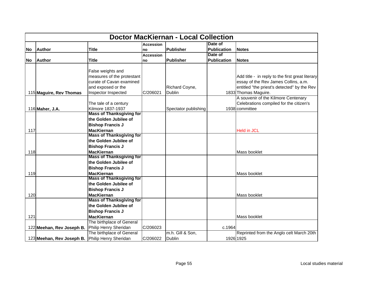|           | <b>Doctor MacKiernan - Local Collection</b>     |                                 |                  |                      |                    |                                                  |  |  |  |
|-----------|-------------------------------------------------|---------------------------------|------------------|----------------------|--------------------|--------------------------------------------------|--|--|--|
|           |                                                 |                                 | <b>Accession</b> |                      | Date of            |                                                  |  |  |  |
| lNo l     | <b>Author</b>                                   | <b>Title</b>                    | no               | Publisher            | <b>Publication</b> | <b>Notes</b>                                     |  |  |  |
|           |                                                 |                                 | <b>Accession</b> |                      | Date of            |                                                  |  |  |  |
| <b>No</b> | <b>Author</b>                                   | <b>Title</b>                    | no               | <b>Publisher</b>     | Publication        | <b>Notes</b>                                     |  |  |  |
|           |                                                 |                                 |                  |                      |                    |                                                  |  |  |  |
|           |                                                 | False weights and               |                  |                      |                    |                                                  |  |  |  |
|           |                                                 | measures of the protestant      |                  |                      |                    | Add title - in reply to the first great literary |  |  |  |
|           |                                                 | curate of Cavan examined        |                  |                      |                    | essay of the Rev James Collins, a.m.             |  |  |  |
|           |                                                 | and exposed or the              |                  | Richard Coyne,       |                    | entitled "the priest's detected" by the Rev      |  |  |  |
|           | 115 Maguire, Rev Thomas                         | Inspector Inspected             | C/206021         | Dublin               |                    | 1833 Thomas Maguire.                             |  |  |  |
|           |                                                 |                                 |                  |                      |                    | A souvenir of the Kilmore Centenary              |  |  |  |
|           |                                                 | The tale of a century           |                  |                      |                    | Celebrations compiled for the citizen's          |  |  |  |
|           | 116 Maher, J.A.                                 | Kilmore 1837-1937               |                  | Spectator publishing |                    | 1938 committee                                   |  |  |  |
|           |                                                 | <b>Mass of Thanksgiving for</b> |                  |                      |                    |                                                  |  |  |  |
|           |                                                 | the Golden Jubilee of           |                  |                      |                    |                                                  |  |  |  |
|           |                                                 | <b>Bishop Francis J</b>         |                  |                      |                    |                                                  |  |  |  |
| 117       |                                                 | <b>MacKiernan</b>               |                  |                      |                    | <b>Held in JCL</b>                               |  |  |  |
|           |                                                 | <b>Mass of Thanksgiving for</b> |                  |                      |                    |                                                  |  |  |  |
|           |                                                 | the Golden Jubilee of           |                  |                      |                    |                                                  |  |  |  |
|           |                                                 | <b>Bishop Francis J</b>         |                  |                      |                    |                                                  |  |  |  |
| 118       |                                                 | <b>MacKiernan</b>               |                  |                      |                    | Mass booklet                                     |  |  |  |
|           |                                                 | <b>Mass of Thanksgiving for</b> |                  |                      |                    |                                                  |  |  |  |
|           |                                                 | the Golden Jubilee of           |                  |                      |                    |                                                  |  |  |  |
|           |                                                 | <b>Bishop Francis J</b>         |                  |                      |                    |                                                  |  |  |  |
| 119       |                                                 | <b>MacKiernan</b>               |                  |                      |                    | Mass booklet                                     |  |  |  |
|           |                                                 | <b>Mass of Thanksgiving for</b> |                  |                      |                    |                                                  |  |  |  |
|           |                                                 | the Golden Jubilee of           |                  |                      |                    |                                                  |  |  |  |
|           |                                                 | <b>Bishop Francis J</b>         |                  |                      |                    |                                                  |  |  |  |
| 120       |                                                 | <b>MacKiernan</b>               |                  |                      |                    | Mass booklet                                     |  |  |  |
|           |                                                 | <b>Mass of Thanksgiving for</b> |                  |                      |                    |                                                  |  |  |  |
|           |                                                 | the Golden Jubilee of           |                  |                      |                    |                                                  |  |  |  |
|           |                                                 | <b>Bishop Francis J</b>         |                  |                      |                    |                                                  |  |  |  |
| 121       |                                                 | <b>MacKiernan</b>               |                  |                      |                    | Mass booklet                                     |  |  |  |
|           |                                                 | The birthplace of General       |                  |                      |                    |                                                  |  |  |  |
|           | 122 Meehan, Rev Joseph B.                       | Philip Henry Sheridan           | C/206023         |                      | c.1964             |                                                  |  |  |  |
|           |                                                 | The birthplace of General       |                  | m.h. Gill & Son,     |                    | Reprinted from the Anglo celt March 20th         |  |  |  |
|           | 123 Meehan, Rev Joseph B. Philip Henry Sheridan |                                 | C/206022         | <b>Dublin</b>        |                    | 1926 1925                                        |  |  |  |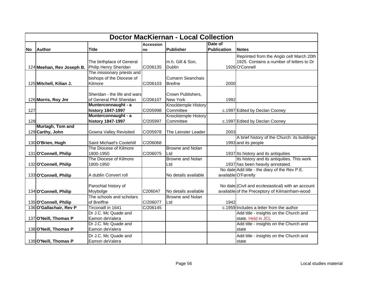|     | <b>Doctor MacKiernan - Local Collection</b> |                              |                  |                         |                    |                                                    |  |  |
|-----|---------------------------------------------|------------------------------|------------------|-------------------------|--------------------|----------------------------------------------------|--|--|
|     |                                             |                              | <b>Accession</b> |                         | Date of            |                                                    |  |  |
| No  | <b>Author</b>                               | <b>Title</b>                 | Ino              | Publisher               | <b>Publication</b> | <b>Notes</b>                                       |  |  |
|     |                                             |                              |                  |                         |                    | Reprinted from the Anglo celt March 20th           |  |  |
|     |                                             | The birthplace of General    |                  | m.h. Gill & Son,        |                    | 1925. Contains a number of letters to Dr           |  |  |
|     | 124 Meehan, Rev Joseph B.                   | Philip Henry Sheridan        | C/206135         | <b>Dublin</b>           |                    | 1926 O'Connell                                     |  |  |
|     |                                             | The missionary priests and   |                  |                         |                    |                                                    |  |  |
|     |                                             | bishops of the Diocese of    |                  | <b>Cumann Seanchais</b> |                    |                                                    |  |  |
|     | 125 Mitchell, Kilian J.                     | Kilmore                      | C/206103         | <b>Breifne</b>          | 2000               |                                                    |  |  |
|     |                                             |                              |                  |                         |                    |                                                    |  |  |
|     |                                             | Sheridan - the life and wars |                  | Crown Publishers,       |                    |                                                    |  |  |
|     | 126 Morris, Roy Jnr                         | of General Phil Sheridan     | C/206107         | New York                | 1992               |                                                    |  |  |
|     |                                             | Munterconnaught - a          |                  | Knocktemple History     |                    |                                                    |  |  |
| 127 |                                             | history 1847-1997            | C/205998         | Committee               |                    | c.1997 Edited by Declan Cooney                     |  |  |
|     |                                             | Munterconnaught - a          |                  | Knocktemple History     |                    |                                                    |  |  |
| 128 |                                             | history 1847-1997            | C/205997         | Committee               |                    | c.1997 Edited by Declan Cooney                     |  |  |
|     | Murtagh, Tom and                            |                              |                  |                         |                    |                                                    |  |  |
|     | 129 Carthy, John                            | Gowna Valley Revisited       | C/205978         | The Leinster Leader     | 2003               |                                                    |  |  |
|     |                                             |                              |                  |                         |                    | A brief history of the Church: its buildings       |  |  |
|     | 130 O'Brien, Hugh                           | Saint Michael's Cootehill    | C/206068         |                         |                    | 1993 and its people                                |  |  |
|     |                                             | The Diocese of Kilmore       |                  | <b>Browne and Nolan</b> |                    |                                                    |  |  |
|     | 131 O'Connell, Philip                       | 1800-1950                    | C/206075         | Ltd                     |                    | 1937 Its history and its antiquities               |  |  |
|     |                                             | The Diocese of Kilmore       |                  | <b>Browne and Nolan</b> |                    | Its history and its antiquities. This work         |  |  |
|     | 132 O'Connell, Philip                       | 1800-1950                    |                  | Ltd                     |                    | 1937 has been heavily annotated.                   |  |  |
|     |                                             |                              |                  |                         |                    | No date Add title - the diary of the Rev P.E.      |  |  |
|     | 133 O'Connell, Philip                       | A dublin Convert roll        |                  | No details available    |                    | available O'Farrelly                               |  |  |
|     |                                             |                              |                  |                         |                    |                                                    |  |  |
|     |                                             | Parochial history of         |                  |                         |                    | No date (Civil and ecclesiastical) with an account |  |  |
|     | 134 O'Connell, Philip                       | Moybolge                     | C206047          | No details available    |                    | available of the Preceptory of Kilmainham-wood     |  |  |
|     |                                             | The schools and scholars     |                  | Browne and Nolan        |                    |                                                    |  |  |
|     | 135 O'Connell, Philip                       | of Breiffne                  | C/206077         | Ltd                     | 1942               |                                                    |  |  |
|     | 136 O'Gallachair, Rev P                     | Tirconaill in 1641           | C/206145         |                         |                    | c.1959 Includes a letter from the author           |  |  |
|     |                                             | Dr J.C. Mc Quade and         |                  |                         |                    | Add title - insights on the Church and             |  |  |
|     | 137 O'Neill, Thomas P                       | Eamon deValera               |                  |                         |                    | state. Held in JCL                                 |  |  |
|     |                                             | Dr J.C. Mc Quade and         |                  |                         |                    | Add title - insights on the Church and             |  |  |
|     | 138 O'Neill, Thomas P                       | Eamon deValera               |                  |                         |                    | state                                              |  |  |
|     |                                             | Dr J.C. Mc Quade and         |                  |                         |                    | Add title - insights on the Church and             |  |  |
|     | 139 O'Neill, Thomas P                       | Eamon deValera               |                  |                         |                    | state                                              |  |  |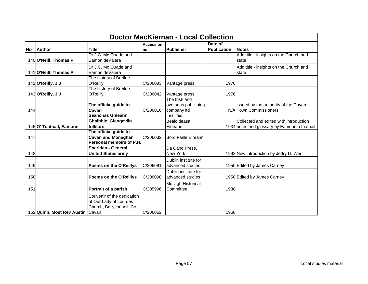|       | <b>Doctor MacKiernan - Local Collection</b> |                                                                                  |                        |                                                     |                               |                                                                                        |  |  |  |
|-------|---------------------------------------------|----------------------------------------------------------------------------------|------------------------|-----------------------------------------------------|-------------------------------|----------------------------------------------------------------------------------------|--|--|--|
| lNo l | <b>Author</b>                               | <b>Title</b>                                                                     | <b>Accession</b><br>no | <b>Publisher</b>                                    | Date of<br><b>Publication</b> | <b>Notes</b>                                                                           |  |  |  |
|       | 140 O'Neill, Thomas P                       | Dr J.C. Mc Quade and<br>Eamon deValera                                           |                        |                                                     |                               | Add title - insights on the Church and<br>state                                        |  |  |  |
|       | 141 O'Neill, Thomas P                       | Dr J.C. Mc Quade and<br>Eamon deValera                                           |                        |                                                     |                               | Add title - insights on the Church and<br>state                                        |  |  |  |
|       | 142 O'Reilly, J.J                           | The history of Breifne<br>O'Reilly                                               | C/206083               | Vantage press                                       | 1976                          |                                                                                        |  |  |  |
|       | 143 O'Reilly, J.J                           | The history of Breifne<br>O'Reilly                                               | C/206042               | Vantage press                                       | 1976                          |                                                                                        |  |  |  |
| 144   |                                             | The official guide to<br>Cavan                                                   | C/206010               | The Irish and<br>overseas publishing<br>company Itd |                               | issued by the authority of the Cavan<br>N/A Town Commissioners                         |  |  |  |
|       | 145 O' Tuathail, Eamonn                     | <b>Seanchas Ghleann</b><br>Ghaibhle, Glangevlin<br>folklore                      |                        | Institiúid<br>Bealoideasa<br>Eieeann                |                               | Collected and edited with introduction<br>1934 notes and glossary by Eamonn o tuathail |  |  |  |
| 147   |                                             | The official guide to<br><b>Cavan and Monaghan</b>                               | C/206032               | <b>Bord Failte Eireann</b>                          |                               |                                                                                        |  |  |  |
| 148   |                                             | Personal memoirs of P.H.<br>Sheridan - General<br><b>United States army</b>      |                        | Da Capo Press,<br><b>New York</b>                   |                               | 1992 New introduction by Jeffry D. Wert                                                |  |  |  |
| 149   |                                             | Poems on the O'Reillys                                                           | C/206091               | Dublin institute for<br>advanced studies            |                               | 1950 Edited by James Carney                                                            |  |  |  |
| 150   |                                             | Poems on the O'Reillys                                                           | C/206090               | Dublin institute for<br>advanced studies            |                               | 1950 Edited by James Carney                                                            |  |  |  |
| 151   |                                             | Portrait of a parish                                                             | C/205996               | Mullagh Historical<br>Committee                     | 1988                          |                                                                                        |  |  |  |
|       | 152 Quinn, Most Rev Austin   Cavan          | Souvenir of the dedication<br>of Our Lady of Lourdes<br>Church, Ballyconnell, Co | C/206052               |                                                     | 1968                          |                                                                                        |  |  |  |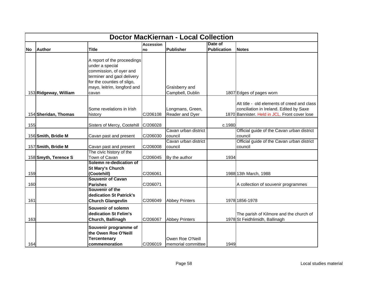|           | <b>Doctor MacKiernan - Local Collection</b> |                                                                                                                                                                               |                  |                                        |                    |                                                                                                                                         |  |  |  |
|-----------|---------------------------------------------|-------------------------------------------------------------------------------------------------------------------------------------------------------------------------------|------------------|----------------------------------------|--------------------|-----------------------------------------------------------------------------------------------------------------------------------------|--|--|--|
|           |                                             |                                                                                                                                                                               | <b>Accession</b> |                                        | Date of            |                                                                                                                                         |  |  |  |
| <b>No</b> | <b>Author</b>                               | <b>Title</b>                                                                                                                                                                  | no               | Publisher                              | <b>Publication</b> | <b>Notes</b>                                                                                                                            |  |  |  |
|           | 153 Ridgeway, William                       | A report of the proceedings<br>under a special<br>commission, of oyer and<br>terminer and gaol delivery<br>for the counties of sligo,<br>mayo, leitrim, longford and<br>cavan |                  | Graisberry and<br>Campbell, Dublin     |                    | 1807 Edges of pages worn                                                                                                                |  |  |  |
|           | 154 Sheridan, Thomas                        | Some revelations in Irish<br>history                                                                                                                                          | C/206108         | Longmans, Green,<br>Reader and Dyer    |                    | Alt title - old elements of creed and class<br>conciliation in Ireland. Edited by Saxe<br>1870 Bannister. Held in JCL. Front cover lose |  |  |  |
| 155       |                                             | Sisters of Mercy, Cootehill                                                                                                                                                   | C/206028         |                                        | c.1980             |                                                                                                                                         |  |  |  |
|           | 156 Smith, Bridie M                         | Cavan past and present                                                                                                                                                        | C/206030         | Cavan urban district<br>council        |                    | Official guide of the Cavan urban district<br>council                                                                                   |  |  |  |
|           | 157 Smith, Bridie M                         | Cavan past and present                                                                                                                                                        | C/206008         | Cavan urban district<br>council        |                    | Official guide of the Cavan urban district<br>council                                                                                   |  |  |  |
|           | 158 Smyth, Terence S                        | The civic history of the<br>Town of Cavan<br>Solemn re-dedication of                                                                                                          | C/206045         | By the author                          | 1934               |                                                                                                                                         |  |  |  |
| 159       |                                             | <b>St Mary's Church</b><br>(Cootehill)                                                                                                                                        | C/206061         |                                        |                    | 1988 13th March, 1988                                                                                                                   |  |  |  |
| 160       |                                             | <b>Souvenir of Cavan</b><br><b>Parishes</b><br>Souvenir of the                                                                                                                | C/206071         |                                        |                    | A collection of souvenir programmes                                                                                                     |  |  |  |
| 161       |                                             | dedication St Patrick's<br><b>Church Glangevlin</b>                                                                                                                           | C/206049         | <b>Abbey Printers</b>                  |                    | 1978 1856-1978                                                                                                                          |  |  |  |
| 163       |                                             | Souvenir of solemn<br>dedication St Felim's<br>Church, Ballinagh                                                                                                              | C/206067         | <b>Abbey Printers</b>                  |                    | The parish of Kilmore and the church of<br>1978 St Feidhlimidh, Ballinagh                                                               |  |  |  |
| 164       |                                             | Souvenir programme of<br>the Owen Roe O'Neill<br><b>Tercentenary</b><br>commemoration                                                                                         | C/206019         | Owen Roe O'Neill<br>memorial committee | 1949               |                                                                                                                                         |  |  |  |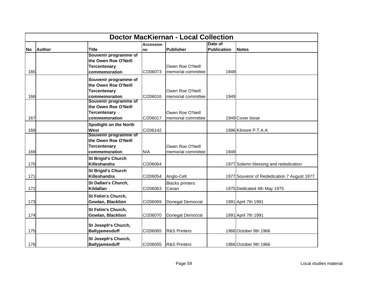|           | <b>Doctor MacKiernan - Local Collection</b> |                               |                  |                         |                    |                                             |  |  |  |
|-----------|---------------------------------------------|-------------------------------|------------------|-------------------------|--------------------|---------------------------------------------|--|--|--|
|           |                                             |                               | <b>Accession</b> |                         | Date of            |                                             |  |  |  |
| <b>No</b> | <b>Author</b>                               | <b>Title</b>                  | <b>no</b>        | Publisher               | <b>Publication</b> | <b>Notes</b>                                |  |  |  |
|           |                                             | Souvenir programme of         |                  |                         |                    |                                             |  |  |  |
|           |                                             | the Owen Roe O'Neill          |                  |                         |                    |                                             |  |  |  |
|           |                                             | <b>Tercentenary</b>           |                  | Owen Roe O'Neill        |                    |                                             |  |  |  |
| 165       |                                             | commemoration                 | C/206073         | memorial committee      | 1949               |                                             |  |  |  |
|           |                                             | Souvenir programme of         |                  |                         |                    |                                             |  |  |  |
|           |                                             | the Owen Roe O'Neill          |                  |                         |                    |                                             |  |  |  |
|           |                                             | <b>Tercentenary</b>           |                  | Owen Roe O'Neill        |                    |                                             |  |  |  |
| 166       |                                             | commemoration                 | C/206016         | memorial committee      | 1949               |                                             |  |  |  |
|           |                                             | Souvenir programme of         |                  |                         |                    |                                             |  |  |  |
|           |                                             | the Owen Roe O'Neill          |                  |                         |                    |                                             |  |  |  |
|           |                                             | <b>Tercentenary</b>           |                  | Owen Roe O'Neill        |                    |                                             |  |  |  |
| 167       |                                             | commemoration                 | C/206017         | memorial committee      |                    | 1949 Cover loose                            |  |  |  |
|           |                                             | <b>Spotlight on the North</b> |                  |                         |                    |                                             |  |  |  |
| 168       |                                             | <b>West</b>                   | C/206142         |                         |                    | 1996 Kilmore P.T.A.A                        |  |  |  |
|           |                                             | Souvenir programme of         |                  |                         |                    |                                             |  |  |  |
|           |                                             | the Owen Roe O'Neill          |                  |                         |                    |                                             |  |  |  |
|           |                                             | Tercentenary                  |                  | Owen Roe O'Neill        |                    |                                             |  |  |  |
| 169       |                                             | commemoration                 | N/A              | memorial committee      | 1949               |                                             |  |  |  |
|           |                                             | <b>St Brigid's Church</b>     |                  |                         |                    |                                             |  |  |  |
| 170       |                                             | Killeshandra                  | C/206064         |                         |                    | 1977 Solemn blessing and rededication       |  |  |  |
|           |                                             | <b>St Brigid's Church</b>     |                  |                         |                    |                                             |  |  |  |
| 171       |                                             | Killeshandra                  | C/206054         | Anglo-Celt              |                    | 1977 Souvenir of Rededication 7 August 1977 |  |  |  |
|           |                                             | St Dallan's Church,           |                  | <b>Blacks printers</b>  |                    |                                             |  |  |  |
| 172       |                                             | Kildallan                     | C/206063         | Cavan                   |                    | 1975 Dedicated 4th May 1975                 |  |  |  |
|           |                                             | St Felim's Church,            |                  |                         |                    |                                             |  |  |  |
| 173       |                                             | Gowlan, Blacklion             | C/206069         | Donegal Democrat        |                    | 1991 April 7th 1991                         |  |  |  |
|           |                                             |                               |                  |                         |                    |                                             |  |  |  |
|           |                                             | <b>St Felim's Church,</b>     |                  |                         |                    |                                             |  |  |  |
| 174       |                                             | <b>Gowlan, Blacklion</b>      | C/206070         | Donegal Democrat        |                    | 1991 April 7th 1991                         |  |  |  |
|           |                                             | St Joseph's Church,           |                  |                         |                    |                                             |  |  |  |
| 175       |                                             | <b>Ballyjamesduff</b>         | C/206065         | <b>R&amp;S Printers</b> |                    | 1966 October 9th 1966                       |  |  |  |
|           |                                             |                               |                  |                         |                    |                                             |  |  |  |
|           |                                             | St Joseph's Church,           |                  |                         |                    |                                             |  |  |  |
| 176       |                                             | <b>Ballyjamesduff</b>         | C/206055         | <b>R&amp;S Printers</b> |                    | 1966 October 9th 1966                       |  |  |  |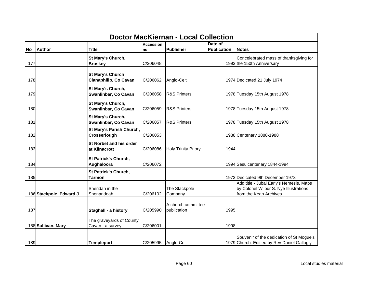|     | <b>Doctor MacKiernan - Local Collection</b> |                              |                  |                                   |                    |                                                                                         |  |  |  |
|-----|---------------------------------------------|------------------------------|------------------|-----------------------------------|--------------------|-----------------------------------------------------------------------------------------|--|--|--|
|     |                                             |                              | <b>Accession</b> |                                   | Date of            |                                                                                         |  |  |  |
| No. | <b>Author</b>                               | <b>Title</b>                 | Ino              | <b>Publisher</b>                  | <b>Publication</b> | <b>Notes</b>                                                                            |  |  |  |
|     |                                             | St Mary's Church,            |                  |                                   |                    | Concelebrated mass of thanksgiving for                                                  |  |  |  |
| 177 |                                             | <b>Bruskey</b>               | C/206048         |                                   |                    | 1993 the 150th Anniversary                                                              |  |  |  |
|     |                                             | <b>St Mary's Church</b>      |                  |                                   |                    |                                                                                         |  |  |  |
| 178 |                                             | <b>Clanaphilip, Co Cavan</b> | C/206062         | Anglo-Celt                        |                    | 1974 Dedicated 21 July 1974                                                             |  |  |  |
|     |                                             | St Mary's Church,            |                  |                                   |                    |                                                                                         |  |  |  |
| 179 |                                             | Swanlinbar, Co Cavan         | C/206058         | <b>R&amp;S Printers</b>           |                    | 1978 Tuesday 15th August 1978                                                           |  |  |  |
|     |                                             | St Mary's Church,            |                  |                                   |                    |                                                                                         |  |  |  |
| 180 |                                             | Swanlinbar, Co Cavan         | C/206059         | <b>R&amp;S Printers</b>           |                    | 1978 Tuesday 15th August 1978                                                           |  |  |  |
|     |                                             | St Mary's Church,            |                  |                                   |                    |                                                                                         |  |  |  |
| 181 |                                             | Swanlinbar, Co Cavan         | C/206057         | <b>R&amp;S Printers</b>           |                    | 1978 Tuesday 15th August 1978                                                           |  |  |  |
|     |                                             | St Mary's Parish Church,     |                  |                                   |                    |                                                                                         |  |  |  |
| 182 |                                             | Crosserlough                 | C/206053         |                                   |                    | 1988 Centenary 1888-1988                                                                |  |  |  |
|     |                                             | St Norbet and his order      |                  |                                   |                    |                                                                                         |  |  |  |
| 183 |                                             | at Kilnacrott                | C/206086         | <b>Holy Trinity Priory</b>        | 1944               |                                                                                         |  |  |  |
|     |                                             | <b>St Patrick's Church,</b>  |                  |                                   |                    |                                                                                         |  |  |  |
| 184 |                                             | Aughaloora                   | C/206072         |                                   |                    | 1994 Sesuicentenary 1844-1994                                                           |  |  |  |
|     |                                             | St Patrick's Church,         |                  |                                   |                    |                                                                                         |  |  |  |
| 185 |                                             | <b>Tarmon</b>                |                  |                                   |                    | 1973 Dedicated 9th December 1973<br>Add title - Jubal Early's Nemesis. Maps             |  |  |  |
|     |                                             | Sheridan in the              |                  | The Stackpole                     |                    | by Colonel Wilbur S. Nye Illustrations                                                  |  |  |  |
|     | 186 Stackpole, Edward J                     | Shenandoah                   | C/206102         | Company                           |                    | from the Kean Archives                                                                  |  |  |  |
|     |                                             |                              |                  |                                   |                    |                                                                                         |  |  |  |
| 187 |                                             | Staghall - a history         | C/205990         | A church committee<br>publication | 1995               |                                                                                         |  |  |  |
|     |                                             |                              |                  |                                   |                    |                                                                                         |  |  |  |
|     |                                             | The graveyards of County     |                  |                                   |                    |                                                                                         |  |  |  |
|     | 188 Sullivan, Mary                          | Cavan - a survey             | C/206001         |                                   | 1998               |                                                                                         |  |  |  |
| 189 |                                             | <b>Templeport</b>            | C/205995         | Anglo-Celt                        |                    | Souvenir of the dedication of St Mogue's<br>1979 Church. Editied by Rev Daniel Gallogly |  |  |  |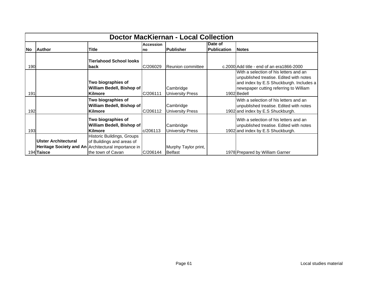|           | <b>Doctor MacKiernan - Local Collection</b> |                                                                                                                                     |                  |                                      |                    |                                                                                                                                                                                       |  |  |  |
|-----------|---------------------------------------------|-------------------------------------------------------------------------------------------------------------------------------------|------------------|--------------------------------------|--------------------|---------------------------------------------------------------------------------------------------------------------------------------------------------------------------------------|--|--|--|
|           |                                             |                                                                                                                                     | <b>Accession</b> |                                      | Date of            |                                                                                                                                                                                       |  |  |  |
| <b>No</b> | <b>Author</b>                               | Title                                                                                                                               | Ino              | <b>Publisher</b>                     | <b>Publication</b> | <b>Notes</b>                                                                                                                                                                          |  |  |  |
| 190       |                                             | Tierlahood School looks<br>back                                                                                                     | C/206029         | Reunion committee                    |                    | c.2000 Add title - end of an era1866-2000                                                                                                                                             |  |  |  |
| 191       |                                             | Two biographies of<br>William Bedell, Bishop of<br><b>Kilmore</b>                                                                   | C/206111         | Cambridge<br><b>University Press</b> |                    | With a selection of his letters and an<br>unpublished treatise. Edited with notes<br>and index by E.S Shuckburgh. Includes a<br>newspaper cutting referring to William<br>1902 Bedell |  |  |  |
| 192       |                                             | Two biographies of<br>William Bedell, Bishop of<br><b>Kilmore</b>                                                                   | C/206112         | Cambridge<br><b>University Press</b> |                    | With a selection of his letters and an<br>unpublished treatise. Edited with notes<br>1902 and index by E.S Shuckburgh.                                                                |  |  |  |
| 193       |                                             | Two biographies of<br>William Bedell, Bishop of<br><b>Kilmore</b>                                                                   | c/206113         | Cambridge<br><b>University Press</b> |                    | With a selection of his letters and an<br>unpublished treatise. Edited with notes<br>1902 and index by E.S Shuckburgh.                                                                |  |  |  |
|           | Ulster Architectural<br>194 Taisce          | Historic Buildings, Groups<br>of Buildings and areas of<br>Heritage Society and An Architectural importance in<br>the town of Cavan | C/206144         | Murphy Taylor print,<br>Belfast      |                    | 1978 Prepared by William Garner                                                                                                                                                       |  |  |  |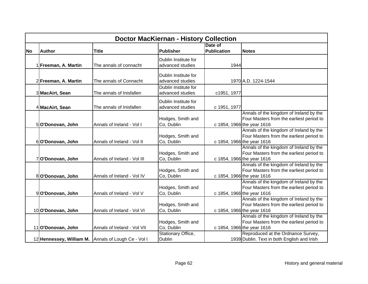|           | <b>Doctor MacKiernan - History Collection</b> |                                                     |                                          |                               |                                                                                                                   |  |  |
|-----------|-----------------------------------------------|-----------------------------------------------------|------------------------------------------|-------------------------------|-------------------------------------------------------------------------------------------------------------------|--|--|
| <b>No</b> | <b>Author</b>                                 | <b>Title</b>                                        | <b>Publisher</b>                         | Date of<br><b>Publication</b> | <b>Notes</b>                                                                                                      |  |  |
|           | Freeman, A. Martin                            | The annals of connacht                              | Dublin Institute for<br>advanced studies | 1944                          |                                                                                                                   |  |  |
|           | 2 Freeman, A. Martin                          | The annals of Connacht                              | Dublin Institute for<br>advanced studies |                               | 1970 A.D. 1224-1544                                                                                               |  |  |
|           | 3 MacAirt, Sean                               | The annals of Inisfallen                            | Dublin Institute for<br>advanced studies | c1951, 1977                   |                                                                                                                   |  |  |
|           | 4 MacAirt, Sean                               | The annals of Inisfallen                            | Dublin Institute for<br>advanced studies | c 1951, 1977                  |                                                                                                                   |  |  |
|           | 5 O'Donovan, John                             | Annals of Ireland - Vol I                           | Hodges, Smith and<br>Co, Dublin          |                               | Annals of the kingdom of Ireland by the<br>Four Masters from the earliest period to<br>c 1854, 1966 the year 1616 |  |  |
|           | 6 O'Donovan, John                             | Annals of Ireland - Vol II                          | Hodges, Smith and<br>Co, Dublin          |                               | Annals of the kingdom of Ireland by the<br>Four Masters from the earliest period to<br>c 1854, 1966 the year 1616 |  |  |
|           | 7 O'Donovan, John                             | Annals of Ireland - Vol III                         | Hodges, Smith and<br>Co, Dublin          |                               | Annals of the kingdom of Ireland by the<br>Four Masters from the earliest period to<br>c 1854, 1966 the year 1616 |  |  |
|           | 8 O'Donovan, John                             | Annals of Ireland - Vol IV                          | Hodges, Smith and<br>Co, Dublin          |                               | Annals of the kingdom of Ireland by the<br>Four Masters from the earliest period to<br>c 1854, 1966 the year 1616 |  |  |
|           | 9O'Donovan, John                              | Annals of Ireland - Vol V                           | Hodges, Smith and<br>Co, Dublin          |                               | Annals of the kingdom of Ireland by the<br>Four Masters from the earliest period to<br>c 1854, 1966 the year 1616 |  |  |
|           | 10 O'Donovan, John                            | Annals of Ireland - Vol VI                          | Hodges, Smith and<br>Co, Dublin          |                               | Annals of the kingdom of Ireland by the<br>Four Masters from the earliest period to<br>c 1854, 1966 the year 1616 |  |  |
|           | 11 O'Donovan, John                            | Annals of Ireland - Vol VII                         | Hodges, Smith and<br>Co, Dublin          |                               | Annals of the kingdom of Ireland by the<br>Four Masters from the earliest period to<br>c 1854, 1966 the year 1616 |  |  |
|           |                                               | 12 Hennessey, William M. Annals of Lough Ce - Vol I | Stationary Office,<br><b>Dublin</b>      |                               | Reproduced at the Ordnance Survey,<br>1939 Dublin. Text in both English and Irish                                 |  |  |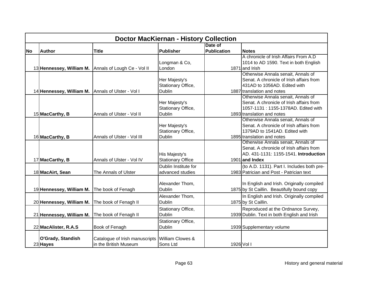|           | <b>Doctor MacKiernan - History Collection</b>     |                                                      |                             |                    |                                             |  |  |
|-----------|---------------------------------------------------|------------------------------------------------------|-----------------------------|--------------------|---------------------------------------------|--|--|
|           |                                                   |                                                      |                             | Date of            |                                             |  |  |
| <b>No</b> | <b>Author</b>                                     | <b>Title</b>                                         | <b>Publisher</b>            | <b>Publication</b> | <b>Notes</b>                                |  |  |
|           |                                                   |                                                      |                             |                    | A chronicle of Irish Affairs From A.D       |  |  |
|           |                                                   |                                                      | Longman & Co,               |                    | 1014 to AD 1590. Text in both English       |  |  |
|           |                                                   | 13 Hennessey, William M. Annals of Lough Ce - Vol II | London                      |                    | 1871 and Irish                              |  |  |
|           |                                                   |                                                      |                             |                    | Otherwise Annala senait, Annals of          |  |  |
|           |                                                   |                                                      | Her Majesty's               |                    | Senat. A chronicle of Irish affairs from    |  |  |
|           |                                                   |                                                      | Stationary Office,          |                    | 431AD to 1056AD. Edited with                |  |  |
|           | 14 Hennessey, William M. Annals of Ulster - Vol I |                                                      | <b>Dublin</b>               |                    | 1887 translation and notes                  |  |  |
|           |                                                   |                                                      |                             |                    | Otherwise Annala senait, Annals of          |  |  |
|           |                                                   |                                                      | Her Majesty's               |                    | Senat. A chronicle of Irish affairs from    |  |  |
|           |                                                   |                                                      | Stationary Office,          |                    | 1057-1131: 1155-1378AD. Edited with         |  |  |
|           | 15 MacCarthy, B                                   | Annals of Ulster - Vol II                            | <b>Dublin</b>               |                    | 1893 translation and notes                  |  |  |
|           |                                                   |                                                      |                             |                    | Otherwise Annala senait, Annals of          |  |  |
|           |                                                   |                                                      | Her Majesty's               |                    | Senat. A chronicle of Irish affairs from    |  |  |
|           |                                                   |                                                      | Stationary Office,          |                    | 1379AD to 1541AD. Edited with               |  |  |
|           | 16 MacCarthy, B                                   | Annals of Ulster - Vol III                           | <b>Dublin</b>               |                    | 1895 translation and notes                  |  |  |
|           |                                                   |                                                      |                             |                    | Otherwise Annala senait, Annals of          |  |  |
|           |                                                   |                                                      |                             |                    | Senat. A chronicle of Irish affairs from    |  |  |
|           |                                                   |                                                      | His Majesty's               |                    | AD. 431-1131: 1155-1541. Introduction       |  |  |
|           | 17 MacCarthy, B                                   | Annals of Ulster - Vol IV                            | <b>Stationary Office</b>    |                    | 1901 and Index                              |  |  |
|           |                                                   |                                                      | Dublin Institute for        |                    | (to A.D. 1131). Part I. Includes both pre-  |  |  |
|           | 18 MacAirt, Sean                                  | The Annals of Ulster                                 | advanced studies            |                    | 1983 Patrician and Post - Patrician text    |  |  |
|           |                                                   |                                                      |                             |                    |                                             |  |  |
|           |                                                   |                                                      | Alexander Thom,             |                    | In English and Irish. Originally compiled   |  |  |
|           | 19 Hennessey, William M.                          | The book of Fenagh                                   | <b>Dublin</b>               |                    | 1875 by St Caillin. Beautifully bound copy  |  |  |
|           |                                                   |                                                      | Alexander Thom,             |                    | In English and Irish. Originally compiled   |  |  |
|           | 20 Hennessey, William M.                          | The book of Fenagh II                                | <b>Dublin</b>               |                    | 1875 by St Caillin.                         |  |  |
|           |                                                   |                                                      | Stationary Office,          |                    | Reproduced at the Ordnance Survey,          |  |  |
|           | 21 Hennessey, William M.                          | The book of Fenagh II                                | <b>Dublin</b>               |                    | 1939 Dublin. Text in both English and Irish |  |  |
|           |                                                   |                                                      | Stationary Office,          |                    |                                             |  |  |
|           | 22 MacAlister, R.A.S                              | Book of Fenagh                                       | <b>Dublin</b>               |                    | 1939 Supplementary volume                   |  |  |
|           |                                                   |                                                      |                             |                    |                                             |  |  |
|           | O'Grady, Standish                                 | Catalogue of Irish manuscripts                       | <b>William Clowes &amp;</b> |                    |                                             |  |  |
|           | 23 Hayes                                          | in the British Museum                                | Sons Ltd                    | 1926 Vol I         |                                             |  |  |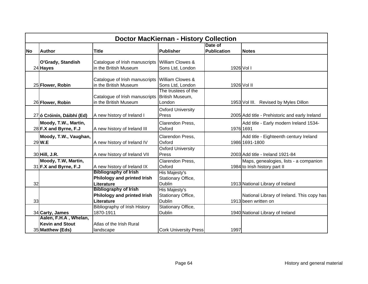|           | <b>Doctor MacKiernan - History Collection</b>                       |                                                                           |                                                             |                               |                                                                         |  |  |
|-----------|---------------------------------------------------------------------|---------------------------------------------------------------------------|-------------------------------------------------------------|-------------------------------|-------------------------------------------------------------------------|--|--|
| <b>No</b> | <b>Author</b>                                                       | <b>Title</b>                                                              | Publisher                                                   | Date of<br><b>Publication</b> | <b>Notes</b>                                                            |  |  |
|           | O'Grady, Standish<br>24 Hayes                                       | Catalogue of Irish manuscripts<br>in the British Museum                   | William Clowes &<br>Sons Ltd, London                        |                               | 1926 Vol I                                                              |  |  |
|           | 25 Flower, Robin                                                    | Catalogue of Irish manuscripts<br>in the British Museum                   | <b>William Clowes &amp;</b><br>Sons Ltd, London             |                               | 1926 Vol II                                                             |  |  |
|           | 26 Flower, Robin                                                    | Catalogue of Irish manuscripts<br>in the British Museum                   | The trustees of the<br>British Museum,<br>London            |                               | 1953 Vol III. Revised by Myles Dillon                                   |  |  |
|           | 27 ó Cróinín, Dáibhí (Ed)                                           | A new history of Ireland I                                                | <b>Oxford University</b><br>Press                           |                               | 2005 Add title - Prehistoric and early Ireland                          |  |  |
|           | Moody, T.W., Martin,<br>28 F.X and Byrne, F.J                       | A new history of Ireland III                                              | Clarendon Press,<br>Oxford                                  |                               | Add title - Early modern Ireland 1534-<br>1976 1691                     |  |  |
|           | Moody, T.W., Vaughan,<br>29 W.E                                     | A new history of Ireland IV                                               | Clarendon Press,<br>Oxford                                  |                               | Add title - Eighteenth century Ireland<br>1986 1691-1800                |  |  |
|           | 30 Hill, J.R.                                                       | A new history of Ireland VII                                              | <b>Oxford University</b><br>Press                           |                               | 2003 Add title - Ireland 1921-84                                        |  |  |
|           | Moody, T.W, Martin,<br>$31$ F.X and Byrne, F.J                      | A new history of Ireland IX                                               | Clarendon Press,<br>Oxford                                  |                               | Maps, genealogies, lists - a companion<br>1984 to Irish history part II |  |  |
| 32        |                                                                     | <b>Bibliography of Irish</b><br>Philology and printed Irish<br>Literature | <b>His Majesty's</b><br>Stationary Office,<br><b>Dublin</b> |                               | 1913 National Library of Ireland                                        |  |  |
| 33        |                                                                     | <b>Bibliography of Irish</b><br>Philology and printed Irish<br>Literature | His Majesty's<br>Stationary Office,<br><b>Dublin</b>        |                               | National Library of Ireland. This copy has<br>1913 been written on      |  |  |
|           | 34 Carty, James                                                     | Bibliography of Irish History<br>1870-1911                                | Stationary Office,<br><b>Dublin</b>                         |                               | 1940 National Library of Ireland                                        |  |  |
|           | Aalen, F.H.A, Whelan,<br><b>Kevin and Stout</b><br>35 Matthew (Eds) | Atlas of the Irish Rural<br>landscape                                     | <b>Cork University Press</b>                                | 1997                          |                                                                         |  |  |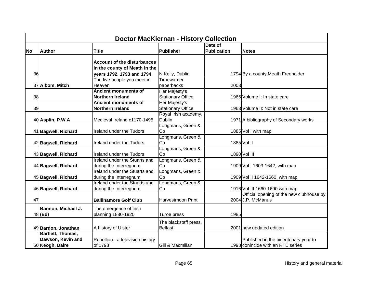|           | <b>Doctor MacKiernan - History Collection</b> |                                    |                          |                    |                                          |  |  |
|-----------|-----------------------------------------------|------------------------------------|--------------------------|--------------------|------------------------------------------|--|--|
|           |                                               |                                    |                          | Date of            |                                          |  |  |
| <b>No</b> | <b>Author</b>                                 | <b>Title</b>                       | <b>Publisher</b>         | <b>Publication</b> | <b>Notes</b>                             |  |  |
|           |                                               |                                    |                          |                    |                                          |  |  |
|           |                                               | <b>Account of the disturbances</b> |                          |                    |                                          |  |  |
|           |                                               | in the county of Meath in the      |                          |                    |                                          |  |  |
| 36        |                                               | years 1792, 1793 and 1794          | N.Kelly, Dublin          |                    | 1794 By a county Meath Freeholder        |  |  |
|           |                                               | The five people you meet in        | Timewarner               |                    |                                          |  |  |
|           | 37 Albom, Mitch                               | Heaven                             | paperbacks               | 2003               |                                          |  |  |
|           |                                               | <b>Ancient monuments of</b>        | Her Majesty's            |                    |                                          |  |  |
| 38        |                                               | Northern Ireland                   | <b>Stationary Office</b> |                    | 1966 Volume I: In state care             |  |  |
|           |                                               | <b>Ancient monuments of</b>        | Her Majesty's            |                    |                                          |  |  |
| 39        |                                               | <b>Northern Ireland</b>            | <b>Stationary Office</b> |                    | 1963 Volume II: Not in state care        |  |  |
|           |                                               |                                    | Royal Irish academy,     |                    |                                          |  |  |
|           | 40 Asplin, P.W.A                              | Medieval Ireland c1170-1495        | <b>Dublin</b>            |                    | 1971 A bibliography of Secondary works   |  |  |
|           |                                               |                                    | Longmans, Green &        |                    |                                          |  |  |
|           | 41 Bagwell, Richard                           | Ireland under the Tudors           | Co                       |                    | 1885 Vol I with map                      |  |  |
|           |                                               |                                    | Longmans, Green &        |                    |                                          |  |  |
|           | 42 Bagwell, Richard                           | Ireland under the Tudors           | Co                       |                    | 1885 Vol II                              |  |  |
|           |                                               |                                    | Longmans, Green &        |                    |                                          |  |  |
|           | 43 Bagwell, Richard                           | Ireland under the Tudors           | Co                       |                    | 1890 Vol III                             |  |  |
|           |                                               | Ireland under the Stuarts and      | Longmans, Green &        |                    |                                          |  |  |
|           | 44 Bagwell, Richard                           | during the Interregnum             | Co                       |                    | 1909 Vol I 1603-1642, with map           |  |  |
|           |                                               | Ireland under the Stuarts and      | Longmans, Green &        |                    |                                          |  |  |
|           | 45 Bagwell, Richard                           | during the Interregnum             | Co                       |                    | 1909 Vol II 1642-1660, with map          |  |  |
|           |                                               | Ireland under the Stuarts and      | Longmans, Green &        |                    |                                          |  |  |
|           | 46 Bagwell, Richard                           | during the Interregnum             | Co                       |                    | 1916 Vol III 1660-1690 with map          |  |  |
|           |                                               |                                    |                          |                    | Official opening of the new clubhouse by |  |  |
| 47        |                                               | <b>Ballinamore Golf Club</b>       | Harvestmoon Print        |                    | 2004 J.P. McManus                        |  |  |
|           | Bannon, Michael J.                            | The emergence of Irish             |                          |                    |                                          |  |  |
|           | $48$ (Ed)                                     | planning 1880-1920                 | Turoe press              | 1985               |                                          |  |  |
|           |                                               |                                    |                          |                    |                                          |  |  |
|           |                                               |                                    | The blackstaff press,    |                    |                                          |  |  |
|           | 49 Bardon, Jonathan                           | A history of Ulster                | <b>Belfast</b>           |                    | 2001 new updated edition                 |  |  |
|           | Bartlett, Thomas,                             |                                    |                          |                    |                                          |  |  |
|           | Dawson, Kevin and                             | Rebellion - a television history   |                          |                    | Published in the bicentenary year to     |  |  |
|           | 50 Keogh, Daire                               | of 1798                            | Gill & Macmillan         |                    | 1998 conincide with an RTE series        |  |  |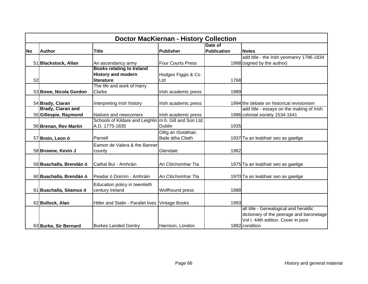|           | <b>Doctor MacKiernan - History Collection</b>     |                                                                             |                                           |                               |                                                                                                                                           |  |  |
|-----------|---------------------------------------------------|-----------------------------------------------------------------------------|-------------------------------------------|-------------------------------|-------------------------------------------------------------------------------------------------------------------------------------------|--|--|
| <b>No</b> | <b>Author</b>                                     | <b>Title</b>                                                                | Publisher                                 | Date of<br><b>Publication</b> | <b>Notes</b>                                                                                                                              |  |  |
|           | 51 Blackstock, Allan                              | An ascendancy army                                                          | <b>Four Courts Press</b>                  |                               | add title - the Irish yeomanry 1796-1834<br>1998 (signed by the author)                                                                   |  |  |
| 52        |                                                   | <b>Books relating to Ireland</b><br><b>History and modern</b><br>literature | Hodges Figgis & Co<br>Ltd                 | 1768                          |                                                                                                                                           |  |  |
|           | 53 Bowe, Nicola Gordon                            | The life and work of Harry<br>Clarke                                        | Irish academic press                      | 1989                          |                                                                                                                                           |  |  |
|           | 54 Brady, Ciaran                                  | Interpreting Irish history                                                  | Irish academic press                      |                               | 1994 the debate on historical revisionism                                                                                                 |  |  |
|           | <b>Brady, Ciaran and</b><br>55 Gillespie, Raymond | Natives and newcomers                                                       | Irish academic press                      |                               | add title - essays on the making of Irish<br>1986 colonial society 1534-1641                                                              |  |  |
|           | 56 Brenan, Rev Martin                             | Schools of Kildare and Leighlin<br>A.D. 1775-1835                           | m.h. Gill and Son Ltd.<br>Dublin          | 1935                          |                                                                                                                                           |  |  |
|           | 57 Broin, Leon ó                                  | Parnell                                                                     | Oifig an tSoláthair,<br>Baile átha Cliath |                               | 1937 Ta an leabhair seo as gaeilge                                                                                                        |  |  |
|           | 58 Browne, Kevin J                                | Eamon de Valera & the Banner<br>county                                      | Glendale                                  | 1982                          |                                                                                                                                           |  |  |
|           | 59 Buachalla, Brendán ó                           | Cathal Buí - Amhráin                                                        | An Clóchomhar Tta                         |                               | 1975 Ta an leabhair seo as gaeilge                                                                                                        |  |  |
|           | 60 Buachalla, Brendán ó                           | Peadar ó Doirnín - Amhráin                                                  | An Clóchomhar Tta                         |                               | 1970 Ta an leabhair seo as gaeilge                                                                                                        |  |  |
|           | 61 Buachalla, Séamus ó                            | Education policy in twentieth<br>century Ireland                            | Wolfhound press                           | 1988                          |                                                                                                                                           |  |  |
|           | 62 Bullock, Alan                                  | Hitler and Stalin - Parallel lives Vintage Books                            |                                           | 1993                          |                                                                                                                                           |  |  |
|           | 63 Burke, Sir Bernard                             | <b>Burkes Landed Gentry</b>                                                 | Harrison, London                          |                               | alt title - Genealogical and heraldic<br>dictionary of the peerage and baronetage<br>Vol I. 44th edition. Cover in poor<br>1882 condition |  |  |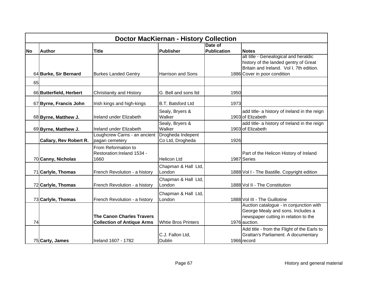|           | <b>Doctor MacKiernan - History Collection</b> |                                   |                            |                    |                                              |  |  |  |
|-----------|-----------------------------------------------|-----------------------------------|----------------------------|--------------------|----------------------------------------------|--|--|--|
|           |                                               |                                   |                            | Date of            |                                              |  |  |  |
| <b>No</b> | <b>Author</b>                                 | <b>Title</b>                      | <b>Publisher</b>           | <b>Publication</b> | <b>Notes</b>                                 |  |  |  |
|           |                                               |                                   |                            |                    | alt title - Genealogical and heraldic        |  |  |  |
|           |                                               |                                   |                            |                    | history of the landed gentry of Great        |  |  |  |
|           |                                               |                                   |                            |                    | Britain and Ireland. Vol I. 7th edition.     |  |  |  |
|           | 64 Burke, Sir Bernard                         | <b>Burkes Landed Gentry</b>       | <b>Harrison and Sons</b>   |                    | 1886 Cover in poor condition                 |  |  |  |
| 65        |                                               |                                   |                            |                    |                                              |  |  |  |
|           | 66 Butterfield, Herbert                       | <b>Christianity and History</b>   | G. Bell and sons Itd       | 1950               |                                              |  |  |  |
|           | 67 Byrne, Francis John                        | Irish kings and high-kings        | B.T. Batsford Ltd          | 1973               |                                              |  |  |  |
|           |                                               |                                   | Sealy, Bryers &            |                    | add title- a history of Ireland in the reign |  |  |  |
|           | 68 Byrne, Matthew J.                          | Ireland under Elizabeth           | Walker                     |                    | 1903 of Elizabeth                            |  |  |  |
|           |                                               |                                   | Sealy, Bryers &            |                    | add title- a history of Ireland in the reign |  |  |  |
|           | 69 Byrne, Matthew J.                          | Ireland under Elizabeth           | Walker                     |                    | 1903 of Elizabeth                            |  |  |  |
|           |                                               | Loughcrew Carns - an ancient      | Drogheda Indepent          |                    |                                              |  |  |  |
|           | <b>Callary, Rev Robert R.</b>                 | pagan cemetery                    | Co Ltd, Drogheda           | 1926               |                                              |  |  |  |
|           |                                               | From Reformation to               |                            |                    |                                              |  |  |  |
|           |                                               | Restoration: Ireland 1534 -       |                            |                    | Part of the Helicon History of Ireland       |  |  |  |
|           | 70 Canny, Nicholas                            | 1660                              | <b>Helicon Ltd</b>         |                    | 1987 Series                                  |  |  |  |
|           |                                               |                                   | Chapman & Hall Ltd,        |                    |                                              |  |  |  |
|           | 71 Carlyle, Thomas                            | French Revolution - a history     | London                     |                    | 1888 Vol I - The Bastille. Copyright edition |  |  |  |
|           |                                               |                                   | Chapman & Hall Ltd,        |                    |                                              |  |  |  |
|           | 72 Carlyle, Thomas                            | French Revolution - a history     | London                     |                    | 1888 Vol II - The Constitution               |  |  |  |
|           |                                               |                                   | Chapman & Hall Ltd,        |                    |                                              |  |  |  |
|           | 73 Carlyle, Thomas                            | French Revolution - a history     | London                     |                    | 1888 Vol III - The Guillotine                |  |  |  |
|           |                                               |                                   |                            |                    | Auction catalogue - in conjunction with      |  |  |  |
|           |                                               |                                   |                            |                    | George Mealy and sons. Includes a            |  |  |  |
|           |                                               | <b>The Canon Charles Travers</b>  |                            |                    | newspaper cutting in relation to the         |  |  |  |
| 74        |                                               | <b>Collection of Antique Arms</b> | <b>Whtie Bros Printers</b> |                    | 1976 auction.                                |  |  |  |
|           |                                               |                                   |                            |                    | Add title - from the Flight of the Earls to  |  |  |  |
|           |                                               |                                   | C.J. Fallon Ltd,           |                    | Grattan's Parliament. A documentary          |  |  |  |
|           | 75 Carty, James                               | Ireland 1607 - 1782               | <b>Dublin</b>              |                    | 1966 record                                  |  |  |  |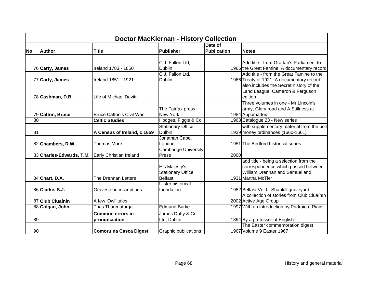|           | <b>Doctor MacKiernan - History Collection</b> |                                 |                             |                    |                                              |  |  |
|-----------|-----------------------------------------------|---------------------------------|-----------------------------|--------------------|----------------------------------------------|--|--|
|           |                                               |                                 |                             | Date of            |                                              |  |  |
| <b>No</b> | <b>Author</b>                                 | <b>Title</b>                    | Publisher                   | <b>Publication</b> | <b>Notes</b>                                 |  |  |
|           |                                               |                                 |                             |                    |                                              |  |  |
|           |                                               |                                 | C.J. Fallon Ltd,            |                    | Add title - from Grattan's Parliament to     |  |  |
|           | 76 Carty, James                               | Ireland 1783 - 1850             | <b>Dublin</b>               |                    | 1966 the Great Famine. A documentary record  |  |  |
|           |                                               |                                 | C.J. Fallon Ltd,            |                    | Add title - from the Great Famine to the     |  |  |
|           | 77 Carty, James                               | Ireland 1851 - 1921             | <b>Dublin</b>               |                    | 1966 Treaty of 1921. A documentary record    |  |  |
|           |                                               |                                 |                             |                    | also includes the Secret history of the      |  |  |
|           |                                               |                                 |                             |                    | Land League. Cameron & Ferguson              |  |  |
|           | 78 Cashman, D.B.                              | Life of Michael Davitt,         |                             |                    | edition                                      |  |  |
|           |                                               |                                 |                             |                    | Three volumes in one - Mr Lincoln's          |  |  |
|           |                                               |                                 | The Fairfax press,          |                    | army, Glory road and A Stillness at          |  |  |
|           | 79 Catton, Bruce                              | <b>Bruce Catton's Civil War</b> | <b>New York</b>             |                    | 1984 Appomattox                              |  |  |
| 80        |                                               | <b>Celtic Studies</b>           | Hodges, Figgis & Co         |                    | 1968 Catalogue 23 - New series               |  |  |
|           |                                               |                                 | Stationary Office,          |                    | with supplementary material from the poll    |  |  |
| 81        |                                               | A Census of Ireland, c 1659     | <b>Dulbin</b>               |                    | 1939 money ordinances (1660-1661)            |  |  |
|           |                                               |                                 | Jonathan Cape,              |                    |                                              |  |  |
|           | 82 Chambers, R.W.                             | <b>Thomas More</b>              | London                      |                    | 1951 The Bedford historical series           |  |  |
|           |                                               |                                 | <b>Cambridge University</b> |                    |                                              |  |  |
|           | 83 Charles-Edwards, T.M,                      | Early Christian Ireland         | Press                       | 2000               |                                              |  |  |
|           |                                               |                                 |                             |                    | add title - being a selection from the       |  |  |
|           |                                               |                                 | His Majesty's               |                    | correspondence which passed between          |  |  |
|           |                                               |                                 | Stationary Office,          |                    | William Drennan and Samuel and               |  |  |
|           | 84 Chart, D.A.                                | The Drennan Letters             | <b>Belfast</b>              |                    | 1931 Martha McTier                           |  |  |
|           |                                               |                                 | Ulster historical           |                    |                                              |  |  |
|           | 86 Clarke, S.J.                               | Gravestone inscriptions         | foundation                  |                    | 1982 Belfast Vol I - Shankill graveyard      |  |  |
|           |                                               |                                 |                             |                    | A collection of stories from Club Cluainin   |  |  |
|           | 87 Club Cluainin                              | A few 'Owl' tales               |                             |                    | 2002 Active Age Group                        |  |  |
|           | 88 Colgan, John                               | Trias Thaumaturga               | <b>Edmund Burke</b>         |                    | 1997 With an introduction by Pádraig ó Riain |  |  |
|           |                                               | <b>Common errors in</b>         | James Duffy & Co            |                    |                                              |  |  |
| 89        |                                               | pronunciation                   | Ltd, Dublin                 |                    | 1894 By a professor of English               |  |  |
|           |                                               |                                 |                             |                    | The Easter commemoration digest              |  |  |
| 90        |                                               | Comoru na Casca Digest          | <b>Graphic publications</b> |                    | 1967 Volume 9 Easter 1967                    |  |  |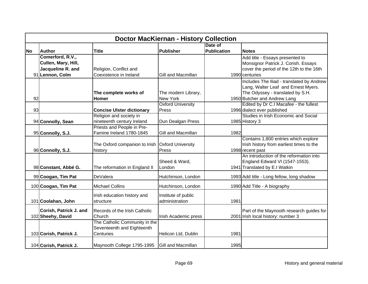|           | <b>Doctor MacKiernan - History Collection</b> |                                                 |                           |                    |                                                             |  |  |  |
|-----------|-----------------------------------------------|-------------------------------------------------|---------------------------|--------------------|-------------------------------------------------------------|--|--|--|
|           |                                               |                                                 |                           | Date of            |                                                             |  |  |  |
| <b>No</b> | <b>Author</b>                                 | <b>Title</b>                                    | <b>Publisher</b>          | <b>Publication</b> | <b>Notes</b>                                                |  |  |  |
|           | Comerford, R.V.,                              |                                                 |                           |                    | Add title - Essays presented to                             |  |  |  |
|           | Cullen, Mary, Hill,                           |                                                 |                           |                    | Monsignor Patrick J. Corish. Essays                         |  |  |  |
|           | Jacqueline R. and                             | Religion, Conflict and                          |                           |                    | cover the period of the 12th to the 16th                    |  |  |  |
|           | 91 Lennon, Colm                               | Coexistence in Ireland                          | Gill and Macmillan        |                    | 1990 centuries                                              |  |  |  |
|           |                                               |                                                 |                           |                    | Includes The Iliad - translated by Andrew                   |  |  |  |
|           |                                               |                                                 |                           |                    | Lang, Walter Leaf and Ernest Myers.                         |  |  |  |
|           |                                               | The complete works of                           | The modern Library,       |                    | The Odyssey - translated by S.H.                            |  |  |  |
| 92        |                                               | Homer                                           | <b>New York</b>           |                    | 1950 Butcher and Andrew Lang                                |  |  |  |
|           |                                               |                                                 | <b>Oxford University</b>  |                    | Edited by Dr C.I Macafee - the fullest                      |  |  |  |
| 93        |                                               | <b>Concise Ulster dictionary</b>                | Press                     |                    | 1996 dialect ever published                                 |  |  |  |
|           |                                               | Religion and society in                         |                           |                    | Studies in Irish Economic and Social                        |  |  |  |
|           | 94 Connolly, Sean                             | nineteenth century Ireland                      | Dun Dealgan Press         |                    | 1985 History 3                                              |  |  |  |
|           |                                               | Priests and People in Pre-                      |                           |                    |                                                             |  |  |  |
|           | 95 Connolly, S.J.                             | Famine Ireland 1780-1845                        | Gill and Macmillan        | 1982               |                                                             |  |  |  |
|           |                                               |                                                 |                           |                    | Contains 1,800 entries which explore                        |  |  |  |
|           |                                               | The Oxford companion to Irish Oxford University | Press                     |                    | Irish history from earliest times to the                    |  |  |  |
|           | 96 Connolly, S.J.                             | history                                         |                           |                    | 1998 recent past<br>An introduction of the reformation into |  |  |  |
|           |                                               |                                                 | Sheed & Ward,             |                    | England Edward VI (1547-1553).                              |  |  |  |
|           | 98 Constant, Abbé G.                          | The reformation in England II                   | London                    |                    | 1941 Translated by E.I Watkin                               |  |  |  |
|           |                                               |                                                 |                           |                    |                                                             |  |  |  |
|           | 99 Coogan, Tim Pat                            | DeValera                                        | Hutchinson, London        |                    | 1993 Add title - Long fellow, long shadow                   |  |  |  |
|           | 100 Coogan, Tim Pat                           | <b>Michael Collins</b>                          | Hutchinson, London        |                    | 1990 Add Title - A biography                                |  |  |  |
|           |                                               | Irish education history and                     | Institute of public       |                    |                                                             |  |  |  |
|           | 101 Coolahan, John                            | structure                                       | administration            | 1981               |                                                             |  |  |  |
|           |                                               |                                                 |                           |                    |                                                             |  |  |  |
|           | Corish, Patrick J. and                        | Records of the Irish Catholic                   |                           |                    | Part of the Maynooth research guides for                    |  |  |  |
|           | 102 Sheehy, David                             | Church                                          | Irish Academic press      |                    | 2001 Irish local history: number 3                          |  |  |  |
|           |                                               | The Catholic Community in the                   |                           |                    |                                                             |  |  |  |
|           |                                               | Seventeenth and Eighteenth                      |                           |                    |                                                             |  |  |  |
|           | 103 Corish, Patrick J.                        | Centuries                                       | Helicon Ltd, Dublin       | 1981               |                                                             |  |  |  |
|           | 104 Corish, Patrick J.                        | Maynooth College 1795-1995                      | <b>Gill and Macmillan</b> | 1995               |                                                             |  |  |  |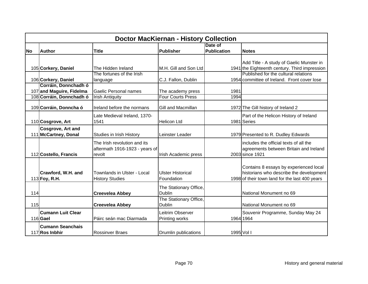|           | <b>Doctor MacKiernan - History Collection</b>                                |                                                                          |                                               |                               |                                                                                                                                     |  |  |  |
|-----------|------------------------------------------------------------------------------|--------------------------------------------------------------------------|-----------------------------------------------|-------------------------------|-------------------------------------------------------------------------------------------------------------------------------------|--|--|--|
| <b>No</b> | <b>Author</b>                                                                | <b>Title</b>                                                             | Publisher                                     | Date of<br><b>Publication</b> | <b>Notes</b>                                                                                                                        |  |  |  |
|           | 105 Corkery, Daniel                                                          | The Hidden Ireland<br>The fortunes of the Irish                          | M.H. Gill and Son Ltd                         |                               | Add Title - A study of Gaelic Munster in<br>1941 the Eighteenth century. Third impression<br>Published for the cultural relations   |  |  |  |
|           | 106 Corkery, Daniel                                                          | language                                                                 | C.J. Fallon, Dublin                           |                               | 1954 committee of Ireland. Front cover lose                                                                                         |  |  |  |
|           | Corráin, Donnchadh ó<br>107 and Maguire, Fidelma<br>108 Corráin, Donnchadh ó | Gaelic Personal names                                                    | The academy press<br><b>Four Courts Press</b> | 1981<br>1994                  |                                                                                                                                     |  |  |  |
|           | 109 Corráin, Donncha ó                                                       | <b>Irish Antiquity</b><br>Ireland before the normans                     | Gill and Macmillan                            |                               | 1972 The Gill history of Ireland 2                                                                                                  |  |  |  |
|           | 110 Cosgrove, Art                                                            | Late Medieval Ireland, 1370-<br>1541                                     | <b>Helicon Ltd</b>                            |                               | Part of the Helicon History of Ireland<br>1981 Series                                                                               |  |  |  |
|           | <b>Cosgrove, Art and</b><br>111 McCartney, Donal                             | Studies in Irish History                                                 | Leinster Leader                               |                               | 1979 Presented to R. Dudley Edwards                                                                                                 |  |  |  |
|           | 112 Costello, Francis                                                        | The Irish revolution and its<br>aftermath 1916-1923 - years of<br>revolt | Irish Academic press                          |                               | includes the official texts of all the<br>agreements between Britain and Ireland<br>2003 since 1921                                 |  |  |  |
|           | Crawford, W.H. and<br>113 Foy, R.H.                                          | Townlands in Ulster - Local<br><b>History Studies</b>                    | <b>Ulster Historical</b><br>Foundation        |                               | Contains 8 essays by experienced local<br>historians who describe the development<br>1998 of their town land for the last 400 years |  |  |  |
| 114       |                                                                              | <b>Creevelea Abbey</b>                                                   | The Stationary Office,<br><b>Dublin</b>       |                               | National Monument no 69                                                                                                             |  |  |  |
| 115       |                                                                              | <b>Creevelea Abbey</b>                                                   | The Stationary Office,<br><b>Dublin</b>       |                               | National Monument no 69                                                                                                             |  |  |  |
|           | <b>Cumann Luit Clear</b><br>116 Gael                                         | Páirc seán mac Diarmada                                                  | Leitrim Observer<br>Printing works            |                               | Souvenir Programme, Sunday May 24<br>1964 1964                                                                                      |  |  |  |
|           | <b>Cumann Seanchais</b><br>117 Ros Inbhir                                    | <b>Rossinver Braes</b>                                                   | Drumlin publications                          | 1995 Vol I                    |                                                                                                                                     |  |  |  |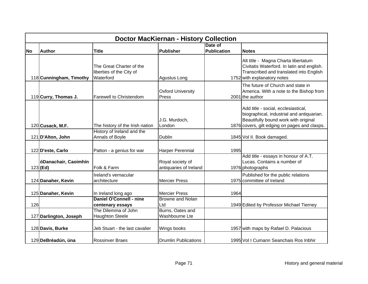|           | <b>Doctor MacKiernan - History Collection</b> |                                                                   |                                            |                    |                                                                                                                                                                           |  |  |  |
|-----------|-----------------------------------------------|-------------------------------------------------------------------|--------------------------------------------|--------------------|---------------------------------------------------------------------------------------------------------------------------------------------------------------------------|--|--|--|
|           |                                               |                                                                   |                                            | Date of            |                                                                                                                                                                           |  |  |  |
| <b>No</b> | <b>Author</b>                                 | <b>Title</b>                                                      | Publisher                                  | <b>Publication</b> | <b>Notes</b>                                                                                                                                                              |  |  |  |
|           | 118 Cunningham, Timothy                       | The Great Charter of the<br>liberties of the City of<br>Waterford | Agustus Long                               |                    | Alt title - Magna Charta libertatum<br>Civitatis Waterford. In latin and english.<br>Transcribed and translated into English<br>1752 with explanatory notes               |  |  |  |
|           | 119 Curry, Thomas J.                          | Farewell to Christendom                                           | <b>Oxford University</b><br>Press          |                    | The future of Church and state in<br>America. With a note to the Bishop from<br>2001 the author                                                                           |  |  |  |
|           | 120 Cusack, M.F.                              | The history of the Irish nation                                   | J.G. Murdoch,<br>London                    |                    | Add title - social, ecclesiastical,<br>biographical, industrial and antiquarian.<br>Beautifully bound work with original<br>1876 covers, gilt edging on pages and clasps. |  |  |  |
|           | 121 D'Alton, John                             | History of Ireland and the<br>Annals of Boyle                     | Dublin                                     |                    | 1845 Vol II. Book damaged.                                                                                                                                                |  |  |  |
|           | 122 D'este, Carlo                             | Patton - a genius for war                                         | Harper Perennial                           | 1995               |                                                                                                                                                                           |  |  |  |
|           | óDanachair, Caoimhín<br>$123$ (Ed)            | Folk & Farm                                                       | Royal society of<br>antiquaries of Ireland |                    | Add title - essays in honour of A.T.<br>Lucas. Contains a number of<br>1976 photographs                                                                                   |  |  |  |
|           | 124 Danaher, Kevin                            | Ireland's vernacular<br>architecture                              | <b>Mercier Press</b>                       |                    | Published for the public relations<br>1975 committee of Ireland                                                                                                           |  |  |  |
|           | 125 Danaher, Kevin                            | In Ireland long ago                                               | <b>Mercier Press</b>                       | 1964               |                                                                                                                                                                           |  |  |  |
| 126       |                                               | <b>Daniel O'Connell - nine</b><br>centenary essays                | <b>Browne and Nolan</b><br>Ltd             |                    | 1949 Edited by Professor Michael Tierney                                                                                                                                  |  |  |  |
|           | 127 Darlington, Joseph                        | The Dilemma of John<br><b>Haughton Steele</b>                     | Burns, Oates and<br>Washbourne Lte         |                    |                                                                                                                                                                           |  |  |  |
|           | 128 Davis, Burke                              | Jeb Stuart - the last cavalier                                    | Wings books                                |                    | 1957 with maps by Rafael D. Palacious                                                                                                                                     |  |  |  |
|           | 129 DeBréadún, úna                            | <b>Rossinver Braes</b>                                            | <b>Drumlin Publications</b>                |                    | 1995 Vol I Cumann Seanchais Ros Inbhir                                                                                                                                    |  |  |  |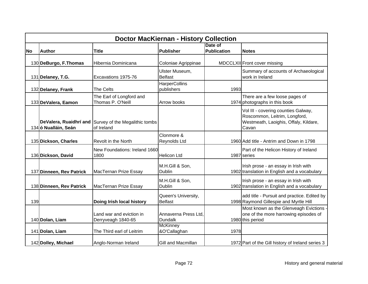|           | <b>Doctor MacKiernan - History Collection</b> |                                                                     |                                                           |                               |                                                                                                                        |  |  |  |
|-----------|-----------------------------------------------|---------------------------------------------------------------------|-----------------------------------------------------------|-------------------------------|------------------------------------------------------------------------------------------------------------------------|--|--|--|
| <b>No</b> | <b>Author</b>                                 | <b>Title</b>                                                        | <b>Publisher</b>                                          | Date of<br><b>Publication</b> | <b>Notes</b>                                                                                                           |  |  |  |
|           |                                               |                                                                     |                                                           |                               |                                                                                                                        |  |  |  |
|           | 130 DeBurgo, F.Thomas                         | Hibernia Dominicana                                                 | Coloniae Agrippinae                                       |                               | MDCCLXII Front cover missing                                                                                           |  |  |  |
|           | 131 Delaney, T.G.                             | Excavations 1975-76                                                 | Ulster Museum,<br><b>Belfast</b>                          |                               | Summary of accounts of Archaeological<br>work in Ireland                                                               |  |  |  |
|           | 132 Delaney, Frank                            | The Celts                                                           | <b>HarperCollins</b><br>publishers                        | 1993                          |                                                                                                                        |  |  |  |
|           | 133 DeValera, Eamon                           | The Earl of Longford and<br>Thomas P. O'Neill                       | Arrow books                                               |                               | There are a few loose pages of<br>1974 photographs in this book                                                        |  |  |  |
|           | 134 ó Nualláin, Seán                          | DeValera, Ruaidhrí and Survey of the Megalithic tombs<br>of Ireland |                                                           |                               | Vol III - covering counties Galway,<br>Roscommon, Leitrim, Longford,<br>Westmeath, Laoighis, Offaly, Kildare,<br>Cavan |  |  |  |
|           | 135 Dickson, Charles                          | Revolt in the North                                                 | Clonmore &<br>Reynolds Ltd                                |                               | 1960 Add title - Antrim and Down in 1798                                                                               |  |  |  |
|           | 136 Dickson, David                            | New Foundations: Ireland 1660<br>1800                               | <b>Helicon Ltd</b>                                        |                               | Part of the Helicon History of Ireland<br>1987 series                                                                  |  |  |  |
|           | 137 Dinneen, Rev Patrick                      | MacTernan Prize Essay                                               | M.H.Gill & Son,<br><b>Dublin</b>                          |                               | Irish prose - an essay in Irish with<br>1902 translation in English and a vocabulary                                   |  |  |  |
|           | 138 Dinneen, Rev Patrick                      | MacTernan Prize Essay                                               | M.H.Gill & Son,<br>Dublin                                 |                               | Irish prose - an essay in Irish with<br>1902 translation in English and a vocabulary                                   |  |  |  |
| 139       |                                               | Doing Irish local history                                           | Queen's University,<br><b>Belfast</b>                     |                               | add title - Pursuit and practice. Edited by<br>1998 Raymond Gillespie and Myrtle Hill                                  |  |  |  |
|           | 140 Dolan, Liam                               | Land war and eviction in<br>Derryveagh 1840-65                      | Annaverna Press Ltd.<br><b>Dundalk</b><br><b>McKinney</b> |                               | Most known as the Glenveagh Evictions -<br>one of the more harrowing episodes of<br>1980 this period                   |  |  |  |
|           | 141 Dolan, Liam                               | The Third earl of Leitrim                                           | &O'Callaghan                                              | 1978                          |                                                                                                                        |  |  |  |
|           | 142 Dolley, Michael                           | Anglo-Norman Ireland                                                | Gill and Macmillan                                        |                               | 1972 Part of the Gill history of Ireland series 3                                                                      |  |  |  |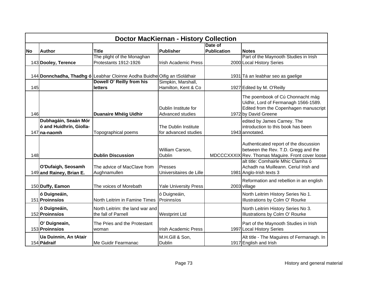|           | <b>Doctor MacKiernan - History Collection</b>  |                                                                           |                                          |                    |                                                                                                                                           |  |  |  |
|-----------|------------------------------------------------|---------------------------------------------------------------------------|------------------------------------------|--------------------|-------------------------------------------------------------------------------------------------------------------------------------------|--|--|--|
|           |                                                |                                                                           |                                          | Date of            |                                                                                                                                           |  |  |  |
| <b>No</b> | <b>Author</b>                                  | <b>Title</b>                                                              | Publisher                                | <b>Publication</b> | <b>Notes</b>                                                                                                                              |  |  |  |
|           |                                                | The plight of the Monaghan                                                |                                          |                    | Part of the Maynooth Studies in Irish                                                                                                     |  |  |  |
|           | 143 Dooley, Terence                            | Protestants 1912-1926                                                     | Irish Academic Press                     |                    | 2000 Local History Series                                                                                                                 |  |  |  |
|           |                                                | 144 Donnchadha, Thadhg ó Leabhar Cloinne Aodha Buidhe Oifig an tSoláthair |                                          |                    | 1931 Tá an leabhar seo as gaelige                                                                                                         |  |  |  |
|           |                                                | Dowell O' Reilly from his                                                 | Simpkin, Marshall,                       |                    |                                                                                                                                           |  |  |  |
| 145       |                                                | letters                                                                   | Hamilton, Kent & Co                      |                    | 1927 Edited by M. O'Reilly                                                                                                                |  |  |  |
|           |                                                |                                                                           |                                          |                    |                                                                                                                                           |  |  |  |
| 146       |                                                | <b>Duanaire Mhéig Uidhir</b>                                              | Dublin Institute for<br>Advanced studies |                    | The poembook of Cú Chonnacht mág<br>Uidhir, Lord of Fermanagh 1566-1589.<br>Edited from the Copenhagen manuscript<br>1972 by David Greene |  |  |  |
|           | Dubhagáin, Seaán Mór                           |                                                                           |                                          |                    | edited by James Carney. The                                                                                                               |  |  |  |
|           | ó and Huidhrín, Giolla-                        |                                                                           | The Dublin Institute                     |                    | introduction to this book has been                                                                                                        |  |  |  |
|           | 147 na-naomh                                   | Topographical poems                                                       | for advanced studies                     |                    | 1943 annotated.                                                                                                                           |  |  |  |
| 148       |                                                | <b>Dublin Discussion</b>                                                  | William Carson,<br><b>Dublin</b>         |                    | Authenticated report of the discussion<br>between the Rev. T.D. Gregg and the<br>MDCCCXXXIX Rev. Thomas Maguire. Front cover loose        |  |  |  |
|           | O'Dufaigh, Seosamh<br>149 and Rainey, Brian E. | The advice of MacClave from<br>Aughnamullen                               | Presses<br>Universitaires de Lille       |                    | alt title: Comhairle Mhic Clamha ó<br>Achadh na Muilleann. Ceriul Irish and<br>1981 Anglo-Irish texts 3                                   |  |  |  |
|           | 150 Duffy, Eamon                               | The voices of Morebath                                                    | <b>Yale University Press</b>             |                    | Reformation and rebellion in an english<br>2003 village                                                                                   |  |  |  |
|           | ó Duigneáin,<br>151 Proinnsíos                 | North Leitrim in Famine Times                                             | ó Duigneáin,<br>Proinnsíos               |                    | North Leitrim History Series No 1.<br>Illustrations by Colm O' Rourke                                                                     |  |  |  |
|           | ó Duigneáin,<br>152 Proinnsíos                 | North Leitrim: the land war and<br>the fall of Parnell                    | <b>Westprint Ltd</b>                     |                    | North Leitrim History Series No 3.<br>Illustrations by Colm O' Rourke                                                                     |  |  |  |
|           | O' Duigneain,<br>153 Proinnsios                | The Pries and the Protestant<br>woman                                     | <b>Irish Academic Press</b>              |                    | Part of the Maynooth Studies in Irish<br>1997 Local History Series                                                                        |  |  |  |
|           | Ua Duinnin, An tAtair<br>154 Pádraif           | Me Guidir Fearmanac                                                       | M.H.Gill & Son,<br><b>Dublin</b>         |                    | Alt title - The Maguires of Fermanagh. In<br>1917 English and Irish                                                                       |  |  |  |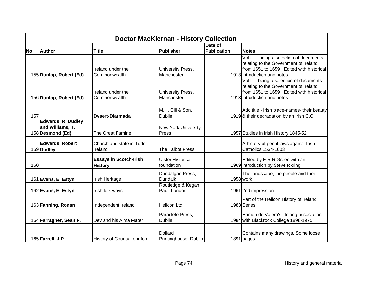|           | <b>Doctor MacKiernan - History Collection</b> |                                   |                                   |             |                                                                                 |  |  |  |
|-----------|-----------------------------------------------|-----------------------------------|-----------------------------------|-------------|---------------------------------------------------------------------------------|--|--|--|
|           |                                               |                                   |                                   | Date of     |                                                                                 |  |  |  |
| <b>No</b> | <b>Author</b>                                 | <b>Title</b>                      | Publisher                         | Publication | <b>Notes</b>                                                                    |  |  |  |
|           |                                               |                                   |                                   |             | Vol I<br>being a selection of documents                                         |  |  |  |
|           |                                               |                                   |                                   |             | relating to the Government of Ireland                                           |  |  |  |
|           |                                               | Ireland under the                 | University Press,                 |             | from 1651 to 1659 Edited with historical                                        |  |  |  |
|           | 155 Dunlop, Robert (Ed)                       | Commonwealth                      | Manchester                        |             | 1913 introduction and notes                                                     |  |  |  |
|           |                                               |                                   |                                   |             | Vol II being a selection of documents                                           |  |  |  |
|           |                                               |                                   |                                   |             | relating to the Government of Ireland                                           |  |  |  |
|           |                                               | Ireland under the                 | University Press,                 |             | from 1651 to 1659 Edited with historical                                        |  |  |  |
|           | 156 Dunlop, Robert (Ed)                       | Commonwealth                      | Manchester                        |             | 1913 introduction and notes                                                     |  |  |  |
|           |                                               |                                   |                                   |             |                                                                                 |  |  |  |
|           |                                               |                                   | M.H. Gill & Son,                  |             | Add title - Irish place-names- their beauty                                     |  |  |  |
| 157       |                                               | <b>Dysert-Diarmada</b>            | <b>Dublin</b>                     |             | 1919 & their degradation by an Irish C.C                                        |  |  |  |
|           | <b>Edwards, R. Dudley</b>                     |                                   |                                   |             |                                                                                 |  |  |  |
|           | and Williams, T.                              |                                   | <b>New York University</b>        |             |                                                                                 |  |  |  |
|           | 158 Desmond (Ed)                              | The Great Famine                  | Press                             |             | 1957 Studies in Irish History 1845-52                                           |  |  |  |
|           |                                               |                                   |                                   |             |                                                                                 |  |  |  |
|           | <b>Edwards, Robert</b>                        | Church and state in Tudor         |                                   |             | A history of penal laws against Irish                                           |  |  |  |
|           | 159 Dudley                                    | Ireland                           | The Talbot Press                  |             | Catholics 1534-1603                                                             |  |  |  |
|           |                                               |                                   |                                   |             |                                                                                 |  |  |  |
|           |                                               | <b>Essays in Scotch-Irish</b>     | <b>Ulster Historical</b>          |             | Edited by E.R.R Green with an                                                   |  |  |  |
| 160       |                                               | <b>History</b>                    | foundation                        |             | 1969 introduction by Steve Ickringill                                           |  |  |  |
|           |                                               |                                   | Dundalgan Press,                  |             | The landscape, the people and their                                             |  |  |  |
|           | 161 Evans, E. Estyn                           | Irish Heritage                    | <b>Dundalk</b>                    |             | 1958 work                                                                       |  |  |  |
|           |                                               |                                   | Routledge & Kegan                 |             |                                                                                 |  |  |  |
|           | 162 Evans, E. Estyn                           | Irish folk ways                   | Paul, London                      |             | 1961 2nd impression                                                             |  |  |  |
|           |                                               |                                   |                                   |             |                                                                                 |  |  |  |
|           |                                               |                                   |                                   |             | Part of the Helicon History of Ireland                                          |  |  |  |
|           | 163 Fanning, Ronan                            | Independent Ireland               | <b>Helicon Ltd</b>                |             | 1983 Series                                                                     |  |  |  |
|           |                                               |                                   |                                   |             |                                                                                 |  |  |  |
|           |                                               | Dev and his Alma Mater            | Paraclete Press,<br><b>Dublin</b> |             | Eamon de Valera's lifelong association<br>1984 with Blackrock College 1898-1975 |  |  |  |
|           | 164 Farragher, Sean P.                        |                                   |                                   |             |                                                                                 |  |  |  |
|           |                                               |                                   |                                   |             |                                                                                 |  |  |  |
|           |                                               |                                   | <b>Dollard</b>                    |             | Contains many drawings. Some loose                                              |  |  |  |
|           | 165 Farrell, J.P                              | <b>History of County Longford</b> | Printinghouse, Dublin             |             | 1891 pages                                                                      |  |  |  |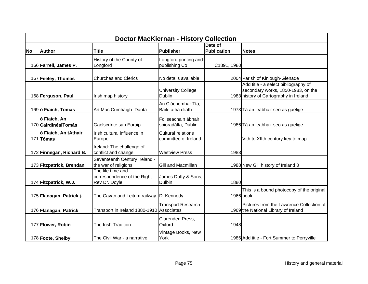|           | <b>Doctor MacKiernan - History Collection</b> |                                                                   |                                                   |                               |                                                                                                                      |  |  |  |
|-----------|-----------------------------------------------|-------------------------------------------------------------------|---------------------------------------------------|-------------------------------|----------------------------------------------------------------------------------------------------------------------|--|--|--|
| <b>No</b> | <b>Author</b>                                 | <b>Title</b>                                                      | Publisher                                         | Date of<br><b>Publication</b> | <b>Notes</b>                                                                                                         |  |  |  |
|           | 166 Farrell, James P.                         | History of the County of<br>Longford                              | Longford printing and<br>publishing Co            | C1891, 1980                   |                                                                                                                      |  |  |  |
|           | 167 Feeley, Thomas                            | <b>Churches and Clerics</b>                                       | No details available                              |                               | 2004 Parish of Kinlough-Glenade                                                                                      |  |  |  |
|           | 168 Ferguson, Paul                            | Irish map history                                                 | <b>University College</b><br>Dublin               |                               | Add title - a select bibliography of<br>secondary works, 1850-1983, on the<br>1983 history of Cartography in Ireland |  |  |  |
|           | 169 ó Fiaich, Tomás                           | Art Mac Cumhaigh: Danta                                           | An Clóchomhar Tta,<br>Baile átha cliath           |                               | 1973 Tá an leabhair seo as gaelige                                                                                   |  |  |  |
|           | ó Fiaich, An<br>170 Cairdinéal Tomás          | Gaelscrínte san Eoraip                                            | Foilseachain ábhair<br>spioradálta, Dublin        |                               | 1986 Tá an leabhair seo as gaelige                                                                                   |  |  |  |
|           | ó Fiaich, An tAthair<br>171 Tómas             | Irish cultural influence in<br>Europe                             | <b>Cultural relations</b><br>committee of Ireland |                               | Vith to XIIth century key to map                                                                                     |  |  |  |
|           | 172 Finnegan, Richard B.                      | Ireland: The challenge of<br>conflict and change                  | <b>Westview Press</b>                             | 1983                          |                                                                                                                      |  |  |  |
|           | 173 Fitzpatrick, Brendan                      | Seventeenth Century Ireland -<br>the war of religions             | Gill and Macmillan                                |                               | 1988 New Gill history of Ireland 3                                                                                   |  |  |  |
|           | 174 Fitzpatrick, W.J.                         | The life time and<br>correspondence of the Right<br>Rev Dr. Doyle | James Duffy & Sons,<br><b>Dulbin</b>              | 1880                          |                                                                                                                      |  |  |  |
|           | 175 Flanagan, Patrick j.                      | The Cavan and Leitrim railway                                     | D. Kennedy                                        |                               | This is a bound photocopy of the original<br>1966 book                                                               |  |  |  |
|           | 176 Flanagan, Patrick                         | Transport in Ireland 1880-1910 Associates                         | <b>Transport Research</b>                         |                               | Pictures from the Lawrence Collection of<br>1969 the National Library of Ireland                                     |  |  |  |
|           | 177 Flower, Robin                             | The Irish Tradition                                               | Clarenden Press,<br>Oxford                        | 1948                          |                                                                                                                      |  |  |  |
|           | 178 Foote, Shelby                             | The Civil War - a narrative                                       | Vintage Books, New<br>York                        |                               | 1986 Add title - Fort Summer to Perryville                                                                           |  |  |  |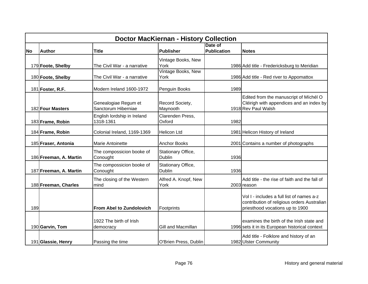|           | <b>Doctor MacKiernan - History Collection</b> |                                             |                                     |                    |                                                                                                                             |  |  |  |
|-----------|-----------------------------------------------|---------------------------------------------|-------------------------------------|--------------------|-----------------------------------------------------------------------------------------------------------------------------|--|--|--|
|           |                                               |                                             |                                     | Date of            |                                                                                                                             |  |  |  |
| <b>No</b> | <b>Author</b>                                 | <b>Title</b>                                | Publisher                           | <b>Publication</b> | <b>Notes</b>                                                                                                                |  |  |  |
|           |                                               |                                             | Vintage Books, New                  |                    |                                                                                                                             |  |  |  |
|           | 179 Foote, Shelby                             | The Civil War - a narrative                 | York                                |                    | 1986 Add title - Fredericksburg to Meridian                                                                                 |  |  |  |
|           | 180 Foote, Shelby                             | The Civil War - a narrative                 | Vintage Books, New<br>York          |                    | 1986 Add title - Red river to Appomattox                                                                                    |  |  |  |
|           | 181 Foster, R.F.                              | Modern Ireland 1600-1972                    | Penguin Books                       | 1989               |                                                                                                                             |  |  |  |
|           | 182 Four Masters                              | Genealogiae Regum et<br>Sanctorum Hiberniae | Record Society,<br>Maynooth         |                    | Edited from the manuscript of Míchél O<br>Cléirigh with appendices and an index by<br>1918 Rev Paul Walsh                   |  |  |  |
|           | 183 Frame, Robin                              | English lordship in Ireland<br>1318-1361    | Clarenden Press,<br>Oxford          | 1982               |                                                                                                                             |  |  |  |
|           | 184 Frame, Robin                              | Colonial Ireland, 1169-1369                 | <b>Helicon Ltd</b>                  |                    | 1981 Helicon History of Ireland                                                                                             |  |  |  |
|           | 185 Fraser, Antonia                           | <b>Marie Antoinette</b>                     | <b>Anchor Books</b>                 |                    | 2001 Contains a number of photographs                                                                                       |  |  |  |
|           | 186 Freeman, A. Martin                        | The compossicion booke of<br>Conought       | Stationary Office,<br><b>Dublin</b> | 1936               |                                                                                                                             |  |  |  |
|           | 187 Freeman, A. Martin                        | The compossicion booke of<br>Conought       | Stationary Office,<br><b>Dublin</b> | 1936               |                                                                                                                             |  |  |  |
|           | 188 Freeman, Charles                          | The closing of the Western<br>mind          | Alfred A. Knopf, New<br>York        |                    | Add title - the rise of faith and the fall of<br>2003 reason                                                                |  |  |  |
| 189       |                                               | <b>From Abel to Zundolovich</b>             | Footprints                          |                    | Vol I - includes a full list of names a-z<br>contribution of religious orders Australian<br>priesthood vocations up to 1900 |  |  |  |
|           | 190 Garvin, Tom                               | 1922 The birth of Irish<br>democracy        | Gill and Macmillan                  |                    | examines the birth of the Irish state and<br>1996 sets it in its European historical context                                |  |  |  |
|           | 191 Glassie, Henry                            | Passing the time                            | O'Brien Press, Dublin               |                    | Add title - Folklore and history of an<br>1982 Ulster Community                                                             |  |  |  |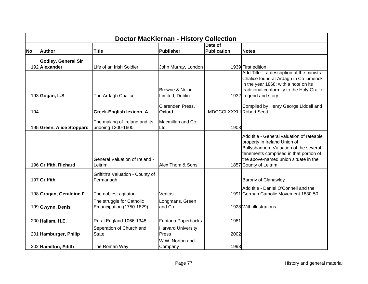|           | <b>Doctor MacKiernan - History Collection</b> |                                                       |                                                 |                           |                                                                                                                                                                                                                                 |  |  |  |
|-----------|-----------------------------------------------|-------------------------------------------------------|-------------------------------------------------|---------------------------|---------------------------------------------------------------------------------------------------------------------------------------------------------------------------------------------------------------------------------|--|--|--|
|           |                                               |                                                       |                                                 | Date of                   |                                                                                                                                                                                                                                 |  |  |  |
| <b>No</b> | <b>Author</b>                                 | <b>Title</b>                                          | <b>Publisher</b>                                | <b>Publication</b>        | <b>Notes</b>                                                                                                                                                                                                                    |  |  |  |
|           | <b>Godley, General Sir</b><br>192 Alexander   | Life of an Irish Soldier                              | John Murray, London                             |                           | 1939 First edition                                                                                                                                                                                                              |  |  |  |
|           | 193 Gógan, L.S                                | The Ardagh Chalice                                    | Browne & Nolan<br>Limited, Dublin               |                           | Add Title - a description of the ministral<br>Chalice found at Ardagh in Co Limerick<br>in the year 1868; with a note on its<br>traditional conformity to the Holy Grail of<br>1932 Legend and story                            |  |  |  |
| 194       |                                               | <b>Greek-English lexicon, A</b>                       | Clarenden Press,<br>Oxford                      | MDCCCLXXXIII Robert Scott | Compiled by Henry George Liddell and                                                                                                                                                                                            |  |  |  |
|           | 195 Green, Alice Stoppard                     | The making of Ireland and its<br>undoing 1200-1600    | Macmillan and Co,<br>Ltd                        | 1908                      |                                                                                                                                                                                                                                 |  |  |  |
|           | 196 Griffith, Richard                         | <b>General Valuation of Ireland -</b><br>Leitrim      | Alex Thom & Sons                                |                           | Add title - General valuation of rateable<br>property in Ireland Union of<br>Ballyshannon. Valuation of the several<br>tenements comprised in that portion of<br>the above-named union situate in the<br>1857 County of Leitrim |  |  |  |
|           | 197 Griffith                                  | Griffith's Valuation - County of<br>Fermanagh         |                                                 |                           | <b>Barony of Clanawley</b>                                                                                                                                                                                                      |  |  |  |
|           | 198 Grogan, Geraldine F.                      | The noblest agitator                                  | Veritas                                         |                           | Add title - Daniel O'Connell and the<br>1991 German Catholic Movement 1830-50                                                                                                                                                   |  |  |  |
|           | 199 Gwynn, Denis                              | The struggle for Catholic<br>Emancipation (1750-1829) | Longmans, Green<br>and Co                       |                           | 1928 With illustrations                                                                                                                                                                                                         |  |  |  |
|           | 200 Hallam, H.E.                              | Rural England 1066-1348<br>Seperation of Church and   | Fontana Paperbacks<br><b>Harvard University</b> | 1981                      |                                                                                                                                                                                                                                 |  |  |  |
|           | 201 Hamburger, Philip                         | <b>State</b>                                          | Press                                           | 2002                      |                                                                                                                                                                                                                                 |  |  |  |
|           | 202 Hamilton, Edith                           | The Roman Way                                         | W.W. Norton and<br>Company                      | 1993                      |                                                                                                                                                                                                                                 |  |  |  |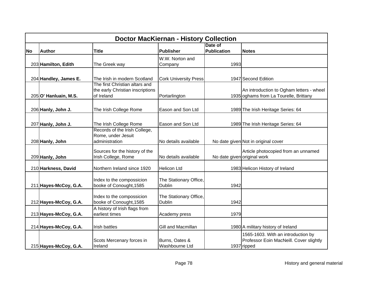|           | <b>Doctor MacKiernan - History Collection</b> |                                                                |                              |                             |                                          |  |  |  |
|-----------|-----------------------------------------------|----------------------------------------------------------------|------------------------------|-----------------------------|------------------------------------------|--|--|--|
|           |                                               |                                                                |                              | Date of                     |                                          |  |  |  |
| <b>No</b> | <b>Author</b>                                 | <b>Title</b>                                                   | Publisher                    | <b>Publication</b>          | <b>Notes</b>                             |  |  |  |
|           |                                               |                                                                | W.W. Norton and              |                             |                                          |  |  |  |
|           | 203 Hamilton, Edith                           | The Greek way                                                  | Company                      | 1993                        |                                          |  |  |  |
|           |                                               |                                                                |                              |                             |                                          |  |  |  |
|           |                                               |                                                                |                              |                             |                                          |  |  |  |
|           | 204 Handley, James E.                         | The Irish in modern Scotland<br>The first Christian altars and | <b>Cork University Press</b> |                             | 1947 Second Edition                      |  |  |  |
|           |                                               | the early Christian inscriptions                               |                              |                             | An introduction to Ogham letters - wheel |  |  |  |
|           | 205 O' Hanluain, M.S.                         | of Ireland                                                     | Portarlington                |                             | 1935 oghams from La Tourelle, Brittany   |  |  |  |
|           |                                               |                                                                |                              |                             |                                          |  |  |  |
|           |                                               |                                                                |                              |                             |                                          |  |  |  |
|           | 206 Hanly, John J.                            | The Irish College Rome                                         | Eason and Son Ltd            |                             | 1989 The Irish Heritage Series: 64       |  |  |  |
|           |                                               |                                                                |                              |                             |                                          |  |  |  |
|           | 207 Hanly, John J.                            | The Irish College Rome                                         | Eason and Son Ltd            |                             | 1989 The Irish Heritage Series: 64       |  |  |  |
|           |                                               | Records of the Irish College,                                  |                              |                             |                                          |  |  |  |
|           |                                               | Rome, under Jesuit                                             |                              |                             |                                          |  |  |  |
|           | 208 Hanly, John                               | administration                                                 | No details available         |                             | No date given Not in original cover      |  |  |  |
|           |                                               |                                                                |                              |                             |                                          |  |  |  |
|           |                                               | Sources for the history of the<br>Irish College, Rome          | No details available         | No date given original work | Article photocopied from an unnamed      |  |  |  |
|           | 209 Hanly, John                               |                                                                |                              |                             |                                          |  |  |  |
|           | 210 Harkness, David                           | Northern Ireland since 1920                                    | <b>Helicon Ltd</b>           |                             | 1983 Helicon History of Ireland          |  |  |  |
|           |                                               |                                                                |                              |                             |                                          |  |  |  |
|           |                                               | Index to the compossicion                                      | The Stationary Office,       |                             |                                          |  |  |  |
|           | 211 Hayes-McCoy, G.A.                         | booke of Conought, 1585                                        | <b>Dublin</b>                | 1942                        |                                          |  |  |  |
|           |                                               |                                                                |                              |                             |                                          |  |  |  |
|           |                                               | Index to the compossicion                                      | The Stationary Office,       |                             |                                          |  |  |  |
|           | 212 Hayes-McCoy, G.A.                         | booke of Conought, 1585                                        | <b>Dublin</b>                | 1942                        |                                          |  |  |  |
|           |                                               | A history of Irish flags from                                  |                              |                             |                                          |  |  |  |
|           | 213 Hayes-McCoy, G.A.                         | earliest times                                                 | Academy press                | 1979                        |                                          |  |  |  |
|           |                                               |                                                                |                              |                             |                                          |  |  |  |
|           | 214 Hayes-McCoy, G.A.                         | <b>Irish battles</b>                                           | Gill and Macmillan           |                             | 1980 A military history of Ireland       |  |  |  |
|           |                                               |                                                                |                              |                             | 1565-1603. With an introduction by       |  |  |  |
|           |                                               | Scots Mercenary forces in                                      | Burns, Oates &               |                             | Professor Eoin MacNeill. Cover slightly  |  |  |  |
|           | 215 Hayes-McCoy, G.A.                         | Ireland                                                        | Washbourne Ltd               |                             | 1937 ripped                              |  |  |  |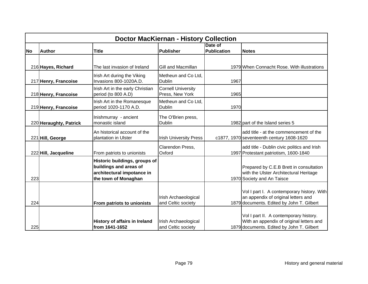|           | <b>Doctor MacKiernan - History Collection</b> |                                                                                                               |                                              |                               |                                                                                                                                 |  |  |
|-----------|-----------------------------------------------|---------------------------------------------------------------------------------------------------------------|----------------------------------------------|-------------------------------|---------------------------------------------------------------------------------------------------------------------------------|--|--|
| <b>No</b> | <b>Author</b>                                 | <b>Title</b>                                                                                                  | Publisher                                    | Date of<br><b>Publication</b> | <b>Notes</b>                                                                                                                    |  |  |
|           |                                               |                                                                                                               |                                              |                               |                                                                                                                                 |  |  |
|           | 216 Hayes, Richard                            | The last invasion of Ireland                                                                                  | Gill and Macmillan                           |                               | 1979 When Connacht Rose. With illustrations                                                                                     |  |  |
|           | 217 Henry, Francoise                          | Irish Art during the Viking<br>Invasions 800-1020A.D.                                                         | Metheun and Co Ltd,<br><b>Dublin</b>         | 1967                          |                                                                                                                                 |  |  |
|           | 218 Henry, Francoise                          | Irish Art in the early Christian<br>period (to 800 A.D)                                                       | <b>Cornell University</b><br>Press, New York | 1965                          |                                                                                                                                 |  |  |
|           | 219 Henry, Francoise                          | Irish Art in the Romanesque<br>period 1020-1170 A.D.                                                          | Metheun and Co Ltd.<br><b>Dublin</b>         | 1970                          |                                                                                                                                 |  |  |
|           | 220 Heraughty, Patrick                        | Inishmurray - ancient<br>monastic island                                                                      | The O'Brien press,<br>Dublin                 |                               | 1982 part of the Island series 5                                                                                                |  |  |
|           | 221 Hill, George                              | An historical account of the<br>plantation in Ulster                                                          | <b>Irish University Press</b>                |                               | add title - at the commencement of the<br>c1877, 1970 seventeenth century 1608-1620                                             |  |  |
|           | 222 Hill, Jacqueline                          | From patriots to unionists                                                                                    | Clarendon Press,<br>Oxford                   |                               | add title - Dublin civic politics and Irish<br>1997 Protestant patriotism, 1600-1840                                            |  |  |
| 223       |                                               | Historic buildings, groups of<br>buildings and areas of<br>architectural impotance in<br>the town of Monaghan |                                              |                               | Prepared by C.E.B Brett in consultation<br>with the Ulster Architectural Heritage<br>1970 Society and An Taisce                 |  |  |
| 224       |                                               | From patriots to unionists                                                                                    | Irish Archaeological<br>and Celtic society   |                               | Vol I part I. A contemporary history. With<br>an appendix of original letters and<br>1879 documents. Edited by John T. Gilbert  |  |  |
| 225       |                                               | <b>History of affairs in Ireland</b><br>from 1641-1652                                                        | Irish Archaeological<br>and Celtic society   |                               | Vol I part II. A contemporary history.<br>With an appendix of original letters and<br>1879 documents. Edited by John T. Gilbert |  |  |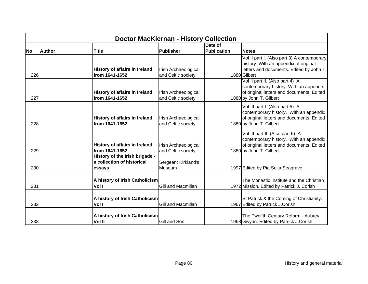|           | <b>Doctor MacKiernan - History Collection</b> |                                                                        |                                            |                               |                                                                                                                                                     |  |  |
|-----------|-----------------------------------------------|------------------------------------------------------------------------|--------------------------------------------|-------------------------------|-----------------------------------------------------------------------------------------------------------------------------------------------------|--|--|
| <b>No</b> | <b>Author</b>                                 | <b>Title</b>                                                           | <b>Publisher</b>                           | Date of<br><b>Publication</b> | <b>Notes</b>                                                                                                                                        |  |  |
| 226       |                                               | <b>History of affairs in Ireland</b><br>from 1641-1652                 | Irish Archaeological<br>and Celtic society |                               | Vol II part I. (Also part 3) A contemporary<br>history. With an appendix of original<br>letters and documents. Edited by John T.<br>1880 Gilbert    |  |  |
| 227       |                                               | <b>History of affairs in Ireland</b><br>from 1641-1652                 | Irish Archaeological<br>and Celtic society |                               | Vol II part II. (Also part 4) A<br>contemporary history. With an appendix<br>of original letters and documents. Edited<br>1880 by John T. Gilbert   |  |  |
| 228       |                                               | <b>History of affairs in Ireland</b><br>from 1641-1652                 | Irish Archaeological<br>and Celtic society |                               | Vol III part I. (Also part 5). A<br>contemporary history. With an appendix<br>of original letters and documents. Edited<br>1880 by John T. Gilbert  |  |  |
| 229       |                                               | <b>History of affairs in Ireland</b><br>from 1641-1652                 | Irish Archaeological<br>and Celtic society |                               | Vol III part II. (Also part 6). A<br>contemporary history. With an appendix<br>of original letters and documents. Edited<br>1880 by John T. Gilbert |  |  |
| 230       |                                               | History of the Irish brigade -<br>a collection of historical<br>essays | Sergeant Kirkland's<br>Museum              |                               | 1997 Edited by Pia Seija Seagrave                                                                                                                   |  |  |
| 231       |                                               | A history of Irish Catholicism<br>Vol I                                | Gill and Macmillan                         |                               | The Monastic Institute and the Christian<br>1972 Mission. Edited by Patrick J. Corish                                                               |  |  |
| 232       |                                               | A history of Irish Catholicism<br>Vol I                                | Gill and Macmillan                         |                               | St Patrick & the Coming of Christianity.<br>1967 Edited by Patrick J.Corish                                                                         |  |  |
| 233       |                                               | A history of Irish Catholicism<br>Vol II                               | Gill and Son                               |                               | The Twelfth Century Reform - Aubrey<br>1968 Gwynn. Edited by Patrick J.Corish                                                                       |  |  |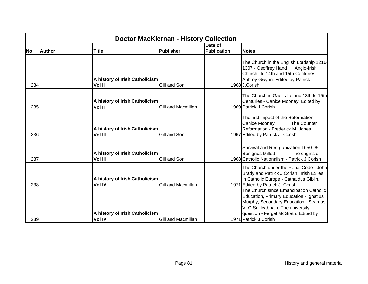|           | <b>Doctor MacKiernan - History Collection</b> |                                |                           |                               |                                                                                                                                                                                                                                 |  |  |
|-----------|-----------------------------------------------|--------------------------------|---------------------------|-------------------------------|---------------------------------------------------------------------------------------------------------------------------------------------------------------------------------------------------------------------------------|--|--|
| <b>No</b> | <b>Author</b><br><b>Title</b>                 |                                | Publisher                 | Date of<br><b>Publication</b> | <b>Notes</b>                                                                                                                                                                                                                    |  |  |
| 234       | Vol II                                        | A history of Irish Catholicism | Gill and Son              |                               | The Church in the English Lordship 1216-<br>1307 - Geoffrey Hand<br>Anglo-Irish<br>Church life 14th and 15th Centuries -<br>Aubrey Gwynn. Edited by Patrick<br>1968 J.Corish                                                    |  |  |
| 235       | Vol II                                        | A history of Irish Catholicism | Gill and Macmillan        |                               | The Church in Gaelic Ireland 13th to 15th<br>Centuries - Canice Mooney. Edited by<br>1969 Patrick J.Corish                                                                                                                      |  |  |
| 236       | <b>Vol III</b>                                | A history of Irish Catholicism | Gill and Son              |                               | The first impact of the Reformation -<br>Canice Mooney<br>The Counter<br>Reformation - Frederick M. Jones.<br>1967 Edited by Patrick J. Corish                                                                                  |  |  |
| 237       | <b>Vol III</b>                                | A history of Irish Catholicism | Gill and Son              |                               | Survival and Reorganization 1650-95 -<br><b>Benignus Millett</b><br>The origins of<br>1968 Catholic Nationalism - Patrick J Corish                                                                                              |  |  |
| 238       | <b>Vol IV</b>                                 | A history of Irish Catholicism | Gill and Macmillan        |                               | The Church under the Penal Code - John<br>Brady and Patrick J Corish Irish Exiles<br>in Catholic Europe - Cathaldus Giblin.<br>1971 Edited by Patrick J. Corish                                                                 |  |  |
| 239       | <b>Vol IV</b>                                 | A history of Irish Catholicism | <b>Gill and Macmillan</b> |                               | The Church since Emancipation Catholic<br>Education, Primary Education - Ignatius<br>Murphy, Secondary Education - Seamus<br>V. O Suilleabhain, The university<br>question - Fergal McGrath. Edited by<br>1971 Patrick J.Corish |  |  |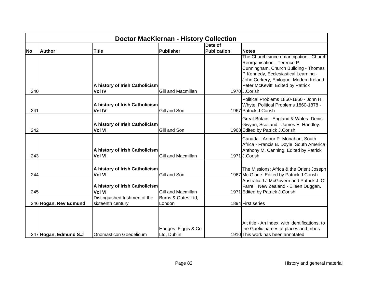|           | <b>Doctor MacKiernan - History Collection</b> |                                |                                    |                    |                                                                             |  |  |  |
|-----------|-----------------------------------------------|--------------------------------|------------------------------------|--------------------|-----------------------------------------------------------------------------|--|--|--|
|           |                                               |                                |                                    | Date of            |                                                                             |  |  |  |
| <b>No</b> | <b>Author</b>                                 | <b>Title</b>                   | Publisher                          | <b>Publication</b> | <b>Notes</b>                                                                |  |  |  |
|           |                                               |                                |                                    |                    | The Church since emancipation - Church                                      |  |  |  |
|           |                                               |                                |                                    |                    | Reorganisation - Terence P.                                                 |  |  |  |
|           |                                               |                                |                                    |                    | Cunningham, Church Building - Thomas                                        |  |  |  |
|           |                                               |                                |                                    |                    | P Kennedy, Ecclesiastical Learning -                                        |  |  |  |
|           |                                               |                                |                                    |                    | John Corkery, Epilogue: Modern Ireland -                                    |  |  |  |
|           |                                               | A history of Irish Catholicism |                                    |                    | Peter McKevitt. Edited by Patrick                                           |  |  |  |
| 240       |                                               | <b>Vol IV</b>                  | Gill and Macmillan                 |                    | 1970 J.Corish                                                               |  |  |  |
|           |                                               |                                |                                    |                    | Political Problems 1850-1860 - John H.                                      |  |  |  |
|           |                                               | A history of Irish Catholicism |                                    |                    | Whyte, Political Problems 1860-1878 -                                       |  |  |  |
| 241       |                                               | <b>Vol IV</b>                  | Gill and Son                       |                    | 1967 Patrick J Corish                                                       |  |  |  |
|           |                                               |                                |                                    |                    | Great Britain - England & Wales -Denis                                      |  |  |  |
|           |                                               | A history of Irish Catholicism |                                    |                    | Gwynn, Scotland - James E. Handley.                                         |  |  |  |
| 242       |                                               | <b>Vol VI</b>                  | Gill and Son                       |                    | 1968 Edited by Patrick J.Corish                                             |  |  |  |
|           |                                               |                                |                                    |                    | Canada - Arthur P. Monahan, South                                           |  |  |  |
|           |                                               |                                |                                    |                    | Africa - Francis B. Doyle, South America                                    |  |  |  |
|           |                                               | A history of Irish Catholicism |                                    |                    | Anthony M. Canning. Edited by Patrick                                       |  |  |  |
| 243       |                                               | <b>Vol VI</b>                  | <b>Gill and Macmillan</b>          |                    | 1971J.Corish                                                                |  |  |  |
|           |                                               |                                |                                    |                    |                                                                             |  |  |  |
|           |                                               | A history of Irish Catholicism |                                    |                    | The Missions: Africa & the Orient Joseph                                    |  |  |  |
| 244       |                                               | <b>Vol VI</b>                  | Gill and Son                       |                    | 1967 Mc Glade. Edited by Patrick J.Corish                                   |  |  |  |
|           |                                               |                                |                                    |                    | Australia J.J McGovern and Patrick J. O'                                    |  |  |  |
|           |                                               | A history of Irish Catholicism |                                    |                    | Farrell, New Zealand - Eileen Duggan.                                       |  |  |  |
| 245       |                                               | <b>Vol VI</b>                  | Gill and Macmillan                 |                    | 1971 Edited by Patrick J.Corish                                             |  |  |  |
|           |                                               | Distinguished Irishmen of the  | Burns & Oates Ltd,                 |                    |                                                                             |  |  |  |
|           | 246 Hogan, Rev Edmund                         | sixteenth century              | London                             |                    | 1894 First series                                                           |  |  |  |
|           |                                               |                                |                                    |                    |                                                                             |  |  |  |
|           |                                               |                                |                                    |                    |                                                                             |  |  |  |
|           |                                               |                                |                                    |                    | Alt title - An index, with identifications, to                              |  |  |  |
|           | 247 Hogan, Edmund S.J                         | <b>Onomasticon Goedelicum</b>  | Hodges, Figgis & Co<br>Ltd, Dublin |                    | the Gaelic names of places and tribes.<br>1910 This work has been annotated |  |  |  |
|           |                                               |                                |                                    |                    |                                                                             |  |  |  |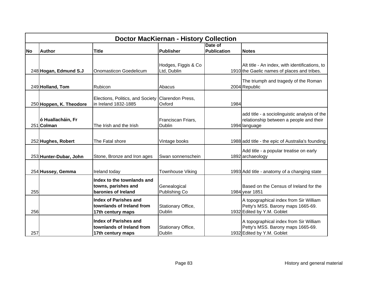|           | <b>Doctor MacKiernan - History Collection</b> |                                                                           |                                    |                               |                                                                                                           |  |  |
|-----------|-----------------------------------------------|---------------------------------------------------------------------------|------------------------------------|-------------------------------|-----------------------------------------------------------------------------------------------------------|--|--|
| <b>No</b> | <b>Author</b>                                 | <b>Title</b>                                                              | <b>Publisher</b>                   | Date of<br><b>Publication</b> | <b>Notes</b>                                                                                              |  |  |
|           | 248 Hogan, Edmund S.J                         | Onomasticon Goedelicum                                                    | Hodges, Figgis & Co<br>Ltd, Dublin |                               | Alt title - An index, with identifications, to<br>1910 the Gaelic names of places and tribes.             |  |  |
|           | 249 Holland, Tom                              | Rubicon                                                                   | Abacus                             |                               | The triumph and tragedy of the Roman<br>2004 Republic                                                     |  |  |
|           | 250 Hoppen, K. Theodore                       | Elections, Politics, and Society Clarendon Press,<br>in Ireland 1832-1885 | Oxford                             | 1984                          |                                                                                                           |  |  |
|           | ó Huallacháin, Fr<br>251 Colman               | The Irish and the Irish                                                   | Franciscan Friars,<br>Dublin       |                               | add title - a sociolinguistic analysis of the<br>relationship between a people and their<br>1994 language |  |  |
|           | 252 Hughes, Robert                            | The Fatal shore                                                           | Vintage books                      |                               | 1988 add title - the epic of Australia's founding                                                         |  |  |
|           | 253 Hunter-Dubar, John                        | Stone, Bronze and Iron ages                                               | Swan sonnenschein                  |                               | Add title - a popular treatise on early<br>1892 archaeology                                               |  |  |
|           | 254 Hussey, Gemma                             | Ireland today                                                             | <b>Townhouse Viking</b>            |                               | 1993 Add title - anatomy of a changing state                                                              |  |  |
| 255       |                                               | Index to the townlands and<br>towns, parishes and<br>baronies of Ireland  | Genealogical<br>Publishing Co      |                               | Based on the Census of Ireland for the<br>1984 year 1851                                                  |  |  |
| 256       |                                               | Index of Parishes and<br>townlands of Ireland from<br>17th century maps   | Stationary Office,<br>Dublin       |                               | A topographical index from Sir William<br>Petty's MSS. Barony maps 1665-69.<br>1932 Edited by Y.M. Goblet |  |  |
| 257       |                                               | lIndex of Parishes and<br>townlands of Ireland from<br>17th century maps  | Stationary Office,<br>Dublin       |                               | A topographical index from Sir William<br>Petty's MSS. Barony maps 1665-69.<br>1932 Edited by Y.M. Goblet |  |  |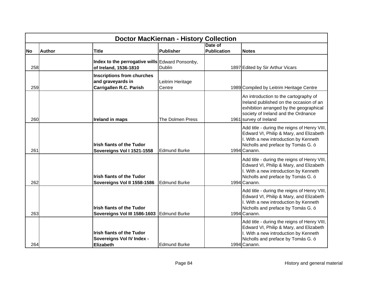|           | <b>Doctor MacKiernan - History Collection</b> |                                                                                          |                            |                    |                                                                                                                                                                                              |  |  |
|-----------|-----------------------------------------------|------------------------------------------------------------------------------------------|----------------------------|--------------------|----------------------------------------------------------------------------------------------------------------------------------------------------------------------------------------------|--|--|
|           |                                               |                                                                                          |                            | Date of            |                                                                                                                                                                                              |  |  |
| <b>No</b> | <b>Author</b>                                 | <b>Title</b>                                                                             | Publisher                  | <b>Publication</b> | <b>Notes</b>                                                                                                                                                                                 |  |  |
| 258       |                                               | Index to the perrogative wills Edward Ponsonby,<br>of Ireland, 1536-1810                 | <b>Dublin</b>              |                    | 1897 Edited by Sir Arthur Vicars                                                                                                                                                             |  |  |
| 259       |                                               | <b>Inscriptions from churches</b><br>and graveyards in<br><b>Carrigallen R.C. Parish</b> | Leitrim Heritage<br>Centre |                    | 1989 Compiled by Leitrim Heritage Centre                                                                                                                                                     |  |  |
| 260       |                                               | <b>Ireland in maps</b>                                                                   | The Dolmen Press           |                    | An introduction to the cartography of<br>Ireland published on the occasion of an<br>exhibition arranged by the geographical<br>society of Ireland and the Ordnance<br>1961 survey of Ireland |  |  |
| 261       |                                               | <b>Irish fiants of the Tudor</b><br>Sovereigns Vol I 1521-1558                           | <b>Edmund Burke</b>        |                    | Add title - during the reigns of Henry VIII,<br>Edward VI, Philip & Mary, and Elizabeth<br>I. With a new introduction by Kenneth<br>Nicholls and preface by Tomás G. ó<br>1994 Canann.       |  |  |
| 262       |                                               | <b>Irish fiants of the Tudor</b><br>Sovereigns Vol II 1558-1586                          | <b>Edmund Burke</b>        |                    | Add title - during the reigns of Henry VIII,<br>Edward VI, Philip & Mary, and Elizabeth<br>I. With a new introduction by Kenneth<br>Nicholls and preface by Tomás G. ó<br>1994 Canann.       |  |  |
| 263       |                                               | <b>Irish fiants of the Tudor</b><br>Sovereigns Vol III 1586-1603 Edmund Burke            |                            |                    | Add title - during the reigns of Henry VIII,<br>Edward VI, Philip & Mary, and Elizabeth<br>I. With a new introduction by Kenneth<br>Nicholls and preface by Tomás G. ó<br>1994 Canann.       |  |  |
| 264       |                                               | <b>Irish fiants of the Tudor</b><br>Sovereigns Vol IV Index -<br><b>Elizabeth</b>        | <b>Edmund Burke</b>        |                    | Add title - during the reigns of Henry VIII,<br>Edward VI, Philip & Mary, and Elizabeth<br>I. With a new introduction by Kenneth<br>Nicholls and preface by Tomás G. ó<br>1994 Canann.       |  |  |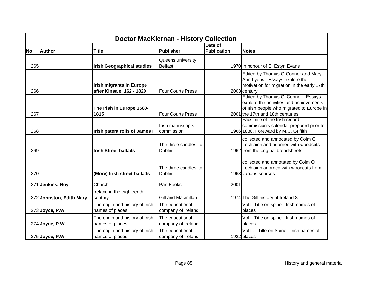|           | <b>Doctor MacKiernan - History Collection</b> |                                                              |                                         |                               |                                                                                                                                                                 |  |  |
|-----------|-----------------------------------------------|--------------------------------------------------------------|-----------------------------------------|-------------------------------|-----------------------------------------------------------------------------------------------------------------------------------------------------------------|--|--|
| <b>No</b> | <b>Author</b>                                 | <b>Title</b>                                                 | Publisher                               | Date of<br><b>Publication</b> | <b>Notes</b>                                                                                                                                                    |  |  |
| 265       |                                               | <b>Irish Geographical studies</b>                            | Queens university,<br><b>Belfast</b>    |                               | 1970 In honour of E. Estyn Evans                                                                                                                                |  |  |
| 266       |                                               | <b>Irish migrants in Europe</b><br>after Kinsale, 162 - 1820 | <b>Four Courts Press</b>                |                               | Edited by Thomas O Connor and Mary<br>Ann Lyons - Essays explore the<br>motivation for migration in the early 17th<br>2003 century                              |  |  |
| 267       |                                               | The Irish in Europe 1580-<br>1815                            | <b>Four Courts Press</b>                |                               | Edited by Thomas O' Connor - Essays<br>explore the activities and achievements<br>of Irish people who migrated to Europe in<br>2001 the 17th and 18th centuries |  |  |
| 268       |                                               | Irish patent rolls of James I                                | Irish manuscripts<br>commission         |                               | Facsimile of the Irish record<br>commission's calendar prepared prior to<br>1966 1830. Foreward by M.C. Griffith                                                |  |  |
| 269       |                                               | <b>Irish Street ballads</b>                                  | The three candles ltd.<br><b>Dublin</b> |                               | collected and annocated by Colm O<br>Lochlainn and adorned with woodcuts<br>1962 from the original broadsheets                                                  |  |  |
| 270       |                                               | (More) Irish street ballads                                  | The three candles ltd.<br><b>Dublin</b> |                               | collected and annotated by Colm O<br>Lochlainn adorned with woodcuts from<br>1968 various sources                                                               |  |  |
|           | 271 Jenkins, Roy                              | Churchill                                                    | Pan Books                               | 2001                          |                                                                                                                                                                 |  |  |
|           | 272 Johnston, Edith Mary                      | Ireland in the eighteenth<br>century                         | Gill and Macmillan                      |                               | 1974 The Gill history of Ireland 8                                                                                                                              |  |  |
|           | 273 Joyce, P.W                                | The origin and history of Irish<br>names of places           | The educational<br>company of Ireland   |                               | Vol I. Title on spine - Irish names of<br>places                                                                                                                |  |  |
|           | 274 Joyce, P.W                                | The origin and history of Irish<br>names of places           | The educational<br>company of Ireland   |                               | Vol I. Title on spine - Irish names of<br>places                                                                                                                |  |  |
|           | 275 Joyce, P.W                                | The origin and history of Irish<br>names of places           | The educational<br>company of Ireland   |                               | Vol II. Title on Spine - Irish names of<br>1922 places                                                                                                          |  |  |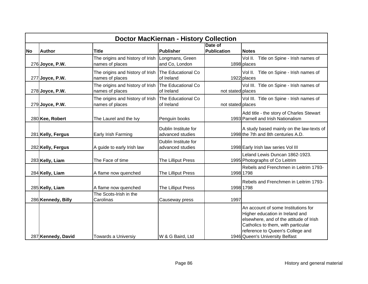|           | <b>Doctor MacKiernan - History Collection</b> |                                                                        |                                          |                               |                                                                                                                                                                                                                                |  |  |
|-----------|-----------------------------------------------|------------------------------------------------------------------------|------------------------------------------|-------------------------------|--------------------------------------------------------------------------------------------------------------------------------------------------------------------------------------------------------------------------------|--|--|
| <b>No</b> | <b>Author</b>                                 | <b>Title</b>                                                           | <b>Publisher</b>                         | Date of<br><b>Publication</b> | <b>Notes</b>                                                                                                                                                                                                                   |  |  |
|           | 276 Joyce, P.W.                               | The origins and history of Irish<br>names of places                    | Longmans, Green<br>and Co, London        |                               | Title on Spine - Irish names of<br>Vol II.<br>1898 places                                                                                                                                                                      |  |  |
|           | $277$ Joyce, P.W.                             | The origins and history of Irish<br>names of places                    | The Educational Co<br>of Ireland         |                               | Vol II. Title on Spine - Irish names of<br>1922 places                                                                                                                                                                         |  |  |
|           | 278 Joyce, P.W.                               | The origins and history of Irish The Educational Co<br>names of places | of Ireland                               | not stated places             | Vol III. Title on Spine - Irish names of                                                                                                                                                                                       |  |  |
|           | 279 Joyce, P.W.                               | The origins and history of Irish<br>names of places                    | The Educational Co<br>of Ireland         | not stated places             | Vol III. Title on Spine - Irish names of                                                                                                                                                                                       |  |  |
|           | 280 Kee, Robert                               | The Laurel and the Ivy                                                 | Penguin books                            |                               | Add title - the story of Charles Stewart<br>1993 Parnell and Irish Nationalism                                                                                                                                                 |  |  |
|           | 281 Kelly, Fergus                             | Early Irish Farming                                                    | Dublin Institute for<br>advanced studies |                               | A study based mainly on the law-texts of<br>1998 the 7th and 8th centuries A.D.                                                                                                                                                |  |  |
|           | 282 Kelly, Fergus                             | A guide to early Irish law                                             | Dublin Institute for<br>advanced studies |                               | 1998 Early Irish law series Vol III                                                                                                                                                                                            |  |  |
|           | 283 Kelly, Liam                               | The Face of time                                                       | The Lilliput Press                       |                               | Leland Lewis Duncan 1862-1923.<br>1995 Photographs of Co Leitrim                                                                                                                                                               |  |  |
|           | 284 Kelly, Liam                               | A flame now quenched                                                   | The Lilliput Press                       |                               | Rebels and Frenchmen in Leitrim 1793-<br>1998 1798                                                                                                                                                                             |  |  |
|           | 285 Kelly, Liam                               | A flame now quenched                                                   | The Lilliput Press                       |                               | Rebels and Frenchmen in Leitrim 1793-<br>1998 1798                                                                                                                                                                             |  |  |
|           | 286 Kennedy, Billy                            | The Scots-Irish in the<br>Carolinas                                    | Causeway press                           | 1997                          |                                                                                                                                                                                                                                |  |  |
|           | 287 Kennedy, David                            | Towards a Universiy                                                    | W & G Baird, Ltd                         |                               | An account of some Institutions for<br>Higher education in Ireland and<br>elsewhere, and of the attitude of Irish<br>Catholics to them, with particular<br>reference to Queen's College and<br>1946 Queen's University Belfast |  |  |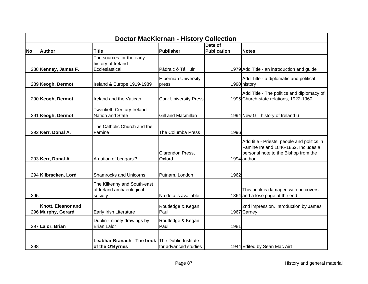|           | <b>Doctor MacKiernan - History Collection</b> |                                                                     |                                      |                    |                                                                                                                                            |  |  |
|-----------|-----------------------------------------------|---------------------------------------------------------------------|--------------------------------------|--------------------|--------------------------------------------------------------------------------------------------------------------------------------------|--|--|
|           |                                               |                                                                     |                                      | Date of            |                                                                                                                                            |  |  |
| <b>No</b> | <b>Author</b>                                 | <b>Title</b>                                                        | <b>Publisher</b>                     | <b>Publication</b> | <b>Notes</b>                                                                                                                               |  |  |
|           | 288 Kenney, James F.                          | The sources for the early<br>history of Ireland:<br>Ecclesiastical  | Pádraic ó Táilliúir                  |                    | 1979 Add Title - an introduction and guide                                                                                                 |  |  |
|           |                                               |                                                                     |                                      |                    |                                                                                                                                            |  |  |
|           | 289 Keogh, Dermot                             | Ireland & Europe 1919-1989                                          | <b>Hibernian University</b><br>press |                    | Add Title - a diplomatic and political<br>1990 history                                                                                     |  |  |
|           | 290 Keogh, Dermot                             | Ireland and the Vatican                                             | <b>Cork University Press</b>         |                    | Add Title - The politics and diplomacy of<br>1995 Church-state relations, 1922-1960                                                        |  |  |
|           | 291 Keogh, Dermot                             | Twentieth Century Ireland -<br><b>Nation and State</b>              | Gill and Macmillan                   |                    | 1994 New Gill history of Ireland 6                                                                                                         |  |  |
|           | 292 Kerr, Donal A.                            | The Catholic Church and the<br>Famine                               | The Columba Press                    | 1996               |                                                                                                                                            |  |  |
|           | 293 Kerr, Donal A.                            | A nation of beggars'?                                               | Clarendon Press,<br>Oxford           |                    | Add title - Priests, people and politics in<br>Famine Ireland 1846-1852. Includes a<br>personal note to the Bishop from the<br>1994 author |  |  |
|           | 294 Kilbracken, Lord                          | <b>Shamrocks and Unicorns</b>                                       | Putnam, London                       | 1962               |                                                                                                                                            |  |  |
| 295       |                                               | The Kilkenny and South-east<br>of Ireland archaeological<br>society | No details available                 |                    | This book is damaged with no covers<br>1864 and a lose page at the end                                                                     |  |  |
|           | Knott, Eleanor and<br>296 Murphy, Gerard      | Early Irish Literature                                              | Routledge & Kegan<br>Paul            |                    | 2nd impression. Introduction by James<br>1967 Carney                                                                                       |  |  |
|           | 297 Lalor, Brian                              | Dublin - ninety drawings by<br><b>Brian Lalor</b>                   | Routledge & Kegan<br>Paul            | 1981               |                                                                                                                                            |  |  |
| 298       |                                               | Leabhar Branach - The book The Dublin Institute<br>of the O'Byrnes  | for advanced studies                 |                    | 1944 Edited by Seán Mac Airt                                                                                                               |  |  |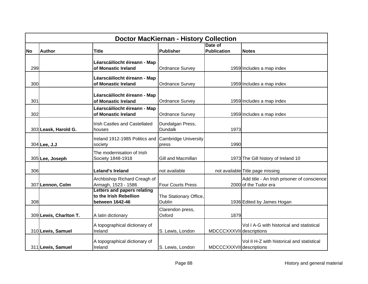|           | <b>Doctor MacKiernan - History Collection</b> |                                                                          |                                      |                          |                                                                      |  |  |
|-----------|-----------------------------------------------|--------------------------------------------------------------------------|--------------------------------------|--------------------------|----------------------------------------------------------------------|--|--|
|           |                                               |                                                                          |                                      | Date of                  |                                                                      |  |  |
| <b>No</b> | <b>Author</b>                                 | <b>Title</b>                                                             | <b>Publisher</b>                     | <b>Publication</b>       | <b>Notes</b>                                                         |  |  |
| 299       |                                               | Léarscáilíocht éireann - Map<br>of Monastic Ireland                      | <b>Ordnance Survey</b>               |                          | 1959 Includes a map index                                            |  |  |
| 300       |                                               | Léarscáilíocht éireann - Map<br>of Monastic Ireland                      | <b>Ordnance Survey</b>               |                          | 1959 Includes a map index                                            |  |  |
| 301       |                                               | Léarscáilíocht éireann - Map<br>of Monastic Ireland                      | <b>Ordnance Survey</b>               |                          | 1959 Includes a map index                                            |  |  |
| 302       |                                               | Léarscáilíocht éireann - Map<br>of Monastic Ireland                      | <b>Ordnance Survey</b>               |                          | 1959 Includes a map index                                            |  |  |
|           | 303 Leask, Harold G.                          | Irish Castles and Castellated<br>houses                                  | Dundalgan Press,<br><b>Dundalk</b>   | 1973                     |                                                                      |  |  |
|           | 304 Lee, J.J                                  | Ireland 1912-1985 Politics and<br>society                                | <b>Cambridge University</b><br>press | 1990                     |                                                                      |  |  |
|           | 305 Lee, Joseph                               | The modernisation of Irish<br>Society 1848-1918                          | Gill and Macmillan                   |                          | 1973 The Gill history of Ireland 10                                  |  |  |
| 306       |                                               | <b>Leland's Ireland</b>                                                  | not available                        |                          | not available Title page missing                                     |  |  |
|           | 307 Lennon, Colm                              | Archbishop Richard Creagh of<br>Armagh, 1523 - 1586                      | <b>Four Courts Press</b>             |                          | Add title - An Irish prisoner of conscience<br>2000 of the Tudor era |  |  |
| 308       |                                               | Letters and papers relating<br>to the Irish Rebellion<br>between 1642-46 | The Stationary Office,<br>Dublin     |                          | 1936 Edited by James Hogan                                           |  |  |
|           | 309 Lewis, Charlton T.                        | A latin dictionary                                                       | Clarendon press,<br>Oxford           | 1879                     |                                                                      |  |  |
|           | 310 Lewis, Samuel                             | A topographical dictionary of<br>Ireland                                 | S. Lewis, London                     | MDCCCXXXVII descriptions | Vol I A-G with historical and statistical                            |  |  |
|           | 311 Lewis, Samuel                             | A topographical dictionary of<br>Ireland                                 | S. Lewis, London                     | MDCCCXXXVII descriptions | Vol II H-Z with historical and statistical                           |  |  |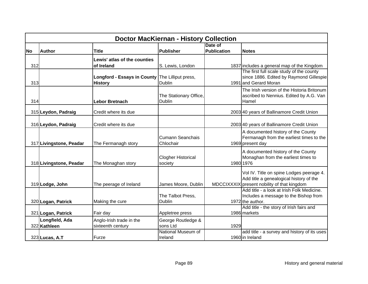|           | <b>Doctor MacKiernan - History Collection</b> |                                                                   |                                         |                    |                                                                                                                                    |  |  |
|-----------|-----------------------------------------------|-------------------------------------------------------------------|-----------------------------------------|--------------------|------------------------------------------------------------------------------------------------------------------------------------|--|--|
|           |                                               |                                                                   |                                         | Date of            |                                                                                                                                    |  |  |
| <b>No</b> | <b>Author</b>                                 | <b>Title</b>                                                      | Publisher                               | <b>Publication</b> | <b>Notes</b>                                                                                                                       |  |  |
|           |                                               | Lewis' atlas of the counties                                      |                                         |                    |                                                                                                                                    |  |  |
| 312       |                                               | of Ireland                                                        | S. Lewis, London                        |                    | 1837 includes a general map of the Kingdom                                                                                         |  |  |
| 313       |                                               | Longford - Essays in County The Lilliput press,<br><b>History</b> | <b>Dublin</b>                           |                    | The first full scale study of the county<br>since 1886. Edited by Raymond Gillespie<br>1991 and Gerard Moran                       |  |  |
| 314       |                                               | <b>Lebor Bretnach</b>                                             | The Stationary Office,<br><b>Dublin</b> |                    | The Irish version of the Historia Britonum<br>ascribed to Nennius. Edited by A.G. Van<br>Hamel                                     |  |  |
|           | 315 Leydon, Padraig                           | Credit where its due                                              |                                         |                    | 2003 40 years of Ballinamore Credit Union                                                                                          |  |  |
|           | 316 Leydon, Padraig                           | Credit where its due                                              |                                         |                    | 2003 40 years of Ballinamore Credit Union                                                                                          |  |  |
|           | 317 Livingstone, Peadar                       | The Fermanagh story                                               | Cumann Seanchais<br>Chlochair           |                    | A documented history of the County<br>Fermanagh from the earliest times to the<br>1969 present day                                 |  |  |
|           | 318 Livingstone, Peadar                       | The Monaghan story                                                | <b>Clogher Historical</b><br>society    |                    | A documented history of the County<br>Monaghan from the earliest times to<br>1980 1976                                             |  |  |
|           | 319 Lodge, John                               | The peerage of Ireland                                            | James Moore, Dublin                     |                    | Vol IV. Title on spine Lodges peerage 4.<br>Add title a genealogical history of the<br>MDCCIXXXIX present nobility of that kingdom |  |  |
|           | 320 Logan, Patrick                            | Making the cure                                                   | The Talbot Press,<br><b>Dublin</b>      |                    | Add title - a look at Irish Folk Medicine.<br>Includes a message to the Bishop from<br>1972 the author.                            |  |  |
|           |                                               |                                                                   |                                         |                    | Add title - the story of Irish fairs and                                                                                           |  |  |
|           | 321 Logan, Patrick                            | Fair day                                                          | Appletree press                         |                    | 1986 markets                                                                                                                       |  |  |
|           | Longfield, Ada                                | Anglo-Irish trade in the                                          | George Routledge &                      |                    |                                                                                                                                    |  |  |
|           | 322 Kathleen                                  | sixteenth century                                                 | sons Ltd                                | 1929               |                                                                                                                                    |  |  |
|           | 323 Lucas, A.T                                | Furze                                                             | National Museum of<br>Ireland           |                    | add title - a survey and history of its uses<br>1960 in Ireland                                                                    |  |  |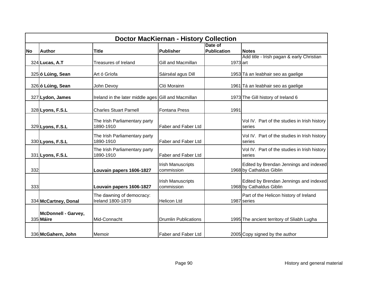|           | <b>Doctor MacKiernan - History Collection</b> |                                                     |                                        |                               |                                                                    |  |  |  |
|-----------|-----------------------------------------------|-----------------------------------------------------|----------------------------------------|-------------------------------|--------------------------------------------------------------------|--|--|--|
| <b>No</b> | <b>Author</b>                                 | Title                                               | <b>Publisher</b>                       | Date of<br><b>Publication</b> | <b>Notes</b>                                                       |  |  |  |
|           | 324 Lucas, A.T                                | <b>Treasures of Ireland</b>                         | Gill and Macmillan                     | 1973 art                      | Add title - Irish pagan & early Christian                          |  |  |  |
|           | 325 ó Lúing, Sean                             | Art ó Gríofa                                        | Sáirséal agus Dill                     |                               | 1953 Tá an leabhair seo as gaelige                                 |  |  |  |
|           | 326 ó Lúing, Sean                             | John Devoy                                          | Cló Morainn                            |                               | 1961 Tá an leabhair seo as gaelige                                 |  |  |  |
|           | 327 Lydon, James                              | Ireland in the later middle ages Gill and Macmillan |                                        |                               | 1973 The Gill history of Ireland 6                                 |  |  |  |
|           | 328 Lyons, F.S.L                              | <b>Charles Stuart Parnell</b>                       | <b>Fontana Press</b>                   | 1991                          |                                                                    |  |  |  |
|           | 329 Lyons, F.S.L                              | The Irish Parliamentary party<br>1890-1910          | <b>Faber and Faber Ltd</b>             |                               | Vol IV. Part of the studies in Irish history<br>series             |  |  |  |
|           | 330 Lyons, F.S.L                              | The Irish Parliamentary party<br>1890-1910          | <b>Faber and Faber Ltd</b>             |                               | Vol IV. Part of the studies in Irish history<br>series             |  |  |  |
|           | 331 Lyons, F.S.L                              | The Irish Parliamentary party<br>1890-1910          | <b>Faber and Faber Ltd</b>             |                               | Vol IV. Part of the studies in Irish history<br>series             |  |  |  |
| 332       |                                               | Louvain papers 1606-1827                            | <b>Irish Manuscripts</b><br>commission |                               | Edited by Brendan Jennings and indexed<br>1968 by Cathaldus Giblin |  |  |  |
| 333       |                                               | Louvain papers 1606-1827                            | <b>Irish Manuscripts</b><br>commission |                               | Edited by Brendan Jennings and indexed<br>1968 by Cathaldus Giblin |  |  |  |
|           | 334 McCartney, Donal                          | The dawning of democracy:<br>Ireland 1800-1870      | <b>Helicon Ltd</b>                     |                               | Part of the Helicon history of Ireland<br>1987 series              |  |  |  |
|           | McDonnell - Garvey,<br>335 Máire              | Mid-Connacht                                        | <b>Drumlin Publications</b>            |                               | 1995 The ancient territory of Sliabh Lugha                         |  |  |  |
|           | 336 McGahern, John                            | Memoir                                              | <b>Faber and Faber Ltd</b>             |                               | 2005 Copy signed by the author                                     |  |  |  |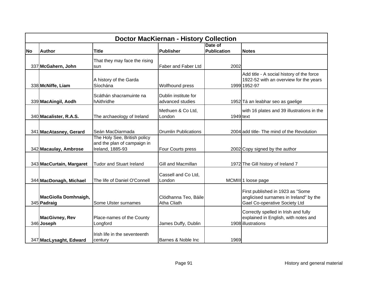|           | <b>Doctor MacKiernan - History Collection</b> |                                                  |                                            |                               |                                                                                                             |  |  |
|-----------|-----------------------------------------------|--------------------------------------------------|--------------------------------------------|-------------------------------|-------------------------------------------------------------------------------------------------------------|--|--|
| <b>No</b> | <b>Author</b>                                 | <b>Title</b>                                     | <b>Publisher</b>                           | Date of<br><b>Publication</b> | <b>Notes</b>                                                                                                |  |  |
|           | 337 McGahern, John                            | That they may face the rising<br>sun             | Faber and Faber Ltd                        | 2002                          |                                                                                                             |  |  |
|           | 338 McNiffe, Liam                             | A history of the Garda<br>Síochána               | Wolfhound press                            |                               | Add title - A social history of the force<br>1922-52 with an overview for the years<br>1999 1952-97         |  |  |
|           | 339 MacAingil, Aodh                           | Scáthán shacramuinte na<br>hAithridhe            | Dublin institute for<br>advanced studies   |                               | 1952 Tá an leabhar seo as gaelige                                                                           |  |  |
|           | 340 Macalister, R.A.S.                        | The archaeology of Ireland                       | Methuen & Co Ltd,<br>London                | 1949 text                     | with 16 plates and 39 illustrations in the                                                                  |  |  |
|           | 341 MacAtasney, Gerard                        | Seán MacDiarmada<br>The Holy See, British policy | <b>Drumlin Publications</b>                |                               | 2004 add title- The mind of the Revolution                                                                  |  |  |
|           | 342 Macaulay, Ambrose                         | and the plan of campaign in<br>Ireland, 1885-93  | Four Courts press                          |                               | 2002 Copy signed by the author                                                                              |  |  |
|           | 343 MacCurtain, Margaret                      | <b>Tudor and Stuart Ireland</b>                  | Gill and Macmillan                         |                               | 1972 The Gill history of Ireland 7                                                                          |  |  |
|           | 344 MacDonagh, Michael                        | The life of Daniel O'Connell                     | Cassell and Co Ltd,<br>London              |                               | MCMIII 1 loose page                                                                                         |  |  |
|           | <b>MacGiolla Domhnaigh,</b><br>345 Padraig    | Some Ulster surnames                             | Clódhanna Teo, Báile<br><b>Atha Cliath</b> |                               | First published in 1923 as "Some<br>anglicised surnames in Ireland" by the<br>Gael Co-operative Society Ltd |  |  |
|           | <b>MacGivney, Rev</b><br>346 Joseph           | Place-names of the County<br>Longford            | James Duffy, Dublin                        |                               | Correctly spelled in Irish and fully<br>explained in English, with notes and<br>1908 illustrations          |  |  |
|           | 347 MacLysaght, Edward                        | Irish life in the seventeenth<br>century         | Barnes & Noble Inc                         | 1969                          |                                                                                                             |  |  |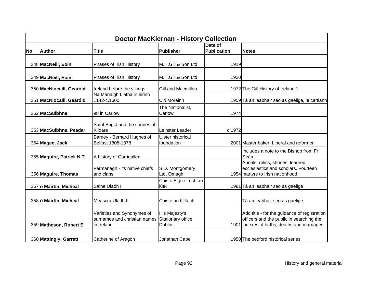|           | <b>Doctor MacKiernan - History Collection</b> |                                                                          |                                                      |                               |                                                                                                                                          |  |  |  |
|-----------|-----------------------------------------------|--------------------------------------------------------------------------|------------------------------------------------------|-------------------------------|------------------------------------------------------------------------------------------------------------------------------------------|--|--|--|
| <b>No</b> | <b>Author</b>                                 | <b>Title</b>                                                             | <b>Publisher</b>                                     | Date of<br><b>Publication</b> | <b>Notes</b>                                                                                                                             |  |  |  |
|           | 348 MacNeill, Eoin                            | Phases of Irish History                                                  | M.H.Gill & Son Ltd                                   | 1919                          |                                                                                                                                          |  |  |  |
|           | 349 MacNeill, Eoin                            | Phases of Irish History                                                  | M.H.Gill & Son Ltd                                   | 1920                          |                                                                                                                                          |  |  |  |
|           | 350 MacNiocaill, Gearóid                      | Ireland before the vikings                                               | Gill and Macmillan                                   |                               | 1972 The Gill History of Ireland 1                                                                                                       |  |  |  |
|           | 351 MacNiocaill, Gearóid                      | Na Manaigh Liatha in éirinn<br>1142-c.1600                               | Cló Morainn                                          |                               | 1959 Tá an leabhair seo as gaelige, le cartlann                                                                                          |  |  |  |
|           | 352 MacSuibhne                                | 98 in Carlow                                                             | The Nationalist,<br>Carlow                           | 1974                          |                                                                                                                                          |  |  |  |
|           | 353 MacSuibhne, Peadar                        | Saint Brigid and the shrines of<br>Kildare                               | Leinster Leader                                      | c.1972                        |                                                                                                                                          |  |  |  |
|           | 354 Magee, Jack                               | Barney - Bernard Hughes of<br>Belfast 1808-1878                          | <b>Ulster historical</b><br>foundation               |                               | 2001 Master baker, Liberal and reformer                                                                                                  |  |  |  |
|           | 355 Maguire, Patrick N.T.                     | A history of Carrigallen                                                 |                                                      |                               | Includes a note to the Bishop from Fr<br>Seán                                                                                            |  |  |  |
|           | 356 Maguire, Thomas                           | Fermanagh - its native chiefs<br>and clans                               | S.D. Montgomery<br>Ltd, Omagh                        |                               | Annals, relics, shrines, learned<br>ecclesiastics and scholars. Fourteen<br>1954 martyrs to Irish nationhood                             |  |  |  |
|           | 357 ó Máirtín, Micheál                        | Saine Uladh I                                                            | Coiste Eigse Loch an<br>iúIR                         |                               | 1981 Tá an leabhair seo as gaelige                                                                                                       |  |  |  |
|           | 358 ó Máirtín, Micheál                        | Meascra Uladh II                                                         | Coiste an tUltach                                    |                               | Tá an leabhair seo as gaelige                                                                                                            |  |  |  |
|           | 359 Matheson, Robert E                        | Varieties and Synonymes of<br>surnames and christian names<br>in Ireland | His Majesty's<br>Stationary office,<br><b>Dublin</b> |                               | Add title - for the guidance of registration<br>officers and the public in searching the<br>1901 indexes of births, deaths and marriages |  |  |  |
|           | 360 Mattingly, Garrett                        | Catherine of Aragon                                                      | Jonathan Cape                                        |                               | 1950 The bedford historical series                                                                                                       |  |  |  |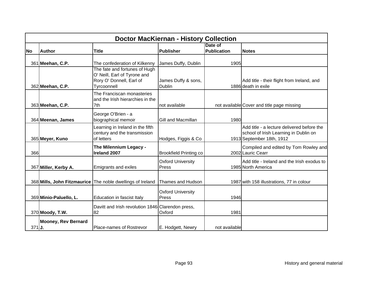|           | <b>Doctor MacKiernan - History Collection</b> |                                                                                                          |                                      |                               |                                                                                                                  |  |  |
|-----------|-----------------------------------------------|----------------------------------------------------------------------------------------------------------|--------------------------------------|-------------------------------|------------------------------------------------------------------------------------------------------------------|--|--|
| <b>No</b> | <b>Author</b>                                 | <b>Title</b>                                                                                             | <b>Publisher</b>                     | Date of<br><b>Publication</b> | <b>Notes</b>                                                                                                     |  |  |
|           | 361 Meehan, C.P.                              | The confederation of Kilkenny                                                                            | James Duffy, Dublin                  | 1905                          |                                                                                                                  |  |  |
|           | 362 Meehan, C.P.                              | The fate and fortunes of Hugh<br>O' Neill, Earl of Tyrone and<br>Rory O' Donnell, Earl of<br>Tyrcoonnell | James Duffy & sons,<br><b>Dublin</b> |                               | Add title - their flight from Ireland, and<br>1886 death in exile                                                |  |  |
|           | 363 Meehan, C.P.                              | The Franciscan monasteries<br>and the Irish hierarchies in the<br>7th                                    | not available                        |                               | not available Cover and title page missing                                                                       |  |  |
|           | 364 Meenan, James                             | George O'Brien - a<br>biographical memoir                                                                | Gill and Macmillan                   | 1980                          |                                                                                                                  |  |  |
|           | 365 Meyer, Kuno                               | Learning in Ireland in the fifth<br>century and the transmission<br>of letters                           | Hodges, Figgis & Co                  |                               | Add title - a lecture delivered before the<br>school of Irish Learning in Dublin on<br>1913 September 18th, 1912 |  |  |
| 366       |                                               | The Milennium Legacy -<br>Ireland 2007                                                                   | <b>Brookfield Printing co</b>        |                               | Compiled and edited by Tom Rowley and<br>2002 Lauric Cearr                                                       |  |  |
|           | 367 Miller, Kerby A.                          | Emigrants and exiles                                                                                     | <b>Oxford University</b><br>Press    |                               | Add title - Ireland and the Irish exodus to<br>1985 North America                                                |  |  |
|           |                                               | 368 Mills, John Fitzmaurice The noble dwellings of Ireland                                               | Thames and Hudson                    |                               | 1987 with 158 illustrations, 77 in colour                                                                        |  |  |
|           | 369 Minio-Paluello, L.                        | Education in fascist Italy                                                                               | <b>Oxford University</b><br>Press    | 1946                          |                                                                                                                  |  |  |
|           | 370 Moody, T.W.                               | Davitt and Irish revolution 1846 Clarendon press,<br>82                                                  | Oxford                               | 1981                          |                                                                                                                  |  |  |
| $371$ J.  | <b>Mooney, Rev Bernard</b>                    | Place-names of Rostrevor                                                                                 | E. Hodgett, Newry                    | not available                 |                                                                                                                  |  |  |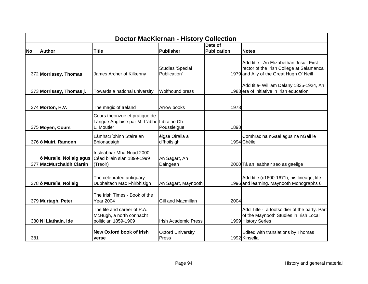|           | <b>Doctor MacKiernan - History Collection</b>      |                                                                                             |                                         |                        |                                                                                                                                 |  |  |
|-----------|----------------------------------------------------|---------------------------------------------------------------------------------------------|-----------------------------------------|------------------------|---------------------------------------------------------------------------------------------------------------------------------|--|--|
| <b>No</b> | <b>Author</b>                                      | <b>Title</b>                                                                                | Publisher                               | Date of<br>Publication | <b>Notes</b>                                                                                                                    |  |  |
|           | 372 Morrissey, Thomas                              | James Archer of Kilkenny                                                                    | <b>Studies 'Special</b><br>Publication' |                        | Add title - An Elizabethan Jesuit First<br>rector of the Irish College at Salamanca<br>1979 and Ally of the Great Hugh O' Neill |  |  |
|           | 373 Morrissey, Thomas j.                           | Towards a national university                                                               | Wolfhound press                         |                        | Add title- William Delany 1835-1924, An<br>1983 era of initiative in Irish education                                            |  |  |
|           | 374 Morton, H.V.                                   | The magic of Ireland                                                                        | Arrow books                             | 1978                   |                                                                                                                                 |  |  |
|           | 375 Moyen, Cours                                   | Cours theorizue et pratique de<br>Langue Anglaise par M. L'abbe Librairie Ch.<br>L. Moutier | Poussielgue                             | 1898                   |                                                                                                                                 |  |  |
|           | 376 ó Muirí, Ramonn                                | Lámhscríbhinn Staire an<br>Bhionadaigh                                                      | éigse Oiralla a<br>d'fhoilsigh          |                        | Comhrac na nGael agus na nGall le<br>1994 Chéile                                                                                |  |  |
|           | ó Muraíle, Nollaig agus<br>377 MacMurchaidh Ciarán | Irisleabhar Mhá Nuad 2000 -<br>Céad bliain slán 1899-1999<br>(Treoir)                       | An Sagart, An<br>Daingean               |                        | 2000 Tá an leabhair seo as gaelige                                                                                              |  |  |
|           | 378 ó Muraíle, Nollaig                             | The celebrated antiquary<br>Dubhaltach Mac Fhirbhisigh                                      | An Sagart, Maynooth                     |                        | Add title (c1600-1671), his lineage, life<br>1996 and learning. Maynooth Monographs 6                                           |  |  |
|           | 379 Murtagh, Peter                                 | The Irish Times - Book of the<br><b>Year 2004</b>                                           | Gill and Macmillan                      | 2004                   |                                                                                                                                 |  |  |
|           | 380 Ni Liathain, Ide                               | The life and career of P.A.<br>McHugh, a north connacht<br>politician 1859-1909             | <b>Irish Academic Press</b>             |                        | Add Title - a footsoldier of the party. Part<br>of the Maynooth Studies in Irish Local<br>1999 History Series                   |  |  |
| 381       |                                                    | <b>New Oxford book of Irish</b><br>verse                                                    | <b>Oxford University</b><br>Press       |                        | Edited with translations by Thomas<br>1992 Kinsella                                                                             |  |  |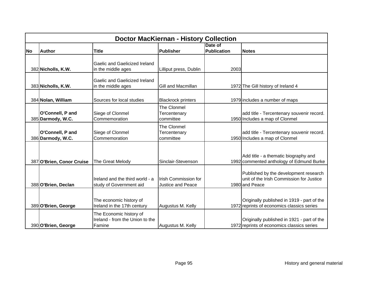|           | <b>Doctor MacKiernan - History Collection</b> |                                                                      |                                                         |                               |                                                                                                     |  |  |  |
|-----------|-----------------------------------------------|----------------------------------------------------------------------|---------------------------------------------------------|-------------------------------|-----------------------------------------------------------------------------------------------------|--|--|--|
| <b>No</b> | <b>Author</b>                                 | <b>Title</b>                                                         | <b>Publisher</b>                                        | Date of<br><b>Publication</b> | <b>Notes</b>                                                                                        |  |  |  |
|           | 382 Nicholls, K.W.                            | Gaelic and Gaelicized Ireland<br>in the middle ages                  | Lilliput press, Dublin                                  | 2003                          |                                                                                                     |  |  |  |
|           | 383 Nicholls, K.W.                            | <b>Gaelic and Gaelicized Ireland</b><br>in the middle ages           | Gill and Macmillan                                      |                               | 1972 The Gill history of Ireland 4                                                                  |  |  |  |
|           | 384 Nolan, William                            | Sources for local studies                                            | <b>Blackrock printers</b>                               |                               | 1979 includes a number of maps                                                                      |  |  |  |
|           | O'Connell, P and<br>385 Darmody, W.C.         | Siege of Clonmel<br>Commemoration                                    | The Clonmel<br>Tercentenary<br>committee                |                               | add title - Tercentenary souvenir record.<br>1950 Includes a map of Clonmel                         |  |  |  |
|           | O'Connell, P and<br>386 Darmody, W.C.         | Siege of Clonmel<br>Commemoration                                    | The Clonmel<br>Tercentenary<br>committee                |                               | add title - Tercentenary souvenir record.<br>1950 Includes a map of Clonmel                         |  |  |  |
|           | 387 O'Brien, Conor Cruise                     | The Great Melody                                                     | Sinclair-Stevenson                                      |                               | Add title - a thematic biography and<br>1992 commented anthology of Edmund Burke                    |  |  |  |
|           | 388 O'Brien, Declan                           | Ireland and the third world - a<br>study of Government aid           | <b>Irish Commission for</b><br><b>Justice and Peace</b> |                               | Published by the development research<br>unit of the Irish Commission for Justice<br>1980 and Peace |  |  |  |
|           | 389 O'Brien, George                           | The economic history of<br>Ireland in the 17th century               | Augustus M. Kelly                                       |                               | Originally published in 1919 - part of the<br>1972 reprints of economics classics series            |  |  |  |
|           | 390 O'Brien, George                           | The Economic history of<br>Ireland - from the Union to the<br>Famine | Augustus M. Kelly                                       |                               | Originally published in 1921 - part of the<br>1972 reprints of economics classics series            |  |  |  |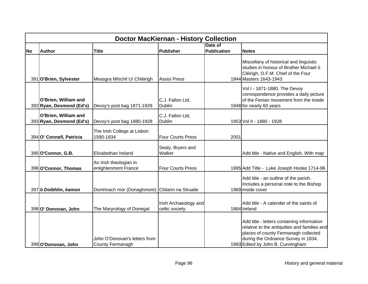|           | <b>Doctor MacKiernan - History Collection</b>    |                                                   |                                         |                    |                                                                                                                                                                                                                |  |  |
|-----------|--------------------------------------------------|---------------------------------------------------|-----------------------------------------|--------------------|----------------------------------------------------------------------------------------------------------------------------------------------------------------------------------------------------------------|--|--|
|           |                                                  |                                                   |                                         | Date of            |                                                                                                                                                                                                                |  |  |
| <b>No</b> | <b>Author</b>                                    | <b>Title</b>                                      | <b>Publisher</b>                        | <b>Publication</b> | <b>Notes</b>                                                                                                                                                                                                   |  |  |
|           | 391 O'Brien, Sylvester                           | Measgra Mhichil Uí Chléirigh                      | <b>Assisi Press</b>                     |                    | Miscellany of historical and linguistic<br>studies in honour of Brother Michael ó<br>Cléirigh, O.F.M. Chief of the Four<br>1944 Masters 1643-1943                                                              |  |  |
|           | O'Brien, William and<br>392 Ryan, Desmond (Ed's) | Devoy's post bag 1871-1928                        | C.J. Fallon Ltd,<br>Dublin              |                    | Vol I - 1871-1880. The Devoy<br>correspondence provides a daily picture<br>of the Fenian movement from the inside<br>1948 for nearly 60 years                                                                  |  |  |
|           | O'Brien, William and<br>393 Ryan, Desmond (Ed's) | Devoy's post bag 1880-1928                        | C.J. Fallon Ltd,<br>Dublin              |                    | 1953 Vol II - 1880 - 1928                                                                                                                                                                                      |  |  |
|           | 394 O' Connell, Patricia                         | The Irish College at Lisbon<br>1590-1834          | <b>Four Courts Press</b>                | 2001               |                                                                                                                                                                                                                |  |  |
|           | 395 O'Connor, G.B.                               | Elizabethan Ireland                               | Sealy, Bryers and<br>Walker             |                    | Add title - Native and English. With map                                                                                                                                                                       |  |  |
|           | 396 O'Connor, Thomas                             | An Irish theologian in<br>enlightenment France    | <b>Four Courts Press</b>                |                    | 1995 Add Title - Luke Joseph Hooke 1714-96                                                                                                                                                                     |  |  |
|           | 397 ó Doibhlin, éamon                            | Domhnach mór (Donaghmore) Clólann na Struaile     |                                         |                    | Add title - an outline of the parish.<br>Includes a personal note to the Bishop<br>1969 inside cover                                                                                                           |  |  |
|           | 398 O' Donovan, John                             | The Maryrology of Donegal                         | Irish Archaeology and<br>celtic society |                    | Add title - A calender of the saints of<br>1864 Ireland                                                                                                                                                        |  |  |
|           | 399 O'Donovan, John                              | John O'Donovan's letters from<br>County Fermanagh |                                         |                    | Add title - letters containing information<br>relative to the antiquities and families and<br>places of county Fermanagh collected<br>during the Ordnance Survey in 1834.<br>1993 Edited by John B. Cunningham |  |  |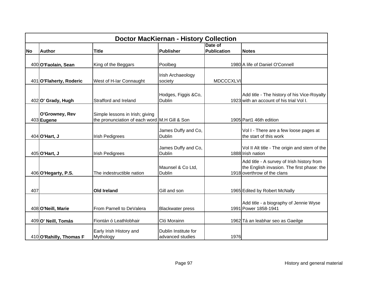|           | <b>Doctor MacKiernan - History Collection</b> |                                                                                  |                                          |                        |                                                                                                                         |  |  |
|-----------|-----------------------------------------------|----------------------------------------------------------------------------------|------------------------------------------|------------------------|-------------------------------------------------------------------------------------------------------------------------|--|--|
| <b>No</b> | <b>Author</b>                                 | <b>Title</b>                                                                     | <b>Publisher</b>                         | Date of<br>Publication | <b>Notes</b>                                                                                                            |  |  |
|           |                                               |                                                                                  |                                          |                        |                                                                                                                         |  |  |
|           | 400 O'Faolain, Sean                           | King of the Beggars                                                              | Poolbeg                                  |                        | 1980 A life of Daniel O'Connell                                                                                         |  |  |
|           | 401 O'Flaherty, Roderic                       | West of H-lar Connaught                                                          | Irish Archaeology<br>society             | <b>MDCCCXLVI</b>       |                                                                                                                         |  |  |
|           | 402 O' Grady, Hugh                            | Strafford and Ireland                                                            | Hodges, Figgis &Co,<br><b>Dublin</b>     |                        | Add title - The history of his Vice-Royalty<br>1923 with an account of his trial Vol I.                                 |  |  |
|           | O'Growney, Rev<br>403 Eugene                  | Simple lessons in Irish; giving<br>the pronunciation of each word M.H Gill & Son |                                          |                        | 1905 Part1 46th edition                                                                                                 |  |  |
|           | 404 O'Hart, J                                 | <b>Irish Pedigrees</b>                                                           | James Duffy and Co,<br><b>Dublin</b>     |                        | Vol I - There are a few loose pages at<br>the start of this work                                                        |  |  |
|           | 405 O'Hart, J                                 | <b>Irish Pedigrees</b>                                                           | James Duffy and Co,<br><b>Dublin</b>     |                        | Vol II Alt title - The origin and stem of the<br>1888 Irish nation                                                      |  |  |
|           | 406 O'Hegarty, P.S.                           | The indestructible nation                                                        | Maunsel & Co Ltd,<br><b>Dublin</b>       |                        | Add title - A survey of Irish history from<br>the English invasion. The first phase: the<br>1918 overthrow of the clans |  |  |
| 407       |                                               | <b>Old Ireland</b>                                                               | Gill and son                             |                        | 1965 Edited by Robert McNally                                                                                           |  |  |
|           | 408 O'Neill, Marie                            | From Parnell to DeValera                                                         | <b>Blackwater press</b>                  |                        | Add title - a biography of Jennie Wyse<br>1991 Power 1858-1941                                                          |  |  |
|           | 409 O' Neill, Tomás                           | Fiontán ó Leathlobhair                                                           | Cló Morainn                              |                        | 1962 Tá an leabhar seo as Gaeilge                                                                                       |  |  |
|           | 410 O'Rahilly, Thomas F                       | Early Irish History and<br>Mythology                                             | Dublin Institute for<br>advanced studies | 1976                   |                                                                                                                         |  |  |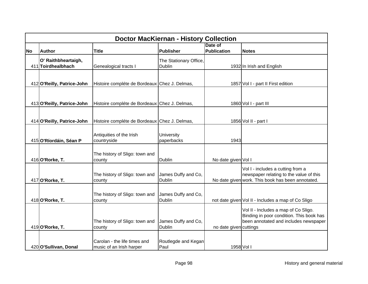|           | <b>Doctor MacKiernan - History Collection</b> |                                                          |                                         |                               |                                                                                                                                   |  |  |  |
|-----------|-----------------------------------------------|----------------------------------------------------------|-----------------------------------------|-------------------------------|-----------------------------------------------------------------------------------------------------------------------------------|--|--|--|
| <b>No</b> | <b>Author</b>                                 | <b>Title</b>                                             | Publisher                               | Date of<br><b>Publication</b> | <b>Notes</b>                                                                                                                      |  |  |  |
|           | O' Raithbheartaigh,<br>411 Toirdhealbhach     | Genealogical tracts I                                    | The Stationary Office,<br><b>Dublin</b> |                               | 1932 In Irish and English                                                                                                         |  |  |  |
|           | 412 O'Reilly, Patrice-John                    | Histoire compléte de Bordeaux Chez J. Delmas,            |                                         |                               | 1857 Vol I - part II First edition                                                                                                |  |  |  |
|           |                                               |                                                          |                                         |                               |                                                                                                                                   |  |  |  |
|           | 413 O'Reilly, Patrice-John                    | Histoire compléte de Bordeaux Chez J. Delmas,            |                                         |                               | 1860 Vol I - part III                                                                                                             |  |  |  |
|           | 414 O'Reilly, Patrice-John                    | Histoire compléte de Bordeaux Chez J. Delmas,            |                                         |                               | 1856 Vol II - part I                                                                                                              |  |  |  |
|           | 415 O'Ríordáin, Séan P                        | Antiquities of the Irish<br>countryside                  | University<br>paperbacks                | 1943                          |                                                                                                                                   |  |  |  |
|           | 416 O'Rorke, T.                               | The history of Sligo: town and<br>county                 | <b>Dublin</b>                           | No date given Vol I           |                                                                                                                                   |  |  |  |
|           | 417 O'Rorke, T.                               | The history of Sligo: town and<br>county                 | James Duffy and Co,<br>Dublin           |                               | Vol I - includes a cutting from a<br>newspaper relating to the value of this<br>No date given work. This book has been annotated. |  |  |  |
|           | 418 O'Rorke, T.                               | The history of Sligo: town and<br>county                 | James Duffy and Co,<br><b>Dublin</b>    |                               | not date given Vol II - Includes a map of Co Sligo                                                                                |  |  |  |
|           | 419 O'Rorke, T.                               | The history of Sligo: town and<br>county                 | James Duffy and Co,<br>Dublin           | no date given cuttings        | Vol II - Includes a map of Co Sligo.<br>Binding in poor condition. This book has<br>been annotated and includes newspaper         |  |  |  |
|           | 420 O'Sullivan, Donal                         | Carolan - the life times and<br>music of an Irish harper | Routlegde and Kegan<br>Paul             |                               | 1958 Vol I                                                                                                                        |  |  |  |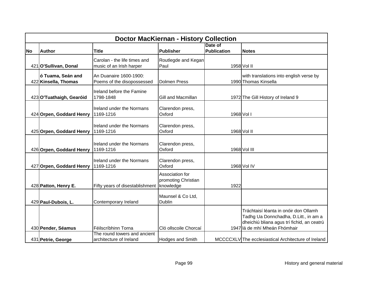|           | <b>Doctor MacKiernan - History Collection</b> |                                                          |                                                     |                               |                                                                                                                                                               |  |  |  |
|-----------|-----------------------------------------------|----------------------------------------------------------|-----------------------------------------------------|-------------------------------|---------------------------------------------------------------------------------------------------------------------------------------------------------------|--|--|--|
| <b>No</b> | <b>Author</b>                                 | <b>Title</b>                                             | <b>Publisher</b>                                    | Date of<br><b>Publication</b> | <b>Notes</b>                                                                                                                                                  |  |  |  |
|           | 421 O'Sullivan, Donal                         | Carolan - the life times and<br>music of an Irish harper | Routlegde and Kegan<br>Paul                         |                               | 1958 Vol II                                                                                                                                                   |  |  |  |
|           | ó Tuama, Seán and<br>422 Kinsella, Thomas     | An Duanaire 1600-1900:<br>Poems of the disopossessed     | <b>Dolmen Press</b>                                 |                               | with translations into english verse by<br>1990 Thomas Kinsella                                                                                               |  |  |  |
|           | 423 O'Tuathaigh, Gearóid                      | <b>Ireland before the Famine</b><br>1798-1848            | Gill and Macmillan                                  |                               | 1972 The Gill History of Ireland 9                                                                                                                            |  |  |  |
|           | 424 Orpen, Goddard Henry                      | <b>Ireland under the Normans</b><br>1169-1216            | Clarendon press,<br>Oxford                          | 1968 Vol I                    |                                                                                                                                                               |  |  |  |
|           | 425 Orpen, Goddard Henry                      | <b>Ireland under the Normans</b><br>1169-1216            | Clarendon press,<br>Oxford                          |                               | 1968 Vol II                                                                                                                                                   |  |  |  |
|           | 426 Orpen, Goddard Henry                      | <b>Ireland under the Normans</b><br>1169-1216            | Clarendon press,<br>Oxford                          |                               | 1968 Vol III                                                                                                                                                  |  |  |  |
|           | 427 Orpen, Goddard Henry                      | <b>Ireland under the Normans</b><br>1169-1216            | Clarendon press,<br>Oxford                          |                               | 1968 Vol IV                                                                                                                                                   |  |  |  |
|           | 428 Patton, Henry E.                          | Fifty years of disestablishment                          | Association for<br>promoting Christian<br>knowledge | 1922                          |                                                                                                                                                               |  |  |  |
|           | 429 Paul-Dubois, L.                           | Contemporary Ireland                                     | Maunsel & Co Ltd,<br><b>Dublin</b>                  |                               |                                                                                                                                                               |  |  |  |
|           | 430 Pender, Séamus                            | Féilscríbhinn Torna                                      | Cló ollscoile Chorcaí                               |                               | Tráchtaisí léanta in onóir don Ollamh<br>Tadhg Ua Donnchadha, D.Litt., in am a<br>dheichiú bliana agus trí fichid, an ceatrú<br>1947 lá de mhí Mheán Fhómhair |  |  |  |
|           | 431 Petrie, George                            | The round towers and ancient<br>architecture of Ireland  | <b>Hodges and Smith</b>                             |                               | MCCCCXLV The ecclesiastical Architecture of Ireland                                                                                                           |  |  |  |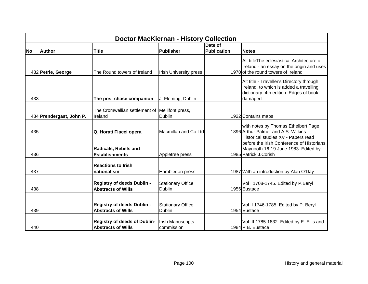|           | <b>Doctor MacKiernan - History Collection</b> |                                                                  |                                        |                               |                                                                                                                                                   |  |  |  |
|-----------|-----------------------------------------------|------------------------------------------------------------------|----------------------------------------|-------------------------------|---------------------------------------------------------------------------------------------------------------------------------------------------|--|--|--|
| <b>No</b> | Author                                        | <b>Title</b>                                                     | <b>Publisher</b>                       | Date of<br><b>Publication</b> | <b>Notes</b>                                                                                                                                      |  |  |  |
|           | 432 Petrie, George                            | The Round towers of Ireland                                      | <b>Irish University press</b>          |                               | Alt title The eclesiastical Architecture of<br>Ireland - an essay on the origin and uses<br>1970 of the round towers of Ireland                   |  |  |  |
| 433       |                                               | The post chase companion                                         | J. Fleming, Dublin                     |                               | Alt title - Traveller's Directory through<br>Ireland, to which is added a travelling<br>dictionary. 4th edition. Edges of book<br>damaged.        |  |  |  |
|           | 434 Prendergast, John P.                      | The Cromwellian settlement of<br>Ireland                         | Mellifont press,<br>Dublin             |                               | 1922 Contains maps                                                                                                                                |  |  |  |
| 435       |                                               | Q. Horati Flacci opera                                           | Macmillan and Co Ltd                   |                               | with notes by Thomas Ethelbert Page,<br>1896 Arthur Palmer and A.S. Wilkins                                                                       |  |  |  |
| 436       |                                               | <b>Radicals, Rebels and</b><br><b>Establishments</b>             | Appletree press                        |                               | Historical studies XV - Papers read<br>before the Irish Conference of Historians,<br>Maynooth 16-19 June 1983. Edited by<br>1985 Patrick J.Corish |  |  |  |
| 437       |                                               | <b>Reactions to Irish</b><br>nationalism                         | Hambledon press                        |                               | 1987 With an introduction by Alan O'Day                                                                                                           |  |  |  |
| 438       |                                               | <b>Registry of deeds Dublin -</b><br><b>Abstracts of Wills</b>   | Stationary Office,<br><b>Dublin</b>    |                               | Vol I 1708-1745. Edited by P.Beryl<br>1956 Eustace                                                                                                |  |  |  |
| 439       |                                               | <b>Registry of deeds Dublin -</b><br><b>Abstracts of Wills</b>   | Stationary Office,<br><b>Dublin</b>    |                               | Vol II 1746-1785. Edited by P. Beryl<br>1954 Eustace                                                                                              |  |  |  |
| 440       |                                               | <b>Registry of deeds of Dublin-</b><br><b>Abstracts of Wills</b> | <b>Irish Manuscripts</b><br>commission |                               | Vol III 1785-1832. Edited by E. Ellis and<br>1984 P.B. Eustace                                                                                    |  |  |  |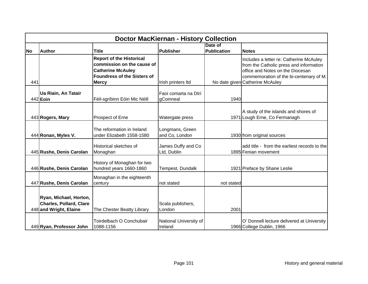|           | <b>Doctor MacKiernan - History Collection</b>                                      |                                                                                                                                                 |                                   |                               |                                                                                                                                                                                                      |  |  |  |
|-----------|------------------------------------------------------------------------------------|-------------------------------------------------------------------------------------------------------------------------------------------------|-----------------------------------|-------------------------------|------------------------------------------------------------------------------------------------------------------------------------------------------------------------------------------------------|--|--|--|
| <b>No</b> | <b>Author</b>                                                                      | <b>Title</b>                                                                                                                                    | Publisher                         | Date of<br><b>Publication</b> | <b>Notes</b>                                                                                                                                                                                         |  |  |  |
| 441       |                                                                                    | <b>Report of the Historical</b><br>commission on the cause of<br><b>Catherine McAuley</b><br><b>Foundress of the Sisters of</b><br><b>Mercy</b> | Irish printers Itd                |                               | Includes a letter re: Catherine McAuley<br>from the Catholic press and information<br>office and Notes on the Diocesan<br>commemoration of the bi-centenary of M.<br>No date given Catherine McAuley |  |  |  |
|           | Ua Riain, An Tatair<br>442 Eoin                                                    | Féil-sgríbinn Eóin Mic Néill                                                                                                                    | Faoi comarta na Dtrí<br>gCoinneal | 1940                          |                                                                                                                                                                                                      |  |  |  |
|           | 443 Rogers, Mary                                                                   | Prospect of Erne                                                                                                                                | Watergate press                   |                               | A study of the islands and shores of<br>1971 Lough Erne, Co Fermanagh                                                                                                                                |  |  |  |
|           | 444 Ronan, Myles V.                                                                | The reformation in Ireland<br>under Elizabeth 1558-1580                                                                                         | Longmans, Green<br>and Co, London |                               | 1930 from original sources                                                                                                                                                                           |  |  |  |
|           | 445 Rushe, Denis Carolan                                                           | <b>Historical sketches of</b><br>Monaghan                                                                                                       | James Duffy and Co<br>Ltd, Dublin |                               | add title - from the earliest records to the<br>1895 Fenian movement                                                                                                                                 |  |  |  |
|           | 446 Rushe, Denis Carolan                                                           | History of Monaghan for two<br>hundred years 1660-1860                                                                                          | Tempest, Dundalk                  |                               | 1921 Preface by Shane Leslie                                                                                                                                                                         |  |  |  |
|           | 447 Rushe, Denis Carolan                                                           | Monaghan in the eighteenth<br>century                                                                                                           | not stated                        | not stated                    |                                                                                                                                                                                                      |  |  |  |
|           | Ryan, Michael, Horton,<br><b>Charles, Pollard, Clare</b><br>448 and Wright, Elaine | The Chester Beatty Library                                                                                                                      | Scala publishers,<br>London       | 2001                          |                                                                                                                                                                                                      |  |  |  |
|           | 449 Ryan, Professor John                                                           | Toirdelbach O Conchubair<br>1088-1156                                                                                                           | National University of<br>Ireland |                               | O' Donnell lecture delivered at University<br>1966 College Dublin, 1966                                                                                                                              |  |  |  |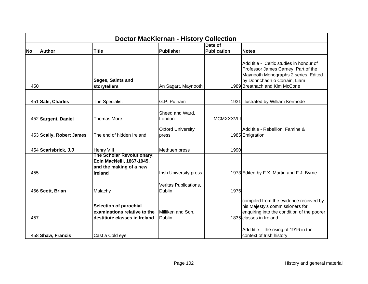|           | <b>Doctor MacKiernan - History Collection</b> |                                                                                                             |                                        |                    |                                                                                                                                                                                         |  |  |
|-----------|-----------------------------------------------|-------------------------------------------------------------------------------------------------------------|----------------------------------------|--------------------|-----------------------------------------------------------------------------------------------------------------------------------------------------------------------------------------|--|--|
|           |                                               |                                                                                                             |                                        | Date of            |                                                                                                                                                                                         |  |  |
| <b>No</b> | <b>Author</b>                                 | <b>Title</b>                                                                                                | <b>Publisher</b>                       | <b>Publication</b> | <b>Notes</b>                                                                                                                                                                            |  |  |
| 450       |                                               | Sages, Saints and<br>storytellers                                                                           | An Sagart, Maynooth                    |                    | Add title - Celtic studies in honour of<br>Professor James Carney. Part of the<br>Maynooth Monographs 2 series. Edited<br>by Donnchadh ó Corráin, Liam<br>1989 Breatnach and Kim McCone |  |  |
|           | 451 Sale, Charles                             | The Specialist                                                                                              | G.P. Putnam                            |                    | 1931 Illustrated by William Kermode                                                                                                                                                     |  |  |
|           | 452 Sargent, Daniel                           | <b>Thomas More</b>                                                                                          | Sheed and Ward,<br>London              | <b>MCMXXXVIII</b>  |                                                                                                                                                                                         |  |  |
|           | 453 Scally, Robert James                      | The end of hidden Ireland                                                                                   | <b>Oxford University</b><br>press      |                    | Add title - Rebellion, Famine &<br>1985 Emigration                                                                                                                                      |  |  |
|           | 454 Scarisbrick, J.J                          | Henry VIII                                                                                                  | Methuen press                          | 1990               |                                                                                                                                                                                         |  |  |
| 455       |                                               | <b>The Scholar Revolutionary:</b><br>Eoin MacNeill, 1867-1945,<br>and the making of a new<br><b>Ireland</b> | <b>Irish University press</b>          |                    | 1973 Edited by F.X. Martin and F.J. Byrne                                                                                                                                               |  |  |
|           | 456 Scott, Brian                              | Malachy                                                                                                     | Veritas Publications,<br><b>Dublin</b> | 1976               |                                                                                                                                                                                         |  |  |
| 457       |                                               | <b>Selection of parochial</b><br>examinations relative to the<br>destitiute classes in Ireland              | Milliken and Son,<br><b>Dublin</b>     |                    | compiled from the evidence received by<br>his Majesty's commissioners for<br>enquiring into the condition of the poorer<br>1835 classes in Ireland                                      |  |  |
|           | 458 Shaw, Francis                             | Cast a Cold eye                                                                                             |                                        |                    | Add title - the rising of 1916 in the<br>context of Irish history                                                                                                                       |  |  |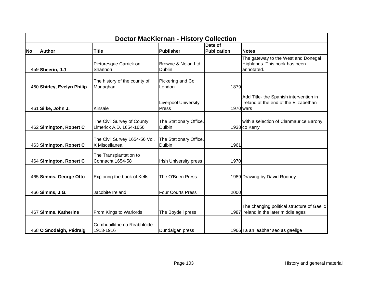|           | <b>Doctor MacKiernan - History Collection</b> |                                                       |                                         |                               |                                                                                              |  |  |  |
|-----------|-----------------------------------------------|-------------------------------------------------------|-----------------------------------------|-------------------------------|----------------------------------------------------------------------------------------------|--|--|--|
| <b>No</b> | <b>Author</b>                                 | <b>Title</b>                                          | <b>Publisher</b>                        | Date of<br><b>Publication</b> | <b>Notes</b>                                                                                 |  |  |  |
|           | 459 Sheerin, J.J                              | Picturesque Carrick on<br>Shannon                     | Browne & Nolan Ltd,<br><b>Dublin</b>    |                               | The gateway to the West and Donegal<br>Highlands. This book has been<br>annotated.           |  |  |  |
|           | 460 Shirley, Evelyn Philip                    | The history of the county of<br>Monaghan              | Pickering and Co,<br>London             | 1879                          |                                                                                              |  |  |  |
|           | 461 Silke, John J.                            | Kinsale                                               | <b>Liverpool University</b><br>Press    |                               | Add Title- the Spanish intervention in<br>Ireland at the end of the Elizabethan<br>1970 wars |  |  |  |
|           | 462 Simington, Robert C                       | The Civil Survey of County<br>Limerick A.D. 1654-1656 | The Stationary Office,<br><b>Dulbin</b> |                               | with a selection of Clanmaurice Barony,<br>1938 co Kerry                                     |  |  |  |
|           | 463 Simington, Robert C                       | The Civil Survey 1654-56 Vol.<br>X Miscellanea        | The Stationary Office,<br><b>Dulbin</b> | 1961                          |                                                                                              |  |  |  |
|           | 464 Simington, Robert C                       | The Transplantation to<br>Connacht 1654-58            | <b>Irish University press</b>           | 1970                          |                                                                                              |  |  |  |
|           | 465 Simms, George Otto                        | Exploring the book of Kells                           | The O'Brien Press                       |                               | 1989 Drawing by David Rooney                                                                 |  |  |  |
|           | 466 Simms, J.G.                               | Jacobite Ireland                                      | <b>Four Courts Press</b>                | 2000                          |                                                                                              |  |  |  |
|           | 467 Simms. Katherine                          | From Kings to Warlords                                | The Boydell press                       |                               | The changing political structure of Gaelic<br>1987 Ireland in the later middle ages          |  |  |  |
|           | 468 O Snodaigh, Pádraig                       | Comhuaillithe na Réabhlóide<br>1913-1916              | Dundalgan press                         |                               | 1966 Ta an leabhar seo as gaelige                                                            |  |  |  |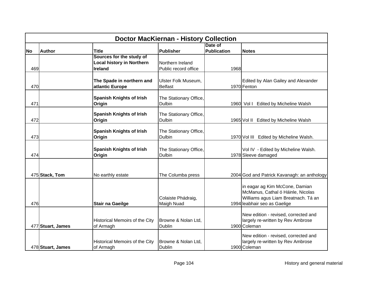|           | <b>Doctor MacKiernan - History Collection</b> |                                       |                        |                    |                                                                     |  |  |
|-----------|-----------------------------------------------|---------------------------------------|------------------------|--------------------|---------------------------------------------------------------------|--|--|
|           |                                               |                                       |                        | Date of            |                                                                     |  |  |
| <b>No</b> | <b>Author</b>                                 | Title                                 | <b>Publisher</b>       | <b>Publication</b> | <b>Notes</b>                                                        |  |  |
|           |                                               | Sources for the study of              |                        |                    |                                                                     |  |  |
|           |                                               | <b>Local history in Northern</b>      | Northern Ireland       |                    |                                                                     |  |  |
| 469       |                                               | <b>Ireland</b>                        | Public record office   | 1968               |                                                                     |  |  |
|           |                                               |                                       |                        |                    |                                                                     |  |  |
|           |                                               | The Spade in northern and             | Ulster Folk Museum,    |                    | Edited by Alan Gailey and Alexander                                 |  |  |
| 470       |                                               | atlantic Europe                       | <b>Belfast</b>         |                    | 1970 Fenton                                                         |  |  |
|           |                                               |                                       |                        |                    |                                                                     |  |  |
|           |                                               | <b>Spanish Knights of Irish</b>       | The Stationary Office, |                    |                                                                     |  |  |
| 471       |                                               | Origin                                | Dulbin                 |                    | 1960 Vol I Edited by Micheline Walsh                                |  |  |
|           |                                               |                                       |                        |                    |                                                                     |  |  |
|           |                                               | <b>Spanish Knights of Irish</b>       | The Stationary Office, |                    |                                                                     |  |  |
| 472       |                                               | Origin                                | Dulbin                 |                    | 1965 Vol II Edited by Micheline Walsh                               |  |  |
|           |                                               | <b>Spanish Knights of Irish</b>       | The Stationary Office, |                    |                                                                     |  |  |
| 473       |                                               | Origin                                | <b>Dulbin</b>          |                    | 1970 Vol III Edited by Micheline Walsh.                             |  |  |
|           |                                               |                                       |                        |                    |                                                                     |  |  |
|           |                                               | <b>Spanish Knights of Irish</b>       | The Stationary Office, |                    | Vol IV - Edited by Micheline Walsh.                                 |  |  |
| 474       |                                               | Origin                                | Dulbin                 |                    | 1978 Sleeve damaged                                                 |  |  |
|           |                                               |                                       |                        |                    |                                                                     |  |  |
|           |                                               |                                       |                        |                    |                                                                     |  |  |
|           |                                               |                                       |                        |                    |                                                                     |  |  |
|           | 475 Stack, Tom                                | No earthly estate                     | The Columba press      |                    | 2004 God and Patrick Kavanagh: an anthology                         |  |  |
|           |                                               |                                       |                        |                    |                                                                     |  |  |
|           |                                               |                                       |                        |                    | in eagar ag Kim McCone, Damian<br>McManus, Cathal ó Háinle, Nicolas |  |  |
|           |                                               |                                       | Colaiste Phádraig,     |                    | Williams agus Liam Breatnach. Tá an                                 |  |  |
| 476       |                                               | Stair na Gaeilge                      | Maigh Nuad             |                    | 1994 leabhair seo as Gaelige                                        |  |  |
|           |                                               |                                       |                        |                    |                                                                     |  |  |
|           |                                               |                                       |                        |                    | New edition - revised, corrected and                                |  |  |
|           |                                               | <b>Historical Memoirs of the City</b> | Browne & Nolan Ltd,    |                    | largely re-written by Rev Ambrose                                   |  |  |
|           | 477 Stuart, James                             | of Armagh                             | Dublin                 |                    | 1900 Coleman                                                        |  |  |
|           |                                               |                                       |                        |                    |                                                                     |  |  |
|           |                                               |                                       |                        |                    | New edition - revised, corrected and                                |  |  |
|           |                                               | Historical Memoirs of the City        | Browne & Nolan Ltd,    |                    | largely re-written by Rev Ambrose                                   |  |  |
|           | 478 Stuart, James                             | of Armagh                             | Dublin                 |                    | 1900 Coleman                                                        |  |  |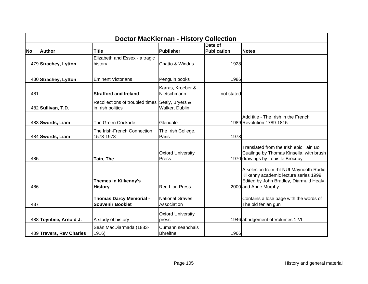|           | <b>Doctor MacKiernan - History Collection</b> |                                                           |                                       |                               |                                                                                                                                                    |  |  |
|-----------|-----------------------------------------------|-----------------------------------------------------------|---------------------------------------|-------------------------------|----------------------------------------------------------------------------------------------------------------------------------------------------|--|--|
| <b>No</b> | <b>Author</b>                                 | <b>Title</b>                                              | Publisher                             | Date of<br><b>Publication</b> | <b>Notes</b>                                                                                                                                       |  |  |
|           | 479 Strachey, Lytton                          | Elizabeth and Essex - a tragic<br>history                 | Chatto & Windus                       | 1928                          |                                                                                                                                                    |  |  |
|           | 480 Strachey, Lytton                          | <b>Eminent Victorians</b>                                 | Penguin books                         | 1986                          |                                                                                                                                                    |  |  |
| 481       |                                               | <b>Strafford and Ireland</b>                              | Karras, Kroeber &<br>Nietschmann      | not stated                    |                                                                                                                                                    |  |  |
|           | 482 Sullivan, T.D.                            | Recollections of troubled times<br>in Irish politics      | Sealy, Bryers &<br>Walker, Dublin     |                               |                                                                                                                                                    |  |  |
|           | 483 Swords, Liam                              | The Green Cockade                                         | Glendale                              |                               | Add title - The Irish in the French<br>1989 Revolution 1789-1815                                                                                   |  |  |
|           | 484 Swords, Liam                              | The Irish-French Connection<br>1578-1978                  | The Irish College,<br>Paris           | 1978                          |                                                                                                                                                    |  |  |
| 485       |                                               | Tain, The                                                 | <b>Oxford University</b><br>Press     |                               | Translated from the Irish epic Tain Bo<br>Cuailnge by Thomas Kinsella, with brush<br>1970 drawings by Louis le Brocquy                             |  |  |
| 486       |                                               | <b>Themes in Kilkenny's</b><br><b>History</b>             | <b>Red Lion Press</b>                 |                               | A selecion from rht NUI Maynooth-Radio<br>Kilkenny academic lecture series 1999.<br>Edited by John Bradley, Diarmuid Healy<br>2000 and Anne Murphy |  |  |
| 487       |                                               | <b>Thomas Darcy Memorial -</b><br><b>Souvenir Booklet</b> | <b>National Graves</b><br>Association |                               | Contains a lose page with the words of<br>The old fenian gun                                                                                       |  |  |
|           | 488 Toynbee, Arnold J.                        | A study of history                                        | <b>Oxford University</b><br>press     |                               | 1946 abridgement of Volumes 1-VI                                                                                                                   |  |  |
|           | 489 Travers, Rev Charles                      | Seán MacDiarmada (1883-<br>1916)                          | Cumann seanchais<br><b>Bhreifne</b>   | 1966                          |                                                                                                                                                    |  |  |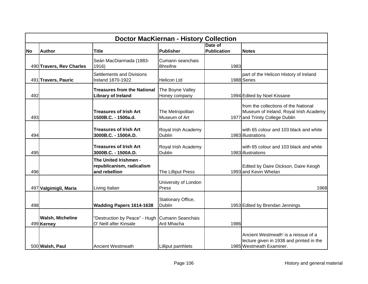|           | <b>Doctor MacKiernan - History Collection</b> |                                                                     |                                      |                               |                                                                                                                   |  |  |
|-----------|-----------------------------------------------|---------------------------------------------------------------------|--------------------------------------|-------------------------------|-------------------------------------------------------------------------------------------------------------------|--|--|
| <b>No</b> | <b>Author</b>                                 | <b>Title</b>                                                        | Publisher                            | Date of<br><b>Publication</b> | <b>Notes</b>                                                                                                      |  |  |
|           | 490 Travers, Rev Charles                      | Seán MacDiarmada (1883-<br>1916)                                    | Cumann seanchais<br><b>Bhreifne</b>  | 1983                          |                                                                                                                   |  |  |
|           | 491 Travers, Pauric                           | <b>Settlements and Divisions</b><br>Ireland 1870-1922               | <b>Helicon Ltd</b>                   |                               | part of the Helicon History of Ireland<br>1988 Series                                                             |  |  |
| 492       |                                               | <b>Treasures from the National</b><br><b>Library of Ireland</b>     | The Boyne Valley<br>Honey company    |                               | 1994 Edited by Noel Kissane                                                                                       |  |  |
| 493       |                                               | <b>Treasures of Irish Art</b><br>1500B.C. - 1500a.d.                | The Metropolitan<br>Museum of Art    |                               | from the collections of the National<br>Museum of Ireland, Royal Irish Academy<br>1977 and Trinity College Dublin |  |  |
| 494       |                                               | <b>Treasures of Irish Art</b><br>3000B.C. - 1500A.D.                | Royal Irish Academy<br><b>Dublin</b> |                               | with 65 colour and 103 black and white<br>1983 illustrations                                                      |  |  |
| 495       |                                               | <b>Treasures of Irish Art</b><br>3000B.C. - 1500A.D.                | Royal Irish Academy<br><b>Dublin</b> |                               | with 65 colour and 103 black and white<br>1983 illustrations                                                      |  |  |
| 496       |                                               | The United Irishmen -<br>republicanism, radicalism<br>and rebellion | The Lilliput Press                   |                               | Edited by Daire Dickson, Daire Keogh<br>1993 and Kevin Whelan                                                     |  |  |
|           | 497 Valgimigli, Maria                         | Living Italian                                                      | University of London<br>Press        |                               | 1968                                                                                                              |  |  |
| 498       |                                               | Wadding Papers 1614-1638                                            | Stationary Office,<br>Dublin         |                               | 1953 Edited by Brendan Jennings                                                                                   |  |  |
|           | <b>Walsh, Micheline</b><br>499 Kerney         | "Destruction by Peace" - Hugh<br>O' Neill after Kinsale             | Cumann Seanchais<br>Ard Mhacha       | 1986                          |                                                                                                                   |  |  |
|           | 500 Walsh, Paul                               | Ancient Westmeath                                                   | Lilliput pamhlets                    |                               | Ancient Westmeath' is a reissue of a<br>lecture given in 1938 and printed in the<br>1985 Westmeath Examiner.      |  |  |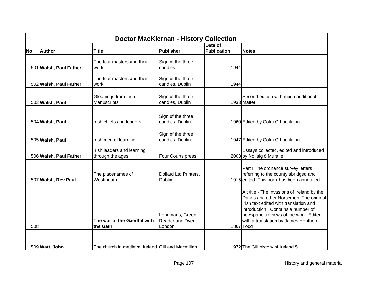|           |                        |                                                   | <b>Doctor MacKiernan - History Collection</b>  |                               |                                                                                                                                                                                                                                                                      |
|-----------|------------------------|---------------------------------------------------|------------------------------------------------|-------------------------------|----------------------------------------------------------------------------------------------------------------------------------------------------------------------------------------------------------------------------------------------------------------------|
| <b>No</b> | <b>Author</b>          | <b>Title</b>                                      | Publisher                                      | Date of<br><b>Publication</b> | <b>Notes</b>                                                                                                                                                                                                                                                         |
|           | 501 Walsh, Paul Father | The four masters and their<br>work                | Sign of the three<br>candles                   | 1944                          |                                                                                                                                                                                                                                                                      |
|           | 502 Walsh, Paul Father | The four masters and their<br>work                | Sign of the three<br>candles, Dublin           | 1944                          |                                                                                                                                                                                                                                                                      |
|           | 503 Walsh, Paul        | Gleanings from Irish<br>Manuscripts               | Sign of the three<br>candles, Dublin           |                               | Second edition with much additional<br>1933 matter                                                                                                                                                                                                                   |
|           | 504 Walsh, Paul        | Irish chiefs and leaders                          | Sign of the three<br>candles, Dublin           |                               | 1960 Edited by Colm O Lochlainn                                                                                                                                                                                                                                      |
|           | 505 Walsh, Paul        | Irish men of learning                             | Sign of the three<br>candles, Dublin           |                               | 1947 Edited by Colm O Lochlainn                                                                                                                                                                                                                                      |
|           | 506 Walsh, Paul Father | Irish leaders and learning<br>through the ages    | Four Courts press                              |                               | Essays collected, edited and introduced<br>2003 by Nollaig ó Muraíle                                                                                                                                                                                                 |
|           | 507 Walsh, Rev Paul    | The placenames of<br>Westmeath                    | Dollard Ltd Printers,<br><b>Dublin</b>         |                               | Part I The ordnance survey letters<br>referring to the county abridged and<br>1915 edited. This book has been annotated                                                                                                                                              |
| 508       |                        | The war of the Gaedhil with<br>the Gaill          | Longmans, Green,<br>Reader and Dyer,<br>London |                               | Alt title - The invasions of Ireland by the<br>Danes and other Norsemen. The original<br>Irish text edited with translation and<br>introduction . Contains a number of<br>newspaper reviews of the work. Edited<br>with a translation by James Henthorn<br>1867 Todd |
|           | 509 Watt, John         | The church in medieval Ireland Gill and Macmillan |                                                |                               | 1972 The Gill history of Ireland 5                                                                                                                                                                                                                                   |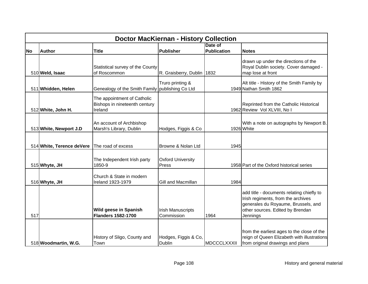|           | <b>Doctor MacKiernan - History Collection</b> |                                                                         |                                        |                    |                                                                                                                                                                        |  |  |
|-----------|-----------------------------------------------|-------------------------------------------------------------------------|----------------------------------------|--------------------|------------------------------------------------------------------------------------------------------------------------------------------------------------------------|--|--|
|           |                                               |                                                                         |                                        | Date of            |                                                                                                                                                                        |  |  |
| <b>No</b> | <b>Author</b>                                 | <b>Title</b>                                                            | <b>Publisher</b>                       | <b>Publication</b> | <b>Notes</b>                                                                                                                                                           |  |  |
|           | 510 Weld, Isaac                               | Statistical survey of the County<br>of Roscommon                        | R. Graisberry, Dublin 1832             |                    | drawn up under the directions of the<br>Royal Dublin society. Cover damaged -<br>map lose at front                                                                     |  |  |
|           | 511 Whidden, Helen                            | Genealogy of the Smith Family   publishing Co Ltd                       | Truro printing &                       |                    | Alt title - History of the Smith Family by<br>1949 Nathan Smith 1862                                                                                                   |  |  |
|           | 512 White, John H.                            | The appointment of Catholic<br>Bishops in nineteenth century<br>Ireland |                                        |                    | Reprinted from the Catholic Historical<br>1962 Review Vol XLVIII, No I                                                                                                 |  |  |
|           | 513 White, Newport J.D                        | An account of Archbishop<br>Marsh's Library, Dublin                     | Hodges, Figgis & Co                    |                    | With a note on autographs by Newport B.<br>1926 White                                                                                                                  |  |  |
|           | 514 White, Terence deVere                     | The road of excess                                                      | Browne & Nolan Ltd                     | 1945               |                                                                                                                                                                        |  |  |
|           | 515 Whyte, JH                                 | The Independent Irish party<br>1850-9                                   | <b>Oxford University</b><br>Press      |                    | 1958 Part of the Oxford historical series                                                                                                                              |  |  |
|           | 516 Whyte, JH                                 | Church & State in modern<br><b>Ireland 1923-1979</b>                    | Gill and Macmillan                     | 1984               |                                                                                                                                                                        |  |  |
| 517       |                                               | Wild geese in Spanish<br><b>Flanders 1582-1700</b>                      | <b>Irish Manuscripts</b><br>Commission | 1964               | add title - documents relating chiefly to<br>Irish regiments, from the archives<br>generales du Royaume, Brussels, and<br>other sources. Edited by Brendan<br>Jennings |  |  |
|           | 518 Woodmartin, W.G.                          | History of Sligo, County and<br>Town                                    | Hodges, Figgis & Co,<br>Dublin         | MDCCCLXXXII        | from the earliest ages to the close of the<br>reign of Queen Elizabeth with illustrations<br>from original drawings and plans                                          |  |  |